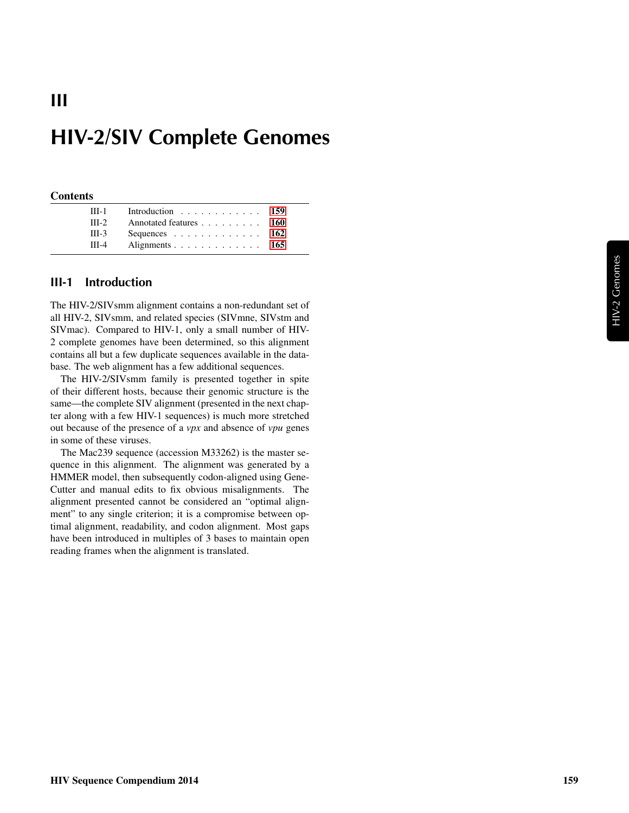# HIV-2/SIV Complete Genomes

#### **Contents**

III

| $III-1$ | Introduction 159       |  |
|---------|------------------------|--|
| $III-2$ | Annotated features 160 |  |
| $III-3$ | Sequences 162          |  |
| $III-4$ | Alignments 165         |  |

#### <span id="page-0-0"></span>III-1 Introduction

The HIV-2/SIVsmm alignment contains a non-redundant set of all HIV-2, SIVsmm, and related species (SIVmne, SIVstm and SIVmac). Compared to HIV-1, only a small number of HIV-2 complete genomes have been determined, so this alignment contains all but a few duplicate sequences available in the database. The web alignment has a few additional sequences.

The HIV-2/SIVsmm family is presented together in spite of their different hosts, because their genomic structure is the same—the complete SIV alignment (presented in the next chapter along with a few HIV-1 sequences) is much more stretched out because of the presence of a *vpx* and absence of *vpu* genes in some of these viruses.

The Mac239 sequence (accession M33262) is the master sequence in this alignment. The alignment was generated by a HMMER model, then subsequently codon-aligned using Gene-Cutter and manual edits to fix obvious misalignments. The alignment presented cannot be considered an "optimal alignment" to any single criterion; it is a compromise between optimal alignment, readability, and codon alignment. Most gaps have been introduced in multiples of 3 bases to maintain open reading frames when the alignment is translated.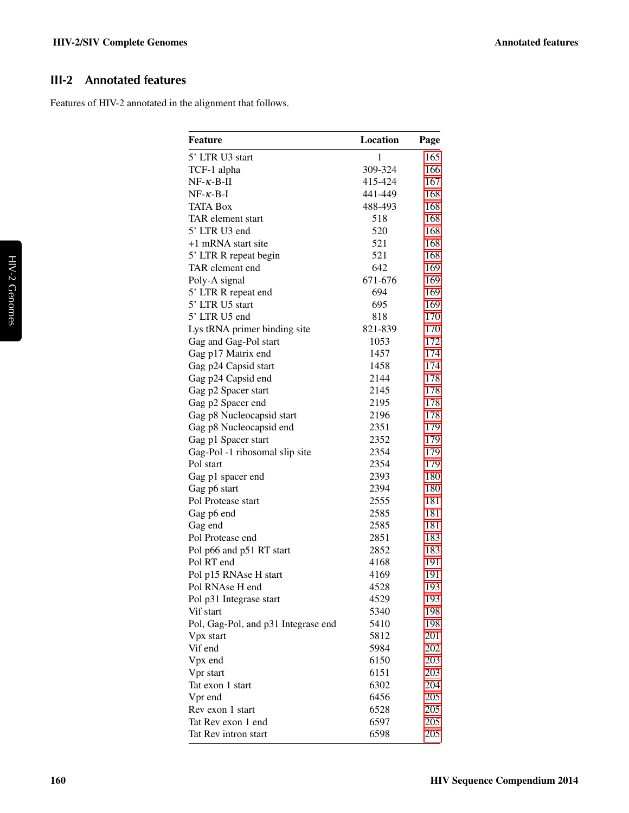# <span id="page-1-0"></span>III-2 Annotated features

Features of HIV-2 annotated in the alignment that follows.

| <b>Feature</b>                      | <b>Location</b> | Page |
|-------------------------------------|-----------------|------|
| 5' LTR U3 start                     | $\mathbf{1}$    | 165  |
| TCF-1 alpha                         | 309-324         | 166  |
| $NF-\kappa-B-\Pi$                   | 415-424         | 167  |
| $NF-\kappa-B-I$                     | 441-449         | 168  |
| <b>TATA Box</b>                     | 488-493         | 168  |
| TAR element start                   | 518             | 168  |
| 5' LTR U3 end                       | 520             | 168  |
| +1 mRNA start site                  | 521             | 168  |
| 5' LTR R repeat begin               | 521             | 168  |
| TAR element end                     | 642             | 169  |
| Poly-A signal                       | 671-676         | 169  |
| 5' LTR R repeat end                 | 694             | 169  |
| 5' LTR U5 start                     | 695             | 169  |
| 5' LTR U5 end                       | 818             | 170  |
| Lys tRNA primer binding site        | 821-839         | 170  |
| Gag and Gag-Pol start               | 1053            | 172  |
| Gag p17 Matrix end                  | 1457            | 174  |
| Gag p24 Capsid start                | 1458            | 174  |
| Gag p24 Capsid end                  | 2144            | 178  |
| Gag p2 Spacer start                 | 2145            | 178  |
| Gag p2 Spacer end                   | 2195            | 178  |
| Gag p8 Nucleocapsid start           | 2196            | 178  |
| Gag p8 Nucleocapsid end             | 2351            | 179  |
| Gag p1 Spacer start                 | 2352            | 179  |
| Gag-Pol -1 ribosomal slip site      | 2354            | 179  |
| Pol start                           | 2354            | 179  |
| Gag p1 spacer end                   | 2393            | 180  |
| Gag p6 start                        | 2394            | 180  |
| Pol Protease start                  | 2555            | 181  |
| Gag p6 end                          | 2585            | 181  |
| Gag end                             | 2585            | 181  |
| Pol Protease end                    | 2851            | 183  |
| Pol p66 and p51 RT start            | 2852            | 183  |
| Pol RT end                          | 4168            | 191  |
| Pol p15 RNAse H start               | 4169            | 191  |
| Pol RNAse H end                     | 4528            | 193  |
| Pol p31 Integrase start             | 4529            | 193  |
| Vif start                           | 5340            | 198  |
| Pol, Gag-Pol, and p31 Integrase end | 5410            | 198  |
| Vpx start                           | 5812            | 201  |
| Vif end                             | 5984            | 202  |
| Vpx end                             | 6150            | 203  |
| Vpr start                           | 6151            | 203  |
| Tat exon 1 start                    | 6302            | 204  |
| Vpr end                             | 6456            | 205  |
| Rev exon 1 start                    | 6528            | 205  |
| Tat Rev exon 1 end                  | 6597            | 205  |
| Tat Rev intron start                | 6598            | 205  |
|                                     |                 |      |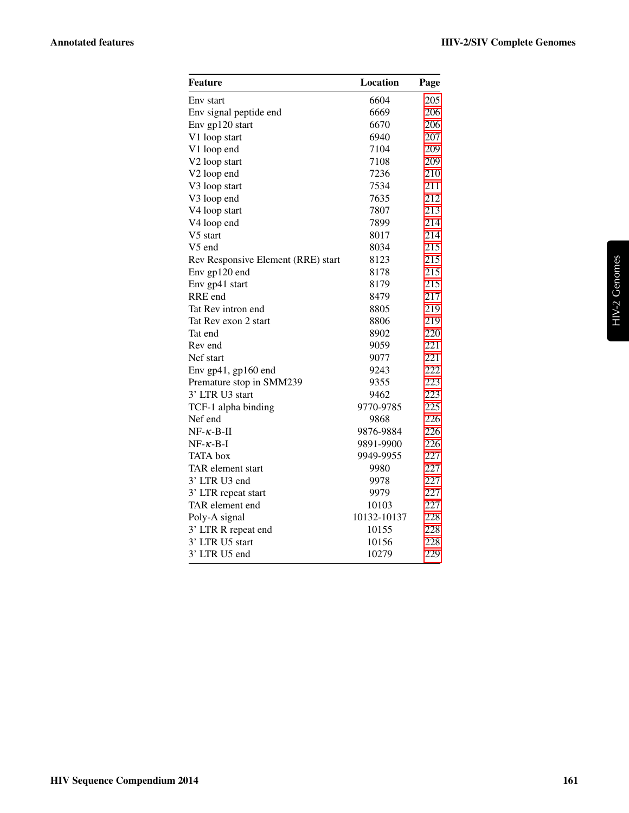| Feature                            | Location    | Page |
|------------------------------------|-------------|------|
| Env start                          | 6604        | 205  |
| Env signal peptide end             | 6669        | 206  |
| Env gp120 start                    | 6670        | 206  |
| V1 loop start                      | 6940        | 207  |
| V1 loop end                        | 7104        | 209  |
| V2 loop start                      | 7108        | 209  |
| V2 loop end                        | 7236        | 210  |
| V3 loop start                      | 7534        | 211  |
| V3 loop end                        | 7635        | 212  |
| V4 loop start                      | 7807        | 213  |
| V4 loop end                        | 7899        | 214  |
| V5 start                           | 8017        | 214  |
| V5 end                             | 8034        | 215  |
| Rev Responsive Element (RRE) start | 8123        | 215  |
| Env gp120 end                      | 8178        | 215  |
| Env gp41 start                     | 8179        | 215  |
| RRE end                            | 8479        | 217  |
| Tat Rev intron end                 | 8805        | 219  |
| Tat Rev exon 2 start               | 8806        | 219  |
| Tat end                            | 8902        | 220  |
| Rev end                            | 9059        | 221  |
| Nef start                          | 9077        | 221  |
| Env gp41, gp160 end                | 9243        | 222  |
| Premature stop in SMM239           | 9355        | 223  |
| 3' LTR U3 start                    | 9462        | 223  |
| TCF-1 alpha binding                | 9770-9785   | 225  |
| Nef end                            | 9868        | 226  |
| $NF-\kappa-B-II$                   | 9876-9884   | 226  |
| $NF - \kappa - B - I$              | 9891-9900   | 226  |
| <b>TATA</b> box                    | 9949-9955   | 227  |
| TAR element start                  | 9980        | 227  |
| 3' LTR U3 end                      | 9978        | 227  |
| 3' LTR repeat start                | 9979        | 227  |
| TAR element end                    | 10103       | 227  |
| Poly-A signal                      | 10132-10137 | 228  |
| 3' LTR R repeat end                | 10155       | 228  |
| 3' LTR U5 start                    | 10156       | 228  |
| 3' LTR U5 end                      | 10279       | 229  |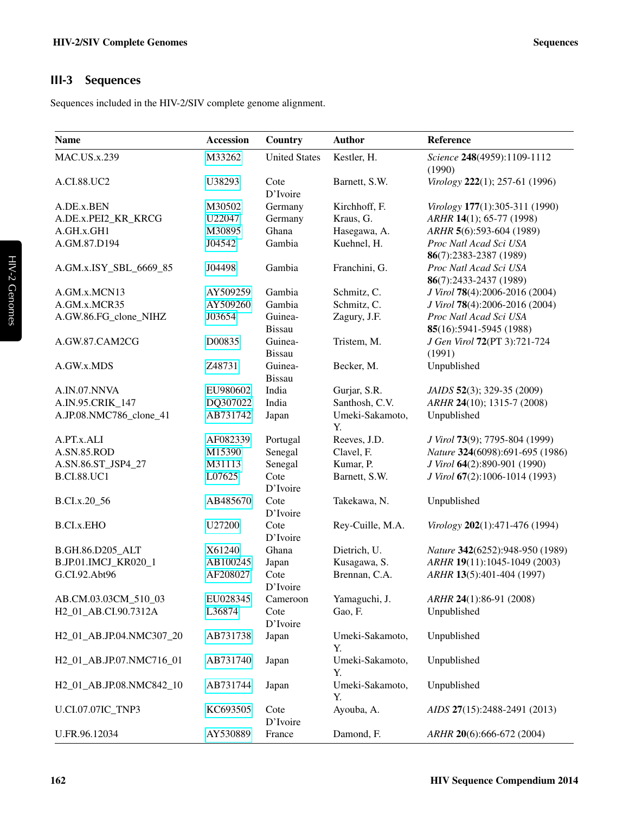# <span id="page-3-0"></span>III-3 Sequences

Sequences included in the HIV-2/SIV complete genome alignment.

| <b>Name</b>                      | <b>Accession</b> | Country                  | <b>Author</b>         | Reference                                         |
|----------------------------------|------------------|--------------------------|-----------------------|---------------------------------------------------|
| <b>MAC.US.x.239</b>              | M33262           | <b>United States</b>     | Kestler, H.           | Science 248(4959):1109-1112<br>(1990)             |
| A.CI.88.UC2                      | U38293           | Cote<br>D'Ivoire         | Barnett, S.W.         | Virology 222(1); 257-61 (1996)                    |
| A.DE.x.BEN                       | M30502           | Germany                  | Kirchhoff, F.         | Virology 177(1):305-311 (1990)                    |
| A.DE.x.PEI2_KR_KRCG              | U22047           | Germany                  | Kraus, G.             | ARHR 14(1); 65-77 (1998)                          |
| A.GH.x.GH1                       | M30895           | Ghana                    | Hasegawa, A.          | ARHR 5(6):593-604 (1989)                          |
| A.GM.87.D194                     | J04542           | Gambia                   | Kuehnel, H.           | Proc Natl Acad Sci USA<br>86(7):2383-2387 (1989)  |
| A.GM.x.ISY SBL 6669 85           | J04498           | Gambia                   | Franchini, G.         | Proc Natl Acad Sci USA<br>86(7):2433-2437 (1989)  |
| A.GM.x.MCN13                     | AY509259         | Gambia                   | Schmitz, C.           | J Virol 78(4):2006-2016 (2004)                    |
| A.GM.x.MCR35                     | AY509260         | Gambia                   | Schmitz, C.           | J Virol 78(4):2006-2016 (2004)                    |
| A.GW.86.FG_clone_NIHZ            | J03654           | Guinea-<br><b>Bissau</b> | Zagury, J.F.          | Proc Natl Acad Sci USA<br>85(16):5941-5945 (1988) |
| A.GW.87.CAM2CG                   | D00835           | Guinea-<br><b>Bissau</b> | Tristem, M.           | J Gen Virol 72(PT 3):721-724<br>(1991)            |
| A.GW.x.MDS                       | Z48731           | Guinea-<br><b>Bissau</b> | Becker, M.            | Unpublished                                       |
| A.IN.07.NNVA                     | EU980602         | India                    | Gurjar, S.R.          | JAIDS 52(3); 329-35 (2009)                        |
| A.IN.95.CRIK_147                 | DQ307022         | India                    | Santhosh, C.V.        | ARHR 24(10); 1315-7 (2008)                        |
| A.JP.08.NMC786_clone_41          | AB731742         | Japan                    | Umeki-Sakamoto,<br>Υ. | Unpublished                                       |
| A.PT.x.ALI                       | AF082339         | Portugal                 | Reeves, J.D.          | J Virol 73(9); 7795-804 (1999)                    |
| A.SN.85.ROD                      | M15390           | Senegal                  | Clavel, F.            | Nature 324(6098):691-695 (1986)                   |
| A.SN.86.ST_JSP4_27               | M31113           | Senegal                  | Kumar, P.             | J Virol 64(2):890-901 (1990)                      |
| <b>B.CI.88.UC1</b>               | L07625           | Cote<br>D'Ivoire         | Barnett, S.W.         | J Virol 67(2):1006-1014 (1993)                    |
| B.CI.x.20_56                     | AB485670         | Cote<br>D'Ivoire         | Takekawa, N.          | Unpublished                                       |
| <b>B.CI.x.EHO</b>                | U27200           | Cote<br>D'Ivoire         | Rey-Cuille, M.A.      | Virology 202(1):471-476 (1994)                    |
| B.GH.86.D205_ALT                 | X61240           | Ghana                    | Dietrich, U.          | Nature 342(6252):948-950 (1989)                   |
| B.JP.01.IMCJ_KR020_1             | AB100245         | Japan                    | Kusagawa, S.          | ARHR 19(11):1045-1049 (2003)                      |
| G.CI.92.Abt96                    | AF208027         | Cote<br>D'Ivoire         | Brennan, C.A.         | ARHR 13(5):401-404 (1997)                         |
| AB.CM.03.03CM_510_03             | EU028345         | Cameroon                 | Yamaguchi, J.         | ARHR 24(1):86-91 (2008)                           |
| H <sub>2</sub> 01 AB.CI.90.7312A | L36874           | Cote<br>D'Ivoire         | Gao, F.               | Unpublished                                       |
| H2_01_AB.JP.04.NMC307_20         | AB731738         | Japan                    | Umeki-Sakamoto,<br>Y. | Unpublished                                       |
| H2 01 AB.JP.07.NMC716 01         | AB731740         | Japan                    | Umeki-Sakamoto,<br>Y. | Unpublished                                       |
| H2_01_AB.JP.08.NMC842_10         | AB731744         | Japan                    | Umeki-Sakamoto,<br>Y. | Unpublished                                       |
| U.CI.07.07IC_TNP3                | KC693505         | Cote<br>D'Ivoire         | Ayouba, A.            | AIDS 27(15):2488-2491 (2013)                      |
| U.FR.96.12034                    | AY530889         | France                   | Damond, F.            | ARHR 20(6):666-672 (2004)                         |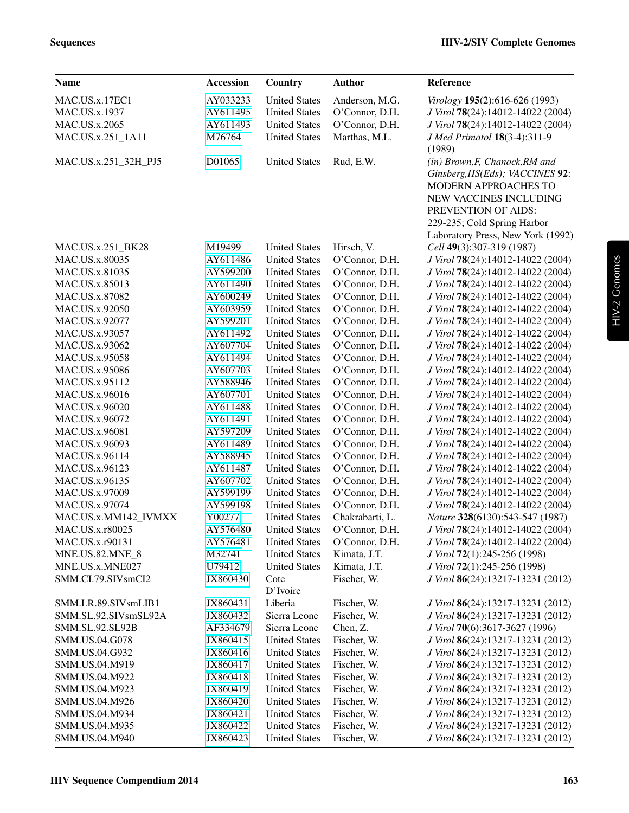| <b>Name</b>            | Accession | Country              | <b>Author</b>   | Reference                                                                                                                                                                                                      |
|------------------------|-----------|----------------------|-----------------|----------------------------------------------------------------------------------------------------------------------------------------------------------------------------------------------------------------|
| MAC.US.x.17EC1         | AY033233  | <b>United States</b> | Anderson, M.G.  | Virology 195(2):616-626 (1993)                                                                                                                                                                                 |
| MAC.US.x.1937          | AY611495  | <b>United States</b> | O'Connor, D.H.  | J Virol 78(24):14012-14022 (2004)                                                                                                                                                                              |
| MAC.US.x.2065          | AY611493  | <b>United States</b> | O'Connor, D.H.  | J Virol 78(24):14012-14022 (2004)                                                                                                                                                                              |
| MAC.US.x.251_1A11      | M76764    | <b>United States</b> | Marthas, M.L.   | J Med Primatol 18(3-4):311-9<br>(1989)                                                                                                                                                                         |
| MAC.US.x.251_32H_PJ5   | D01065    | <b>United States</b> | Rud, E.W.       | (in) Brown, F, Chanock, RM and<br>Ginsberg, HS(Eds); VACCINES 92:<br>MODERN APPROACHES TO<br>NEW VACCINES INCLUDING<br>PREVENTION OF AIDS:<br>229-235; Cold Spring Harbor<br>Laboratory Press, New York (1992) |
| MAC.US.x.251_BK28      | M19499    | <b>United States</b> | Hirsch, V.      | Cell 49(3):307-319 (1987)                                                                                                                                                                                      |
| MAC.US.x.80035         | AY611486  | <b>United States</b> | O'Connor, D.H.  | J Virol 78(24):14012-14022 (2004)                                                                                                                                                                              |
| MAC.US.x.81035         | AY599200  | <b>United States</b> | O'Connor, D.H.  | J Virol 78(24):14012-14022 (2004)                                                                                                                                                                              |
| MAC.US.x.85013         | AY611490  | <b>United States</b> | O'Connor, D.H.  | J Virol 78(24):14012-14022 (2004)                                                                                                                                                                              |
| MAC.US.x.87082         | AY600249  | <b>United States</b> | O'Connor, D.H.  | J Virol 78(24):14012-14022 (2004)                                                                                                                                                                              |
| MAC.US.x.92050         | AY603959  | <b>United States</b> | O'Connor, D.H.  | J Virol 78(24):14012-14022 (2004)                                                                                                                                                                              |
| MAC.US.x.92077         | AY599201  | <b>United States</b> | O'Connor, D.H.  | J Virol 78(24):14012-14022 (2004)                                                                                                                                                                              |
| MAC.US.x.93057         | AY611492  | <b>United States</b> | O'Connor, D.H.  | J Virol 78(24):14012-14022 (2004)                                                                                                                                                                              |
| MAC.US.x.93062         | AY607704  | <b>United States</b> | O'Connor, D.H.  | J Virol 78(24):14012-14022 (2004)                                                                                                                                                                              |
| MAC.US.x.95058         | AY611494  | <b>United States</b> | O'Connor, D.H.  | J Virol 78(24):14012-14022 (2004)                                                                                                                                                                              |
| MAC.US.x.95086         | AY607703  | <b>United States</b> | O'Connor, D.H.  | J Virol 78(24):14012-14022 (2004)                                                                                                                                                                              |
| MAC.US.x.95112         | AY588946  | <b>United States</b> | O'Connor, D.H.  | J Virol 78(24):14012-14022 (2004)                                                                                                                                                                              |
| MAC.US.x.96016         | AY607701  | <b>United States</b> | O'Connor, D.H.  | J Virol 78(24):14012-14022 (2004)                                                                                                                                                                              |
| MAC.US.x.96020         | AY611488  | <b>United States</b> | O'Connor, D.H.  | J Virol 78(24):14012-14022 (2004)                                                                                                                                                                              |
| MAC.US.x.96072         | AY611491  | <b>United States</b> | O'Connor, D.H.  | J Virol 78(24):14012-14022 (2004)                                                                                                                                                                              |
| MAC.US.x.96081         | AY597209  | <b>United States</b> | O'Connor, D.H.  | J Virol 78(24):14012-14022 (2004)                                                                                                                                                                              |
| MAC.US.x.96093         | AY611489  | <b>United States</b> | O'Connor, D.H.  | J Virol 78(24):14012-14022 (2004)                                                                                                                                                                              |
| MAC.US.x.96114         | AY588945  | <b>United States</b> | O'Connor, D.H.  | J Virol 78(24):14012-14022 (2004)                                                                                                                                                                              |
| MAC.US.x.96123         | AY611487  | <b>United States</b> | O'Connor, D.H.  | J Virol 78(24):14012-14022 (2004)                                                                                                                                                                              |
| MAC.US.x.96135         | AY607702  | <b>United States</b> | O'Connor, D.H.  | J Virol 78(24):14012-14022 (2004)                                                                                                                                                                              |
| MAC.US.x.97009         | AY599199  | <b>United States</b> | O'Connor, D.H.  | J Virol 78(24):14012-14022 (2004)                                                                                                                                                                              |
| MAC.US.x.97074         | AY599198  | <b>United States</b> | O'Connor, D.H.  | J Virol 78(24):14012-14022 (2004)                                                                                                                                                                              |
| MAC.US.x.MM142_IVMXX   | Y00277    | <b>United States</b> | Chakrabarti, L. | Nature 328(6130):543-547 (1987)                                                                                                                                                                                |
| MAC.US.x.r80025        | AY576480  | <b>United States</b> | O'Connor, D.H.  | J Virol 78(24):14012-14022 (2004)                                                                                                                                                                              |
| MAC.US.x.r90131        | AY576481  | <b>United States</b> | O'Connor, D.H.  | J Virol 78(24):14012-14022 (2004)                                                                                                                                                                              |
| <b>MNE.US.82.MNE_8</b> | M32741    | <b>United States</b> | Kimata, J.T.    | J Virol 72(1):245-256 (1998)                                                                                                                                                                                   |
| MNE.US.x.MNE027        | U79412    | <b>United States</b> | Kimata, J.T.    | J Virol 72(1):245-256 (1998)                                                                                                                                                                                   |
| SMM.CI.79.SIVsmCI2     | JX860430  | Cote<br>D'Ivoire     | Fischer, W.     | J Virol 86(24):13217-13231 (2012)                                                                                                                                                                              |
| SMM.LR.89.SIVsmLIB1    | JX860431  | Liberia              | Fischer, W.     | J Virol 86(24):13217-13231 (2012)                                                                                                                                                                              |
| SMM.SL.92.SIVsmSL92A   | JX860432  | Sierra Leone         | Fischer, W.     | J Virol 86(24):13217-13231 (2012)                                                                                                                                                                              |
| SMM.SL.92.SL92B        | AF334679  | Sierra Leone         | Chen, Z.        | J Virol 70(6):3617-3627 (1996)                                                                                                                                                                                 |
| SMM.US.04.G078         | JX860415  | <b>United States</b> | Fischer, W.     | J Virol 86(24):13217-13231 (2012)                                                                                                                                                                              |
| SMM.US.04.G932         | JX860416  | <b>United States</b> | Fischer, W.     | J Virol 86(24):13217-13231 (2012)                                                                                                                                                                              |
| SMM.US.04.M919         | JX860417  | <b>United States</b> | Fischer, W.     | J Virol 86(24):13217-13231 (2012)                                                                                                                                                                              |
| SMM.US.04.M922         | JX860418  | <b>United States</b> | Fischer, W.     | J Virol 86(24):13217-13231 (2012)                                                                                                                                                                              |
| SMM.US.04.M923         | JX860419  | <b>United States</b> | Fischer, W.     | J Virol 86(24):13217-13231 (2012)                                                                                                                                                                              |
| SMM.US.04.M926         | JX860420  | <b>United States</b> | Fischer, W.     | J Virol 86(24):13217-13231 (2012)                                                                                                                                                                              |
| SMM.US.04.M934         | JX860421  | <b>United States</b> | Fischer, W.     | J Virol 86(24):13217-13231 (2012)                                                                                                                                                                              |
| SMM.US.04.M935         | JX860422  | <b>United States</b> | Fischer, W.     | J Virol 86(24):13217-13231 (2012)                                                                                                                                                                              |
| SMM.US.04.M940         | JX860423  | <b>United States</b> | Fischer, W.     | J Virol 86(24):13217-13231 (2012)                                                                                                                                                                              |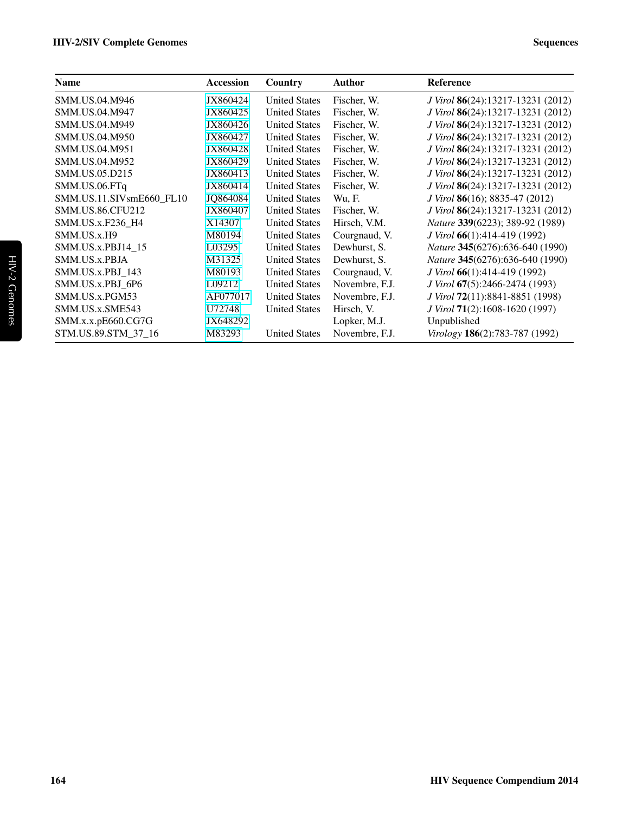| <b>Name</b>              | <b>Accession</b> | Country              | <b>Author</b>  | <b>Reference</b>                       |
|--------------------------|------------------|----------------------|----------------|----------------------------------------|
| SMM.US.04.M946           | JX860424         | <b>United States</b> | Fischer, W.    | J Virol 86(24):13217-13231 (2012)      |
| SMM.US.04.M947           | JX860425         | <b>United States</b> | Fischer, W.    | J Virol 86(24):13217-13231 (2012)      |
| SMM.US.04.M949           | JX860426         | <b>United States</b> | Fischer, W.    | J Virol 86(24):13217-13231 (2012)      |
| SMM.US.04.M950           | JX860427         | <b>United States</b> | Fischer, W.    | J Virol 86(24):13217-13231 (2012)      |
| SMM.US.04.M951           | JX860428         | <b>United States</b> | Fischer, W.    | J Virol 86(24):13217-13231 (2012)      |
| SMM.US.04.M952           | JX860429         | <b>United States</b> | Fischer, W.    | J Virol 86(24):13217-13231 (2012)      |
| SMM.US.05.D215           | JX860413         | <b>United States</b> | Fischer, W.    | J Virol 86(24):13217-13231 (2012)      |
| SMM.US.06.FTq            | JX860414         | <b>United States</b> | Fischer, W.    | J Virol 86(24):13217-13231 (2012)      |
| SMM.US.11.SIVsmE660_FL10 | JQ864084         | <b>United States</b> | Wu, F.         | J Virol 86(16); 8835-47 (2012)         |
| <b>SMM.US.86.CFU212</b>  | JX860407         | <b>United States</b> | Fischer, W.    | J Virol 86(24):13217-13231 (2012)      |
| SMM.US.x.F236 H4         | X14307           | <b>United States</b> | Hirsch, V.M.   | Nature 339(6223); 389-92 (1989)        |
| SMM.US.x.H9              | M80194           | <b>United States</b> | Courgnaud, V.  | J Virol 66(1):414-419 (1992)           |
| SMM.US.x.PBJ14 15        | L03295           | <b>United States</b> | Dewhurst, S.   | Nature 345(6276):636-640 (1990)        |
| SMM.US.x.PBJA            | M31325           | <b>United States</b> | Dewhurst, S.   | <i>Nature</i> 345(6276):636-640 (1990) |
| SMM.US.x.PBJ 143         | M80193           | <b>United States</b> | Courgnaud, V.  | J Virol 66(1):414-419 (1992)           |
| SMM.US.x.PBJ 6P6         | L09212           | <b>United States</b> | Novembre, F.J. | J Virol 67(5):2466-2474 (1993)         |
| SMM.US.x.PGM53           | AF077017         | <b>United States</b> | Novembre, F.J. | J Virol 72(11):8841-8851 (1998)        |
| SMM.US.x.SME543          | U72748           | <b>United States</b> | Hirsch, V.     | J Virol 71(2):1608-1620 (1997)         |
| SMM.x.x.pE660.CG7G       | JX648292         |                      | Lopker, M.J.   | Unpublished                            |
| STM.US.89.STM_37_16      | M83293           | <b>United States</b> | Novembre, F.J. | Virology 186(2):783-787 (1992)         |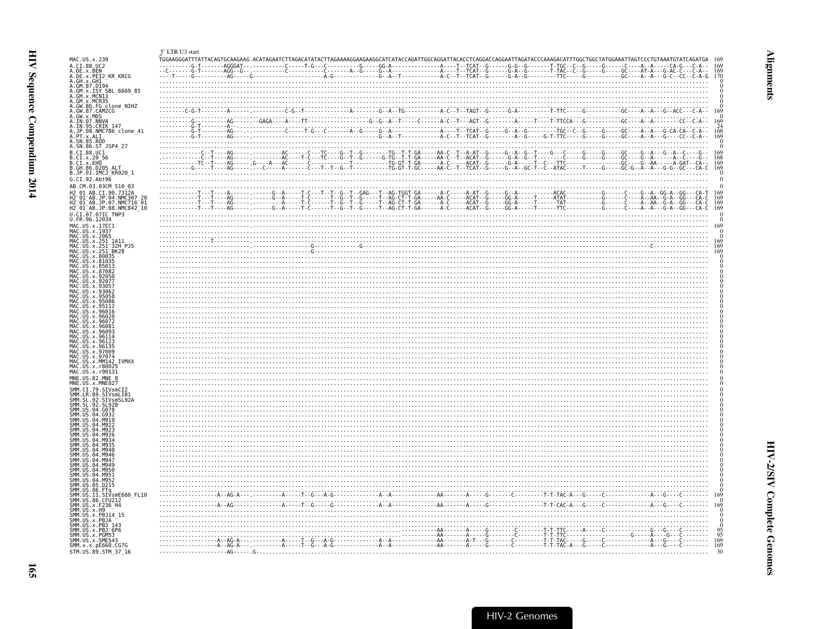<span id="page-6-1"></span><span id="page-6-0"></span>

| MAC.US.x.239<br>A.CI.88.UC2<br>A.DE.x.BEN<br>A.DE.x.PEI2_KR_KRCG<br>A. GH. x. CH1<br>A. GM. 87. D194<br>A. GM. x. ISY SBL_6669_85<br>A. GM. x. MCR35<br>A. GM. x. MCR35<br>A. GW. 86. FG clone_NIHZ<br>A. GW. 87. CAM2CG<br>A. GW. x. MDS<br>A. IN. 07. NNVA<br>95.CRIK 147<br>A. SN. 85. ROD<br>A. SN. 86. ST_JSP4_27<br>B.CI.88.UCI<br>B.CI.88.UCI<br>B.CI.x.20 56<br>B.CI.x.EHO<br>B.GH.86.D205_ALT<br>B.JP.01.IMCJ_KR020_1<br>G.CI.92.Abt96<br>AB.CM.03.03CM 510 03<br>CI.90.7312A<br>01 AB. JP. 04. NMC307<br>H2 <sup>-</sup> 01 <sup>-</sup> AB.JP.07.NMC716 <sup>-</sup> 01<br>H2 <sup>-</sup> 01 <sup>-</sup> AB.JP.08.NMC842 <sup>-10</sup><br>U.CI.07.07IC TNP3<br>U.FR.96.12034<br>MAC.US.x.17EC1<br>MAC.US.x.1937<br>MAC.US.x.2065<br>MAC.US.x.251<br>. US . x . 251<br>. US . x . 251<br>_1A11<br>-32H PJ5<br>BK28<br>US.x.80035<br>US.x.97009<br><b>U.S. x. MM142</b><br>MA <sub>C</sub><br>.US.x.r8002!<br>MAC.US.x.r90131<br>MNE.US.82.MNE 8<br>MNE.US.x.MNE027<br>.CI.79.SIVsmCI2<br>.LR.89.SIVsmLIB1<br>.SL.92.SIVsmSL92A<br><b>SMM</b><br>SMM<br>04 M949<br>$\begin{picture}(10,10) \put(0,0){\vector(1,0){100}} \put(0,0){\vector(1,0){100}} \put(0,0){\vector(1,0){100}} \put(0,0){\vector(1,0){100}} \put(0,0){\vector(1,0){100}} \put(0,0){\vector(1,0){100}} \put(0,0){\vector(1,0){100}} \put(0,0){\vector(1,0){100}} \put(0,0){\vector(1,0){100}} \put(0,0){\vector(1,0){100}} \put(0,0){\vector(1,0){100}} \put(0,0){\vector(1$<br>US.11.SIVsmE660 FL10<br>SMM.US.86.CFU212<br>US.x.F236 H4<br>US. x.H <sub>9</sub><br>US.x.PBJ14 15<br>US.x.PBJA<br>JS.x.PBJ<br><b>SMM</b><br>US.x.PBJ <sup>-6P6</sup><br>SMM<br>US.x.PGM53<br>SMM.US.x.SME543<br>SMM.x.x.pE660.CG7G | 5' LTR U3 start |  |  |  |
|--------------------------------------------------------------------------------------------------------------------------------------------------------------------------------------------------------------------------------------------------------------------------------------------------------------------------------------------------------------------------------------------------------------------------------------------------------------------------------------------------------------------------------------------------------------------------------------------------------------------------------------------------------------------------------------------------------------------------------------------------------------------------------------------------------------------------------------------------------------------------------------------------------------------------------------------------------------------------------------------------------------------------------------------------------------------------------------------------------------------------------------------------------------------------------------------------------------------------------------------------------------------------------------------------------------------------------------------------------------------------------------------------------------------------------------------------------------------------------------------------------------------------------------------------------------------------------------------------------------------------------------------------------------------------------------------------|-----------------|--|--|--|
|                                                                                                                                                                                                                                                                                                                                                                                                                                                                                                                                                                                                                                                                                                                                                                                                                                                                                                                                                                                                                                                                                                                                                                                                                                                                                                                                                                                                                                                                                                                                                                                                                                                                                                  |                 |  |  |  |
|                                                                                                                                                                                                                                                                                                                                                                                                                                                                                                                                                                                                                                                                                                                                                                                                                                                                                                                                                                                                                                                                                                                                                                                                                                                                                                                                                                                                                                                                                                                                                                                                                                                                                                  |                 |  |  |  |
|                                                                                                                                                                                                                                                                                                                                                                                                                                                                                                                                                                                                                                                                                                                                                                                                                                                                                                                                                                                                                                                                                                                                                                                                                                                                                                                                                                                                                                                                                                                                                                                                                                                                                                  |                 |  |  |  |
|                                                                                                                                                                                                                                                                                                                                                                                                                                                                                                                                                                                                                                                                                                                                                                                                                                                                                                                                                                                                                                                                                                                                                                                                                                                                                                                                                                                                                                                                                                                                                                                                                                                                                                  |                 |  |  |  |
|                                                                                                                                                                                                                                                                                                                                                                                                                                                                                                                                                                                                                                                                                                                                                                                                                                                                                                                                                                                                                                                                                                                                                                                                                                                                                                                                                                                                                                                                                                                                                                                                                                                                                                  |                 |  |  |  |
|                                                                                                                                                                                                                                                                                                                                                                                                                                                                                                                                                                                                                                                                                                                                                                                                                                                                                                                                                                                                                                                                                                                                                                                                                                                                                                                                                                                                                                                                                                                                                                                                                                                                                                  |                 |  |  |  |
|                                                                                                                                                                                                                                                                                                                                                                                                                                                                                                                                                                                                                                                                                                                                                                                                                                                                                                                                                                                                                                                                                                                                                                                                                                                                                                                                                                                                                                                                                                                                                                                                                                                                                                  |                 |  |  |  |
|                                                                                                                                                                                                                                                                                                                                                                                                                                                                                                                                                                                                                                                                                                                                                                                                                                                                                                                                                                                                                                                                                                                                                                                                                                                                                                                                                                                                                                                                                                                                                                                                                                                                                                  |                 |  |  |  |
|                                                                                                                                                                                                                                                                                                                                                                                                                                                                                                                                                                                                                                                                                                                                                                                                                                                                                                                                                                                                                                                                                                                                                                                                                                                                                                                                                                                                                                                                                                                                                                                                                                                                                                  |                 |  |  |  |
|                                                                                                                                                                                                                                                                                                                                                                                                                                                                                                                                                                                                                                                                                                                                                                                                                                                                                                                                                                                                                                                                                                                                                                                                                                                                                                                                                                                                                                                                                                                                                                                                                                                                                                  |                 |  |  |  |
|                                                                                                                                                                                                                                                                                                                                                                                                                                                                                                                                                                                                                                                                                                                                                                                                                                                                                                                                                                                                                                                                                                                                                                                                                                                                                                                                                                                                                                                                                                                                                                                                                                                                                                  |                 |  |  |  |
|                                                                                                                                                                                                                                                                                                                                                                                                                                                                                                                                                                                                                                                                                                                                                                                                                                                                                                                                                                                                                                                                                                                                                                                                                                                                                                                                                                                                                                                                                                                                                                                                                                                                                                  |                 |  |  |  |
|                                                                                                                                                                                                                                                                                                                                                                                                                                                                                                                                                                                                                                                                                                                                                                                                                                                                                                                                                                                                                                                                                                                                                                                                                                                                                                                                                                                                                                                                                                                                                                                                                                                                                                  |                 |  |  |  |
|                                                                                                                                                                                                                                                                                                                                                                                                                                                                                                                                                                                                                                                                                                                                                                                                                                                                                                                                                                                                                                                                                                                                                                                                                                                                                                                                                                                                                                                                                                                                                                                                                                                                                                  |                 |  |  |  |
|                                                                                                                                                                                                                                                                                                                                                                                                                                                                                                                                                                                                                                                                                                                                                                                                                                                                                                                                                                                                                                                                                                                                                                                                                                                                                                                                                                                                                                                                                                                                                                                                                                                                                                  |                 |  |  |  |
|                                                                                                                                                                                                                                                                                                                                                                                                                                                                                                                                                                                                                                                                                                                                                                                                                                                                                                                                                                                                                                                                                                                                                                                                                                                                                                                                                                                                                                                                                                                                                                                                                                                                                                  |                 |  |  |  |
|                                                                                                                                                                                                                                                                                                                                                                                                                                                                                                                                                                                                                                                                                                                                                                                                                                                                                                                                                                                                                                                                                                                                                                                                                                                                                                                                                                                                                                                                                                                                                                                                                                                                                                  |                 |  |  |  |
|                                                                                                                                                                                                                                                                                                                                                                                                                                                                                                                                                                                                                                                                                                                                                                                                                                                                                                                                                                                                                                                                                                                                                                                                                                                                                                                                                                                                                                                                                                                                                                                                                                                                                                  |                 |  |  |  |
|                                                                                                                                                                                                                                                                                                                                                                                                                                                                                                                                                                                                                                                                                                                                                                                                                                                                                                                                                                                                                                                                                                                                                                                                                                                                                                                                                                                                                                                                                                                                                                                                                                                                                                  |                 |  |  |  |
|                                                                                                                                                                                                                                                                                                                                                                                                                                                                                                                                                                                                                                                                                                                                                                                                                                                                                                                                                                                                                                                                                                                                                                                                                                                                                                                                                                                                                                                                                                                                                                                                                                                                                                  |                 |  |  |  |
|                                                                                                                                                                                                                                                                                                                                                                                                                                                                                                                                                                                                                                                                                                                                                                                                                                                                                                                                                                                                                                                                                                                                                                                                                                                                                                                                                                                                                                                                                                                                                                                                                                                                                                  |                 |  |  |  |
|                                                                                                                                                                                                                                                                                                                                                                                                                                                                                                                                                                                                                                                                                                                                                                                                                                                                                                                                                                                                                                                                                                                                                                                                                                                                                                                                                                                                                                                                                                                                                                                                                                                                                                  |                 |  |  |  |
|                                                                                                                                                                                                                                                                                                                                                                                                                                                                                                                                                                                                                                                                                                                                                                                                                                                                                                                                                                                                                                                                                                                                                                                                                                                                                                                                                                                                                                                                                                                                                                                                                                                                                                  |                 |  |  |  |
|                                                                                                                                                                                                                                                                                                                                                                                                                                                                                                                                                                                                                                                                                                                                                                                                                                                                                                                                                                                                                                                                                                                                                                                                                                                                                                                                                                                                                                                                                                                                                                                                                                                                                                  |                 |  |  |  |
|                                                                                                                                                                                                                                                                                                                                                                                                                                                                                                                                                                                                                                                                                                                                                                                                                                                                                                                                                                                                                                                                                                                                                                                                                                                                                                                                                                                                                                                                                                                                                                                                                                                                                                  |                 |  |  |  |
|                                                                                                                                                                                                                                                                                                                                                                                                                                                                                                                                                                                                                                                                                                                                                                                                                                                                                                                                                                                                                                                                                                                                                                                                                                                                                                                                                                                                                                                                                                                                                                                                                                                                                                  |                 |  |  |  |
|                                                                                                                                                                                                                                                                                                                                                                                                                                                                                                                                                                                                                                                                                                                                                                                                                                                                                                                                                                                                                                                                                                                                                                                                                                                                                                                                                                                                                                                                                                                                                                                                                                                                                                  |                 |  |  |  |
|                                                                                                                                                                                                                                                                                                                                                                                                                                                                                                                                                                                                                                                                                                                                                                                                                                                                                                                                                                                                                                                                                                                                                                                                                                                                                                                                                                                                                                                                                                                                                                                                                                                                                                  |                 |  |  |  |
|                                                                                                                                                                                                                                                                                                                                                                                                                                                                                                                                                                                                                                                                                                                                                                                                                                                                                                                                                                                                                                                                                                                                                                                                                                                                                                                                                                                                                                                                                                                                                                                                                                                                                                  |                 |  |  |  |
|                                                                                                                                                                                                                                                                                                                                                                                                                                                                                                                                                                                                                                                                                                                                                                                                                                                                                                                                                                                                                                                                                                                                                                                                                                                                                                                                                                                                                                                                                                                                                                                                                                                                                                  |                 |  |  |  |
|                                                                                                                                                                                                                                                                                                                                                                                                                                                                                                                                                                                                                                                                                                                                                                                                                                                                                                                                                                                                                                                                                                                                                                                                                                                                                                                                                                                                                                                                                                                                                                                                                                                                                                  |                 |  |  |  |
|                                                                                                                                                                                                                                                                                                                                                                                                                                                                                                                                                                                                                                                                                                                                                                                                                                                                                                                                                                                                                                                                                                                                                                                                                                                                                                                                                                                                                                                                                                                                                                                                                                                                                                  |                 |  |  |  |
|                                                                                                                                                                                                                                                                                                                                                                                                                                                                                                                                                                                                                                                                                                                                                                                                                                                                                                                                                                                                                                                                                                                                                                                                                                                                                                                                                                                                                                                                                                                                                                                                                                                                                                  |                 |  |  |  |
|                                                                                                                                                                                                                                                                                                                                                                                                                                                                                                                                                                                                                                                                                                                                                                                                                                                                                                                                                                                                                                                                                                                                                                                                                                                                                                                                                                                                                                                                                                                                                                                                                                                                                                  |                 |  |  |  |
|                                                                                                                                                                                                                                                                                                                                                                                                                                                                                                                                                                                                                                                                                                                                                                                                                                                                                                                                                                                                                                                                                                                                                                                                                                                                                                                                                                                                                                                                                                                                                                                                                                                                                                  |                 |  |  |  |
|                                                                                                                                                                                                                                                                                                                                                                                                                                                                                                                                                                                                                                                                                                                                                                                                                                                                                                                                                                                                                                                                                                                                                                                                                                                                                                                                                                                                                                                                                                                                                                                                                                                                                                  |                 |  |  |  |
|                                                                                                                                                                                                                                                                                                                                                                                                                                                                                                                                                                                                                                                                                                                                                                                                                                                                                                                                                                                                                                                                                                                                                                                                                                                                                                                                                                                                                                                                                                                                                                                                                                                                                                  |                 |  |  |  |
|                                                                                                                                                                                                                                                                                                                                                                                                                                                                                                                                                                                                                                                                                                                                                                                                                                                                                                                                                                                                                                                                                                                                                                                                                                                                                                                                                                                                                                                                                                                                                                                                                                                                                                  |                 |  |  |  |
|                                                                                                                                                                                                                                                                                                                                                                                                                                                                                                                                                                                                                                                                                                                                                                                                                                                                                                                                                                                                                                                                                                                                                                                                                                                                                                                                                                                                                                                                                                                                                                                                                                                                                                  |                 |  |  |  |
|                                                                                                                                                                                                                                                                                                                                                                                                                                                                                                                                                                                                                                                                                                                                                                                                                                                                                                                                                                                                                                                                                                                                                                                                                                                                                                                                                                                                                                                                                                                                                                                                                                                                                                  |                 |  |  |  |
|                                                                                                                                                                                                                                                                                                                                                                                                                                                                                                                                                                                                                                                                                                                                                                                                                                                                                                                                                                                                                                                                                                                                                                                                                                                                                                                                                                                                                                                                                                                                                                                                                                                                                                  |                 |  |  |  |
|                                                                                                                                                                                                                                                                                                                                                                                                                                                                                                                                                                                                                                                                                                                                                                                                                                                                                                                                                                                                                                                                                                                                                                                                                                                                                                                                                                                                                                                                                                                                                                                                                                                                                                  |                 |  |  |  |
|                                                                                                                                                                                                                                                                                                                                                                                                                                                                                                                                                                                                                                                                                                                                                                                                                                                                                                                                                                                                                                                                                                                                                                                                                                                                                                                                                                                                                                                                                                                                                                                                                                                                                                  |                 |  |  |  |
|                                                                                                                                                                                                                                                                                                                                                                                                                                                                                                                                                                                                                                                                                                                                                                                                                                                                                                                                                                                                                                                                                                                                                                                                                                                                                                                                                                                                                                                                                                                                                                                                                                                                                                  |                 |  |  |  |
|                                                                                                                                                                                                                                                                                                                                                                                                                                                                                                                                                                                                                                                                                                                                                                                                                                                                                                                                                                                                                                                                                                                                                                                                                                                                                                                                                                                                                                                                                                                                                                                                                                                                                                  |                 |  |  |  |
|                                                                                                                                                                                                                                                                                                                                                                                                                                                                                                                                                                                                                                                                                                                                                                                                                                                                                                                                                                                                                                                                                                                                                                                                                                                                                                                                                                                                                                                                                                                                                                                                                                                                                                  |                 |  |  |  |
|                                                                                                                                                                                                                                                                                                                                                                                                                                                                                                                                                                                                                                                                                                                                                                                                                                                                                                                                                                                                                                                                                                                                                                                                                                                                                                                                                                                                                                                                                                                                                                                                                                                                                                  |                 |  |  |  |
|                                                                                                                                                                                                                                                                                                                                                                                                                                                                                                                                                                                                                                                                                                                                                                                                                                                                                                                                                                                                                                                                                                                                                                                                                                                                                                                                                                                                                                                                                                                                                                                                                                                                                                  |                 |  |  |  |
|                                                                                                                                                                                                                                                                                                                                                                                                                                                                                                                                                                                                                                                                                                                                                                                                                                                                                                                                                                                                                                                                                                                                                                                                                                                                                                                                                                                                                                                                                                                                                                                                                                                                                                  |                 |  |  |  |
|                                                                                                                                                                                                                                                                                                                                                                                                                                                                                                                                                                                                                                                                                                                                                                                                                                                                                                                                                                                                                                                                                                                                                                                                                                                                                                                                                                                                                                                                                                                                                                                                                                                                                                  |                 |  |  |  |
|                                                                                                                                                                                                                                                                                                                                                                                                                                                                                                                                                                                                                                                                                                                                                                                                                                                                                                                                                                                                                                                                                                                                                                                                                                                                                                                                                                                                                                                                                                                                                                                                                                                                                                  |                 |  |  |  |
|                                                                                                                                                                                                                                                                                                                                                                                                                                                                                                                                                                                                                                                                                                                                                                                                                                                                                                                                                                                                                                                                                                                                                                                                                                                                                                                                                                                                                                                                                                                                                                                                                                                                                                  |                 |  |  |  |
|                                                                                                                                                                                                                                                                                                                                                                                                                                                                                                                                                                                                                                                                                                                                                                                                                                                                                                                                                                                                                                                                                                                                                                                                                                                                                                                                                                                                                                                                                                                                                                                                                                                                                                  |                 |  |  |  |
|                                                                                                                                                                                                                                                                                                                                                                                                                                                                                                                                                                                                                                                                                                                                                                                                                                                                                                                                                                                                                                                                                                                                                                                                                                                                                                                                                                                                                                                                                                                                                                                                                                                                                                  |                 |  |  |  |
|                                                                                                                                                                                                                                                                                                                                                                                                                                                                                                                                                                                                                                                                                                                                                                                                                                                                                                                                                                                                                                                                                                                                                                                                                                                                                                                                                                                                                                                                                                                                                                                                                                                                                                  |                 |  |  |  |
|                                                                                                                                                                                                                                                                                                                                                                                                                                                                                                                                                                                                                                                                                                                                                                                                                                                                                                                                                                                                                                                                                                                                                                                                                                                                                                                                                                                                                                                                                                                                                                                                                                                                                                  |                 |  |  |  |
|                                                                                                                                                                                                                                                                                                                                                                                                                                                                                                                                                                                                                                                                                                                                                                                                                                                                                                                                                                                                                                                                                                                                                                                                                                                                                                                                                                                                                                                                                                                                                                                                                                                                                                  |                 |  |  |  |
|                                                                                                                                                                                                                                                                                                                                                                                                                                                                                                                                                                                                                                                                                                                                                                                                                                                                                                                                                                                                                                                                                                                                                                                                                                                                                                                                                                                                                                                                                                                                                                                                                                                                                                  |                 |  |  |  |
|                                                                                                                                                                                                                                                                                                                                                                                                                                                                                                                                                                                                                                                                                                                                                                                                                                                                                                                                                                                                                                                                                                                                                                                                                                                                                                                                                                                                                                                                                                                                                                                                                                                                                                  |                 |  |  |  |
|                                                                                                                                                                                                                                                                                                                                                                                                                                                                                                                                                                                                                                                                                                                                                                                                                                                                                                                                                                                                                                                                                                                                                                                                                                                                                                                                                                                                                                                                                                                                                                                                                                                                                                  |                 |  |  |  |
|                                                                                                                                                                                                                                                                                                                                                                                                                                                                                                                                                                                                                                                                                                                                                                                                                                                                                                                                                                                                                                                                                                                                                                                                                                                                                                                                                                                                                                                                                                                                                                                                                                                                                                  |                 |  |  |  |
|                                                                                                                                                                                                                                                                                                                                                                                                                                                                                                                                                                                                                                                                                                                                                                                                                                                                                                                                                                                                                                                                                                                                                                                                                                                                                                                                                                                                                                                                                                                                                                                                                                                                                                  |                 |  |  |  |
|                                                                                                                                                                                                                                                                                                                                                                                                                                                                                                                                                                                                                                                                                                                                                                                                                                                                                                                                                                                                                                                                                                                                                                                                                                                                                                                                                                                                                                                                                                                                                                                                                                                                                                  |                 |  |  |  |
|                                                                                                                                                                                                                                                                                                                                                                                                                                                                                                                                                                                                                                                                                                                                                                                                                                                                                                                                                                                                                                                                                                                                                                                                                                                                                                                                                                                                                                                                                                                                                                                                                                                                                                  |                 |  |  |  |
|                                                                                                                                                                                                                                                                                                                                                                                                                                                                                                                                                                                                                                                                                                                                                                                                                                                                                                                                                                                                                                                                                                                                                                                                                                                                                                                                                                                                                                                                                                                                                                                                                                                                                                  |                 |  |  |  |
|                                                                                                                                                                                                                                                                                                                                                                                                                                                                                                                                                                                                                                                                                                                                                                                                                                                                                                                                                                                                                                                                                                                                                                                                                                                                                                                                                                                                                                                                                                                                                                                                                                                                                                  |                 |  |  |  |
|                                                                                                                                                                                                                                                                                                                                                                                                                                                                                                                                                                                                                                                                                                                                                                                                                                                                                                                                                                                                                                                                                                                                                                                                                                                                                                                                                                                                                                                                                                                                                                                                                                                                                                  |                 |  |  |  |
|                                                                                                                                                                                                                                                                                                                                                                                                                                                                                                                                                                                                                                                                                                                                                                                                                                                                                                                                                                                                                                                                                                                                                                                                                                                                                                                                                                                                                                                                                                                                                                                                                                                                                                  |                 |  |  |  |
|                                                                                                                                                                                                                                                                                                                                                                                                                                                                                                                                                                                                                                                                                                                                                                                                                                                                                                                                                                                                                                                                                                                                                                                                                                                                                                                                                                                                                                                                                                                                                                                                                                                                                                  |                 |  |  |  |
|                                                                                                                                                                                                                                                                                                                                                                                                                                                                                                                                                                                                                                                                                                                                                                                                                                                                                                                                                                                                                                                                                                                                                                                                                                                                                                                                                                                                                                                                                                                                                                                                                                                                                                  |                 |  |  |  |
|                                                                                                                                                                                                                                                                                                                                                                                                                                                                                                                                                                                                                                                                                                                                                                                                                                                                                                                                                                                                                                                                                                                                                                                                                                                                                                                                                                                                                                                                                                                                                                                                                                                                                                  |                 |  |  |  |
|                                                                                                                                                                                                                                                                                                                                                                                                                                                                                                                                                                                                                                                                                                                                                                                                                                                                                                                                                                                                                                                                                                                                                                                                                                                                                                                                                                                                                                                                                                                                                                                                                                                                                                  |                 |  |  |  |
|                                                                                                                                                                                                                                                                                                                                                                                                                                                                                                                                                                                                                                                                                                                                                                                                                                                                                                                                                                                                                                                                                                                                                                                                                                                                                                                                                                                                                                                                                                                                                                                                                                                                                                  |                 |  |  |  |
|                                                                                                                                                                                                                                                                                                                                                                                                                                                                                                                                                                                                                                                                                                                                                                                                                                                                                                                                                                                                                                                                                                                                                                                                                                                                                                                                                                                                                                                                                                                                                                                                                                                                                                  |                 |  |  |  |
|                                                                                                                                                                                                                                                                                                                                                                                                                                                                                                                                                                                                                                                                                                                                                                                                                                                                                                                                                                                                                                                                                                                                                                                                                                                                                                                                                                                                                                                                                                                                                                                                                                                                                                  |                 |  |  |  |
| STM.US.89.STM_37_16                                                                                                                                                                                                                                                                                                                                                                                                                                                                                                                                                                                                                                                                                                                                                                                                                                                                                                                                                                                                                                                                                                                                                                                                                                                                                                                                                                                                                                                                                                                                                                                                                                                                              |                 |  |  |  |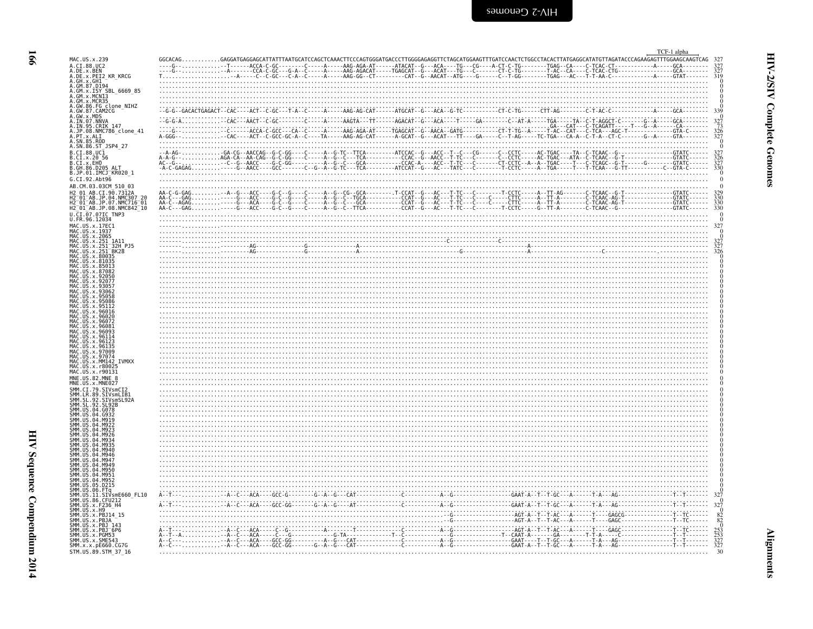<span id="page-7-0"></span>

| MAC. US. x. 239<br>A.DE.x.BEN<br>A.DE.x.PEI2_KR_KRCG                                                                                                                                                   | $GGCACAG, \dots, \dots, \dots, GAGGATGAGGAGGATGAGGATTTATTAATGCATCCGAGCTCAAACTTCCCAGTGGGAGGCTGGGAGAGGTTCTAGGATGAGGCTTAGTCTGGCCTACACTCTTGGGCCATATGTTAGATACCCAGAGAGATTTGGAAGGAGATTGGGAGGCTAGGAGGTTTTGGGAGGTTGGGGAGAGGTTTGGGAGAGTTTTGGGAGGTTTTGGGAGGTTTTGGGAGGTTTTGGGAGGTTTTGGGAGGTTTTGGGAGGTTTTGGGAGGTTTTGGGAGGTTTTGGGAGGTTTTGGGAGGTTTTGGGAGTTTGGGGAGGTTTTGGGAGTTTGGGGAGTTTGGGGAGTTTGGG$ |  |  |  |  |  |  |              |
|--------------------------------------------------------------------------------------------------------------------------------------------------------------------------------------------------------|---------------------------------------------------------------------------------------------------------------------------------------------------------------------------------------------------------------------------------------------------------------------------------------------------------------------------------------------------------------------------------------|--|--|--|--|--|--|--------------|
| A.GW.86.FG clone_NIHZ<br>A.GW.87.CAM2CG<br>A.GW.X.MDS<br>A.GW.X.MDS<br>A.IN.95.CRIK<br>A.IN.95.CRIK<br>A.IP.88.MMC786_clone_41<br>A.PT.X.ALI<br>A.SN.86.ST<br>A.SN.86.ST<br>B.CI.88.UCR<br>B.CI.88.UCR | -GACACTGAGACT - - CAC - - - - ACT - - C - GC - - - T - A - - C - - - - - A - - - -                                                                                                                                                                                                                                                                                                    |  |  |  |  |  |  | . <b>.</b> . |
| B.CI.x.20 56<br>B.CI.x.EHO<br>B.GH.86.D205 ALT<br>B.JP.01.IMCJ_KR020_1<br>G.CI.92.Abt96                                                                                                                |                                                                                                                                                                                                                                                                                                                                                                                       |  |  |  |  |  |  |              |
| AB.CM.03.03CM 510 03<br>01 AB.CI.90.7312A<br>01 AB. JP. 04. NMC307<br>$01^-$ AB.JP.07.NMC716 $^-$ 01 $^{\circ}$<br>H2_01_AB.JP.08.NMC842_10<br>U.CI.07.07IC TNP3                                       |                                                                                                                                                                                                                                                                                                                                                                                       |  |  |  |  |  |  |              |
| U.FR.96.12034<br>MAC.US.x.17EC1<br>MAC.US.x.1937<br>MAC.US.x.2065<br>MAC.US.x.251_1A11<br>MAC.US.x.251_32H_PJ5<br>US.x.251 <sup>-</sup> BK28                                                           | $\frac{1}{\sqrt{2}}$                                                                                                                                                                                                                                                                                                                                                                  |  |  |  |  |  |  |              |
| MAC.US.x.80035<br>US.x.81035<br>. IIS X 85013                                                                                                                                                          |                                                                                                                                                                                                                                                                                                                                                                                       |  |  |  |  |  |  |              |
| MAC.US.x.96016<br>MAC US x 96026<br>MAC.US.x.9607                                                                                                                                                      |                                                                                                                                                                                                                                                                                                                                                                                       |  |  |  |  |  |  |              |
| .96114<br>x.961<br>x 9613<br>MAC.US.x.97074                                                                                                                                                            |                                                                                                                                                                                                                                                                                                                                                                                       |  |  |  |  |  |  |              |
| MAC.US.x.MM142 IVMXX<br>MAC.US.x.r80025<br>MAC.US.x.r90131<br>MNE.US.82.MNE 8<br>MNE.US.x.MNE027<br>SMM.CI.79.SIVsmCI2                                                                                 |                                                                                                                                                                                                                                                                                                                                                                                       |  |  |  |  |  |  |              |
| .89.SIVsmLIB1<br>.SIVsmSL92A<br>92.SL92B<br>04.6078<br>MQ23                                                                                                                                            |                                                                                                                                                                                                                                                                                                                                                                                       |  |  |  |  |  |  |              |
|                                                                                                                                                                                                        |                                                                                                                                                                                                                                                                                                                                                                                       |  |  |  |  |  |  |              |
| <b>MQ56</b><br>M951<br>MQ5.<br>.05.D215<br>SMM.US.06.FTq<br>SMM.US.11.SIVsmE660_FL10                                                                                                                   |                                                                                                                                                                                                                                                                                                                                                                                       |  |  |  |  |  |  |              |
| 86.CFU212<br>SMM.US.x.F236_H4<br>SMM. US. x. H9<br>SMM. US. x. PBJ14_15<br>SMM. US. x. PBJA<br>x.PBJ 143<br>SMM.US.x.PBJ <sup>-</sup> 6P6                                                              |                                                                                                                                                                                                                                                                                                                                                                                       |  |  |  |  |  |  |              |
| SMM.US.x.PGM53<br>SMM.US.x.SME543<br>SMM.x.x.pE660.CG7G                                                                                                                                                |                                                                                                                                                                                                                                                                                                                                                                                       |  |  |  |  |  |  |              |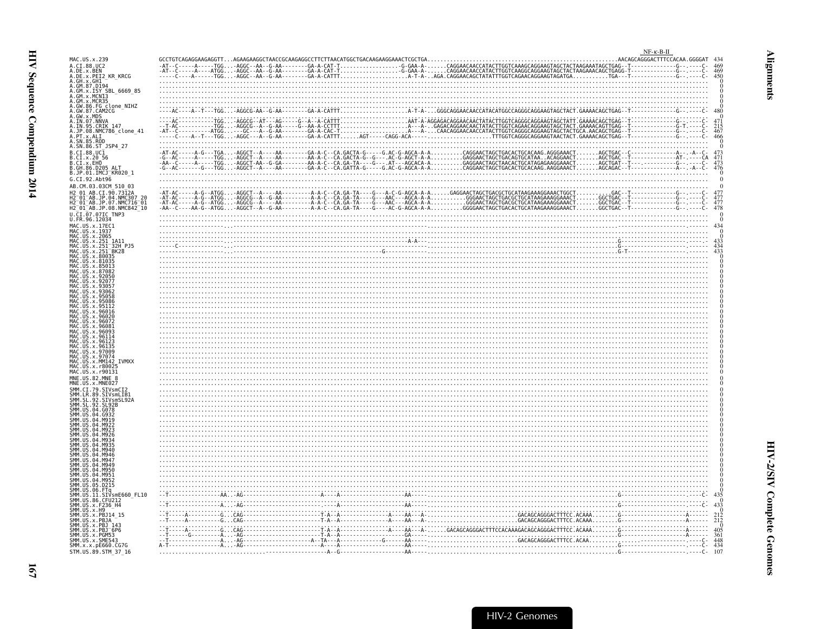<span id="page-8-0"></span>

| MAC.US.x.239                                                                                                                                                         |                                                                                                                                                                                                                                                                                                                                                                                                                            | $NF-K-B-H$<br>AACAGCAGGGACTTTCCACAA.GGGGAT 434 |
|----------------------------------------------------------------------------------------------------------------------------------------------------------------------|----------------------------------------------------------------------------------------------------------------------------------------------------------------------------------------------------------------------------------------------------------------------------------------------------------------------------------------------------------------------------------------------------------------------------|------------------------------------------------|
| A.CI.88.UC2<br>A.DE.x.BEN<br>n. JE. . v. Jen<br>A. GH. x. GH1<br>A. GH. x. GH1<br>A. GM. x. ISY<br>A. GM. x. MCN15BL_6669_85<br>A. GM. x. MCN15BL_6669_85            |                                                                                                                                                                                                                                                                                                                                                                                                                            |                                                |
| A.GM.X.MCNI3<br>A.GM.x.MCR35                                                                                                                                         |                                                                                                                                                                                                                                                                                                                                                                                                                            |                                                |
| A.GW.86.FG clone_NIHZ<br>A.GW.86.FG clone_NIHZ                                                                                                                       |                                                                                                                                                                                                                                                                                                                                                                                                                            |                                                |
| A.IN.95.CRIK 147<br>A.JP.08.NMC786_clone_41<br>A.PT.x.ALI<br>A.SN.85.ROD<br>A.SN.85.ROD                                                                              |                                                                                                                                                                                                                                                                                                                                                                                                                            |                                                |
| A.SN.86.ST_JSP4_27<br>B.CI.88.UC1<br>B.CI.X.20 56<br>B.CI.X.EHO<br>B.GH.86.D205 ALT.                                                                                 | $\begin{array}{lllllllllllllllll} \texttt{-A1-AG--1-GG.}\ \texttt{-A1-AG--1-GG.}\ \texttt{-A1-AG--1-GG.}\ \texttt{-A2-AG--2-G.}\ \texttt{-A3-AG.}\ \texttt{-A4-AG.}\ \texttt{-A5-AG.}\ \texttt{-A6-G.}\ \texttt{-A6G.}\ \texttt{-A7-AG.}\ \texttt{-A8-G.}\ \texttt{-A8-G.}\ \texttt{-A8-G.}\ \texttt{-A8-G.}\ \texttt{-A8-G.}\ \texttt{-A8-G.}\ \texttt{-A8-G.}\ \texttt{-A8-G.}\ \texttt{-A8-G.}\ \texttt{-A8-G.}\ \text$ | 473<br>$\frac{471}{473}$<br>473                |
| B.JP.01.IMCJ_KR020_1<br>G.CI.92.Abt96<br>AB.CM.03.03CM 510 03                                                                                                        |                                                                                                                                                                                                                                                                                                                                                                                                                            |                                                |
| H2 01 AB.CI.90.7312A<br>H2 01 AB.JP.04.NMC307 20<br>H2 01 AB.JP.07.NMC716 01<br>H2 <sup>-</sup> 01 <sup>-</sup> AB.JP.08.NMC842 <sup>-</sup> 10<br>U.CI.07.07IC TNP3 |                                                                                                                                                                                                                                                                                                                                                                                                                            |                                                |
| U.FR.96.12034<br>MAC.US.x.17EC1<br>MAC.US.x.1937                                                                                                                     |                                                                                                                                                                                                                                                                                                                                                                                                                            |                                                |
| MAC.US.x.2065<br>MAC.US.x.251 1A11<br>AC.US.x.80035                                                                                                                  |                                                                                                                                                                                                                                                                                                                                                                                                                            |                                                |
| .x.81035<br>x.87082<br>.92056<br>.x.9207.                                                                                                                            |                                                                                                                                                                                                                                                                                                                                                                                                                            |                                                |
|                                                                                                                                                                      |                                                                                                                                                                                                                                                                                                                                                                                                                            |                                                |
| MAC.US.x.96016                                                                                                                                                       |                                                                                                                                                                                                                                                                                                                                                                                                                            |                                                |
| MAC.US.x.96135<br>MAC.US.x.97009                                                                                                                                     |                                                                                                                                                                                                                                                                                                                                                                                                                            |                                                |
| MAC.US.x.97074<br>MAC.US.x.MM142<br>IVMXX<br>MAC.US.x.r80025<br>MAC.US.x.r90131                                                                                      |                                                                                                                                                                                                                                                                                                                                                                                                                            |                                                |
| MNE.US.82.MNE 8<br>MNE.US.x.MNE027<br>SMM.CI.79.SIVsmCI2<br>SMM.LR.89.SIVsmLIB1                                                                                      |                                                                                                                                                                                                                                                                                                                                                                                                                            |                                                |
| SL.92.SIVsmSL92A<br>92.SL92B<br>US.04.G078                                                                                                                           |                                                                                                                                                                                                                                                                                                                                                                                                                            |                                                |
| $.04.$ M922<br>.04.M92.<br>.04 M926                                                                                                                                  | <u> 1990 - Andrea Stadt British, fransk politik (f. 1981)</u>                                                                                                                                                                                                                                                                                                                                                              |                                                |
| $AA$ MQ $AF$<br>04.M946                                                                                                                                              |                                                                                                                                                                                                                                                                                                                                                                                                                            |                                                |
| .05.D215                                                                                                                                                             |                                                                                                                                                                                                                                                                                                                                                                                                                            |                                                |
| SMM.US<br>SMM.US<br>.06.FTq<br>.11.SIVsmE660 FL10<br>SMM. US.86.CFU212<br>SMM. US.x.F236_H4<br>SMM. US.x.H9<br>SMM. US.x.H9<br>SMM. US.x.PBJ14_15                    |                                                                                                                                                                                                                                                                                                                                                                                                                            | 433                                            |
| US.x.PBJA<br>US.x.PBJ 143                                                                                                                                            |                                                                                                                                                                                                                                                                                                                                                                                                                            | $^{212}_{212}$                                 |
| SMM.US.x.PBJ <sup>-</sup> 6P6<br>SMM.US.x.PGM53<br>SMM. US. x. SME543<br>SMM.x.x.pE660.CG7G<br>STM.US.89.STM 37 16                                                   |                                                                                                                                                                                                                                                                                                                                                                                                                            | $\frac{405}{361}$<br>$\frac{448}{434}$<br>107  |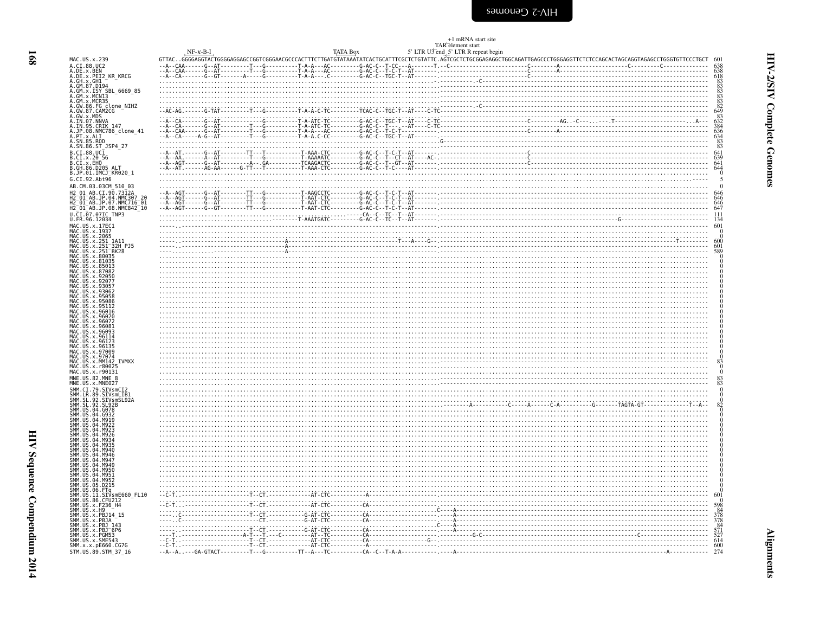<span id="page-9-0"></span>

|                                                                                                                                                                                                                                                          |            |                                                                                                                      |                 | +1 mRNA start site<br>TAR <sup>-</sup> element start |  |                                                                                               |
|----------------------------------------------------------------------------------------------------------------------------------------------------------------------------------------------------------------------------------------------------------|------------|----------------------------------------------------------------------------------------------------------------------|-----------------|------------------------------------------------------|--|-----------------------------------------------------------------------------------------------|
|                                                                                                                                                                                                                                                          | $NF-K-B-I$ |                                                                                                                      | <b>TATA Box</b> | 5' LTR U3 end_5' LTR R repeat begin                  |  |                                                                                               |
| MAC.US.x.239<br>A.CI.88.UC2                                                                                                                                                                                                                              |            |                                                                                                                      |                 |                                                      |  |                                                                                               |
|                                                                                                                                                                                                                                                          |            |                                                                                                                      |                 |                                                      |  |                                                                                               |
| A. CI. 88. UC2<br>A. DE. x. BEN<br>A. DE. x. PEIZ<br>A. GH. x. GHI<br>A. GH. x. GHI<br>A. GH. x. GHI<br>A. GH. x. ISY<br>A. GM. x. ISY<br>A. GM. x. ISY<br>A. GM. x. MOS<br>A. GM. 87. CAM2G<br>A. GM. 87. CAM2G<br>A. GM. 87. CAM2G<br>A. GM. 87. CAM2G |            |                                                                                                                      |                 |                                                      |  |                                                                                               |
|                                                                                                                                                                                                                                                          |            |                                                                                                                      |                 |                                                      |  |                                                                                               |
|                                                                                                                                                                                                                                                          |            |                                                                                                                      |                 |                                                      |  |                                                                                               |
|                                                                                                                                                                                                                                                          |            | $-1$                                                                                                                 |                 |                                                      |  |                                                                                               |
|                                                                                                                                                                                                                                                          |            |                                                                                                                      |                 |                                                      |  |                                                                                               |
|                                                                                                                                                                                                                                                          |            |                                                                                                                      |                 |                                                      |  |                                                                                               |
|                                                                                                                                                                                                                                                          |            |                                                                                                                      |                 |                                                      |  |                                                                                               |
| B.CI.88.UCI<br>B.CI.x.20 56<br>B.CI.x.EHO                                                                                                                                                                                                                |            |                                                                                                                      |                 |                                                      |  | $641$<br>$639$<br>$641$                                                                       |
| B.GH.86.D205_ALT                                                                                                                                                                                                                                         |            |                                                                                                                      |                 |                                                      |  |                                                                                               |
| B.JP.01.IMCJ KR020 1                                                                                                                                                                                                                                     |            |                                                                                                                      |                 |                                                      |  |                                                                                               |
| G.CI.92.Abt96<br>AB.CM.03.03CM 510 03                                                                                                                                                                                                                    |            |                                                                                                                      |                 |                                                      |  |                                                                                               |
| H2 01 AB.CI.90.7312A                                                                                                                                                                                                                                     |            |                                                                                                                      |                 |                                                      |  |                                                                                               |
| H2 01 AB.JP.04.NMC307 20<br>H2 01 AB.JP.07.NMC716 01<br>H2 01 AB.JP.07.NMC716 01<br>H2 01 AB.JP.08.NMC842 10                                                                                                                                             |            |                                                                                                                      |                 |                                                      |  |                                                                                               |
| U.CI.07.07IC TNP3<br>U.FR.96.12034                                                                                                                                                                                                                       |            |                                                                                                                      |                 |                                                      |  |                                                                                               |
|                                                                                                                                                                                                                                                          |            |                                                                                                                      |                 |                                                      |  |                                                                                               |
| MAC.US.x.17EC1<br>MAC.US.x.1937                                                                                                                                                                                                                          |            |                                                                                                                      |                 |                                                      |  |                                                                                               |
| MAC.US.x.2065<br>MAC.US.x.251_1A11<br>MAC.US.x.251_1A11<br>MAC.US.x.251_32H_PJ5<br>MAC.US.x.80035<br>MAC.US.x.80035                                                                                                                                      |            |                                                                                                                      |                 |                                                      |  | 600                                                                                           |
|                                                                                                                                                                                                                                                          |            |                                                                                                                      |                 |                                                      |  | $\frac{601}{589}$                                                                             |
| MAC. US. x.81035                                                                                                                                                                                                                                         |            |                                                                                                                      |                 |                                                      |  |                                                                                               |
| MAC.US.x.85013<br>MAC.US.x.87082<br>MAC.US.x.92050                                                                                                                                                                                                       |            |                                                                                                                      |                 |                                                      |  |                                                                                               |
| MAC<br>MAC<br>US.x.92077<br>.US.x.9305                                                                                                                                                                                                                   |            |                                                                                                                      |                 |                                                      |  |                                                                                               |
| MAC. US. x. 9306<br>MAC. US. x. 95058                                                                                                                                                                                                                    |            |                                                                                                                      |                 |                                                      |  |                                                                                               |
| MAC.US.x.95086                                                                                                                                                                                                                                           |            |                                                                                                                      |                 |                                                      |  |                                                                                               |
| MAC.US.x.951<br>MAC.US.x.951<br>.US.x.96016                                                                                                                                                                                                              |            |                                                                                                                      |                 |                                                      |  |                                                                                               |
| MAC.US.x.96020<br>MAC.US.x.96072<br>.US.x.96072                                                                                                                                                                                                          |            |                                                                                                                      |                 |                                                      |  |                                                                                               |
| MAC.US.X.96081<br>MAC.US.x.96081<br>MAC.US.x.96114                                                                                                                                                                                                       |            |                                                                                                                      |                 |                                                      |  |                                                                                               |
| MAC.US.x.96123<br>MAC<br>.US.x.9613!                                                                                                                                                                                                                     |            |                                                                                                                      |                 |                                                      |  |                                                                                               |
| MAC.US.x.97009<br>MAC.US.x.97074<br>.US.x.97074                                                                                                                                                                                                          |            |                                                                                                                      |                 |                                                      |  |                                                                                               |
| MAC.US.x.3/0142<br>MAC.US.x.MM142<br>MAC.US.x.r80025<br>IVMXX                                                                                                                                                                                            |            |                                                                                                                      |                 |                                                      |  |                                                                                               |
| MAC.US.x.r90131<br>MNE.US.82.MNE                                                                                                                                                                                                                         |            |                                                                                                                      |                 |                                                      |  |                                                                                               |
| MNE.US.x.MNE027                                                                                                                                                                                                                                          |            |                                                                                                                      |                 |                                                      |  |                                                                                               |
|                                                                                                                                                                                                                                                          |            |                                                                                                                      |                 |                                                      |  |                                                                                               |
| SMM.CI.79.SIVsmCI2<br>SMM.CI.79.SIVsmCI2<br>SMM.SL.89.SIVsmLIB1<br>SMM.SL.92.SIVsmSL92A<br>SMM.SL.92.SL92B                                                                                                                                               |            |                                                                                                                      |                 |                                                      |  |                                                                                               |
| SMM. US. 04. 6078<br>SMM. US. 04. 6932<br>SMM. US. 04. M919                                                                                                                                                                                              |            |                                                                                                                      |                 |                                                      |  |                                                                                               |
| SMM. US. 04. M922<br>SMM. US. 04. M923                                                                                                                                                                                                                   |            |                                                                                                                      |                 |                                                      |  |                                                                                               |
| SMM.US.04.M926                                                                                                                                                                                                                                           |            | <u> 1990 - Paris Alexander de Santa Galileira, poeta e a construída e a construída e a construída e a construída</u> |                 |                                                      |  |                                                                                               |
| SMM.US.04.<br>SMM.US.04.M935                                                                                                                                                                                                                             |            |                                                                                                                      |                 |                                                      |  |                                                                                               |
| SMM. US. 04.<br>SMM. US. 04.                                                                                                                                                                                                                             |            |                                                                                                                      |                 |                                                      |  |                                                                                               |
| SMM. US. 04. M947<br>SMM. US. 04. M947<br>SMM. US. 04. M950                                                                                                                                                                                              |            |                                                                                                                      |                 |                                                      |  |                                                                                               |
| SMM. US. 04.<br><b>MQ51</b>                                                                                                                                                                                                                              |            |                                                                                                                      |                 |                                                      |  |                                                                                               |
| SMM. US. 04. M952                                                                                                                                                                                                                                        |            |                                                                                                                      |                 |                                                      |  |                                                                                               |
| SMM. US. 04. M952<br>SMM. US. 05. D215<br>SMM. US. 06. FTg<br>SMM. US. 06. FTg<br>SMM. US. 36. CFU212<br>SMM. US. x. F236. H4<br>SMM. US. x. H9<br>SMM. US. x. H9<br>SMM. US. x. PB14. 15                                                                |            |                                                                                                                      |                 |                                                      |  |                                                                                               |
|                                                                                                                                                                                                                                                          |            |                                                                                                                      |                 |                                                      |  |                                                                                               |
|                                                                                                                                                                                                                                                          |            |                                                                                                                      |                 |                                                      |  |                                                                                               |
|                                                                                                                                                                                                                                                          |            |                                                                                                                      |                 |                                                      |  |                                                                                               |
|                                                                                                                                                                                                                                                          |            |                                                                                                                      |                 |                                                      |  | $\begin{array}{r} 0 \\ 598 \\ 84 \\ 378 \\ 378 \\ 84 \\ 571 \\ 527 \\ 614 \\ 600 \end{array}$ |
| SMM. US. x. PBJ14 - 15<br>SMM. US. x. PBJ14 - 1<br>SMM. US. x. PBJ 143<br>SMM. US. x. PBJ - 6P6<br>SMM. US. x. PGM53<br>SMM. US. x. SME543<br>SMM. X. x. pE660. CG76                                                                                     |            |                                                                                                                      |                 |                                                      |  |                                                                                               |
| STM.US.89.STM_37_16                                                                                                                                                                                                                                      |            |                                                                                                                      |                 |                                                      |  | 274                                                                                           |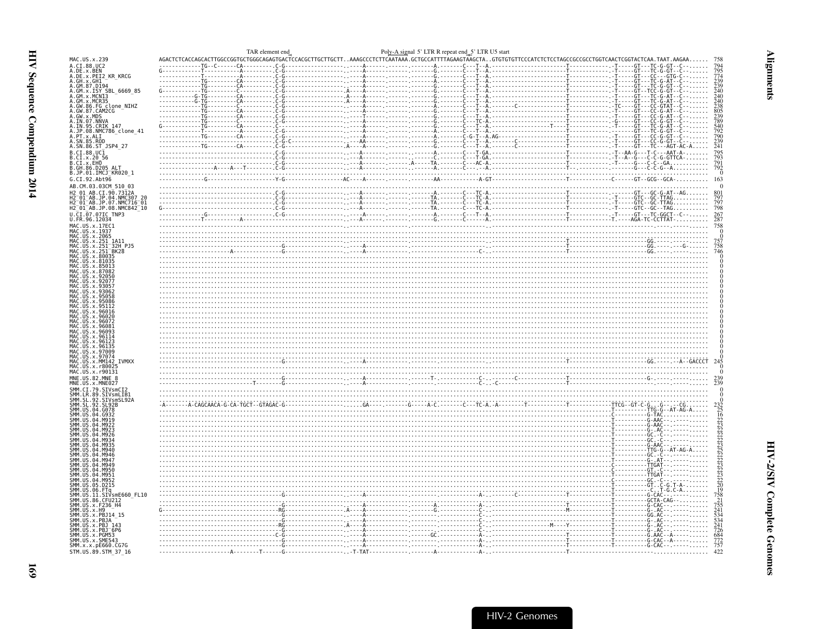| $AGACTCTCACCAGCACTTGGCCGGGTGCTGGGCAGAGTGACTCACGCCTTGCTTT. .AAAGCCCTCTTCATAATAA. .GTGCATTTTAGAAGTAAGTAAGCTA. .GTGTGTTTCCCATCTTCCTACCCGCCCCTGGTCGCGCCGTGTTCAACTCGGTACTCAA. TAAT.AAGAA.$<br>MAC.US.x.239<br>A.CI.88.UC2<br>A.DE.x.BEN<br>A.DE.x.PEI2_KR_KRCG<br>A.DE.X.PEIZ_KR_KRUG<br>A.GH.X.GH1<br>A.GM.X.ISY SBL_6669_85<br>A.GM.X.NCN13<br>A.GM.X.NCN13<br>A.GM.X.MCR35<br>A.GW.87.CAMDCC<br>A.GW.87.CAMDCC<br>A.GW.87.CAMDCC<br>A.UN.07.NNVA<br>A.IN.07.NNVA<br>A.IN.95.CRIK 147<br>A.JP.08.NMC786_clone_41<br>A.PT.x.ALI<br>A.SN.85.ROD<br>A.SN.86.ST_JSP4_27<br>R.C.I.88.UC1<br>B.C.I.88.UC1<br>B.C.I.x.20 56<br>B.C.I.x.EHO<br>B.GH.86.D205 ALT<br>B.JP.01.IMCJ_KR020_1<br>G.CI.92.Abt96<br><u> 1989 - Andrej Sterne Sterne Sterne Sterne Sterne Sterne Sterne Sterne Sterne Sterne Sterne Sterne Sterne Ste</u><br>AB.CM.03.03CM 510 03<br>$\begin{bmatrix}\nC_1 \\ C_2 \\ \vdots \\ C_{n-1} \\ C_{n-1}\n\end{bmatrix}\n\begin{bmatrix}\nC_1 \\ C_2 \\ \vdots \\ C_{n-1}\n\end{bmatrix}\n\begin{bmatrix}\nC_1 \\ C_2 \\ \vdots \\ C_{n-1}\n\end{bmatrix}\n\begin{bmatrix}\nC_1 \\ C_2 \\ \vdots \\ C_{n-1}\n\end{bmatrix}\n\begin{bmatrix}\nC_1 \\ C_2 \\ \vdots \\ C_{n-1}\n\end{bmatrix}\n\begin{bmatrix}\nC_1 \\ C_2 \\ \vdots \\ C_{n-1}\n\end{bmatrix}\n\begin{bmatrix}\nC_1 \\ C_2 \\ $<br>H2 01 AB.CI.90.7312A<br>H2 01 AB.JP.04.NMC307 20<br>H2-01-AB.JP.07.NMC716-01<br>H2-01-AB.JP.07.NMC716-01<br>H2-01-AB.JP.08.NMC842_10<br>U.CI.07.07IC TNP3<br>U.FR.96.12034<br>MAC.US.x.17EC1<br>MAC. US. x. 1937<br>MAC.US.x.2065<br>MAC.US.x.251_1A11<br>MAC.US.x.251_32H<br>x.251 32H PJ5<br>MAC.US.<br>MAC.US.<br>.x.251 <sup>-</sup> BK28<br>x.8003<br>MAC<br>MAC<br>MAC<br>MAC<br>MAC<br>96114<br>9613<br>MAC.US<br>x.97009<br>97074<br>MAC.US.x.MM142 IVMXX<br>MAC.US.x.r80025<br>MAC. US. x. r90131<br>MNE.US.82.MNE 8<br>MNE.US.x.MNE027<br>SMM.CI.79.SIVsmCI2<br>.SIVsmLIB1 | 795<br>774<br>239<br>239<br>240<br>240<br>240<br>238<br>805<br>239<br>789<br>540<br>792<br>790<br>239<br>241<br>795<br>793<br>791<br>792<br>0<br>163<br>$\frac{797}{798}$<br>267 |
|---------------------------------------------------------------------------------------------------------------------------------------------------------------------------------------------------------------------------------------------------------------------------------------------------------------------------------------------------------------------------------------------------------------------------------------------------------------------------------------------------------------------------------------------------------------------------------------------------------------------------------------------------------------------------------------------------------------------------------------------------------------------------------------------------------------------------------------------------------------------------------------------------------------------------------------------------------------------------------------------------------------------------------------------------------------------------------------------------------------------------------------------------------------------------------------------------------------------------------------------------------------------------------------------------------------------------------------------------------------------------------------------------------------------------------------------------------------------------------------------------------------------------------------------------------------------------------------------------------------------------------------------------------------------------------------------------------------------------------------------------------------------------------------------------------------------------------------------------------------------------------------------|----------------------------------------------------------------------------------------------------------------------------------------------------------------------------------|
|                                                                                                                                                                                                                                                                                                                                                                                                                                                                                                                                                                                                                                                                                                                                                                                                                                                                                                                                                                                                                                                                                                                                                                                                                                                                                                                                                                                                                                                                                                                                                                                                                                                                                                                                                                                                                                                                                             |                                                                                                                                                                                  |
|                                                                                                                                                                                                                                                                                                                                                                                                                                                                                                                                                                                                                                                                                                                                                                                                                                                                                                                                                                                                                                                                                                                                                                                                                                                                                                                                                                                                                                                                                                                                                                                                                                                                                                                                                                                                                                                                                             |                                                                                                                                                                                  |
|                                                                                                                                                                                                                                                                                                                                                                                                                                                                                                                                                                                                                                                                                                                                                                                                                                                                                                                                                                                                                                                                                                                                                                                                                                                                                                                                                                                                                                                                                                                                                                                                                                                                                                                                                                                                                                                                                             |                                                                                                                                                                                  |
|                                                                                                                                                                                                                                                                                                                                                                                                                                                                                                                                                                                                                                                                                                                                                                                                                                                                                                                                                                                                                                                                                                                                                                                                                                                                                                                                                                                                                                                                                                                                                                                                                                                                                                                                                                                                                                                                                             |                                                                                                                                                                                  |
|                                                                                                                                                                                                                                                                                                                                                                                                                                                                                                                                                                                                                                                                                                                                                                                                                                                                                                                                                                                                                                                                                                                                                                                                                                                                                                                                                                                                                                                                                                                                                                                                                                                                                                                                                                                                                                                                                             |                                                                                                                                                                                  |
|                                                                                                                                                                                                                                                                                                                                                                                                                                                                                                                                                                                                                                                                                                                                                                                                                                                                                                                                                                                                                                                                                                                                                                                                                                                                                                                                                                                                                                                                                                                                                                                                                                                                                                                                                                                                                                                                                             |                                                                                                                                                                                  |
|                                                                                                                                                                                                                                                                                                                                                                                                                                                                                                                                                                                                                                                                                                                                                                                                                                                                                                                                                                                                                                                                                                                                                                                                                                                                                                                                                                                                                                                                                                                                                                                                                                                                                                                                                                                                                                                                                             |                                                                                                                                                                                  |
|                                                                                                                                                                                                                                                                                                                                                                                                                                                                                                                                                                                                                                                                                                                                                                                                                                                                                                                                                                                                                                                                                                                                                                                                                                                                                                                                                                                                                                                                                                                                                                                                                                                                                                                                                                                                                                                                                             |                                                                                                                                                                                  |
|                                                                                                                                                                                                                                                                                                                                                                                                                                                                                                                                                                                                                                                                                                                                                                                                                                                                                                                                                                                                                                                                                                                                                                                                                                                                                                                                                                                                                                                                                                                                                                                                                                                                                                                                                                                                                                                                                             |                                                                                                                                                                                  |
|                                                                                                                                                                                                                                                                                                                                                                                                                                                                                                                                                                                                                                                                                                                                                                                                                                                                                                                                                                                                                                                                                                                                                                                                                                                                                                                                                                                                                                                                                                                                                                                                                                                                                                                                                                                                                                                                                             |                                                                                                                                                                                  |
|                                                                                                                                                                                                                                                                                                                                                                                                                                                                                                                                                                                                                                                                                                                                                                                                                                                                                                                                                                                                                                                                                                                                                                                                                                                                                                                                                                                                                                                                                                                                                                                                                                                                                                                                                                                                                                                                                             |                                                                                                                                                                                  |
|                                                                                                                                                                                                                                                                                                                                                                                                                                                                                                                                                                                                                                                                                                                                                                                                                                                                                                                                                                                                                                                                                                                                                                                                                                                                                                                                                                                                                                                                                                                                                                                                                                                                                                                                                                                                                                                                                             |                                                                                                                                                                                  |
|                                                                                                                                                                                                                                                                                                                                                                                                                                                                                                                                                                                                                                                                                                                                                                                                                                                                                                                                                                                                                                                                                                                                                                                                                                                                                                                                                                                                                                                                                                                                                                                                                                                                                                                                                                                                                                                                                             |                                                                                                                                                                                  |
|                                                                                                                                                                                                                                                                                                                                                                                                                                                                                                                                                                                                                                                                                                                                                                                                                                                                                                                                                                                                                                                                                                                                                                                                                                                                                                                                                                                                                                                                                                                                                                                                                                                                                                                                                                                                                                                                                             |                                                                                                                                                                                  |
|                                                                                                                                                                                                                                                                                                                                                                                                                                                                                                                                                                                                                                                                                                                                                                                                                                                                                                                                                                                                                                                                                                                                                                                                                                                                                                                                                                                                                                                                                                                                                                                                                                                                                                                                                                                                                                                                                             |                                                                                                                                                                                  |
|                                                                                                                                                                                                                                                                                                                                                                                                                                                                                                                                                                                                                                                                                                                                                                                                                                                                                                                                                                                                                                                                                                                                                                                                                                                                                                                                                                                                                                                                                                                                                                                                                                                                                                                                                                                                                                                                                             |                                                                                                                                                                                  |
|                                                                                                                                                                                                                                                                                                                                                                                                                                                                                                                                                                                                                                                                                                                                                                                                                                                                                                                                                                                                                                                                                                                                                                                                                                                                                                                                                                                                                                                                                                                                                                                                                                                                                                                                                                                                                                                                                             |                                                                                                                                                                                  |
|                                                                                                                                                                                                                                                                                                                                                                                                                                                                                                                                                                                                                                                                                                                                                                                                                                                                                                                                                                                                                                                                                                                                                                                                                                                                                                                                                                                                                                                                                                                                                                                                                                                                                                                                                                                                                                                                                             |                                                                                                                                                                                  |
|                                                                                                                                                                                                                                                                                                                                                                                                                                                                                                                                                                                                                                                                                                                                                                                                                                                                                                                                                                                                                                                                                                                                                                                                                                                                                                                                                                                                                                                                                                                                                                                                                                                                                                                                                                                                                                                                                             |                                                                                                                                                                                  |
|                                                                                                                                                                                                                                                                                                                                                                                                                                                                                                                                                                                                                                                                                                                                                                                                                                                                                                                                                                                                                                                                                                                                                                                                                                                                                                                                                                                                                                                                                                                                                                                                                                                                                                                                                                                                                                                                                             |                                                                                                                                                                                  |
|                                                                                                                                                                                                                                                                                                                                                                                                                                                                                                                                                                                                                                                                                                                                                                                                                                                                                                                                                                                                                                                                                                                                                                                                                                                                                                                                                                                                                                                                                                                                                                                                                                                                                                                                                                                                                                                                                             |                                                                                                                                                                                  |
|                                                                                                                                                                                                                                                                                                                                                                                                                                                                                                                                                                                                                                                                                                                                                                                                                                                                                                                                                                                                                                                                                                                                                                                                                                                                                                                                                                                                                                                                                                                                                                                                                                                                                                                                                                                                                                                                                             |                                                                                                                                                                                  |
|                                                                                                                                                                                                                                                                                                                                                                                                                                                                                                                                                                                                                                                                                                                                                                                                                                                                                                                                                                                                                                                                                                                                                                                                                                                                                                                                                                                                                                                                                                                                                                                                                                                                                                                                                                                                                                                                                             |                                                                                                                                                                                  |
|                                                                                                                                                                                                                                                                                                                                                                                                                                                                                                                                                                                                                                                                                                                                                                                                                                                                                                                                                                                                                                                                                                                                                                                                                                                                                                                                                                                                                                                                                                                                                                                                                                                                                                                                                                                                                                                                                             |                                                                                                                                                                                  |
|                                                                                                                                                                                                                                                                                                                                                                                                                                                                                                                                                                                                                                                                                                                                                                                                                                                                                                                                                                                                                                                                                                                                                                                                                                                                                                                                                                                                                                                                                                                                                                                                                                                                                                                                                                                                                                                                                             |                                                                                                                                                                                  |
|                                                                                                                                                                                                                                                                                                                                                                                                                                                                                                                                                                                                                                                                                                                                                                                                                                                                                                                                                                                                                                                                                                                                                                                                                                                                                                                                                                                                                                                                                                                                                                                                                                                                                                                                                                                                                                                                                             |                                                                                                                                                                                  |
|                                                                                                                                                                                                                                                                                                                                                                                                                                                                                                                                                                                                                                                                                                                                                                                                                                                                                                                                                                                                                                                                                                                                                                                                                                                                                                                                                                                                                                                                                                                                                                                                                                                                                                                                                                                                                                                                                             |                                                                                                                                                                                  |
|                                                                                                                                                                                                                                                                                                                                                                                                                                                                                                                                                                                                                                                                                                                                                                                                                                                                                                                                                                                                                                                                                                                                                                                                                                                                                                                                                                                                                                                                                                                                                                                                                                                                                                                                                                                                                                                                                             |                                                                                                                                                                                  |
|                                                                                                                                                                                                                                                                                                                                                                                                                                                                                                                                                                                                                                                                                                                                                                                                                                                                                                                                                                                                                                                                                                                                                                                                                                                                                                                                                                                                                                                                                                                                                                                                                                                                                                                                                                                                                                                                                             |                                                                                                                                                                                  |
|                                                                                                                                                                                                                                                                                                                                                                                                                                                                                                                                                                                                                                                                                                                                                                                                                                                                                                                                                                                                                                                                                                                                                                                                                                                                                                                                                                                                                                                                                                                                                                                                                                                                                                                                                                                                                                                                                             |                                                                                                                                                                                  |
|                                                                                                                                                                                                                                                                                                                                                                                                                                                                                                                                                                                                                                                                                                                                                                                                                                                                                                                                                                                                                                                                                                                                                                                                                                                                                                                                                                                                                                                                                                                                                                                                                                                                                                                                                                                                                                                                                             |                                                                                                                                                                                  |
|                                                                                                                                                                                                                                                                                                                                                                                                                                                                                                                                                                                                                                                                                                                                                                                                                                                                                                                                                                                                                                                                                                                                                                                                                                                                                                                                                                                                                                                                                                                                                                                                                                                                                                                                                                                                                                                                                             |                                                                                                                                                                                  |
|                                                                                                                                                                                                                                                                                                                                                                                                                                                                                                                                                                                                                                                                                                                                                                                                                                                                                                                                                                                                                                                                                                                                                                                                                                                                                                                                                                                                                                                                                                                                                                                                                                                                                                                                                                                                                                                                                             |                                                                                                                                                                                  |
|                                                                                                                                                                                                                                                                                                                                                                                                                                                                                                                                                                                                                                                                                                                                                                                                                                                                                                                                                                                                                                                                                                                                                                                                                                                                                                                                                                                                                                                                                                                                                                                                                                                                                                                                                                                                                                                                                             |                                                                                                                                                                                  |
|                                                                                                                                                                                                                                                                                                                                                                                                                                                                                                                                                                                                                                                                                                                                                                                                                                                                                                                                                                                                                                                                                                                                                                                                                                                                                                                                                                                                                                                                                                                                                                                                                                                                                                                                                                                                                                                                                             |                                                                                                                                                                                  |
|                                                                                                                                                                                                                                                                                                                                                                                                                                                                                                                                                                                                                                                                                                                                                                                                                                                                                                                                                                                                                                                                                                                                                                                                                                                                                                                                                                                                                                                                                                                                                                                                                                                                                                                                                                                                                                                                                             |                                                                                                                                                                                  |
|                                                                                                                                                                                                                                                                                                                                                                                                                                                                                                                                                                                                                                                                                                                                                                                                                                                                                                                                                                                                                                                                                                                                                                                                                                                                                                                                                                                                                                                                                                                                                                                                                                                                                                                                                                                                                                                                                             |                                                                                                                                                                                  |
|                                                                                                                                                                                                                                                                                                                                                                                                                                                                                                                                                                                                                                                                                                                                                                                                                                                                                                                                                                                                                                                                                                                                                                                                                                                                                                                                                                                                                                                                                                                                                                                                                                                                                                                                                                                                                                                                                             |                                                                                                                                                                                  |
|                                                                                                                                                                                                                                                                                                                                                                                                                                                                                                                                                                                                                                                                                                                                                                                                                                                                                                                                                                                                                                                                                                                                                                                                                                                                                                                                                                                                                                                                                                                                                                                                                                                                                                                                                                                                                                                                                             |                                                                                                                                                                                  |
|                                                                                                                                                                                                                                                                                                                                                                                                                                                                                                                                                                                                                                                                                                                                                                                                                                                                                                                                                                                                                                                                                                                                                                                                                                                                                                                                                                                                                                                                                                                                                                                                                                                                                                                                                                                                                                                                                             |                                                                                                                                                                                  |
|                                                                                                                                                                                                                                                                                                                                                                                                                                                                                                                                                                                                                                                                                                                                                                                                                                                                                                                                                                                                                                                                                                                                                                                                                                                                                                                                                                                                                                                                                                                                                                                                                                                                                                                                                                                                                                                                                             |                                                                                                                                                                                  |
|                                                                                                                                                                                                                                                                                                                                                                                                                                                                                                                                                                                                                                                                                                                                                                                                                                                                                                                                                                                                                                                                                                                                                                                                                                                                                                                                                                                                                                                                                                                                                                                                                                                                                                                                                                                                                                                                                             |                                                                                                                                                                                  |
|                                                                                                                                                                                                                                                                                                                                                                                                                                                                                                                                                                                                                                                                                                                                                                                                                                                                                                                                                                                                                                                                                                                                                                                                                                                                                                                                                                                                                                                                                                                                                                                                                                                                                                                                                                                                                                                                                             |                                                                                                                                                                                  |
|                                                                                                                                                                                                                                                                                                                                                                                                                                                                                                                                                                                                                                                                                                                                                                                                                                                                                                                                                                                                                                                                                                                                                                                                                                                                                                                                                                                                                                                                                                                                                                                                                                                                                                                                                                                                                                                                                             |                                                                                                                                                                                  |
|                                                                                                                                                                                                                                                                                                                                                                                                                                                                                                                                                                                                                                                                                                                                                                                                                                                                                                                                                                                                                                                                                                                                                                                                                                                                                                                                                                                                                                                                                                                                                                                                                                                                                                                                                                                                                                                                                             |                                                                                                                                                                                  |
|                                                                                                                                                                                                                                                                                                                                                                                                                                                                                                                                                                                                                                                                                                                                                                                                                                                                                                                                                                                                                                                                                                                                                                                                                                                                                                                                                                                                                                                                                                                                                                                                                                                                                                                                                                                                                                                                                             |                                                                                                                                                                                  |
|                                                                                                                                                                                                                                                                                                                                                                                                                                                                                                                                                                                                                                                                                                                                                                                                                                                                                                                                                                                                                                                                                                                                                                                                                                                                                                                                                                                                                                                                                                                                                                                                                                                                                                                                                                                                                                                                                             |                                                                                                                                                                                  |
|                                                                                                                                                                                                                                                                                                                                                                                                                                                                                                                                                                                                                                                                                                                                                                                                                                                                                                                                                                                                                                                                                                                                                                                                                                                                                                                                                                                                                                                                                                                                                                                                                                                                                                                                                                                                                                                                                             |                                                                                                                                                                                  |
|                                                                                                                                                                                                                                                                                                                                                                                                                                                                                                                                                                                                                                                                                                                                                                                                                                                                                                                                                                                                                                                                                                                                                                                                                                                                                                                                                                                                                                                                                                                                                                                                                                                                                                                                                                                                                                                                                             |                                                                                                                                                                                  |
|                                                                                                                                                                                                                                                                                                                                                                                                                                                                                                                                                                                                                                                                                                                                                                                                                                                                                                                                                                                                                                                                                                                                                                                                                                                                                                                                                                                                                                                                                                                                                                                                                                                                                                                                                                                                                                                                                             |                                                                                                                                                                                  |
|                                                                                                                                                                                                                                                                                                                                                                                                                                                                                                                                                                                                                                                                                                                                                                                                                                                                                                                                                                                                                                                                                                                                                                                                                                                                                                                                                                                                                                                                                                                                                                                                                                                                                                                                                                                                                                                                                             |                                                                                                                                                                                  |
|                                                                                                                                                                                                                                                                                                                                                                                                                                                                                                                                                                                                                                                                                                                                                                                                                                                                                                                                                                                                                                                                                                                                                                                                                                                                                                                                                                                                                                                                                                                                                                                                                                                                                                                                                                                                                                                                                             |                                                                                                                                                                                  |
|                                                                                                                                                                                                                                                                                                                                                                                                                                                                                                                                                                                                                                                                                                                                                                                                                                                                                                                                                                                                                                                                                                                                                                                                                                                                                                                                                                                                                                                                                                                                                                                                                                                                                                                                                                                                                                                                                             |                                                                                                                                                                                  |
|                                                                                                                                                                                                                                                                                                                                                                                                                                                                                                                                                                                                                                                                                                                                                                                                                                                                                                                                                                                                                                                                                                                                                                                                                                                                                                                                                                                                                                                                                                                                                                                                                                                                                                                                                                                                                                                                                             |                                                                                                                                                                                  |
|                                                                                                                                                                                                                                                                                                                                                                                                                                                                                                                                                                                                                                                                                                                                                                                                                                                                                                                                                                                                                                                                                                                                                                                                                                                                                                                                                                                                                                                                                                                                                                                                                                                                                                                                                                                                                                                                                             |                                                                                                                                                                                  |
|                                                                                                                                                                                                                                                                                                                                                                                                                                                                                                                                                                                                                                                                                                                                                                                                                                                                                                                                                                                                                                                                                                                                                                                                                                                                                                                                                                                                                                                                                                                                                                                                                                                                                                                                                                                                                                                                                             |                                                                                                                                                                                  |
|                                                                                                                                                                                                                                                                                                                                                                                                                                                                                                                                                                                                                                                                                                                                                                                                                                                                                                                                                                                                                                                                                                                                                                                                                                                                                                                                                                                                                                                                                                                                                                                                                                                                                                                                                                                                                                                                                             |                                                                                                                                                                                  |
|                                                                                                                                                                                                                                                                                                                                                                                                                                                                                                                                                                                                                                                                                                                                                                                                                                                                                                                                                                                                                                                                                                                                                                                                                                                                                                                                                                                                                                                                                                                                                                                                                                                                                                                                                                                                                                                                                             |                                                                                                                                                                                  |
| . 92<br>SIVsmSL92A                                                                                                                                                                                                                                                                                                                                                                                                                                                                                                                                                                                                                                                                                                                                                                                                                                                                                                                                                                                                                                                                                                                                                                                                                                                                                                                                                                                                                                                                                                                                                                                                                                                                                                                                                                                                                                                                          |                                                                                                                                                                                  |
| 92                                                                                                                                                                                                                                                                                                                                                                                                                                                                                                                                                                                                                                                                                                                                                                                                                                                                                                                                                                                                                                                                                                                                                                                                                                                                                                                                                                                                                                                                                                                                                                                                                                                                                                                                                                                                                                                                                          | $\frac{232}{25}$                                                                                                                                                                 |
|                                                                                                                                                                                                                                                                                                                                                                                                                                                                                                                                                                                                                                                                                                                                                                                                                                                                                                                                                                                                                                                                                                                                                                                                                                                                                                                                                                                                                                                                                                                                                                                                                                                                                                                                                                                                                                                                                             |                                                                                                                                                                                  |
|                                                                                                                                                                                                                                                                                                                                                                                                                                                                                                                                                                                                                                                                                                                                                                                                                                                                                                                                                                                                                                                                                                                                                                                                                                                                                                                                                                                                                                                                                                                                                                                                                                                                                                                                                                                                                                                                                             |                                                                                                                                                                                  |
|                                                                                                                                                                                                                                                                                                                                                                                                                                                                                                                                                                                                                                                                                                                                                                                                                                                                                                                                                                                                                                                                                                                                                                                                                                                                                                                                                                                                                                                                                                                                                                                                                                                                                                                                                                                                                                                                                             |                                                                                                                                                                                  |
|                                                                                                                                                                                                                                                                                                                                                                                                                                                                                                                                                                                                                                                                                                                                                                                                                                                                                                                                                                                                                                                                                                                                                                                                                                                                                                                                                                                                                                                                                                                                                                                                                                                                                                                                                                                                                                                                                             |                                                                                                                                                                                  |
|                                                                                                                                                                                                                                                                                                                                                                                                                                                                                                                                                                                                                                                                                                                                                                                                                                                                                                                                                                                                                                                                                                                                                                                                                                                                                                                                                                                                                                                                                                                                                                                                                                                                                                                                                                                                                                                                                             |                                                                                                                                                                                  |
|                                                                                                                                                                                                                                                                                                                                                                                                                                                                                                                                                                                                                                                                                                                                                                                                                                                                                                                                                                                                                                                                                                                                                                                                                                                                                                                                                                                                                                                                                                                                                                                                                                                                                                                                                                                                                                                                                             |                                                                                                                                                                                  |
|                                                                                                                                                                                                                                                                                                                                                                                                                                                                                                                                                                                                                                                                                                                                                                                                                                                                                                                                                                                                                                                                                                                                                                                                                                                                                                                                                                                                                                                                                                                                                                                                                                                                                                                                                                                                                                                                                             |                                                                                                                                                                                  |
|                                                                                                                                                                                                                                                                                                                                                                                                                                                                                                                                                                                                                                                                                                                                                                                                                                                                                                                                                                                                                                                                                                                                                                                                                                                                                                                                                                                                                                                                                                                                                                                                                                                                                                                                                                                                                                                                                             |                                                                                                                                                                                  |
|                                                                                                                                                                                                                                                                                                                                                                                                                                                                                                                                                                                                                                                                                                                                                                                                                                                                                                                                                                                                                                                                                                                                                                                                                                                                                                                                                                                                                                                                                                                                                                                                                                                                                                                                                                                                                                                                                             |                                                                                                                                                                                  |
|                                                                                                                                                                                                                                                                                                                                                                                                                                                                                                                                                                                                                                                                                                                                                                                                                                                                                                                                                                                                                                                                                                                                                                                                                                                                                                                                                                                                                                                                                                                                                                                                                                                                                                                                                                                                                                                                                             |                                                                                                                                                                                  |
|                                                                                                                                                                                                                                                                                                                                                                                                                                                                                                                                                                                                                                                                                                                                                                                                                                                                                                                                                                                                                                                                                                                                                                                                                                                                                                                                                                                                                                                                                                                                                                                                                                                                                                                                                                                                                                                                                             |                                                                                                                                                                                  |
|                                                                                                                                                                                                                                                                                                                                                                                                                                                                                                                                                                                                                                                                                                                                                                                                                                                                                                                                                                                                                                                                                                                                                                                                                                                                                                                                                                                                                                                                                                                                                                                                                                                                                                                                                                                                                                                                                             |                                                                                                                                                                                  |
| .D215                                                                                                                                                                                                                                                                                                                                                                                                                                                                                                                                                                                                                                                                                                                                                                                                                                                                                                                                                                                                                                                                                                                                                                                                                                                                                                                                                                                                                                                                                                                                                                                                                                                                                                                                                                                                                                                                                       |                                                                                                                                                                                  |
|                                                                                                                                                                                                                                                                                                                                                                                                                                                                                                                                                                                                                                                                                                                                                                                                                                                                                                                                                                                                                                                                                                                                                                                                                                                                                                                                                                                                                                                                                                                                                                                                                                                                                                                                                                                                                                                                                             |                                                                                                                                                                                  |
| SMM<br>SMM<br>SMM<br>SMM<br>SMM<br>SMM<br>SMM<br>SMM<br>SIVsmE660 FL10<br>US                                                                                                                                                                                                                                                                                                                                                                                                                                                                                                                                                                                                                                                                                                                                                                                                                                                                                                                                                                                                                                                                                                                                                                                                                                                                                                                                                                                                                                                                                                                                                                                                                                                                                                                                                                                                                |                                                                                                                                                                                  |
| US.<br>CFU212                                                                                                                                                                                                                                                                                                                                                                                                                                                                                                                                                                                                                                                                                                                                                                                                                                                                                                                                                                                                                                                                                                                                                                                                                                                                                                                                                                                                                                                                                                                                                                                                                                                                                                                                                                                                                                                                               |                                                                                                                                                                                  |
| US.x.<br>F236 H4.                                                                                                                                                                                                                                                                                                                                                                                                                                                                                                                                                                                                                                                                                                                                                                                                                                                                                                                                                                                                                                                                                                                                                                                                                                                                                                                                                                                                                                                                                                                                                                                                                                                                                                                                                                                                                                                                           |                                                                                                                                                                                  |
|                                                                                                                                                                                                                                                                                                                                                                                                                                                                                                                                                                                                                                                                                                                                                                                                                                                                                                                                                                                                                                                                                                                                                                                                                                                                                                                                                                                                                                                                                                                                                                                                                                                                                                                                                                                                                                                                                             |                                                                                                                                                                                  |
| .x.PBJ14 15<br>US<br>x.PBJA                                                                                                                                                                                                                                                                                                                                                                                                                                                                                                                                                                                                                                                                                                                                                                                                                                                                                                                                                                                                                                                                                                                                                                                                                                                                                                                                                                                                                                                                                                                                                                                                                                                                                                                                                                                                                                                                 |                                                                                                                                                                                  |
| .x.PBJ 143                                                                                                                                                                                                                                                                                                                                                                                                                                                                                                                                                                                                                                                                                                                                                                                                                                                                                                                                                                                                                                                                                                                                                                                                                                                                                                                                                                                                                                                                                                                                                                                                                                                                                                                                                                                                                                                                                  |                                                                                                                                                                                  |
| US<br>.x.PBJ <sup>-</sup> 6P6                                                                                                                                                                                                                                                                                                                                                                                                                                                                                                                                                                                                                                                                                                                                                                                                                                                                                                                                                                                                                                                                                                                                                                                                                                                                                                                                                                                                                                                                                                                                                                                                                                                                                                                                                                                                                                                               |                                                                                                                                                                                  |
| SMM. US . x . PGM53                                                                                                                                                                                                                                                                                                                                                                                                                                                                                                                                                                                                                                                                                                                                                                                                                                                                                                                                                                                                                                                                                                                                                                                                                                                                                                                                                                                                                                                                                                                                                                                                                                                                                                                                                                                                                                                                         |                                                                                                                                                                                  |
| SMM.US.x.CME543<br>SMM.US.x.SME543<br>SMM.x.x.pE660.CG7G                                                                                                                                                                                                                                                                                                                                                                                                                                                                                                                                                                                                                                                                                                                                                                                                                                                                                                                                                                                                                                                                                                                                                                                                                                                                                                                                                                                                                                                                                                                                                                                                                                                                                                                                                                                                                                    |                                                                                                                                                                                  |
|                                                                                                                                                                                                                                                                                                                                                                                                                                                                                                                                                                                                                                                                                                                                                                                                                                                                                                                                                                                                                                                                                                                                                                                                                                                                                                                                                                                                                                                                                                                                                                                                                                                                                                                                                                                                                                                                                             |                                                                                                                                                                                  |
| STM.US.89.STM 37 16                                                                                                                                                                                                                                                                                                                                                                                                                                                                                                                                                                                                                                                                                                                                                                                                                                                                                                                                                                                                                                                                                                                                                                                                                                                                                                                                                                                                                                                                                                                                                                                                                                                                                                                                                                                                                                                                         | 422                                                                                                                                                                              |

<span id="page-10-0"></span>**Alignments**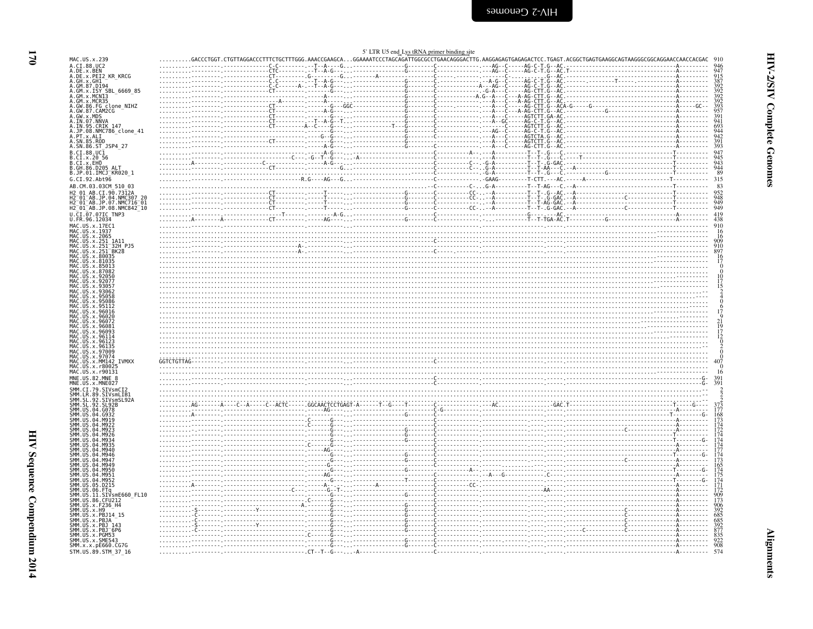<span id="page-11-0"></span>

| MAC.US.x.239<br>A.CI.88.UC2<br>A.GH.x.GH1<br>A.GM.87.D194<br>A.GM.x.ISY_SBL_6669_85<br>A.GM.X.MCN13<br>A.GM.X.MCR35<br>A.GW.86.FG clone_NIHZ<br>A.GW.87.CAM2CG<br>A.GW. 8. CAMP2CG<br>A. GW. 8. MDS<br>A. IN. 95. CRIK 147<br>A. JP. 08. NMC786_clone_41<br>A. PT. x. ALI<br>A. SN. 85. ROD<br>A. SN. 86. ST_19P4_27<br>B.CI.x.20 56<br>B.CI.x.EHO<br>B.GH.86.D205 ALT<br>B.JP.01.IMCJ_KR020_1<br>G.CI.92.Abt96<br>AB.CM.03.03CM 510 03<br>AB.CI.90.7312A<br>H2-01-AB.JP.04.NMC307-20<br>H2-01-AB.JP.07.NMC716-01<br>H2 <sup>-</sup> 01 <sup>-</sup> AB.JP.08.NMC842 <sup>-</sup> 10<br>U.CI.07.07IC TNP3<br>U.FR.96.12034<br>MAC.US.x.17EC1<br>MAC. US. x. 1937<br>MAC.US.x.2065<br>MAC.US.x.251_1A11<br>MAC.US.x.251_32H_PJ5<br>MAC.US.x.251_BK28<br>MAC. US. x. 80035<br>MAC.US.x.81035<br>MAC.US.x.85013<br>.96072<br>MAC.US.x.96123<br>.US.x.96135<br>MAC.US.x.97009<br>MAC. US. x. 97074<br>MAC.US.x.MM142 IVMXX<br>MAC. US. x. r80025<br>MAC.US.x.r90131<br>e de la componenta de la componenta de la componenta de la componenta de la componenta de la componenta de la c<br>En la componenta de la componenta de la componenta de la componenta de la componenta de la componenta de la co<br>MNE.US.82.MNE 8<br>MNE.US.x.MNE027<br>SMM.CI.79.SIVsmCI2<br>SMM.LR.89.SIVSMLIB1<br>SMM.SL.92.SIVSMLIB1<br>SMM.SL.92.SL92B<br>SMM. US. 04.<br>SMM. US. 04.<br>SMM IIS 04<br>SMM IIS 04<br>04<br>SMM.US.05<br>D215.<br>SMM.US.06.FTq<br>SMM . US . 10 . FTY<br>SMM . US . 11 . STVsmE660_FL10<br>SMM . US . 86 . CFU212<br>SMM . US . x . F236_H4<br>SMM . US . x . PB314_15<br>SMM . US . x . PB314_15<br>SMM. ŪŠ. x. PBJA<br>SMM.US.x.PBJ<br>SMM.US.x.PBJ <sup>-</sup> 6P6<br>SMM.US.x.PGM53<br>SMM.US.x.SME543<br>SMM.x.x.pE660.CG7G |                                              |  |  |  |  |
|-----------------------------------------------------------------------------------------------------------------------------------------------------------------------------------------------------------------------------------------------------------------------------------------------------------------------------------------------------------------------------------------------------------------------------------------------------------------------------------------------------------------------------------------------------------------------------------------------------------------------------------------------------------------------------------------------------------------------------------------------------------------------------------------------------------------------------------------------------------------------------------------------------------------------------------------------------------------------------------------------------------------------------------------------------------------------------------------------------------------------------------------------------------------------------------------------------------------------------------------------------------------------------------------------------------------------------------------------------------------------------------------------------------------------------------------------------------------------------------------------------------------------------------------------------------------------------------------------------------------------------------------------------------------------------------------------------------------------------------------------|----------------------------------------------|--|--|--|--|
|                                                                                                                                                                                                                                                                                                                                                                                                                                                                                                                                                                                                                                                                                                                                                                                                                                                                                                                                                                                                                                                                                                                                                                                                                                                                                                                                                                                                                                                                                                                                                                                                                                                                                                                                               |                                              |  |  |  |  |
|                                                                                                                                                                                                                                                                                                                                                                                                                                                                                                                                                                                                                                                                                                                                                                                                                                                                                                                                                                                                                                                                                                                                                                                                                                                                                                                                                                                                                                                                                                                                                                                                                                                                                                                                               | A.DE.x.BEN                                   |  |  |  |  |
|                                                                                                                                                                                                                                                                                                                                                                                                                                                                                                                                                                                                                                                                                                                                                                                                                                                                                                                                                                                                                                                                                                                                                                                                                                                                                                                                                                                                                                                                                                                                                                                                                                                                                                                                               | A.DE.x.PEI2 KR KRCG                          |  |  |  |  |
|                                                                                                                                                                                                                                                                                                                                                                                                                                                                                                                                                                                                                                                                                                                                                                                                                                                                                                                                                                                                                                                                                                                                                                                                                                                                                                                                                                                                                                                                                                                                                                                                                                                                                                                                               |                                              |  |  |  |  |
|                                                                                                                                                                                                                                                                                                                                                                                                                                                                                                                                                                                                                                                                                                                                                                                                                                                                                                                                                                                                                                                                                                                                                                                                                                                                                                                                                                                                                                                                                                                                                                                                                                                                                                                                               |                                              |  |  |  |  |
|                                                                                                                                                                                                                                                                                                                                                                                                                                                                                                                                                                                                                                                                                                                                                                                                                                                                                                                                                                                                                                                                                                                                                                                                                                                                                                                                                                                                                                                                                                                                                                                                                                                                                                                                               |                                              |  |  |  |  |
|                                                                                                                                                                                                                                                                                                                                                                                                                                                                                                                                                                                                                                                                                                                                                                                                                                                                                                                                                                                                                                                                                                                                                                                                                                                                                                                                                                                                                                                                                                                                                                                                                                                                                                                                               |                                              |  |  |  |  |
|                                                                                                                                                                                                                                                                                                                                                                                                                                                                                                                                                                                                                                                                                                                                                                                                                                                                                                                                                                                                                                                                                                                                                                                                                                                                                                                                                                                                                                                                                                                                                                                                                                                                                                                                               |                                              |  |  |  |  |
|                                                                                                                                                                                                                                                                                                                                                                                                                                                                                                                                                                                                                                                                                                                                                                                                                                                                                                                                                                                                                                                                                                                                                                                                                                                                                                                                                                                                                                                                                                                                                                                                                                                                                                                                               |                                              |  |  |  |  |
|                                                                                                                                                                                                                                                                                                                                                                                                                                                                                                                                                                                                                                                                                                                                                                                                                                                                                                                                                                                                                                                                                                                                                                                                                                                                                                                                                                                                                                                                                                                                                                                                                                                                                                                                               |                                              |  |  |  |  |
|                                                                                                                                                                                                                                                                                                                                                                                                                                                                                                                                                                                                                                                                                                                                                                                                                                                                                                                                                                                                                                                                                                                                                                                                                                                                                                                                                                                                                                                                                                                                                                                                                                                                                                                                               |                                              |  |  |  |  |
|                                                                                                                                                                                                                                                                                                                                                                                                                                                                                                                                                                                                                                                                                                                                                                                                                                                                                                                                                                                                                                                                                                                                                                                                                                                                                                                                                                                                                                                                                                                                                                                                                                                                                                                                               |                                              |  |  |  |  |
|                                                                                                                                                                                                                                                                                                                                                                                                                                                                                                                                                                                                                                                                                                                                                                                                                                                                                                                                                                                                                                                                                                                                                                                                                                                                                                                                                                                                                                                                                                                                                                                                                                                                                                                                               |                                              |  |  |  |  |
|                                                                                                                                                                                                                                                                                                                                                                                                                                                                                                                                                                                                                                                                                                                                                                                                                                                                                                                                                                                                                                                                                                                                                                                                                                                                                                                                                                                                                                                                                                                                                                                                                                                                                                                                               | B.CI.88.UC1                                  |  |  |  |  |
|                                                                                                                                                                                                                                                                                                                                                                                                                                                                                                                                                                                                                                                                                                                                                                                                                                                                                                                                                                                                                                                                                                                                                                                                                                                                                                                                                                                                                                                                                                                                                                                                                                                                                                                                               |                                              |  |  |  |  |
|                                                                                                                                                                                                                                                                                                                                                                                                                                                                                                                                                                                                                                                                                                                                                                                                                                                                                                                                                                                                                                                                                                                                                                                                                                                                                                                                                                                                                                                                                                                                                                                                                                                                                                                                               |                                              |  |  |  |  |
|                                                                                                                                                                                                                                                                                                                                                                                                                                                                                                                                                                                                                                                                                                                                                                                                                                                                                                                                                                                                                                                                                                                                                                                                                                                                                                                                                                                                                                                                                                                                                                                                                                                                                                                                               |                                              |  |  |  |  |
|                                                                                                                                                                                                                                                                                                                                                                                                                                                                                                                                                                                                                                                                                                                                                                                                                                                                                                                                                                                                                                                                                                                                                                                                                                                                                                                                                                                                                                                                                                                                                                                                                                                                                                                                               |                                              |  |  |  |  |
|                                                                                                                                                                                                                                                                                                                                                                                                                                                                                                                                                                                                                                                                                                                                                                                                                                                                                                                                                                                                                                                                                                                                                                                                                                                                                                                                                                                                                                                                                                                                                                                                                                                                                                                                               |                                              |  |  |  |  |
|                                                                                                                                                                                                                                                                                                                                                                                                                                                                                                                                                                                                                                                                                                                                                                                                                                                                                                                                                                                                                                                                                                                                                                                                                                                                                                                                                                                                                                                                                                                                                                                                                                                                                                                                               |                                              |  |  |  |  |
|                                                                                                                                                                                                                                                                                                                                                                                                                                                                                                                                                                                                                                                                                                                                                                                                                                                                                                                                                                                                                                                                                                                                                                                                                                                                                                                                                                                                                                                                                                                                                                                                                                                                                                                                               |                                              |  |  |  |  |
|                                                                                                                                                                                                                                                                                                                                                                                                                                                                                                                                                                                                                                                                                                                                                                                                                                                                                                                                                                                                                                                                                                                                                                                                                                                                                                                                                                                                                                                                                                                                                                                                                                                                                                                                               |                                              |  |  |  |  |
|                                                                                                                                                                                                                                                                                                                                                                                                                                                                                                                                                                                                                                                                                                                                                                                                                                                                                                                                                                                                                                                                                                                                                                                                                                                                                                                                                                                                                                                                                                                                                                                                                                                                                                                                               |                                              |  |  |  |  |
|                                                                                                                                                                                                                                                                                                                                                                                                                                                                                                                                                                                                                                                                                                                                                                                                                                                                                                                                                                                                                                                                                                                                                                                                                                                                                                                                                                                                                                                                                                                                                                                                                                                                                                                                               |                                              |  |  |  |  |
|                                                                                                                                                                                                                                                                                                                                                                                                                                                                                                                                                                                                                                                                                                                                                                                                                                                                                                                                                                                                                                                                                                                                                                                                                                                                                                                                                                                                                                                                                                                                                                                                                                                                                                                                               |                                              |  |  |  |  |
|                                                                                                                                                                                                                                                                                                                                                                                                                                                                                                                                                                                                                                                                                                                                                                                                                                                                                                                                                                                                                                                                                                                                                                                                                                                                                                                                                                                                                                                                                                                                                                                                                                                                                                                                               |                                              |  |  |  |  |
|                                                                                                                                                                                                                                                                                                                                                                                                                                                                                                                                                                                                                                                                                                                                                                                                                                                                                                                                                                                                                                                                                                                                                                                                                                                                                                                                                                                                                                                                                                                                                                                                                                                                                                                                               |                                              |  |  |  |  |
|                                                                                                                                                                                                                                                                                                                                                                                                                                                                                                                                                                                                                                                                                                                                                                                                                                                                                                                                                                                                                                                                                                                                                                                                                                                                                                                                                                                                                                                                                                                                                                                                                                                                                                                                               |                                              |  |  |  |  |
|                                                                                                                                                                                                                                                                                                                                                                                                                                                                                                                                                                                                                                                                                                                                                                                                                                                                                                                                                                                                                                                                                                                                                                                                                                                                                                                                                                                                                                                                                                                                                                                                                                                                                                                                               |                                              |  |  |  |  |
|                                                                                                                                                                                                                                                                                                                                                                                                                                                                                                                                                                                                                                                                                                                                                                                                                                                                                                                                                                                                                                                                                                                                                                                                                                                                                                                                                                                                                                                                                                                                                                                                                                                                                                                                               |                                              |  |  |  |  |
|                                                                                                                                                                                                                                                                                                                                                                                                                                                                                                                                                                                                                                                                                                                                                                                                                                                                                                                                                                                                                                                                                                                                                                                                                                                                                                                                                                                                                                                                                                                                                                                                                                                                                                                                               |                                              |  |  |  |  |
|                                                                                                                                                                                                                                                                                                                                                                                                                                                                                                                                                                                                                                                                                                                                                                                                                                                                                                                                                                                                                                                                                                                                                                                                                                                                                                                                                                                                                                                                                                                                                                                                                                                                                                                                               |                                              |  |  |  |  |
|                                                                                                                                                                                                                                                                                                                                                                                                                                                                                                                                                                                                                                                                                                                                                                                                                                                                                                                                                                                                                                                                                                                                                                                                                                                                                                                                                                                                                                                                                                                                                                                                                                                                                                                                               |                                              |  |  |  |  |
|                                                                                                                                                                                                                                                                                                                                                                                                                                                                                                                                                                                                                                                                                                                                                                                                                                                                                                                                                                                                                                                                                                                                                                                                                                                                                                                                                                                                                                                                                                                                                                                                                                                                                                                                               |                                              |  |  |  |  |
|                                                                                                                                                                                                                                                                                                                                                                                                                                                                                                                                                                                                                                                                                                                                                                                                                                                                                                                                                                                                                                                                                                                                                                                                                                                                                                                                                                                                                                                                                                                                                                                                                                                                                                                                               |                                              |  |  |  |  |
|                                                                                                                                                                                                                                                                                                                                                                                                                                                                                                                                                                                                                                                                                                                                                                                                                                                                                                                                                                                                                                                                                                                                                                                                                                                                                                                                                                                                                                                                                                                                                                                                                                                                                                                                               |                                              |  |  |  |  |
|                                                                                                                                                                                                                                                                                                                                                                                                                                                                                                                                                                                                                                                                                                                                                                                                                                                                                                                                                                                                                                                                                                                                                                                                                                                                                                                                                                                                                                                                                                                                                                                                                                                                                                                                               |                                              |  |  |  |  |
|                                                                                                                                                                                                                                                                                                                                                                                                                                                                                                                                                                                                                                                                                                                                                                                                                                                                                                                                                                                                                                                                                                                                                                                                                                                                                                                                                                                                                                                                                                                                                                                                                                                                                                                                               |                                              |  |  |  |  |
|                                                                                                                                                                                                                                                                                                                                                                                                                                                                                                                                                                                                                                                                                                                                                                                                                                                                                                                                                                                                                                                                                                                                                                                                                                                                                                                                                                                                                                                                                                                                                                                                                                                                                                                                               |                                              |  |  |  |  |
|                                                                                                                                                                                                                                                                                                                                                                                                                                                                                                                                                                                                                                                                                                                                                                                                                                                                                                                                                                                                                                                                                                                                                                                                                                                                                                                                                                                                                                                                                                                                                                                                                                                                                                                                               |                                              |  |  |  |  |
|                                                                                                                                                                                                                                                                                                                                                                                                                                                                                                                                                                                                                                                                                                                                                                                                                                                                                                                                                                                                                                                                                                                                                                                                                                                                                                                                                                                                                                                                                                                                                                                                                                                                                                                                               | MAC.US.x                                     |  |  |  |  |
|                                                                                                                                                                                                                                                                                                                                                                                                                                                                                                                                                                                                                                                                                                                                                                                                                                                                                                                                                                                                                                                                                                                                                                                                                                                                                                                                                                                                                                                                                                                                                                                                                                                                                                                                               |                                              |  |  |  |  |
|                                                                                                                                                                                                                                                                                                                                                                                                                                                                                                                                                                                                                                                                                                                                                                                                                                                                                                                                                                                                                                                                                                                                                                                                                                                                                                                                                                                                                                                                                                                                                                                                                                                                                                                                               | MAC.US.x.96093<br>MAC.US.x.96114<br>US.x.961 |  |  |  |  |
|                                                                                                                                                                                                                                                                                                                                                                                                                                                                                                                                                                                                                                                                                                                                                                                                                                                                                                                                                                                                                                                                                                                                                                                                                                                                                                                                                                                                                                                                                                                                                                                                                                                                                                                                               |                                              |  |  |  |  |
|                                                                                                                                                                                                                                                                                                                                                                                                                                                                                                                                                                                                                                                                                                                                                                                                                                                                                                                                                                                                                                                                                                                                                                                                                                                                                                                                                                                                                                                                                                                                                                                                                                                                                                                                               |                                              |  |  |  |  |
|                                                                                                                                                                                                                                                                                                                                                                                                                                                                                                                                                                                                                                                                                                                                                                                                                                                                                                                                                                                                                                                                                                                                                                                                                                                                                                                                                                                                                                                                                                                                                                                                                                                                                                                                               |                                              |  |  |  |  |
|                                                                                                                                                                                                                                                                                                                                                                                                                                                                                                                                                                                                                                                                                                                                                                                                                                                                                                                                                                                                                                                                                                                                                                                                                                                                                                                                                                                                                                                                                                                                                                                                                                                                                                                                               |                                              |  |  |  |  |
|                                                                                                                                                                                                                                                                                                                                                                                                                                                                                                                                                                                                                                                                                                                                                                                                                                                                                                                                                                                                                                                                                                                                                                                                                                                                                                                                                                                                                                                                                                                                                                                                                                                                                                                                               |                                              |  |  |  |  |
|                                                                                                                                                                                                                                                                                                                                                                                                                                                                                                                                                                                                                                                                                                                                                                                                                                                                                                                                                                                                                                                                                                                                                                                                                                                                                                                                                                                                                                                                                                                                                                                                                                                                                                                                               |                                              |  |  |  |  |
|                                                                                                                                                                                                                                                                                                                                                                                                                                                                                                                                                                                                                                                                                                                                                                                                                                                                                                                                                                                                                                                                                                                                                                                                                                                                                                                                                                                                                                                                                                                                                                                                                                                                                                                                               |                                              |  |  |  |  |
|                                                                                                                                                                                                                                                                                                                                                                                                                                                                                                                                                                                                                                                                                                                                                                                                                                                                                                                                                                                                                                                                                                                                                                                                                                                                                                                                                                                                                                                                                                                                                                                                                                                                                                                                               |                                              |  |  |  |  |
|                                                                                                                                                                                                                                                                                                                                                                                                                                                                                                                                                                                                                                                                                                                                                                                                                                                                                                                                                                                                                                                                                                                                                                                                                                                                                                                                                                                                                                                                                                                                                                                                                                                                                                                                               |                                              |  |  |  |  |
|                                                                                                                                                                                                                                                                                                                                                                                                                                                                                                                                                                                                                                                                                                                                                                                                                                                                                                                                                                                                                                                                                                                                                                                                                                                                                                                                                                                                                                                                                                                                                                                                                                                                                                                                               |                                              |  |  |  |  |
|                                                                                                                                                                                                                                                                                                                                                                                                                                                                                                                                                                                                                                                                                                                                                                                                                                                                                                                                                                                                                                                                                                                                                                                                                                                                                                                                                                                                                                                                                                                                                                                                                                                                                                                                               |                                              |  |  |  |  |
|                                                                                                                                                                                                                                                                                                                                                                                                                                                                                                                                                                                                                                                                                                                                                                                                                                                                                                                                                                                                                                                                                                                                                                                                                                                                                                                                                                                                                                                                                                                                                                                                                                                                                                                                               |                                              |  |  |  |  |
|                                                                                                                                                                                                                                                                                                                                                                                                                                                                                                                                                                                                                                                                                                                                                                                                                                                                                                                                                                                                                                                                                                                                                                                                                                                                                                                                                                                                                                                                                                                                                                                                                                                                                                                                               |                                              |  |  |  |  |
|                                                                                                                                                                                                                                                                                                                                                                                                                                                                                                                                                                                                                                                                                                                                                                                                                                                                                                                                                                                                                                                                                                                                                                                                                                                                                                                                                                                                                                                                                                                                                                                                                                                                                                                                               |                                              |  |  |  |  |
|                                                                                                                                                                                                                                                                                                                                                                                                                                                                                                                                                                                                                                                                                                                                                                                                                                                                                                                                                                                                                                                                                                                                                                                                                                                                                                                                                                                                                                                                                                                                                                                                                                                                                                                                               |                                              |  |  |  |  |
|                                                                                                                                                                                                                                                                                                                                                                                                                                                                                                                                                                                                                                                                                                                                                                                                                                                                                                                                                                                                                                                                                                                                                                                                                                                                                                                                                                                                                                                                                                                                                                                                                                                                                                                                               |                                              |  |  |  |  |
|                                                                                                                                                                                                                                                                                                                                                                                                                                                                                                                                                                                                                                                                                                                                                                                                                                                                                                                                                                                                                                                                                                                                                                                                                                                                                                                                                                                                                                                                                                                                                                                                                                                                                                                                               |                                              |  |  |  |  |
|                                                                                                                                                                                                                                                                                                                                                                                                                                                                                                                                                                                                                                                                                                                                                                                                                                                                                                                                                                                                                                                                                                                                                                                                                                                                                                                                                                                                                                                                                                                                                                                                                                                                                                                                               |                                              |  |  |  |  |
|                                                                                                                                                                                                                                                                                                                                                                                                                                                                                                                                                                                                                                                                                                                                                                                                                                                                                                                                                                                                                                                                                                                                                                                                                                                                                                                                                                                                                                                                                                                                                                                                                                                                                                                                               |                                              |  |  |  |  |
|                                                                                                                                                                                                                                                                                                                                                                                                                                                                                                                                                                                                                                                                                                                                                                                                                                                                                                                                                                                                                                                                                                                                                                                                                                                                                                                                                                                                                                                                                                                                                                                                                                                                                                                                               |                                              |  |  |  |  |
|                                                                                                                                                                                                                                                                                                                                                                                                                                                                                                                                                                                                                                                                                                                                                                                                                                                                                                                                                                                                                                                                                                                                                                                                                                                                                                                                                                                                                                                                                                                                                                                                                                                                                                                                               |                                              |  |  |  |  |
|                                                                                                                                                                                                                                                                                                                                                                                                                                                                                                                                                                                                                                                                                                                                                                                                                                                                                                                                                                                                                                                                                                                                                                                                                                                                                                                                                                                                                                                                                                                                                                                                                                                                                                                                               |                                              |  |  |  |  |
|                                                                                                                                                                                                                                                                                                                                                                                                                                                                                                                                                                                                                                                                                                                                                                                                                                                                                                                                                                                                                                                                                                                                                                                                                                                                                                                                                                                                                                                                                                                                                                                                                                                                                                                                               |                                              |  |  |  |  |
|                                                                                                                                                                                                                                                                                                                                                                                                                                                                                                                                                                                                                                                                                                                                                                                                                                                                                                                                                                                                                                                                                                                                                                                                                                                                                                                                                                                                                                                                                                                                                                                                                                                                                                                                               |                                              |  |  |  |  |
|                                                                                                                                                                                                                                                                                                                                                                                                                                                                                                                                                                                                                                                                                                                                                                                                                                                                                                                                                                                                                                                                                                                                                                                                                                                                                                                                                                                                                                                                                                                                                                                                                                                                                                                                               |                                              |  |  |  |  |
|                                                                                                                                                                                                                                                                                                                                                                                                                                                                                                                                                                                                                                                                                                                                                                                                                                                                                                                                                                                                                                                                                                                                                                                                                                                                                                                                                                                                                                                                                                                                                                                                                                                                                                                                               |                                              |  |  |  |  |
|                                                                                                                                                                                                                                                                                                                                                                                                                                                                                                                                                                                                                                                                                                                                                                                                                                                                                                                                                                                                                                                                                                                                                                                                                                                                                                                                                                                                                                                                                                                                                                                                                                                                                                                                               |                                              |  |  |  |  |
|                                                                                                                                                                                                                                                                                                                                                                                                                                                                                                                                                                                                                                                                                                                                                                                                                                                                                                                                                                                                                                                                                                                                                                                                                                                                                                                                                                                                                                                                                                                                                                                                                                                                                                                                               |                                              |  |  |  |  |
|                                                                                                                                                                                                                                                                                                                                                                                                                                                                                                                                                                                                                                                                                                                                                                                                                                                                                                                                                                                                                                                                                                                                                                                                                                                                                                                                                                                                                                                                                                                                                                                                                                                                                                                                               |                                              |  |  |  |  |
|                                                                                                                                                                                                                                                                                                                                                                                                                                                                                                                                                                                                                                                                                                                                                                                                                                                                                                                                                                                                                                                                                                                                                                                                                                                                                                                                                                                                                                                                                                                                                                                                                                                                                                                                               |                                              |  |  |  |  |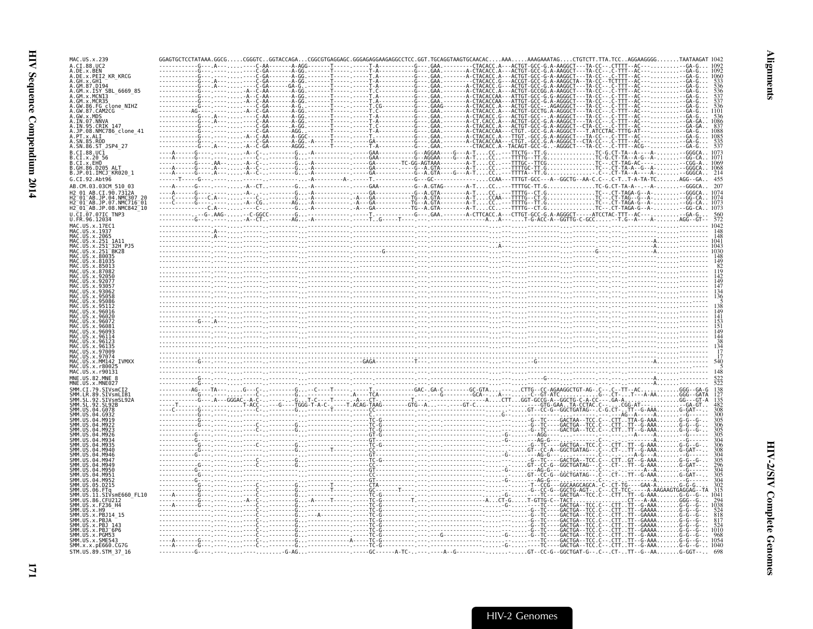| MAC. US. x. 239                                                 |  |  |                                                                                                                                                                                     |  |  |
|-----------------------------------------------------------------|--|--|-------------------------------------------------------------------------------------------------------------------------------------------------------------------------------------|--|--|
| A. CT. 88. HC2                                                  |  |  | $\ldots$ $\ldots$ $\ldots$ $\ldots$ $\ldots$ $\ldots$ $\ldots$ $\ldots$ $\ldots$ $\ldots$ $\ldots$ $\ldots$ $\ldots$ $\ldots$ $\ldots$ $\ldots$ $\ldots$ $\ldots$ $\ldots$ $\ldots$ |  |  |
| A.DE.x.BEN<br>A.DE.x.PEI2 KR KRCG                               |  |  |                                                                                                                                                                                     |  |  |
| .GH.x.GH1<br>GM.87.D194                                         |  |  |                                                                                                                                                                                     |  |  |
| ISY SBL 6669 85                                                 |  |  |                                                                                                                                                                                     |  |  |
| GM.x.MCR35                                                      |  |  |                                                                                                                                                                                     |  |  |
| GW.86.FG clone NIHZ                                             |  |  |                                                                                                                                                                                     |  |  |
| GW.87.CAM2CG                                                    |  |  |                                                                                                                                                                                     |  |  |
| IN.07.NNV/                                                      |  |  |                                                                                                                                                                                     |  |  |
| IN.95.CRIK 147<br>JP.08.NMC786 clone 41                         |  |  |                                                                                                                                                                                     |  |  |
|                                                                 |  |  |                                                                                                                                                                                     |  |  |
| .SN.86.ST JSP4 27                                               |  |  |                                                                                                                                                                                     |  |  |
|                                                                 |  |  |                                                                                                                                                                                     |  |  |
| CI.x.20 56<br>CI.x.EHO                                          |  |  |                                                                                                                                                                                     |  |  |
|                                                                 |  |  |                                                                                                                                                                                     |  |  |
| B.JP.01.IMCJ <sup>-</sup> KR020 1<br>G.CI.92.Abt96              |  |  |                                                                                                                                                                                     |  |  |
| AB.CM.03.03CM 510 03                                            |  |  |                                                                                                                                                                                     |  |  |
|                                                                 |  |  |                                                                                                                                                                                     |  |  |
| H2 <sup>-</sup> 01 <sup>-</sup> AB.JP.07.NMC716 <sup>-</sup> 01 |  |  |                                                                                                                                                                                     |  |  |
| H2_01_AB.JP.08.NMC842_10                                        |  |  |                                                                                                                                                                                     |  |  |
| U.CI.07.07IC TNP3                                               |  |  |                                                                                                                                                                                     |  |  |
| U.FR.96.12034<br>MAC IIS x 17FC1                                |  |  |                                                                                                                                                                                     |  |  |
| . US . x . 1937                                                 |  |  |                                                                                                                                                                                     |  |  |
| .US.x.2065                                                      |  |  |                                                                                                                                                                                     |  |  |
| 251 <sup>-32H</sup> PJ5                                         |  |  |                                                                                                                                                                                     |  |  |
|                                                                 |  |  |                                                                                                                                                                                     |  |  |
|                                                                 |  |  |                                                                                                                                                                                     |  |  |
|                                                                 |  |  |                                                                                                                                                                                     |  |  |
|                                                                 |  |  |                                                                                                                                                                                     |  |  |
|                                                                 |  |  |                                                                                                                                                                                     |  |  |
|                                                                 |  |  |                                                                                                                                                                                     |  |  |
|                                                                 |  |  |                                                                                                                                                                                     |  |  |
|                                                                 |  |  |                                                                                                                                                                                     |  |  |
|                                                                 |  |  |                                                                                                                                                                                     |  |  |
|                                                                 |  |  |                                                                                                                                                                                     |  |  |
|                                                                 |  |  |                                                                                                                                                                                     |  |  |
|                                                                 |  |  |                                                                                                                                                                                     |  |  |
|                                                                 |  |  |                                                                                                                                                                                     |  |  |
|                                                                 |  |  |                                                                                                                                                                                     |  |  |
| AC US X 1800                                                    |  |  |                                                                                                                                                                                     |  |  |
|                                                                 |  |  |                                                                                                                                                                                     |  |  |
|                                                                 |  |  |                                                                                                                                                                                     |  |  |
|                                                                 |  |  |                                                                                                                                                                                     |  |  |
|                                                                 |  |  |                                                                                                                                                                                     |  |  |
|                                                                 |  |  |                                                                                                                                                                                     |  |  |
|                                                                 |  |  |                                                                                                                                                                                     |  |  |
|                                                                 |  |  |                                                                                                                                                                                     |  |  |
|                                                                 |  |  |                                                                                                                                                                                     |  |  |
|                                                                 |  |  |                                                                                                                                                                                     |  |  |
|                                                                 |  |  |                                                                                                                                                                                     |  |  |
|                                                                 |  |  |                                                                                                                                                                                     |  |  |
|                                                                 |  |  |                                                                                                                                                                                     |  |  |
|                                                                 |  |  |                                                                                                                                                                                     |  |  |
|                                                                 |  |  |                                                                                                                                                                                     |  |  |
|                                                                 |  |  |                                                                                                                                                                                     |  |  |
| SIVsmE660 FL10<br>-11                                           |  |  |                                                                                                                                                                                     |  |  |
| .86                                                             |  |  |                                                                                                                                                                                     |  |  |
|                                                                 |  |  |                                                                                                                                                                                     |  |  |
|                                                                 |  |  |                                                                                                                                                                                     |  |  |
|                                                                 |  |  |                                                                                                                                                                                     |  |  |
| x PGM53                                                         |  |  |                                                                                                                                                                                     |  |  |
|                                                                 |  |  |                                                                                                                                                                                     |  |  |
| SMM.x.x.pE660.CG7G<br>STM.US.89.STM 37 16                       |  |  |                                                                                                                                                                                     |  |  |
|                                                                 |  |  |                                                                                                                                                                                     |  |  |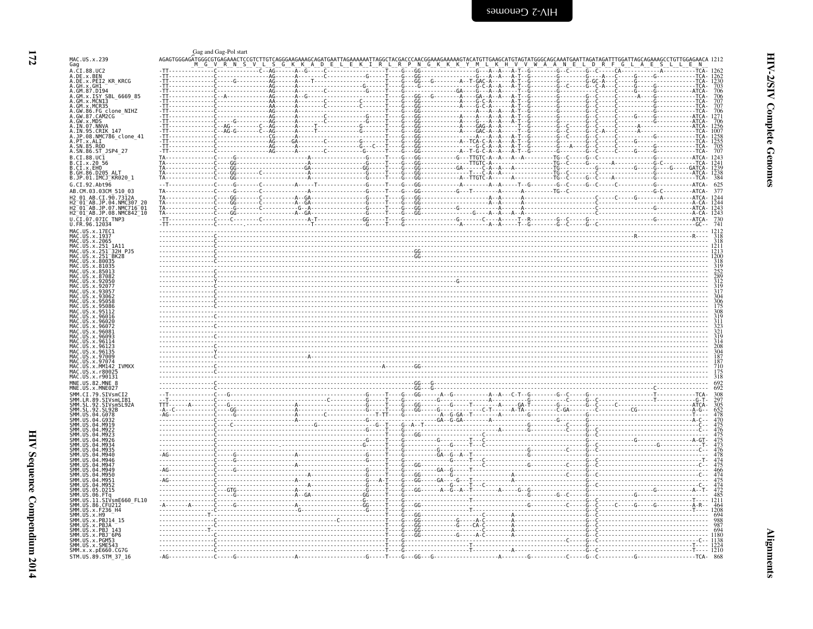<span id="page-13-0"></span>

|                                                                                                                                                                                                       |      | Gag and Gag-Pol start |                                                                              |                               |                  |                            |                      |                                                               |  |                    |                                                       |
|-------------------------------------------------------------------------------------------------------------------------------------------------------------------------------------------------------|------|-----------------------|------------------------------------------------------------------------------|-------------------------------|------------------|----------------------------|----------------------|---------------------------------------------------------------|--|--------------------|-------------------------------------------------------|
| MAC.US.x.239<br>Gag                                                                                                                                                                                   |      |                       | AGAGTGGGAGATGGGCGTGAGAAACTCCGTCTTGTCAGGGAAGAAAGCAGATGAATTAGAAAAAATTAGGCTACGA |                               |                  |                            |                      |                                                               |  |                    |                                                       |
|                                                                                                                                                                                                       |      |                       |                                                                              |                               |                  |                            |                      |                                                               |  |                    |                                                       |
| a.cl.88.UC2<br>A.DE.x.BEN<br>A.DE.x.PEI2_KR_KRCG<br>A.GH.x.GH1_                                                                                                                                       |      |                       |                                                                              |                               |                  |                            |                      |                                                               |  |                    | . TCA -<br>703<br>TCA-                                |
| A.GM.87.D194<br>A.GM.87.D194<br>A.GM.x.ISY SBL 6669 85                                                                                                                                                |      |                       |                                                                              |                               |                  |                            |                      |                                                               |  |                    | 706                                                   |
|                                                                                                                                                                                                       |      |                       |                                                                              |                               |                  |                            |                      |                                                               |  |                    |                                                       |
|                                                                                                                                                                                                       |      |                       |                                                                              |                               |                  | ---G---GG-------------A--- |                      |                                                               |  |                    |                                                       |
| A.GM.x.MCN13<br>A.GM.x.MCN13<br>A.GM.86.FG clone_NIHZ<br>A.GW.86.FG clone_NIHZ<br>A.GW.86.FG clone_NIHZ<br>A.GW.87.NNNX<br>A.IN.97.NNNX<br>A.IN.98.CNKX 147<br>A.SN.86.NNC786_clone_41<br>A.SN.85.RDD |      |                       |                                                                              |                               |                  |                            |                      |                                                               |  |                    |                                                       |
|                                                                                                                                                                                                       |      |                       |                                                                              |                               |                  |                            | $-GAC - A - A - - -$ |                                                               |  |                    |                                                       |
|                                                                                                                                                                                                       |      |                       |                                                                              |                               |                  |                            |                      |                                                               |  |                    |                                                       |
| A.SN.85.ROD<br>A.SN.86.ST_JSP4_27<br>$B.CI.88.UC\bar{1}$                                                                                                                                              |      |                       |                                                                              |                               |                  |                            |                      |                                                               |  |                    | $\frac{705}{707}$<br>ATCA-                            |
| B.CI.x.20 56                                                                                                                                                                                          |      |                       |                                                                              |                               |                  |                            |                      |                                                               |  |                    | 124                                                   |
| B.CI.x.EHO<br>B.GH.86.D205 ALT<br>B.JP.01.IMCJ_KR020_1                                                                                                                                                |      | - GG                  |                                                                              |                               |                  |                            |                      |                                                               |  |                    |                                                       |
| G.CI.92.Abt96                                                                                                                                                                                         |      | - GG -                |                                                                              |                               |                  |                            |                      |                                                               |  |                    | 384<br>$-$ - TCA -<br>- - - - - - - - - ATCA -<br>625 |
| AB.CM.03.03CM 510 03                                                                                                                                                                                  |      |                       |                                                                              |                               |                  |                            |                      | -A - - - - - - A - - - - - - - - - TG - - C - - - - - - - - - |  | . G - C - - ATCA - | 377                                                   |
| AB.CI.90.7312A                                                                                                                                                                                        |      |                       |                                                                              |                               |                  |                            |                      |                                                               |  |                    |                                                       |
| H2 01 AB.JP.04.NMC307 20<br>H2 01 AB.JP.07.NMC716 01<br>H2 01 AB.JP.07.NMC716 01<br>H2 01 AB.JP.08.NMC842 10                                                                                          |      |                       |                                                                              |                               |                  |                            |                      |                                                               |  |                    | $\frac{1243}{1243}$<br>- - - - - - - - - - - A - CA - |
| U.CI.07.07IC TNP3<br>U.FR.96.12034                                                                                                                                                                    |      |                       |                                                                              |                               |                  |                            |                      |                                                               |  |                    | 730<br>741                                            |
|                                                                                                                                                                                                       |      |                       |                                                                              |                               |                  |                            |                      |                                                               |  |                    | 1212                                                  |
| MAC.US.x.17EC1<br>MAC.US.x.1937<br>MAC.US.x.2065                                                                                                                                                      |      |                       |                                                                              |                               |                  |                            |                      |                                                               |  |                    |                                                       |
| MAC<br>MAC<br>MAC<br>MAC<br>MAC<br>. us . x . 250<br>. US . x . 251 - 1A11<br>. US . x . 251 - 32H - PJ5<br>. US . x . 251 - BK28<br>. US . x . 80035                                                 |      |                       |                                                                              |                               |                  |                            |                      |                                                               |  |                    |                                                       |
|                                                                                                                                                                                                       |      |                       |                                                                              |                               |                  |                            |                      |                                                               |  |                    |                                                       |
| JS.x.81035<br>MAC<br>MAC<br>x.85013                                                                                                                                                                   |      |                       |                                                                              |                               |                  |                            |                      |                                                               |  |                    |                                                       |
| US.x.87082<br>MAC<br>MAC<br>x.92050                                                                                                                                                                   |      |                       |                                                                              |                               |                  |                            |                      |                                                               |  |                    |                                                       |
| 92077<br>MAC<br>MAC<br>9305                                                                                                                                                                           |      |                       |                                                                              |                               |                  |                            |                      |                                                               |  |                    |                                                       |
| X 93062<br>MAC<br>MAC<br>US.x.95058                                                                                                                                                                   |      |                       |                                                                              |                               |                  |                            |                      |                                                               |  |                    |                                                       |
| 95086<br>US.x.9511                                                                                                                                                                                    |      |                       |                                                                              |                               |                  |                            |                      |                                                               |  |                    |                                                       |
| MAC<br>MAC<br>MAC                                                                                                                                                                                     |      |                       |                                                                              |                               |                  |                            |                      |                                                               |  |                    |                                                       |
| MAC<br>MAC<br>96072<br>x.9608                                                                                                                                                                         |      |                       |                                                                              |                               |                  |                            |                      |                                                               |  |                    |                                                       |
| MAC<br>MAC<br>.96093<br>96114                                                                                                                                                                         |      |                       |                                                                              |                               |                  |                            |                      |                                                               |  |                    |                                                       |
| 961<br>MAC<br>96135                                                                                                                                                                                   |      |                       |                                                                              |                               |                  |                            |                      |                                                               |  |                    |                                                       |
| MAC.<br>US.x.97009<br>MAC<br>97074<br>JS.x.                                                                                                                                                           |      |                       |                                                                              |                               |                  |                            |                      |                                                               |  |                    |                                                       |
| IVMXX<br>US.x.MM142<br>MAC.<br>US.x.r80025                                                                                                                                                            |      |                       |                                                                              |                               |                  |                            |                      |                                                               |  |                    |                                                       |
| MAC.US.x.r90131                                                                                                                                                                                       |      |                       |                                                                              |                               |                  |                            |                      |                                                               |  |                    |                                                       |
| MNE.US.82.MNE 8<br>MNE.US.x.MNE027                                                                                                                                                                    |      |                       |                                                                              |                               | - - - - - GG - - |                            |                      |                                                               |  |                    | 692<br>692                                            |
|                                                                                                                                                                                                       |      |                       |                                                                              |                               |                  |                            |                      |                                                               |  |                    |                                                       |
| SMM.CI.79.SIVsmCI2<br>SMM.LR.89.SIVsmLIB1<br>SMM.SL.92.SIVsmSL92A<br>SMM.SL.92.SL92B                                                                                                                  | TTT- |                       |                                                                              |                               |                  |                            |                      |                                                               |  |                    | 305<br>652                                            |
| SMM. US. 04. G078<br>SMM. US. 04.                                                                                                                                                                     |      |                       |                                                                              |                               |                  |                            |                      |                                                               |  |                    |                                                       |
|                                                                                                                                                                                                       |      |                       |                                                                              |                               |                  |                            |                      |                                                               |  |                    |                                                       |
| 04<br>M926                                                                                                                                                                                            |      |                       |                                                                              |                               |                  |                            |                      |                                                               |  |                    |                                                       |
| мозд                                                                                                                                                                                                  |      |                       |                                                                              |                               |                  |                            |                      |                                                               |  |                    |                                                       |
|                                                                                                                                                                                                       |      |                       |                                                                              |                               |                  |                            |                      |                                                               |  |                    |                                                       |
|                                                                                                                                                                                                       |      |                       |                                                                              |                               |                  |                            |                      |                                                               |  |                    |                                                       |
|                                                                                                                                                                                                       |      |                       |                                                                              |                               |                  |                            |                      |                                                               |  |                    |                                                       |
| SMM<br>SMM<br>SMM<br>M952<br>D215<br>05                                                                                                                                                               |      |                       |                                                                              |                               |                  |                            |                      |                                                               |  |                    |                                                       |
| SMM.US.05.0715<br>SMM.US.06.FTq<br>SMM.US.11.SIVSmE660_FL10<br>SMM.US.31.SIVSmE660_FL10<br>SMM.US.x.F236_H4<br>SMM.US.x.H9<br>SMM.US.x.H9                                                             |      |                       |                                                                              |                               |                  |                            |                      |                                                               |  |                    |                                                       |
|                                                                                                                                                                                                       |      |                       |                                                                              |                               |                  |                            |                      |                                                               |  |                    |                                                       |
|                                                                                                                                                                                                       |      |                       |                                                                              |                               |                  |                            |                      |                                                               |  |                    |                                                       |
| US.x.PBJA<br>SMM.US.x.PBJ 143                                                                                                                                                                         |      |                       |                                                                              |                               | - G - - - GG -   |                            |                      |                                                               |  |                    |                                                       |
| <b>SMM</b><br>US.x.PBJ <sup>-</sup> 6P6                                                                                                                                                               |      |                       |                                                                              |                               |                  |                            |                      |                                                               |  |                    |                                                       |
| SMM.US.x.PGM53<br>SMM.US.x.SME543<br>SMM.x.x.pE660.CG7G                                                                                                                                               |      |                       |                                                                              |                               |                  |                            |                      |                                                               |  |                    |                                                       |
| STM.US.89.STM_37_16                                                                                                                                                                                   |      |                       |                                                                              | --------G-----T----G---GG---G |                  |                            |                      |                                                               |  | GTCA-              | 868                                                   |

172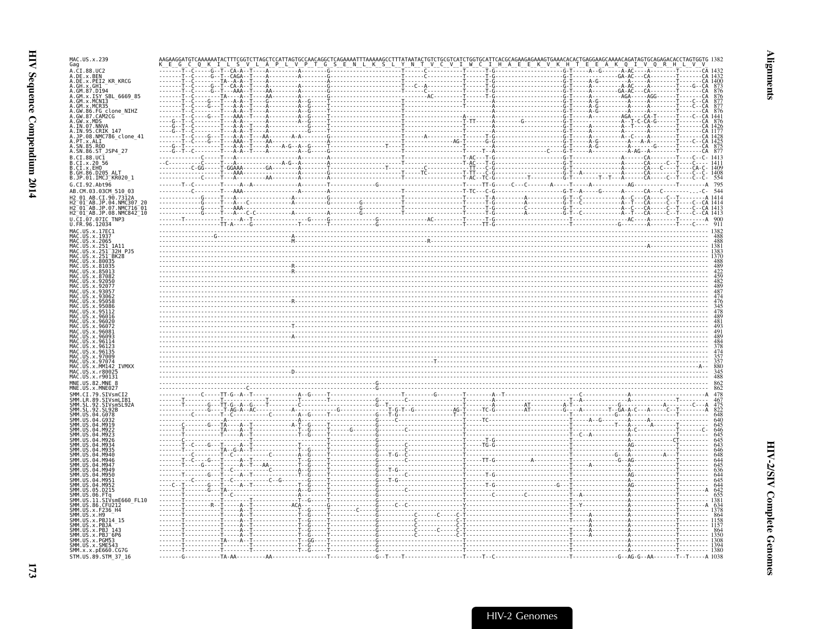| MAC.US.x.239<br>Gag                                |  |  |  |                                                             |
|----------------------------------------------------|--|--|--|-------------------------------------------------------------|
| A.CI.88.UC2                                        |  |  |  |                                                             |
| A.DE.x.BEN<br>A.DE.X.PEI2 KR KRCG                  |  |  |  |                                                             |
| A.GH.x.GH1<br>A.GM.87.D194                         |  |  |  |                                                             |
| A.GM.X.ISY SBL 6669 85<br>A.GM.x.MCNI3             |  |  |  |                                                             |
| GM.x.MCR35                                         |  |  |  |                                                             |
| A.GW.86.FG clone_NIHZ<br>A.GW.87.CAM2CG            |  |  |  |                                                             |
| A.GW.X.MDS<br>A.IN.07.NNVA                         |  |  |  |                                                             |
| A.IN.<br>.95.CRIK 147<br>A.JP.08.NMC786 clone 41   |  |  |  |                                                             |
| A.SN.85.ROD                                        |  |  |  |                                                             |
| A.SN.86.ST_JSP4_27                                 |  |  |  |                                                             |
| B.CI.88.UC1<br>B.CI.x.20 56                        |  |  |  |                                                             |
| B.CI.X.EHO<br>B. GH. 86. D205 ALT                  |  |  |  |                                                             |
| B.JP.01.IMCJ_KR020 1                               |  |  |  |                                                             |
| G.CI.92.Abt96<br>AB.CM.03.03CM 510 03              |  |  |  |                                                             |
|                                                    |  |  |  |                                                             |
| .04.NMC307<br>JP.07.NMC716-01                      |  |  |  |                                                             |
| H2_01_AB.JP.08.NMC842_10                           |  |  |  |                                                             |
| . 96 . 12034                                       |  |  |  |                                                             |
| MAC.US.x.17EC1<br>US. x. 193                       |  |  |  |                                                             |
| .x.206                                             |  |  |  |                                                             |
| 32H PJ5                                            |  |  |  |                                                             |
| x.80035                                            |  |  |  |                                                             |
|                                                    |  |  |  |                                                             |
|                                                    |  |  |  |                                                             |
|                                                    |  |  |  |                                                             |
|                                                    |  |  |  |                                                             |
|                                                    |  |  |  |                                                             |
|                                                    |  |  |  |                                                             |
|                                                    |  |  |  |                                                             |
|                                                    |  |  |  |                                                             |
|                                                    |  |  |  |                                                             |
|                                                    |  |  |  |                                                             |
|                                                    |  |  |  | $\frac{174}{357}$<br>$\frac{357}{880}$<br>$\frac{345}{488}$ |
|                                                    |  |  |  |                                                             |
|                                                    |  |  |  |                                                             |
|                                                    |  |  |  |                                                             |
| .STVsmLTB1<br>92                                   |  |  |  |                                                             |
| . 92                                               |  |  |  |                                                             |
|                                                    |  |  |  |                                                             |
|                                                    |  |  |  |                                                             |
|                                                    |  |  |  |                                                             |
|                                                    |  |  |  |                                                             |
|                                                    |  |  |  |                                                             |
|                                                    |  |  |  |                                                             |
|                                                    |  |  |  |                                                             |
|                                                    |  |  |  |                                                             |
|                                                    |  |  |  |                                                             |
|                                                    |  |  |  |                                                             |
|                                                    |  |  |  |                                                             |
| SMM.US.                                            |  |  |  |                                                             |
|                                                    |  |  |  |                                                             |
| SMM.US.x.PBJ <sup>-</sup> 6P6<br>SMM. US. x. PGM53 |  |  |  |                                                             |
| SMM.US.x.SME543<br>SMM. x. x. pE660. CG7G          |  |  |  |                                                             |
|                                                    |  |  |  |                                                             |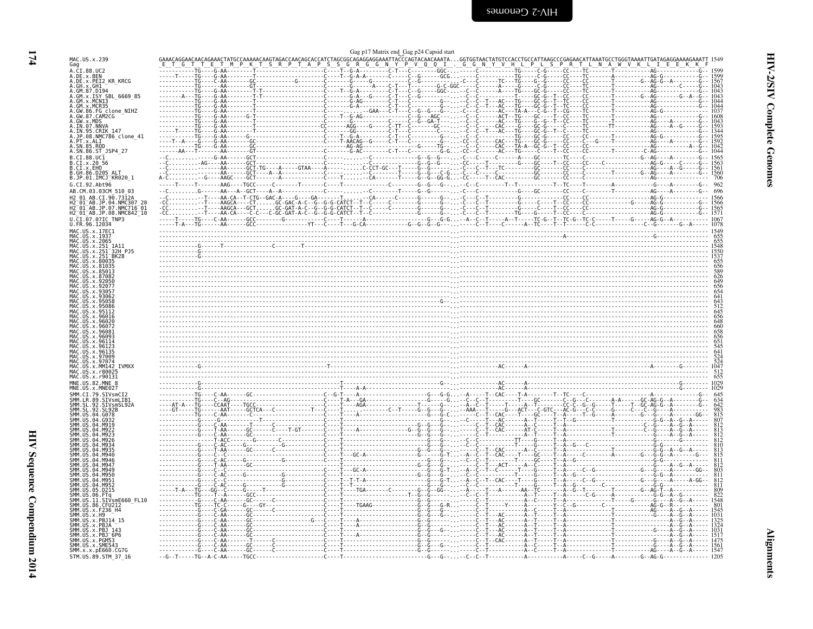| ×<br>× |
|--------|
|        |

<span id="page-15-0"></span>

|                                                                                      | Gag p17 Matrix end Gag p24 Capsid start    |
|--------------------------------------------------------------------------------------|--------------------------------------------|
| MAC.US.x.239<br>Gag                                                                  |                                            |
| A.CI.88.UC2<br>A.DE.x.BEN<br>A.DE.x.PEI2_KR_KRCG                                     |                                            |
| A.GH.X.GH1-<br>A.GM.87.D194                                                          |                                            |
| A.GM.x.ISY SBL 6669 85<br>A.GM.x.MCN13                                               |                                            |
| 86.FG clone NIHZ                                                                     |                                            |
| .GW.87.CAM2CG                                                                        |                                            |
| A.GW.x.MDS<br>A.IN.07.NNVA<br>A.IN.95.CRIK.147                                       |                                            |
| A.JP.08.NMC786_clone_41<br>A.PT.X.ALI                                                |                                            |
| .SN.85.ROD<br>A.SN.86.ST_JSP4_27                                                     |                                            |
| B.CI.88.UC1<br>B.CI.x.20 56                                                          |                                            |
| B.CI.x.EHO<br>B.GH.86.D205 ALT                                                       |                                            |
| B.JP.01.IMCJ_KR020_1<br>G.CI.92.Ah <sub>t</sub> 96                                   |                                            |
| AB.CM.03.03CM 510 03<br>H2 01 AB.CI.90.7312A                                         |                                            |
| 01 AB.JP.04.NMC307 20<br>2 01 AB.JP.07.NMC716 01                                     |                                            |
| H2 <sup>-</sup> 01 <sup>-</sup> AB.JP.08.NMC842 <sup>-</sup> 10<br>U.CI.07.07IC TNP3 |                                            |
| U.FR.96.12034<br>MAC.US.x.17EC1                                                      |                                            |
| MAC. US. x. 1937<br>MAC.US.x.2065                                                    |                                            |
| 32H P15                                                                              |                                            |
| BK28                                                                                 |                                            |
|                                                                                      |                                            |
|                                                                                      |                                            |
|                                                                                      |                                            |
|                                                                                      |                                            |
|                                                                                      |                                            |
|                                                                                      |                                            |
| 96114                                                                                |                                            |
|                                                                                      |                                            |
|                                                                                      |                                            |
|                                                                                      |                                            |
| MAC.US.<br>82 MNF 8                                                                  |                                            |
| 79.SIVsmCI                                                                           |                                            |
| SIVsmLIB1<br>.SIVsmSL92A                                                             |                                            |
| -92                                                                                  |                                            |
|                                                                                      |                                            |
|                                                                                      |                                            |
|                                                                                      |                                            |
|                                                                                      |                                            |
|                                                                                      |                                            |
|                                                                                      |                                            |
|                                                                                      |                                            |
| SIVsmE660 FL10                                                                       |                                            |
| SMM.US.<br>.x.F236 H4<br>SMM.US                                                      |                                            |
| PB114 15                                                                             |                                            |
| x.PBJ 143<br>.x.PBJ 6P6                                                              |                                            |
| SMM.US.x.SME543                                                                      |                                            |
| SMM.x.x.pE660.CG7G<br>STM.US.89.STM 37 16                                            | $-6 - 7 - 1 - 16 - 4 - 6 - 8 - 6 - 8 - 16$ |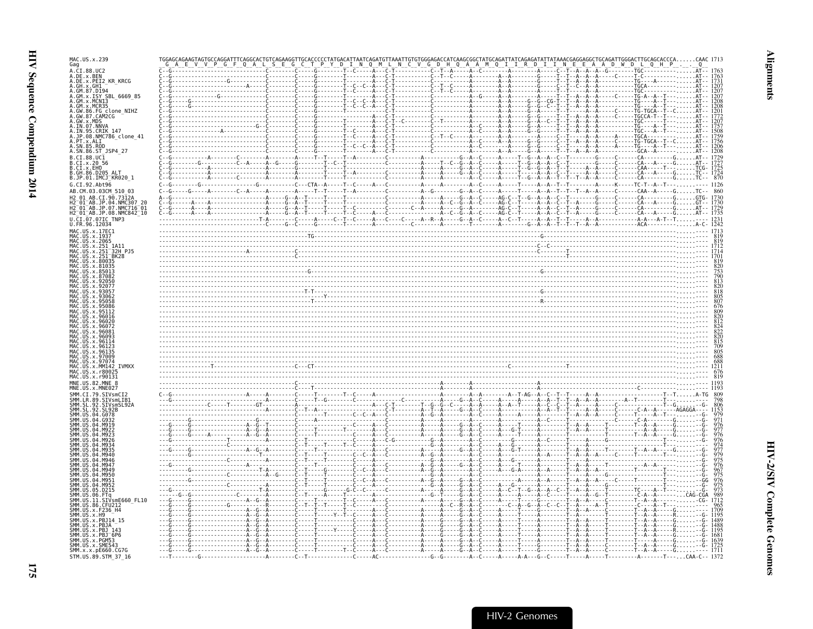| MAC.US.x.239<br>Gag                                                              |                                                                                                                                                                                                                                                                                                                                                                                          |  |
|----------------------------------------------------------------------------------|------------------------------------------------------------------------------------------------------------------------------------------------------------------------------------------------------------------------------------------------------------------------------------------------------------------------------------------------------------------------------------------|--|
| A.CI.88.UC2<br>A.DE.x.BEN                                                        |                                                                                                                                                                                                                                                                                                                                                                                          |  |
| A.DE.x.PEI2_KR_KRCG                                                              |                                                                                                                                                                                                                                                                                                                                                                                          |  |
| A.GH. x.GH1<br>A.GM. 87.D194<br>A.GM. x. ISY SBL_6669_85<br>A.GM. x.MCN13        |                                                                                                                                                                                                                                                                                                                                                                                          |  |
| GM.x.MCR35                                                                       |                                                                                                                                                                                                                                                                                                                                                                                          |  |
| .FG_clone_NIHZ<br>.GW.87.CAM2CG                                                  |                                                                                                                                                                                                                                                                                                                                                                                          |  |
| $.GW \times MDS$<br>IN.07.NNVA                                                   |                                                                                                                                                                                                                                                                                                                                                                                          |  |
| .IN.95.CRIK 147<br>JP.08.NMC786_clone_41                                         |                                                                                                                                                                                                                                                                                                                                                                                          |  |
| PT.x.ALI                                                                         |                                                                                                                                                                                                                                                                                                                                                                                          |  |
| A.SN.86.ST JSP4 27                                                               |                                                                                                                                                                                                                                                                                                                                                                                          |  |
| B.CI.88.UC1<br>B.CI.x.20 56                                                      |                                                                                                                                                                                                                                                                                                                                                                                          |  |
| B.CI.x.EHO<br>B.GH.86.D205_ALT                                                   |                                                                                                                                                                                                                                                                                                                                                                                          |  |
| B.JP.01.IMCJ <sup>-</sup> KR020 1<br>G.CI.92.Abt96                               |                                                                                                                                                                                                                                                                                                                                                                                          |  |
| AB.CM.03.03CM 510 03<br>AR CT 90.73124                                           | $-A$ - - - - - G - - A - - C - - - - - AG - C - - T - - G - - A - - A - - C - - T - - - - - - -                                                                                                                                                                                                                                                                                          |  |
|                                                                                  |                                                                                                                                                                                                                                                                                                                                                                                          |  |
| H2-01-AB.JP.04.NMC307 20<br>H2-01-AB.JP.07.NMC716-01<br>H2-01-AB.JP.08.NMC842-10 |                                                                                                                                                                                                                                                                                                                                                                                          |  |
| U.CI.07.07IC TNP3<br>U.FR.96.12034                                               |                                                                                                                                                                                                                                                                                                                                                                                          |  |
| MAC.US.x.17EC1                                                                   |                                                                                                                                                                                                                                                                                                                                                                                          |  |
| MAC.US.x.2065<br>MAC.US.x.251                                                    |                                                                                                                                                                                                                                                                                                                                                                                          |  |
|                                                                                  |                                                                                                                                                                                                                                                                                                                                                                                          |  |
|                                                                                  |                                                                                                                                                                                                                                                                                                                                                                                          |  |
|                                                                                  |                                                                                                                                                                                                                                                                                                                                                                                          |  |
|                                                                                  |                                                                                                                                                                                                                                                                                                                                                                                          |  |
|                                                                                  |                                                                                                                                                                                                                                                                                                                                                                                          |  |
|                                                                                  |                                                                                                                                                                                                                                                                                                                                                                                          |  |
|                                                                                  |                                                                                                                                                                                                                                                                                                                                                                                          |  |
|                                                                                  |                                                                                                                                                                                                                                                                                                                                                                                          |  |
|                                                                                  |                                                                                                                                                                                                                                                                                                                                                                                          |  |
|                                                                                  |                                                                                                                                                                                                                                                                                                                                                                                          |  |
|                                                                                  |                                                                                                                                                                                                                                                                                                                                                                                          |  |
|                                                                                  |                                                                                                                                                                                                                                                                                                                                                                                          |  |
|                                                                                  |                                                                                                                                                                                                                                                                                                                                                                                          |  |
| MNE.US                                                                           |                                                                                                                                                                                                                                                                                                                                                                                          |  |
| SIVsmLIB1                                                                        |                                                                                                                                                                                                                                                                                                                                                                                          |  |
| SMM. ŠL<br>92. SL92B                                                             | $\begin{minipage}[t]{.15\textwidth} \begin{tabular}{ c c c c c c } \hline \textbf{0.1} & \textbf{0.1} & \textbf{0.1} & \textbf{0.1} & \textbf{0.1} & \textbf{0.1} & \textbf{0.1} & \textbf{0.1} & \textbf{0.1} & \textbf{0.1} & \textbf{0.1} & \textbf{0.1} & \textbf{0.1} & \textbf{0.1} & \textbf{0.1} & \textbf{0.1} & \textbf{0.1} & \textbf{0.1} & \textbf{0.1} & \textbf{0.1} & \$ |  |
|                                                                                  |                                                                                                                                                                                                                                                                                                                                                                                          |  |
|                                                                                  |                                                                                                                                                                                                                                                                                                                                                                                          |  |
|                                                                                  |                                                                                                                                                                                                                                                                                                                                                                                          |  |
|                                                                                  |                                                                                                                                                                                                                                                                                                                                                                                          |  |
|                                                                                  |                                                                                                                                                                                                                                                                                                                                                                                          |  |
|                                                                                  | . č <del>.</del> č                                                                                                                                                                                                                                                                                                                                                                       |  |
|                                                                                  | . <b>.</b>                                                                                                                                                                                                                                                                                                                                                                               |  |
|                                                                                  |                                                                                                                                                                                                                                                                                                                                                                                          |  |
| /smE660 FL10                                                                     |                                                                                                                                                                                                                                                                                                                                                                                          |  |
|                                                                                  |                                                                                                                                                                                                                                                                                                                                                                                          |  |
|                                                                                  |                                                                                                                                                                                                                                                                                                                                                                                          |  |
| x.PB.1                                                                           |                                                                                                                                                                                                                                                                                                                                                                                          |  |
| SMM.US.x.PBJ 6P6<br>SMM. US. x. PGM53                                            |                                                                                                                                                                                                                                                                                                                                                                                          |  |
| SMM.US.x.SME543<br>SMM.x.x.pE660.CG7G                                            |                                                                                                                                                                                                                                                                                                                                                                                          |  |
| STM.US.89.STM 37 16                                                              | - - - - A - A - - - G - - C - - - - - T -<br>$-T--$ CAA-C-- 1372                                                                                                                                                                                                                                                                                                                         |  |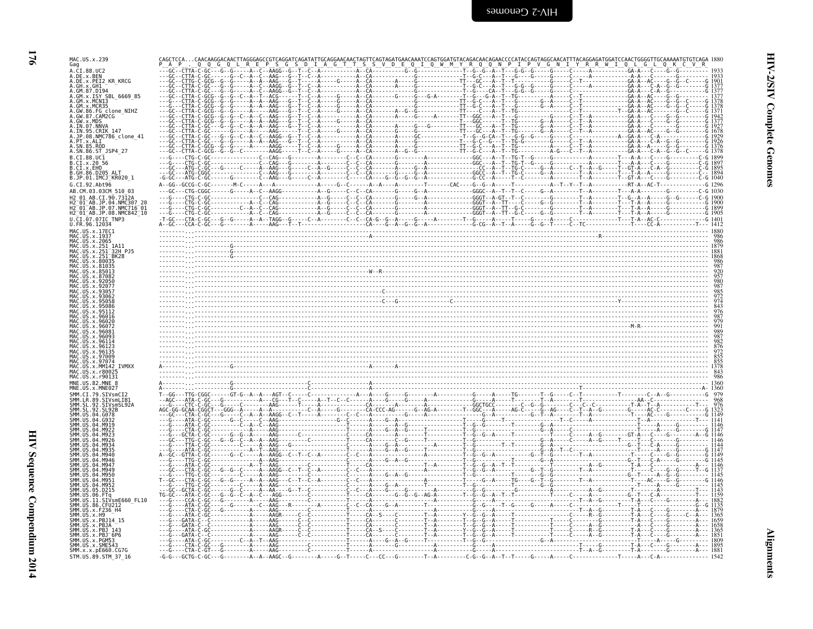| ſ |  |
|---|--|
|   |  |
| п |  |
|   |  |

| MAC.US.x.239                                                                                      |  |
|---------------------------------------------------------------------------------------------------|--|
| Gag<br>A.CI.88.UC2                                                                                |  |
| A.DE.x.BEN<br>A.DE.x.PEI2 KR KRCG                                                                 |  |
| .GH.x.GH1 <sup>-</sup><br>.GM.87.D194                                                             |  |
| GM.x.ISY SBL 6669 85<br>GM.x.MCN13                                                                |  |
| GM.x.MCR35<br>GW.86.FG clone NIHZ                                                                 |  |
| GW.87.CAM2CG                                                                                      |  |
| IN.95.CRIK 147                                                                                    |  |
| JP.08.NMC786_clone_41<br>PT.x.ALI<br>SN.85.ROD                                                    |  |
| A.SN.86.ST_JSP4 27                                                                                |  |
| B.CI.88.UC1<br>CI.x.2056                                                                          |  |
| CI.X.EHO                                                                                          |  |
| 3.JP.01.IMCJ <sup>-</sup> KR020 1<br>G.CI.92.Abt96                                                |  |
| AB.CM.03.03CM 510 03                                                                              |  |
| 01 AB CT 90 73124<br>01 AB.JP.04.NMC307                                                           |  |
| $\overline{0}\overline{1}$ AB.JP.07.NMC716 $\overline{0}\overline{1}$<br>H2_01_AB.JP.08.NMC842_10 |  |
| U.FR.96.12034                                                                                     |  |
| MAC.US.x.17EC1                                                                                    |  |
|                                                                                                   |  |
| .251 <sup>-</sup> 32H PJ5                                                                         |  |
|                                                                                                   |  |
|                                                                                                   |  |
|                                                                                                   |  |
|                                                                                                   |  |
|                                                                                                   |  |
|                                                                                                   |  |
|                                                                                                   |  |
|                                                                                                   |  |
|                                                                                                   |  |
|                                                                                                   |  |
|                                                                                                   |  |
|                                                                                                   |  |
|                                                                                                   |  |
|                                                                                                   |  |
|                                                                                                   |  |
|                                                                                                   |  |
|                                                                                                   |  |
|                                                                                                   |  |
|                                                                                                   |  |
|                                                                                                   |  |
|                                                                                                   |  |
|                                                                                                   |  |
|                                                                                                   |  |
|                                                                                                   |  |
| SIVsmE660 FL10                                                                                    |  |
|                                                                                                   |  |
| PBJ14 15.                                                                                         |  |
|                                                                                                   |  |
| PR1 <sup>-</sup> 6P6                                                                              |  |
| SMM.x.x.pE660.CG7G<br>STM.US.89.STM_37_16                                                         |  |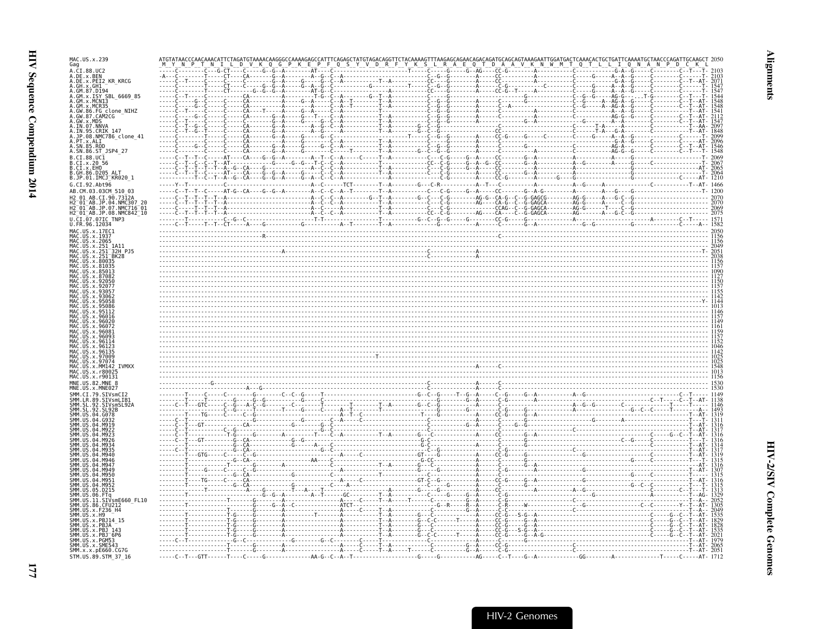| MAC.US.x.239                                                                                |  |  |  |
|---------------------------------------------------------------------------------------------|--|--|--|
| Gag<br>A.CI.88.UC2                                                                          |  |  |  |
| A.DE.x.BEN<br>A.DE.x.PEI2 KR KRCG                                                           |  |  |  |
|                                                                                             |  |  |  |
| SBL 6669 85                                                                                 |  |  |  |
|                                                                                             |  |  |  |
| FG clone NIHZ<br>87.CAM2CG                                                                  |  |  |  |
| A.IN.07.NNV                                                                                 |  |  |  |
| 95.CRIK 147                                                                                 |  |  |  |
| JP.08.NMC786 clone 41                                                                       |  |  |  |
| A.SN.85.ROD<br>A.SN.86.ST JSP4 27                                                           |  |  |  |
| B.CI.88.UC1                                                                                 |  |  |  |
| B.CI.x.20 56<br>B.CI.X.EHO                                                                  |  |  |  |
| B.GH.86.D205 ALT<br>B.JP.01.IMCJ_KR020 1                                                    |  |  |  |
| G.CI.92.Abt96                                                                               |  |  |  |
| AB.CM.03.03CM 510 03                                                                        |  |  |  |
|                                                                                             |  |  |  |
| I2 <sup>−</sup> 01 <sup>−</sup> AB.JP.07.NMC716 <sup>−</sup> 01<br>H2_01_AB.JP.08.NMC842_l0 |  |  |  |
|                                                                                             |  |  |  |
|                                                                                             |  |  |  |
|                                                                                             |  |  |  |
|                                                                                             |  |  |  |
| 32H PJ5                                                                                     |  |  |  |
|                                                                                             |  |  |  |
|                                                                                             |  |  |  |
|                                                                                             |  |  |  |
|                                                                                             |  |  |  |
|                                                                                             |  |  |  |
|                                                                                             |  |  |  |
|                                                                                             |  |  |  |
|                                                                                             |  |  |  |
|                                                                                             |  |  |  |
|                                                                                             |  |  |  |
|                                                                                             |  |  |  |
|                                                                                             |  |  |  |
|                                                                                             |  |  |  |
|                                                                                             |  |  |  |
|                                                                                             |  |  |  |
|                                                                                             |  |  |  |
|                                                                                             |  |  |  |
|                                                                                             |  |  |  |
|                                                                                             |  |  |  |
|                                                                                             |  |  |  |
|                                                                                             |  |  |  |
|                                                                                             |  |  |  |
|                                                                                             |  |  |  |
|                                                                                             |  |  |  |
|                                                                                             |  |  |  |
|                                                                                             |  |  |  |
|                                                                                             |  |  |  |
| SIVsmE660 FL10                                                                              |  |  |  |
|                                                                                             |  |  |  |
|                                                                                             |  |  |  |
|                                                                                             |  |  |  |
|                                                                                             |  |  |  |
| SMM.US.x.SME543                                                                             |  |  |  |
| SMM.x.x.pE660.CG7G                                                                          |  |  |  |
| STM.US.89.STM 37 16                                                                         |  |  |  |

**Alignments**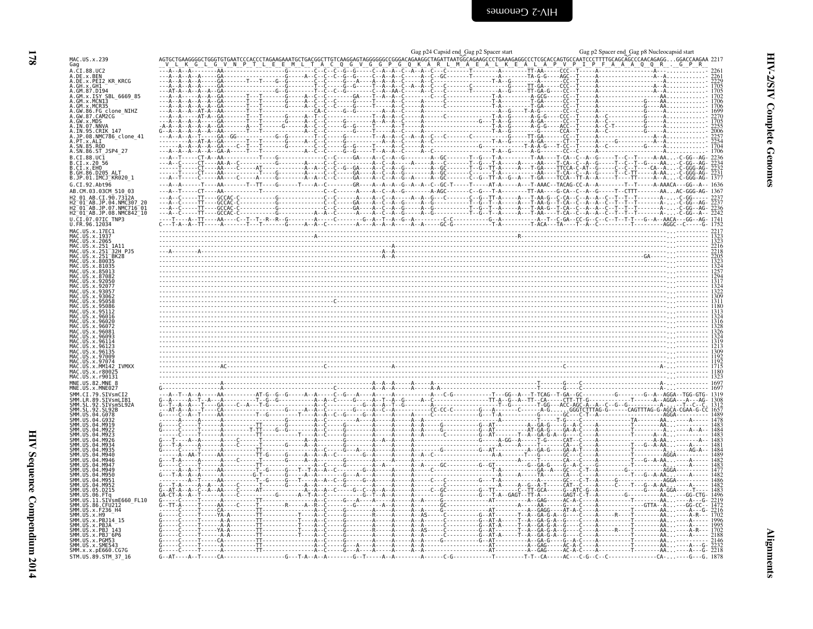**178** 

<span id="page-19-0"></span>

|                                                                                                       | Gag p24 Capsid end Gag p2 Spacer start                                                                                                                                                                                                                                                                                                                                                                                              | Gag p2 Spacer end Gag p8 Nucleocapsid start |
|-------------------------------------------------------------------------------------------------------|-------------------------------------------------------------------------------------------------------------------------------------------------------------------------------------------------------------------------------------------------------------------------------------------------------------------------------------------------------------------------------------------------------------------------------------|---------------------------------------------|
| MAC.US.x.239<br>Gag                                                                                   |                                                                                                                                                                                                                                                                                                                                                                                                                                     |                                             |
| A.CI.88.UC2<br>A.DE.x.BEN<br>A.DE.x.PEI2_KR_KRCG                                                      | $\begin{bmatrix} \mathbf{a}_1 & \mathbf{a}_2 & \mathbf{a}_3 & \mathbf{a}_4 & \mathbf{a}_5 & \mathbf{a}_6 & \mathbf{a}_7 & \mathbf{a}_8 & \mathbf{a}_9 & \mathbf{a}_9 & \mathbf{a}_9 & \mathbf{a}_9 & \mathbf{a}_9 & \mathbf{a}_9 & \mathbf{a}_9 & \mathbf{a}_9 & \mathbf{a}_9 & \mathbf{a}_9 & \mathbf{a}_9 & \mathbf{a}_9 & \mathbf{a}_9 & \mathbf{a}_9 & \mathbf{a}_9 & \mathbf{a}_9 & \mathbf{a}_9 & \mathbf{a}_9 & \mathbf{a}_$ |                                             |
| A.GH.X.GH1 <sup>-</sup><br>A.GM.87.D194                                                               |                                                                                                                                                                                                                                                                                                                                                                                                                                     |                                             |
| A.GM.x.ISY SBL 6669 85<br>A.GM.x.MCNI3                                                                |                                                                                                                                                                                                                                                                                                                                                                                                                                     |                                             |
| A.GM.x.MCR35<br>A.GW.86.FG_clone_NIHZ<br>A.GW.87.CAM2CG                                               |                                                                                                                                                                                                                                                                                                                                                                                                                                     |                                             |
| A.GW.x.MDS<br>A.IN.07.NNVA                                                                            |                                                                                                                                                                                                                                                                                                                                                                                                                                     |                                             |
| A.IN.95.CRIK 147<br>A.JP.08.NMC786_clone_41                                                           |                                                                                                                                                                                                                                                                                                                                                                                                                                     |                                             |
| A.PT.x.ALI<br>SN.85.ROD<br>A.SN.86.ST_JSP4_27                                                         |                                                                                                                                                                                                                                                                                                                                                                                                                                     |                                             |
| B.CI.88.UC1<br>B.CT.x.20                                                                              |                                                                                                                                                                                                                                                                                                                                                                                                                                     |                                             |
| B.CI.x.EHO<br>B.GH.86.D205 ALT                                                                        |                                                                                                                                                                                                                                                                                                                                                                                                                                     |                                             |
| B.JP.01.IMCJ <sup>-</sup> KR020 1<br>G.CI.92.Ah <sub>t</sub> 96                                       | -----T----AA-------T--TT----G------T----A--C---------GR----A--A--A--G--A--A--G--A--A--C--GC-T-----T----AT-A-----AT-A---T-AAAC--TACAG-CC-A--A-------T--T-------A-AAACA---GG--A-- 1636                                                                                                                                                                                                                                                |                                             |
| AB.CM.03.03CM 510 03                                                                                  |                                                                                                                                                                                                                                                                                                                                                                                                                                     |                                             |
| AB.JP.04.NMC307"<br>$01^-$ AB.JP.07<br>NMC716 <sup>-</sup> 01.                                        |                                                                                                                                                                                                                                                                                                                                                                                                                                     |                                             |
| H2 <sup>-</sup> 01 <sup>-</sup> AB.JP.08.NMC842 <sup>-</sup> 10<br>U.CI.07.07IC TNP3<br>U.FR.96.12034 |                                                                                                                                                                                                                                                                                                                                                                                                                                     |                                             |
| MAC.US.x.17EC1<br>MAC.US.x.1937                                                                       |                                                                                                                                                                                                                                                                                                                                                                                                                                     |                                             |
| 1.05.x.2065                                                                                           |                                                                                                                                                                                                                                                                                                                                                                                                                                     |                                             |
| .US.x.251 <sup>-</sup> 32H PJ5<br>US.x.251 <sup>-</sup> BK28<br>US x 80035                            |                                                                                                                                                                                                                                                                                                                                                                                                                                     |                                             |
|                                                                                                       |                                                                                                                                                                                                                                                                                                                                                                                                                                     |                                             |
|                                                                                                       |                                                                                                                                                                                                                                                                                                                                                                                                                                     |                                             |
|                                                                                                       |                                                                                                                                                                                                                                                                                                                                                                                                                                     |                                             |
|                                                                                                       |                                                                                                                                                                                                                                                                                                                                                                                                                                     |                                             |
|                                                                                                       |                                                                                                                                                                                                                                                                                                                                                                                                                                     |                                             |
|                                                                                                       |                                                                                                                                                                                                                                                                                                                                                                                                                                     |                                             |
|                                                                                                       |                                                                                                                                                                                                                                                                                                                                                                                                                                     |                                             |
|                                                                                                       |                                                                                                                                                                                                                                                                                                                                                                                                                                     |                                             |
| <b>TVMXX</b>                                                                                          |                                                                                                                                                                                                                                                                                                                                                                                                                                     |                                             |
| x r800<br>MAC.US.x.r90131                                                                             |                                                                                                                                                                                                                                                                                                                                                                                                                                     |                                             |
| MNE.US.82.MNE                                                                                         |                                                                                                                                                                                                                                                                                                                                                                                                                                     |                                             |
|                                                                                                       |                                                                                                                                                                                                                                                                                                                                                                                                                                     |                                             |
|                                                                                                       |                                                                                                                                                                                                                                                                                                                                                                                                                                     |                                             |
|                                                                                                       |                                                                                                                                                                                                                                                                                                                                                                                                                                     |                                             |
|                                                                                                       |                                                                                                                                                                                                                                                                                                                                                                                                                                     |                                             |
|                                                                                                       |                                                                                                                                                                                                                                                                                                                                                                                                                                     |                                             |
|                                                                                                       |                                                                                                                                                                                                                                                                                                                                                                                                                                     |                                             |
|                                                                                                       |                                                                                                                                                                                                                                                                                                                                                                                                                                     |                                             |
| M952<br>D215                                                                                          |                                                                                                                                                                                                                                                                                                                                                                                                                                     |                                             |
| SIVsmE660 FL10                                                                                        |                                                                                                                                                                                                                                                                                                                                                                                                                                     |                                             |
| SMM.US.86.CFU212<br>SMM.US.x.H9                                                                       |                                                                                                                                                                                                                                                                                                                                                                                                                                     |                                             |
| SMM.US.x.PBJ14 15<br>SMM US x PR1A                                                                    |                                                                                                                                                                                                                                                                                                                                                                                                                                     |                                             |
| SMM.US.x.PBJ 143<br>SMM.US.x.PBJ <sup>-</sup> 6P6<br>SMM.US.x.PGM53                                   |                                                                                                                                                                                                                                                                                                                                                                                                                                     |                                             |
| SMM.US.x.SME54<br>SMM.x.x.pE660.CG7G                                                                  |                                                                                                                                                                                                                                                                                                                                                                                                                                     |                                             |
| STM.US.89.STM 37 16                                                                                   |                                                                                                                                                                                                                                                                                                                                                                                                                                     |                                             |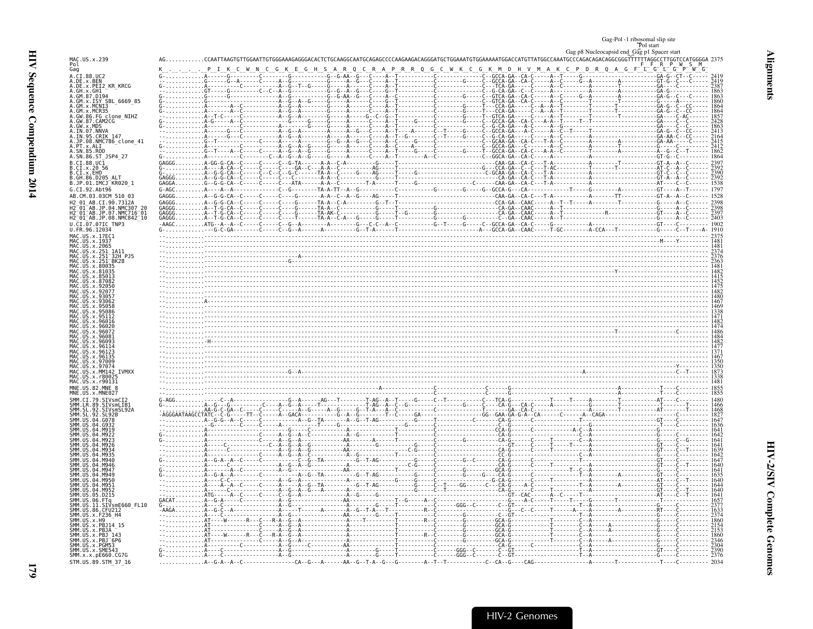<span id="page-20-0"></span>

| Gag-Pol -1 ribosomal slip site<br>Pol start |
|---------------------------------------------|
|                                             |
| Gag p8 Nucleocapsid end Gag p1 Spacer start |

| F                       |
|-------------------------|
| ì                       |
| í<br>ì<br>í             |
|                         |
| J<br>$\frac{1}{2}$<br>ľ |
| ĵ                       |
| č                       |

| MAC.US.x.239<br>Pol                                                                               |                              |                                |     |         |                                                                  |                 |      |                                   |                                                                                                                                                                                                                                                                                                                                                                                                                                      |                |  |
|---------------------------------------------------------------------------------------------------|------------------------------|--------------------------------|-----|---------|------------------------------------------------------------------|-----------------|------|-----------------------------------|--------------------------------------------------------------------------------------------------------------------------------------------------------------------------------------------------------------------------------------------------------------------------------------------------------------------------------------------------------------------------------------------------------------------------------------|----------------|--|
| Gag                                                                                               |                              |                                | G K | S A R Q | R.                                                               | A P R R Q G C W | GK M | D                                 | D R O A G F                                                                                                                                                                                                                                                                                                                                                                                                                          | $\mathsf{G}^-$ |  |
| A.CI.88.UC2                                                                                       |                              |                                |     |         |                                                                  |                 |      | -------------C--GCCA-GA--CA-C---- |                                                                                                                                                                                                                                                                                                                                                                                                                                      |                |  |
| A.DE.x.BEN<br>A.DE.x.PEI2_KR_KRCG                                                                 |                              |                                |     |         |                                                                  |                 |      |                                   |                                                                                                                                                                                                                                                                                                                                                                                                                                      |                |  |
| A.GH.X.GH1-<br>A.GM.87.D194                                                                       |                              |                                |     |         |                                                                  |                 |      |                                   | $G - A - - - - - - A - - - - - - - - - -$<br>.                                                                                                                                                                                                                                                                                                                                                                                       |                |  |
| A.GM.x.ISY SBL 6669 85<br>A.GM.x.MCNI3                                                            |                              |                                |     |         | $6 - - - A - - - - - C - - - G - - 1$<br>G-----A------C----A---1 |                 |      |                                   |                                                                                                                                                                                                                                                                                                                                                                                                                                      |                |  |
| A.GM.x.MCR35<br>A.GW.86.FG clone NIHZ                                                             |                              |                                |     |         |                                                                  |                 |      | $-GA - - - - C$                   |                                                                                                                                                                                                                                                                                                                                                                                                                                      |                |  |
| A.GW.87.CAM2CG                                                                                    |                              |                                |     |         |                                                                  |                 |      |                                   |                                                                                                                                                                                                                                                                                                                                                                                                                                      |                |  |
|                                                                                                   |                              |                                |     |         |                                                                  |                 |      |                                   |                                                                                                                                                                                                                                                                                                                                                                                                                                      |                |  |
|                                                                                                   |                              |                                |     |         |                                                                  |                 |      |                                   |                                                                                                                                                                                                                                                                                                                                                                                                                                      |                |  |
| A.GW.X.MD5<br>A.IN.07.NNVA<br>A.IN.07.NNVA<br>A.JP.08.NMC786_clone_41<br>A.PT.X.ALI<br>A.PT.X.ALI |                              |                                |     |         |                                                                  |                 |      |                                   |                                                                                                                                                                                                                                                                                                                                                                                                                                      |                |  |
| A.SN.85.ROD<br>A.SN.86.ST_JSP4_27                                                                 |                              |                                |     |         |                                                                  |                 |      |                                   |                                                                                                                                                                                                                                                                                                                                                                                                                                      |                |  |
| B.CI.88.UC1                                                                                       |                              |                                |     |         |                                                                  |                 |      |                                   |                                                                                                                                                                                                                                                                                                                                                                                                                                      |                |  |
| B.CI.x.20 56<br>B.CI.x.EHO                                                                        |                              | $A - - -A - CA - -C$           |     |         |                                                                  |                 |      |                                   |                                                                                                                                                                                                                                                                                                                                                                                                                                      |                |  |
| GH.86.D205<br>B.JP.01.IMCJ <sup>-</sup> KR020 1                                                   |                              |                                |     |         |                                                                  |                 |      |                                   |                                                                                                                                                                                                                                                                                                                                                                                                                                      |                |  |
| G.CI.92.Abt96                                                                                     | $G-AGC$ $A--$                |                                |     |         |                                                                  |                 |      |                                   |                                                                                                                                                                                                                                                                                                                                                                                                                                      |                |  |
| AB.CM.03.03CM 510 03                                                                              | $GAGGG$ $A - G - G - CA - C$ |                                |     |         |                                                                  |                 |      |                                   |                                                                                                                                                                                                                                                                                                                                                                                                                                      |                |  |
| CT 90.73124                                                                                       |                              | $$ A - - G - G - CA -          |     |         |                                                                  |                 |      |                                   |                                                                                                                                                                                                                                                                                                                                                                                                                                      |                |  |
| .07<br>$. NMC716^-01$                                                                             |                              |                                |     |         |                                                                  |                 |      |                                   |                                                                                                                                                                                                                                                                                                                                                                                                                                      |                |  |
| H2_01_AB.JP.08.NMČ842_10<br>J.CI.07.<br>.07IC TNP3                                                |                              |                                |     |         |                                                                  |                 |      |                                   |                                                                                                                                                                                                                                                                                                                                                                                                                                      |                |  |
|                                                                                                   |                              |                                |     |         |                                                                  |                 |      |                                   |                                                                                                                                                                                                                                                                                                                                                                                                                                      |                |  |
|                                                                                                   |                              |                                |     |         |                                                                  |                 |      |                                   |                                                                                                                                                                                                                                                                                                                                                                                                                                      |                |  |
|                                                                                                   |                              |                                |     |         |                                                                  |                 |      |                                   |                                                                                                                                                                                                                                                                                                                                                                                                                                      |                |  |
| 32H P.15                                                                                          |                              |                                |     |         |                                                                  |                 |      |                                   |                                                                                                                                                                                                                                                                                                                                                                                                                                      |                |  |
|                                                                                                   |                              |                                |     |         |                                                                  |                 |      |                                   |                                                                                                                                                                                                                                                                                                                                                                                                                                      |                |  |
|                                                                                                   |                              |                                |     |         |                                                                  |                 |      |                                   |                                                                                                                                                                                                                                                                                                                                                                                                                                      |                |  |
|                                                                                                   |                              |                                |     |         |                                                                  |                 |      |                                   |                                                                                                                                                                                                                                                                                                                                                                                                                                      |                |  |
|                                                                                                   |                              |                                |     |         |                                                                  |                 |      |                                   |                                                                                                                                                                                                                                                                                                                                                                                                                                      |                |  |
|                                                                                                   |                              |                                |     |         |                                                                  |                 |      |                                   |                                                                                                                                                                                                                                                                                                                                                                                                                                      |                |  |
|                                                                                                   |                              |                                |     |         |                                                                  |                 |      |                                   |                                                                                                                                                                                                                                                                                                                                                                                                                                      |                |  |
|                                                                                                   |                              |                                |     |         |                                                                  |                 |      |                                   |                                                                                                                                                                                                                                                                                                                                                                                                                                      |                |  |
|                                                                                                   |                              |                                |     |         |                                                                  |                 |      |                                   |                                                                                                                                                                                                                                                                                                                                                                                                                                      |                |  |
|                                                                                                   |                              |                                |     |         |                                                                  |                 |      |                                   |                                                                                                                                                                                                                                                                                                                                                                                                                                      |                |  |
|                                                                                                   |                              |                                |     |         |                                                                  |                 |      |                                   |                                                                                                                                                                                                                                                                                                                                                                                                                                      |                |  |
|                                                                                                   |                              |                                |     |         |                                                                  |                 |      |                                   |                                                                                                                                                                                                                                                                                                                                                                                                                                      |                |  |
|                                                                                                   |                              |                                |     |         |                                                                  |                 |      |                                   |                                                                                                                                                                                                                                                                                                                                                                                                                                      |                |  |
| <b>IVMXX</b>                                                                                      |                              |                                |     |         |                                                                  |                 |      |                                   |                                                                                                                                                                                                                                                                                                                                                                                                                                      |                |  |
|                                                                                                   |                              |                                |     |         |                                                                  |                 |      |                                   |                                                                                                                                                                                                                                                                                                                                                                                                                                      |                |  |
| IAC.US.X.r90131                                                                                   |                              |                                |     |         |                                                                  |                 |      |                                   |                                                                                                                                                                                                                                                                                                                                                                                                                                      |                |  |
|                                                                                                   |                              |                                |     |         |                                                                  |                 |      |                                   |                                                                                                                                                                                                                                                                                                                                                                                                                                      |                |  |
|                                                                                                   |                              |                                |     |         |                                                                  |                 |      |                                   | $\begin{bmatrix} \begin{matrix} \mathbf{0} & \mathbf{0} & \mathbf{0} & \mathbf{0} & \mathbf{0} & \mathbf{0} & \mathbf{0} & \mathbf{0} & \mathbf{0} & \mathbf{0} & \mathbf{0} & \mathbf{0} & \mathbf{0} & \mathbf{0} & \mathbf{0} & \mathbf{0} & \mathbf{0} & \mathbf{0} & \mathbf{0} & \mathbf{0} & \mathbf{0} & \mathbf{0} & \mathbf{0} & \mathbf{0} & \mathbf{0} & \mathbf{0} & \mathbf{0} & \mathbf{0} & \mathbf{0} & \mathbf{0}$ |                |  |
|                                                                                                   |                              |                                |     |         |                                                                  |                 |      |                                   |                                                                                                                                                                                                                                                                                                                                                                                                                                      |                |  |
|                                                                                                   |                              |                                |     |         |                                                                  |                 |      |                                   |                                                                                                                                                                                                                                                                                                                                                                                                                                      |                |  |
|                                                                                                   |                              |                                |     |         |                                                                  |                 |      |                                   |                                                                                                                                                                                                                                                                                                                                                                                                                                      |                |  |
|                                                                                                   |                              |                                |     |         |                                                                  |                 |      |                                   |                                                                                                                                                                                                                                                                                                                                                                                                                                      |                |  |
|                                                                                                   |                              |                                |     |         |                                                                  |                 |      |                                   |                                                                                                                                                                                                                                                                                                                                                                                                                                      |                |  |
|                                                                                                   |                              |                                |     |         |                                                                  |                 |      |                                   |                                                                                                                                                                                                                                                                                                                                                                                                                                      |                |  |
|                                                                                                   |                              | $A - -G - A - -A - -C - - - -$ |     |         |                                                                  |                 |      |                                   |                                                                                                                                                                                                                                                                                                                                                                                                                                      |                |  |
|                                                                                                   |                              |                                |     |         |                                                                  |                 |      |                                   |                                                                                                                                                                                                                                                                                                                                                                                                                                      |                |  |
|                                                                                                   |                              |                                |     |         |                                                                  |                 |      |                                   |                                                                                                                                                                                                                                                                                                                                                                                                                                      |                |  |
| SMM IIS<br><b>MQ51</b><br><b>MQ52</b>                                                             |                              |                                |     |         |                                                                  |                 |      |                                   |                                                                                                                                                                                                                                                                                                                                                                                                                                      |                |  |
| 05.D215                                                                                           |                              |                                |     |         |                                                                  |                 |      |                                   |                                                                                                                                                                                                                                                                                                                                                                                                                                      |                |  |
| .FTq<br>.SIVsmE660_FL10<br>.CFU212<br>11                                                          |                              |                                |     |         |                                                                  |                 |      |                                   |                                                                                                                                                                                                                                                                                                                                                                                                                                      |                |  |
| .x.F236 H4                                                                                        |                              |                                |     |         |                                                                  |                 |      |                                   |                                                                                                                                                                                                                                                                                                                                                                                                                                      |                |  |
| IIS x PR1                                                                                         |                              |                                |     |         |                                                                  |                 |      |                                   |                                                                                                                                                                                                                                                                                                                                                                                                                                      |                |  |
|                                                                                                   |                              |                                |     |         | $\overline{1}$<br>. 7                                            |                 |      |                                   |                                                                                                                                                                                                                                                                                                                                                                                                                                      |                |  |
|                                                                                                   |                              |                                |     |         |                                                                  |                 |      |                                   |                                                                                                                                                                                                                                                                                                                                                                                                                                      |                |  |
| SMM.US.x.SME543                                                                                   |                              |                                |     |         |                                                                  |                 |      |                                   |                                                                                                                                                                                                                                                                                                                                                                                                                                      |                |  |
| SMM.x.x.pE660.CG7G                                                                                |                              |                                |     |         |                                                                  |                 |      |                                   |                                                                                                                                                                                                                                                                                                                                                                                                                                      |                |  |
| STM.US.89.STM 37 16                                                                               |                              |                                |     |         |                                                                  |                 |      | $-C - CA - G - - - CAG - - - - -$ |                                                                                                                                                                                                                                                                                                                                                                                                                                      |                |  |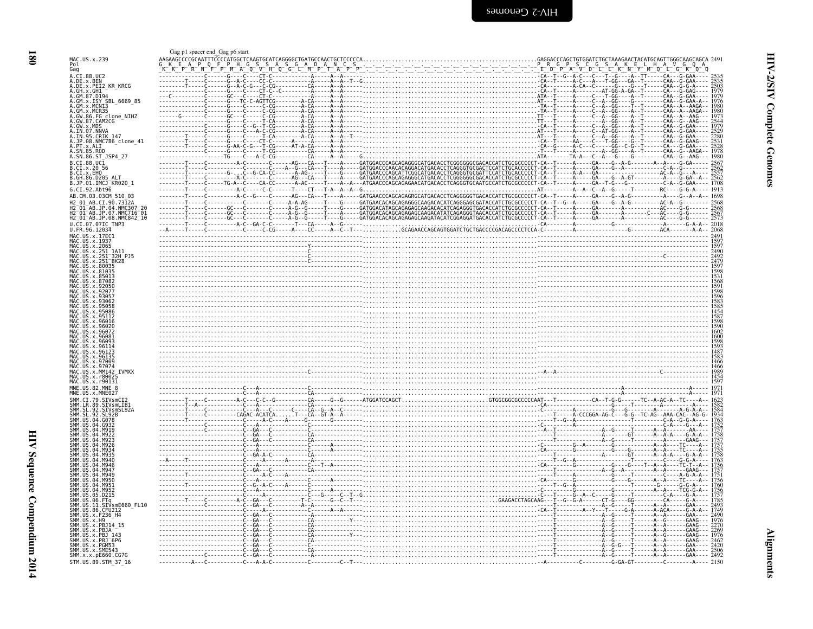<span id="page-21-0"></span>

|                                                                                                                                               |  | GAGGACCCAGCTGTGGATCTGCTAAAGAACTACATGCAGTTGGGCAAGCAGCA 249                                                                                                                                                                                                                                                                                                                                                                        |
|-----------------------------------------------------------------------------------------------------------------------------------------------|--|----------------------------------------------------------------------------------------------------------------------------------------------------------------------------------------------------------------------------------------------------------------------------------------------------------------------------------------------------------------------------------------------------------------------------------|
| MAC.US.x.239<br>Pol<br>Gag                                                                                                                    |  |                                                                                                                                                                                                                                                                                                                                                                                                                                  |
| A.CI.88.UC2                                                                                                                                   |  |                                                                                                                                                                                                                                                                                                                                                                                                                                  |
| A.DE.x.BEN<br>A.DE.x.PEI2_KR_KRCG                                                                                                             |  |                                                                                                                                                                                                                                                                                                                                                                                                                                  |
| A.GH.X.GH1 -<br>A.GM.87.D194                                                                                                                  |  | 1979                                                                                                                                                                                                                                                                                                                                                                                                                             |
|                                                                                                                                               |  | $-G-GAA - -$<br>$CAA - G - GAA - A$                                                                                                                                                                                                                                                                                                                                                                                              |
| A.GM.x.ISY SBL_6669_85<br>A.GM.x.MCN13                                                                                                        |  |                                                                                                                                                                                                                                                                                                                                                                                                                                  |
| .x.MCR35<br>GW.86.FG_clone_NIHZ                                                                                                               |  | - - - A - - T - - - - - - CAA - - A - - AAG -                                                                                                                                                                                                                                                                                                                                                                                    |
| A.GW.87.CAM2CG<br>A.GW.x.MDS<br>A.IN.07.NNVA                                                                                                  |  |                                                                                                                                                                                                                                                                                                                                                                                                                                  |
|                                                                                                                                               |  |                                                                                                                                                                                                                                                                                                                                                                                                                                  |
| A.IN.95.CRIK 147<br>A.JP.08.NMC786_clone_41                                                                                                   |  | $CAA - G - GAA - -$                                                                                                                                                                                                                                                                                                                                                                                                              |
| PT.x.ALI                                                                                                                                      |  |                                                                                                                                                                                                                                                                                                                                                                                                                                  |
| A.SN.85.ROD<br>A.SN.86.ST_JSP4_27                                                                                                             |  |                                                                                                                                                                                                                                                                                                                                                                                                                                  |
| $B.CI.88.UC\bar{1}$                                                                                                                           |  | $\begin{bmatrix} \textbf{0} & \textbf{0} & \textbf{0} & \textbf{0} & \textbf{0} & \textbf{0} & \textbf{0} & \textbf{0} & \textbf{0} & \textbf{0} & \textbf{0} & \textbf{0} & \textbf{0} & \textbf{0} & \textbf{0} & \textbf{0} & \textbf{0} & \textbf{0} & \textbf{0} & \textbf{0} & \textbf{0} & \textbf{0} & \textbf{0} & \textbf{0} & \textbf{0} & \textbf{0} & \textbf{0} & \textbf{0} & \textbf{0} & \textbf{0} & \textbf{$ |
| B.CI.x.20 56<br>B.CI.X.EHO                                                                                                                    |  |                                                                                                                                                                                                                                                                                                                                                                                                                                  |
| .86.D205                                                                                                                                      |  |                                                                                                                                                                                                                                                                                                                                                                                                                                  |
| B.JP.01.IMCJ <sup>-</sup> KR020 1                                                                                                             |  |                                                                                                                                                                                                                                                                                                                                                                                                                                  |
| G.CI.92.Abt96<br>AB.CM.03.03CM 510 03                                                                                                         |  | $-1698$                                                                                                                                                                                                                                                                                                                                                                                                                          |
| AB.CI.90.7312A                                                                                                                                |  |                                                                                                                                                                                                                                                                                                                                                                                                                                  |
| H2 <sup>-</sup> 01 <sup>-</sup> AB.JP.04.NMC307<br>$01^-$ AB.JP.07.NMC716 $^-$ 01 $^{\circ}$                                                  |  |                                                                                                                                                                                                                                                                                                                                                                                                                                  |
| H2 <sup>-</sup> 01 <sup>-</sup> AB.JP.08.NMC842 <sup>-</sup> 10                                                                               |  |                                                                                                                                                                                                                                                                                                                                                                                                                                  |
| U.CI.07.07IC TNP3<br>U.FR.96.12034                                                                                                            |  |                                                                                                                                                                                                                                                                                                                                                                                                                                  |
| MAC.US.x.17EC1                                                                                                                                |  |                                                                                                                                                                                                                                                                                                                                                                                                                                  |
| US.x.1937<br>MAC. US. x. 2065                                                                                                                 |  |                                                                                                                                                                                                                                                                                                                                                                                                                                  |
|                                                                                                                                               |  |                                                                                                                                                                                                                                                                                                                                                                                                                                  |
| 32H PJ5<br>BK28                                                                                                                               |  |                                                                                                                                                                                                                                                                                                                                                                                                                                  |
| x.80035                                                                                                                                       |  |                                                                                                                                                                                                                                                                                                                                                                                                                                  |
|                                                                                                                                               |  |                                                                                                                                                                                                                                                                                                                                                                                                                                  |
|                                                                                                                                               |  |                                                                                                                                                                                                                                                                                                                                                                                                                                  |
|                                                                                                                                               |  |                                                                                                                                                                                                                                                                                                                                                                                                                                  |
|                                                                                                                                               |  |                                                                                                                                                                                                                                                                                                                                                                                                                                  |
|                                                                                                                                               |  |                                                                                                                                                                                                                                                                                                                                                                                                                                  |
|                                                                                                                                               |  |                                                                                                                                                                                                                                                                                                                                                                                                                                  |
|                                                                                                                                               |  |                                                                                                                                                                                                                                                                                                                                                                                                                                  |
|                                                                                                                                               |  |                                                                                                                                                                                                                                                                                                                                                                                                                                  |
|                                                                                                                                               |  |                                                                                                                                                                                                                                                                                                                                                                                                                                  |
|                                                                                                                                               |  |                                                                                                                                                                                                                                                                                                                                                                                                                                  |
|                                                                                                                                               |  |                                                                                                                                                                                                                                                                                                                                                                                                                                  |
|                                                                                                                                               |  |                                                                                                                                                                                                                                                                                                                                                                                                                                  |
| $115 \times 96135$                                                                                                                            |  |                                                                                                                                                                                                                                                                                                                                                                                                                                  |
|                                                                                                                                               |  |                                                                                                                                                                                                                                                                                                                                                                                                                                  |
| MAC.<br>x.MM142<br><b>TVMXX</b><br><b>MAC</b><br>. r8002                                                                                      |  |                                                                                                                                                                                                                                                                                                                                                                                                                                  |
| MAC.US.x.r90131                                                                                                                               |  |                                                                                                                                                                                                                                                                                                                                                                                                                                  |
| MNE.US.82.MNE 8                                                                                                                               |  | $\begin{bmatrix} 1487 \\ 1883 \\ 1868 \\ 1666 \\ 1866 \\ 1890 \\ 1891 \\ 1891 \\ 1891 \\ 1892 \\ 1892 \\ 1893 \\ 1894 \\ 1891 \\ 1891 \\ 1891 \\ 1891 \\ 1891 \\ 1891 \\ 1891 \\ 1892 \\ 1892 \\ 1893 \\ 1891 \\ 1891 \\ 1891 \\ 1891 \\ 1891 \\ 1892 \\ 1893 \\ 1893 \\ 1892 \\ 1893 \\ 1893 \\ 1894 \\ 189$                                                                                                                    |
|                                                                                                                                               |  |                                                                                                                                                                                                                                                                                                                                                                                                                                  |
| 92.SIVsmSL92A                                                                                                                                 |  |                                                                                                                                                                                                                                                                                                                                                                                                                                  |
| Q <sub>0</sub><br>. SL92B                                                                                                                     |  |                                                                                                                                                                                                                                                                                                                                                                                                                                  |
| -04<br>- GO78                                                                                                                                 |  |                                                                                                                                                                                                                                                                                                                                                                                                                                  |
|                                                                                                                                               |  |                                                                                                                                                                                                                                                                                                                                                                                                                                  |
|                                                                                                                                               |  |                                                                                                                                                                                                                                                                                                                                                                                                                                  |
|                                                                                                                                               |  |                                                                                                                                                                                                                                                                                                                                                                                                                                  |
|                                                                                                                                               |  |                                                                                                                                                                                                                                                                                                                                                                                                                                  |
|                                                                                                                                               |  |                                                                                                                                                                                                                                                                                                                                                                                                                                  |
|                                                                                                                                               |  |                                                                                                                                                                                                                                                                                                                                                                                                                                  |
|                                                                                                                                               |  |                                                                                                                                                                                                                                                                                                                                                                                                                                  |
| MQ52                                                                                                                                          |  |                                                                                                                                                                                                                                                                                                                                                                                                                                  |
| 05.D215                                                                                                                                       |  |                                                                                                                                                                                                                                                                                                                                                                                                                                  |
| .06.FTq<br>.11.SIVsmE660 FL10                                                                                                                 |  |                                                                                                                                                                                                                                                                                                                                                                                                                                  |
| US.86.CFU212                                                                                                                                  |  |                                                                                                                                                                                                                                                                                                                                                                                                                                  |
| US.x.F236 H4                                                                                                                                  |  |                                                                                                                                                                                                                                                                                                                                                                                                                                  |
| x.PBJ14 15<br>PB.JA                                                                                                                           |  |                                                                                                                                                                                                                                                                                                                                                                                                                                  |
| PR 1                                                                                                                                          |  |                                                                                                                                                                                                                                                                                                                                                                                                                                  |
|                                                                                                                                               |  |                                                                                                                                                                                                                                                                                                                                                                                                                                  |
| <b>SMM 11S</b><br>SMM.US.<br>SMM.<br>SMM.<br>SMM.<br>SMM.US.x.PBJ <sup>-</sup> 6P6<br>SMM.US.x.PGM53<br>SMM.US.x.SME543<br>SMM.x.x.pE660.CG7G |  | 2492                                                                                                                                                                                                                                                                                                                                                                                                                             |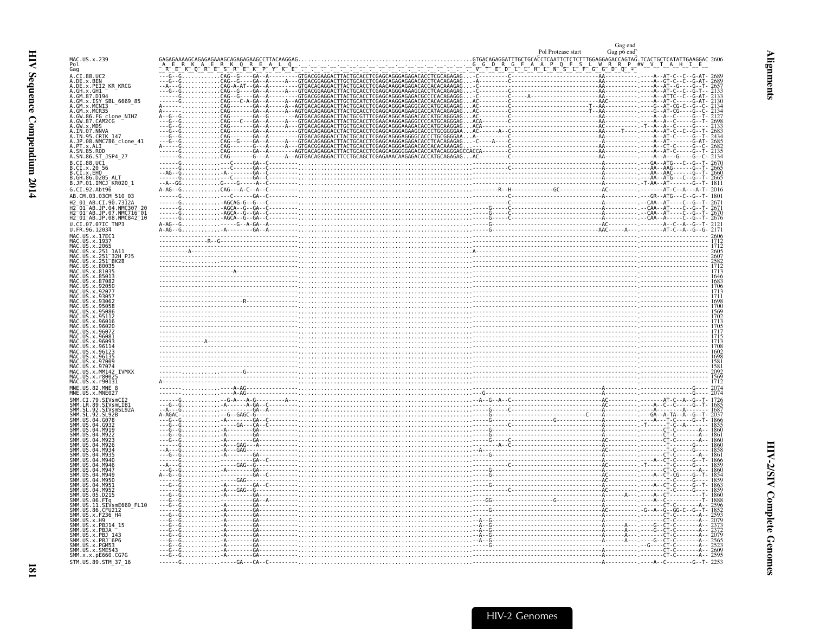<span id="page-22-0"></span>

|                                                                                                                   |  | Gag end<br>Gag p6 end |
|-------------------------------------------------------------------------------------------------------------------|--|-----------------------|
| MAC.US.x.239                                                                                                      |  |                       |
| Gag<br>.CI.88.UC2                                                                                                 |  |                       |
| A.DE.x.BEN<br>A.DE.x.PEI2_KR_KRCG<br>A.GH.x.GH1<br>GM.87.D194                                                     |  |                       |
| GM.x.ISY SBL 6669 85                                                                                              |  |                       |
|                                                                                                                   |  |                       |
| GM.x.151 5BL_6669_8:<br>GM.x.MCN13<br>GM.x.MCR35<br>GW.86.FG_clone_NIHZ<br>GW.87.CAM2CG<br>GW.x.MDS<br>TN.07.NNVA |  |                       |
| IN.95.CRIK 147<br>.JP.08.NMC786 clone 41                                                                          |  |                       |
| . PT. x. ALI<br>. PT. x. ALI<br>. SN. 85. ROD<br>. SN. 86. ST_JSP4_27                                             |  |                       |
| $.CI.88.UC\overline{1}$<br>CL.x.2056<br>.CI.x.EHO                                                                 |  |                       |
| GH.86.D205<br>B<br>B<br>.JP.01.IMČJ_KR020 1                                                                       |  |                       |
| G.CI.92.Abt96<br>AB.CM.03.03CM 510 03                                                                             |  |                       |
| AB.CI.90.7312A<br>H2-01-AB.JP.04.NMC307 20<br>H2-01-AB.JP.07.NMC716-01<br>H2-01-AB.JP.08.NMC842_10                |  |                       |
| CI.07.07IC TNP3                                                                                                   |  |                       |
| U.FR.96.12034<br>MAC.US.x.17EC1                                                                                   |  |                       |
| MAC<br>MAC<br>MAC<br>MAC<br>US.x.1937<br>US.x.2065                                                                |  |                       |
| .US.x.251 1A11<br>.US.x.251 32H PJ5<br>.US.x.251 BK28<br>US x 80035                                               |  |                       |
|                                                                                                                   |  |                       |
|                                                                                                                   |  |                       |
|                                                                                                                   |  |                       |
|                                                                                                                   |  |                       |
| x 96016<br>.x.96072                                                                                               |  |                       |
|                                                                                                                   |  |                       |
| МАС<br>.x.96135<br>IJS                                                                                            |  |                       |
| MAC<br>$IIS \times 97009$<br>MAC.US.x.97074<br>MAC.<br>US. x. MM142<br><b>TVMXX</b>                               |  |                       |
|                                                                                                                   |  |                       |
| MNE.US.82.MNE 8<br>SMM.CI.79.SIVsmCI2                                                                             |  |                       |
| .LR.89.ŠĪVšmLĪB1<br>.SL.92.SIVsmSL92A                                                                             |  |                       |
| SMM.US<br>G078<br>SMM.<br>GQ32                                                                                    |  |                       |
|                                                                                                                   |  |                       |
|                                                                                                                   |  |                       |
|                                                                                                                   |  |                       |
|                                                                                                                   |  |                       |
| .<br>SMM.US<br>M952                                                                                               |  |                       |
| ŠMM.<br>.D215<br>ŠMM.ŪŠ.06.FTq<br>SMM.US.11.SIVsmE660_FL10                                                        |  |                       |
| SMM.US.86.CFU212<br>SMM.US.86.CFU212<br>SMM.US.x.F236 H4                                                          |  |                       |
| SMM.US.x.H9<br>SMM.US.x.PBJ14_15<br>SMM.<br>SMM.UŠ.X.PBJA<br>SMM.US.X.PBJ_:                                       |  |                       |
| 143<br>SMM.US.x.PBJ <sup>-</sup> 6P6<br>SMM.US.x.PGM53                                                            |  |                       |
| SMM.US.x.SME543<br>SMM.x.x.pE660.CG7G                                                                             |  |                       |
| STM.US.89.STM 37 16                                                                                               |  |                       |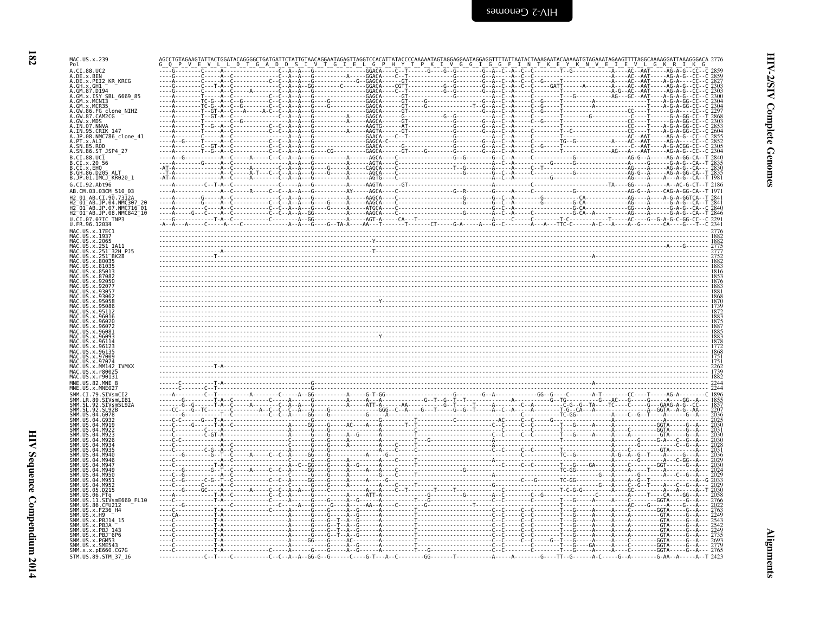| MAC.US.x.239<br>Pol<br>G I E L G P<br>Y K N V E I E V L<br>A.CI.88.UC2                                                                                           |  |
|------------------------------------------------------------------------------------------------------------------------------------------------------------------|--|
| A.DE.x.BEN<br>A.DE.x.PEI2_KR_KRCG<br>A.GH.x.GH1                                                                                                                  |  |
| A.GM.87.D194<br>A.GM.x.ISY SBL 6669 85                                                                                                                           |  |
| A.GM.x.MCN13<br>A.GM.x.MCR35<br>A.GM.x.MCR35<br>A.GW.86.FG clone_NIHZ<br>A.GW.87.CAM2CG                                                                          |  |
| A.GW.X.MDS                                                                                                                                                       |  |
| A.IN.07.NNVA<br>A.IN.95.CRIK 147<br>4.JP.08.NMC786_clone_41                                                                                                      |  |
| .PT.x.ALI                                                                                                                                                        |  |
| A.SN.86.ST_JSP4_27<br>B.CI.88.UC1<br>B.CI.x.20_56                                                                                                                |  |
| B.CI.X.EHO<br>B.GH.86.D205 ALT                                                                                                                                   |  |
| B.JP.01.IMCJ_KR020_1<br>G.CI.92.Abt96                                                                                                                            |  |
| AB.CM.03.03CM 510 03<br>H2 01 AB.CI.90.7312A                                                                                                                     |  |
| H2 01 AB.JP.04.NMC307 20<br>H2 01 AB.JP.07.NMC716 01                                                                                                             |  |
| H2 <sup>-</sup> 01 <sup>-</sup> AB.JP.08.NMC842 <sup>-</sup> 10<br>U.CI.07.07IC TNP3                                                                             |  |
| U.FR.96.12034<br>MAC. US. x. 17EC1<br><u> 1999 - Andrej Standard Standard Standard Standard Standard Standard Standard Standard Standard Standard Standard S</u> |  |
| 4AC.US.x.1937<br>$\mathsf{v}$<br>AC.US.x.251 1A11                                                                                                                |  |
| 32H PJ5<br>BK28                                                                                                                                                  |  |
| MAC.US.x.80035<br>Y 81035                                                                                                                                        |  |
|                                                                                                                                                                  |  |
|                                                                                                                                                                  |  |
|                                                                                                                                                                  |  |
|                                                                                                                                                                  |  |
|                                                                                                                                                                  |  |
|                                                                                                                                                                  |  |
|                                                                                                                                                                  |  |
| <b>IVMXX</b>                                                                                                                                                     |  |
| MAC.US.x.r90131<br>MNE IIS 82 MNE                                                                                                                                |  |
| MNE IIS x MNE027<br>STVsmCT2                                                                                                                                     |  |
| SIVsmLTB                                                                                                                                                         |  |
|                                                                                                                                                                  |  |
|                                                                                                                                                                  |  |
|                                                                                                                                                                  |  |
|                                                                                                                                                                  |  |
|                                                                                                                                                                  |  |
|                                                                                                                                                                  |  |
| <b>SMM</b><br>SMM                                                                                                                                                |  |
| SIVsmE660 FL10<br>86.CFU212                                                                                                                                      |  |
| .x.F236 H4<br>SMM. ŪS. x.H9<br>SMM.US.x.PBJ14 15                                                                                                                 |  |
| IS.X.PB.<br>. 6. . 6. <del>7</del> . 6.                                                                                                                          |  |
| IS.X.PBJ<br><b>SMM IIS</b><br>.x.PGM53<br>SMM.US.x.SME543                                                                                                        |  |
| SMM. x. x. pE660. CG7G<br>STM.US.89.STM 37 16                                                                                                                    |  |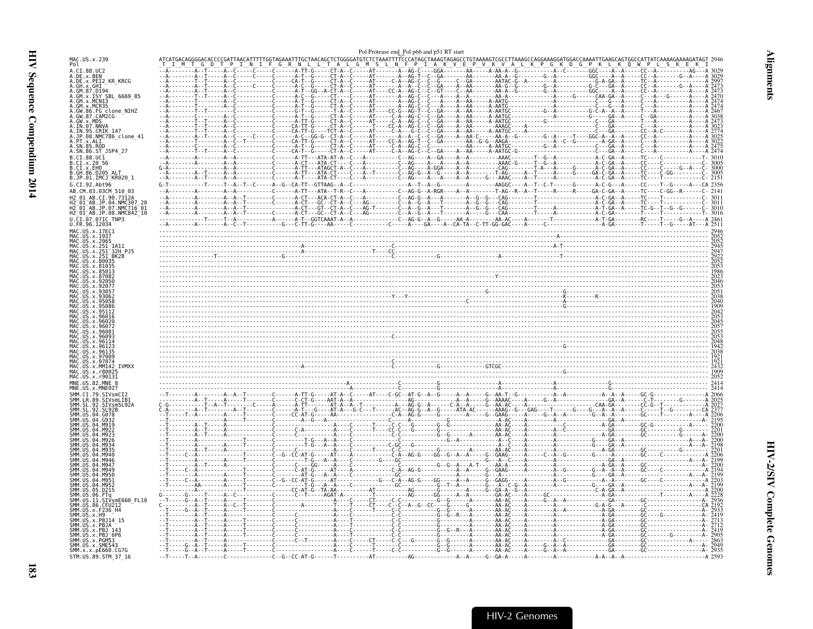<span id="page-24-0"></span>

|                                                                           |                     | Pol Protease end Pol p66 and p51 RT start |                                                                                              |                                                                                                                                                                                                                                                                                                                                                                                                                                              |
|---------------------------------------------------------------------------|---------------------|-------------------------------------------|----------------------------------------------------------------------------------------------|----------------------------------------------------------------------------------------------------------------------------------------------------------------------------------------------------------------------------------------------------------------------------------------------------------------------------------------------------------------------------------------------------------------------------------------------|
| MAC.US.x.239<br>Pol                                                       |                     |                                           | TTGCTAACAGCTCTGGGGATGTCTCTAAATTTTCCCATAGCTAAAGTAGAGCCTGTAAAAGTCGCCTTAAAGCCAGGAAAGGATGGACCAAA |                                                                                                                                                                                                                                                                                                                                                                                                                                              |
| A.CI.88.UC2                                                               |                     |                                           |                                                                                              |                                                                                                                                                                                                                                                                                                                                                                                                                                              |
| A.DE.X.BEN<br>A.DE.X.PEI2_KR_KRCG<br>A.GH.X.GH1                           |                     |                                           |                                                                                              |                                                                                                                                                                                                                                                                                                                                                                                                                                              |
| A.GM.87.D194<br>A.GM.x.ISY SBL 6669 85                                    |                     |                                           |                                                                                              |                                                                                                                                                                                                                                                                                                                                                                                                                                              |
| A.GM.x.MCNI3                                                              |                     |                                           |                                                                                              |                                                                                                                                                                                                                                                                                                                                                                                                                                              |
| A.GM.x.MCR35<br>A.GW.86.FG clone_NIHZ<br>A.GW.87.CAM2CG                   |                     |                                           |                                                                                              |                                                                                                                                                                                                                                                                                                                                                                                                                                              |
| A.GW.x.MDS                                                                |                     |                                           |                                                                                              |                                                                                                                                                                                                                                                                                                                                                                                                                                              |
|                                                                           |                     |                                           |                                                                                              |                                                                                                                                                                                                                                                                                                                                                                                                                                              |
| A.IN.07.NNVA<br>A.IN.95.CRIK 147<br>A.JP.08.NMC786_clone_41<br>A.PT.x.ALI |                     |                                           |                                                                                              |                                                                                                                                                                                                                                                                                                                                                                                                                                              |
| 0.5N.85.ROD<br>A.SN.86.ST_JSP4_27                                         |                     |                                           |                                                                                              |                                                                                                                                                                                                                                                                                                                                                                                                                                              |
| 3.CT.88.UC1                                                               |                     |                                           |                                                                                              |                                                                                                                                                                                                                                                                                                                                                                                                                                              |
|                                                                           |                     |                                           |                                                                                              |                                                                                                                                                                                                                                                                                                                                                                                                                                              |
| B.JP.01.IMCJ KR020 1<br>G.CI.92.Abt96                                     |                     |                                           |                                                                                              | $C - 2151$                                                                                                                                                                                                                                                                                                                                                                                                                                   |
| AB.CM.03.03CM 510 03                                                      |                     |                                           |                                                                                              |                                                                                                                                                                                                                                                                                                                                                                                                                                              |
| AB.CI.90.7312A<br>.04.NMC307 20<br>$2^-01^-$ AB.JP                        |                     |                                           |                                                                                              |                                                                                                                                                                                                                                                                                                                                                                                                                                              |
| H2 01 AB.JP.07.NMC716 01<br>H2_01_AB.JP.08.NMC842_10                      |                     |                                           |                                                                                              |                                                                                                                                                                                                                                                                                                                                                                                                                                              |
| .CI.07.07IC TNP3                                                          |                     |                                           |                                                                                              |                                                                                                                                                                                                                                                                                                                                                                                                                                              |
| U.FR.96.12034<br>MAC.US.x.17EC1                                           |                     |                                           |                                                                                              |                                                                                                                                                                                                                                                                                                                                                                                                                                              |
| MAC.US.x.1937                                                             |                     |                                           |                                                                                              |                                                                                                                                                                                                                                                                                                                                                                                                                                              |
| US.x.251<br>1A11<br>US.x.251<br>32H PJ5                                   |                     |                                           |                                                                                              |                                                                                                                                                                                                                                                                                                                                                                                                                                              |
| .US.x.251 <sup>-</sup> BK28                                               |                     |                                           |                                                                                              |                                                                                                                                                                                                                                                                                                                                                                                                                                              |
|                                                                           |                     |                                           |                                                                                              |                                                                                                                                                                                                                                                                                                                                                                                                                                              |
|                                                                           |                     |                                           |                                                                                              |                                                                                                                                                                                                                                                                                                                                                                                                                                              |
|                                                                           |                     |                                           |                                                                                              |                                                                                                                                                                                                                                                                                                                                                                                                                                              |
|                                                                           |                     |                                           |                                                                                              |                                                                                                                                                                                                                                                                                                                                                                                                                                              |
|                                                                           |                     |                                           |                                                                                              |                                                                                                                                                                                                                                                                                                                                                                                                                                              |
|                                                                           |                     |                                           |                                                                                              |                                                                                                                                                                                                                                                                                                                                                                                                                                              |
|                                                                           |                     |                                           |                                                                                              |                                                                                                                                                                                                                                                                                                                                                                                                                                              |
|                                                                           |                     |                                           |                                                                                              |                                                                                                                                                                                                                                                                                                                                                                                                                                              |
|                                                                           |                     |                                           |                                                                                              |                                                                                                                                                                                                                                                                                                                                                                                                                                              |
|                                                                           |                     |                                           |                                                                                              |                                                                                                                                                                                                                                                                                                                                                                                                                                              |
| MM142 IVMXX<br>.US.x.r8002!                                               |                     |                                           |                                                                                              |                                                                                                                                                                                                                                                                                                                                                                                                                                              |
| MAC.US.x.r90131<br>MNE.US.82.MNE 8                                        |                     |                                           |                                                                                              |                                                                                                                                                                                                                                                                                                                                                                                                                                              |
| MNE.US.x.MNE027<br>STVsmCI2                                               |                     |                                           |                                                                                              |                                                                                                                                                                                                                                                                                                                                                                                                                                              |
| SIVsmLIB<br><b>STVsmSL92A</b>                                             |                     |                                           |                                                                                              |                                                                                                                                                                                                                                                                                                                                                                                                                                              |
|                                                                           |                     |                                           |                                                                                              |                                                                                                                                                                                                                                                                                                                                                                                                                                              |
|                                                                           |                     |                                           |                                                                                              |                                                                                                                                                                                                                                                                                                                                                                                                                                              |
|                                                                           |                     |                                           |                                                                                              |                                                                                                                                                                                                                                                                                                                                                                                                                                              |
|                                                                           |                     |                                           |                                                                                              |                                                                                                                                                                                                                                                                                                                                                                                                                                              |
|                                                                           |                     |                                           |                                                                                              |                                                                                                                                                                                                                                                                                                                                                                                                                                              |
|                                                                           |                     |                                           |                                                                                              |                                                                                                                                                                                                                                                                                                                                                                                                                                              |
|                                                                           |                     |                                           |                                                                                              |                                                                                                                                                                                                                                                                                                                                                                                                                                              |
|                                                                           |                     |                                           |                                                                                              |                                                                                                                                                                                                                                                                                                                                                                                                                                              |
| D215.<br>SMM.US                                                           |                     |                                           |                                                                                              | $\begin{smallmatrix} \begin{smallmatrix} \mathbf{0} & \mathbf{0} & \mathbf{0} & \mathbf{0} & \mathbf{0} & \mathbf{0} & \mathbf{0} & \mathbf{0} & \mathbf{0} & \mathbf{0} & \mathbf{0} & \mathbf{0} & \mathbf{0} & \mathbf{0} & \mathbf{0} & \mathbf{0} & \mathbf{0} & \mathbf{0} & \mathbf{0} & \mathbf{0} & \mathbf{0} & \mathbf{0} & \mathbf{0} & \mathbf{0} & \mathbf{0} & \mathbf{0} & \mathbf{0} & \mathbf{0} & \mathbf{0} & \mathbf{0$ |
| SIVsmE660 FL10<br>. 11<br>$C$ FII <sub>212</sub>                          |                     |                                           |                                                                                              |                                                                                                                                                                                                                                                                                                                                                                                                                                              |
| .86.<br>MM.US.x.F236 H4<br>SMM 11S x H9                                   |                     |                                           |                                                                                              |                                                                                                                                                                                                                                                                                                                                                                                                                                              |
| SMM.US.x.PBJ14 15<br>SMM US x PRIA                                        | $\bar{c}$ $\bar{a}$ |                                           |                                                                                              |                                                                                                                                                                                                                                                                                                                                                                                                                                              |
|                                                                           | $\bar{c}$ A         |                                           |                                                                                              | . A - GA -                                                                                                                                                                                                                                                                                                                                                                                                                                   |
| $x.PBJ$ 6P6<br>$\cdot$ x . PGM5.                                          |                     |                                           |                                                                                              |                                                                                                                                                                                                                                                                                                                                                                                                                                              |
| SMM.US.x.SME54<br>SMM. x. x. pE660. CG7G                                  |                     |                                           |                                                                                              |                                                                                                                                                                                                                                                                                                                                                                                                                                              |
| STM.US.89.STM 37 16                                                       |                     |                                           |                                                                                              | $- A$ 2593                                                                                                                                                                                                                                                                                                                                                                                                                                   |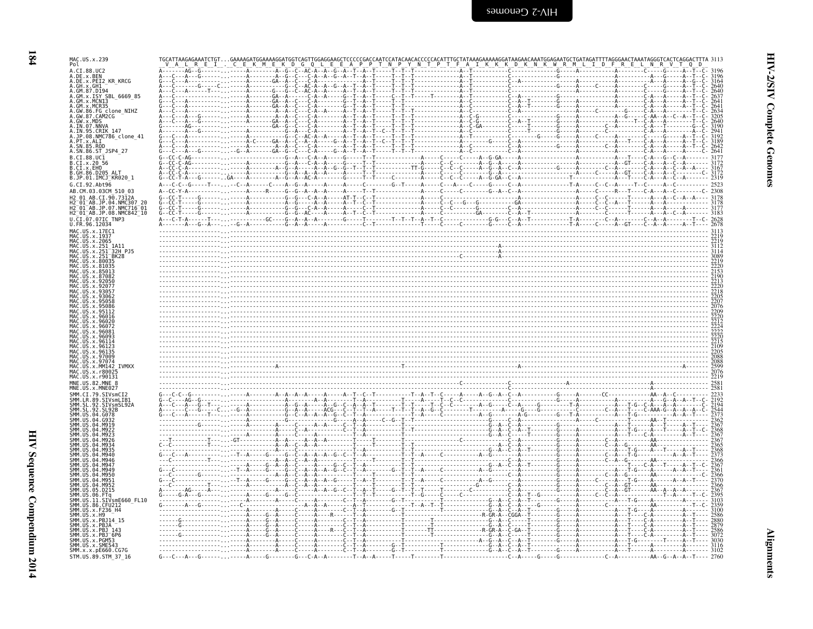| I<br>×. |
|---------|

| MAC.US.x.239<br>Pol<br>A.CI.88.UC2                                                                                                 |  |  |  |      |
|------------------------------------------------------------------------------------------------------------------------------------|--|--|--|------|
| A.DE.x.BEN<br>A.DE.x.PEI2 KR KRCG                                                                                                  |  |  |  |      |
| A.GH.x.GH1<br>A.GM.87.D194                                                                                                         |  |  |  |      |
| A.GM.X.ISY_SBL_6669_85                                                                                                             |  |  |  |      |
| A.GM.x.MCN13<br>A.GM.x.MCN13<br>A.GM.x.MCR35<br>A.GW.86.FG clone_NIHZ<br>A.GW.87.CAM2CG<br>A.GW.x.MDS                              |  |  |  |      |
| A.IN.07.NNVA                                                                                                                       |  |  |  |      |
| A.IN.95.CRIK 147<br>A.JP.08.NMC786_clone_41                                                                                        |  |  |  |      |
| A.PT.x.ALI<br>A.SN.85.ROD                                                                                                          |  |  |  |      |
| A.SN.86.ST JSP4 27                                                                                                                 |  |  |  | 2641 |
| B.CI.88.UCI<br>B.CI.x.20 56<br>B.CI.x.EHO<br>B.GH.86.D205_ALT.                                                                     |  |  |  |      |
| B.JP.01.IMCJ_KR020_1                                                                                                               |  |  |  | 2319 |
| G.CI.92.Abt96<br>AB.CM.03.03CM 510 03                                                                                              |  |  |  | 2523 |
| H2 01 AB.CI.90.7312A<br>H2 <sup>-</sup> 01 <sup>-</sup> AB.JP.04.NMC307 20                                                         |  |  |  |      |
| H2 <sup>-</sup> 01 <sup>-</sup> AB.JP.07.NMC716 <sup>-</sup> 01<br>H2 <sup>-</sup> 01 <sup>-</sup> AB.JP.08.NMC842 <sup>-</sup> 10 |  |  |  |      |
| U.CI.07.07IC TNP3<br>U.FR.96.12034                                                                                                 |  |  |  |      |
| MAC.US.x.17EC1<br>MAC.US.x.1937<br>MAC. US. x. 2065                                                                                |  |  |  |      |
| MAC.US.x.251<br>MAC.US.x.251                                                                                                       |  |  |  |      |
| US.x.251<br>BK28<br>US.x.80035                                                                                                     |  |  |  |      |
| $115 \times 85013$                                                                                                                 |  |  |  |      |
|                                                                                                                                    |  |  |  |      |
|                                                                                                                                    |  |  |  |      |
|                                                                                                                                    |  |  |  |      |
|                                                                                                                                    |  |  |  |      |
| 96072                                                                                                                              |  |  |  |      |
|                                                                                                                                    |  |  |  |      |
|                                                                                                                                    |  |  |  |      |
|                                                                                                                                    |  |  |  |      |
| IS.x.MM142 IVMXX                                                                                                                   |  |  |  |      |
| MAC.US.x.r90131<br>MNE.US.82.MNE                                                                                                   |  |  |  |      |
| .x.MNE027<br>SIVsmCI2                                                                                                              |  |  |  |      |
| SMM IR 89 STVsmlTR<br>-92<br>SIVsmSL92A                                                                                            |  |  |  |      |
| 04 G078                                                                                                                            |  |  |  |      |
|                                                                                                                                    |  |  |  |      |
|                                                                                                                                    |  |  |  |      |
|                                                                                                                                    |  |  |  |      |
|                                                                                                                                    |  |  |  |      |
|                                                                                                                                    |  |  |  |      |
|                                                                                                                                    |  |  |  |      |
| SMM.US<br>SMM.US<br>SIVsmE660 FL10                                                                                                 |  |  |  |      |
| SMM.US.86.CFU212<br>SMM. US. x. F236_H4                                                                                            |  |  |  |      |
| SMM.US.x.H9<br>.<br>SMM.US.x.PBJ14 15                                                                                              |  |  |  |      |
| SMM.US.x.PBJA<br>SMM US x PR1 143                                                                                                  |  |  |  |      |
| SMM.US.x.PBJ <sup>-</sup> 6P6<br>SMM.US.x.PGM53<br>SMM.US.x.SME543                                                                 |  |  |  |      |
| SMM.x.x.pE660.CG7G<br>STM.US.89.STM 37 16                                                                                          |  |  |  | 3102 |
|                                                                                                                                    |  |  |  |      |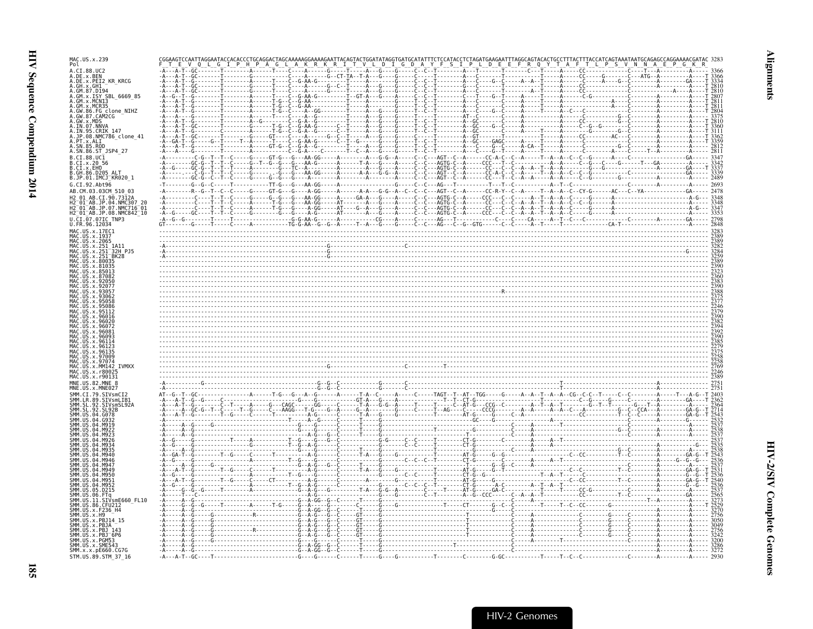| MAC.US.x.239<br>Pol                                         |                                      |  |  |  |
|-------------------------------------------------------------|--------------------------------------|--|--|--|
| A.CT.88.UC2<br>A.DE.x.BEN                                   |                                      |  |  |  |
| A.DE.x.PEI2 KR KRCG<br>GH.x.GH1                             |                                      |  |  |  |
| GM.87.D194<br>ISY SBL 6669 85                               |                                      |  |  |  |
|                                                             | . <del>†</del> A                     |  |  |  |
| clone NIHZ<br>CAM2CG                                        |                                      |  |  |  |
| IN.07.NNVA                                                  |                                      |  |  |  |
| <b>CRIK 147</b><br>JP.08<br>NMC786 clone 41                 |                                      |  |  |  |
| SN.85.ROD                                                   |                                      |  |  |  |
| A.SN.86.ST_JSP4_27<br>$B.CI.88.UC\bar{1}$                   |                                      |  |  |  |
| CI.x.2056<br>CI.X.EHO                                       |                                      |  |  |  |
| GH.86.D205 ALT<br>IMCJ KR020 1                              |                                      |  |  |  |
| CI.92.Abt96                                                 |                                      |  |  |  |
| AB.CM.03.03CM 510 03                                        |                                      |  |  |  |
| 01 AB.JP.04.NMC307 20<br>01 AB.JP.07.NMC716 01              |                                      |  |  |  |
| H2_01_AB.JP.08.NMC842_10                                    |                                      |  |  |  |
| .FR.96.                                                     |                                      |  |  |  |
|                                                             |                                      |  |  |  |
|                                                             |                                      |  |  |  |
| 251 <sup>-</sup> 32H PJ5                                    |                                      |  |  |  |
|                                                             |                                      |  |  |  |
|                                                             |                                      |  |  |  |
|                                                             |                                      |  |  |  |
|                                                             |                                      |  |  |  |
|                                                             |                                      |  |  |  |
|                                                             |                                      |  |  |  |
|                                                             |                                      |  |  |  |
|                                                             |                                      |  |  |  |
|                                                             |                                      |  |  |  |
|                                                             |                                      |  |  |  |
|                                                             |                                      |  |  |  |
| <b>TVMXX</b>                                                |                                      |  |  |  |
|                                                             |                                      |  |  |  |
|                                                             |                                      |  |  |  |
|                                                             |                                      |  |  |  |
| <b>SIVsmLIB1</b>                                            |                                      |  |  |  |
|                                                             |                                      |  |  |  |
|                                                             |                                      |  |  |  |
|                                                             |                                      |  |  |  |
|                                                             |                                      |  |  |  |
|                                                             |                                      |  |  |  |
|                                                             |                                      |  |  |  |
|                                                             |                                      |  |  |  |
|                                                             |                                      |  |  |  |
| smE660 FL10                                                 |                                      |  |  |  |
|                                                             |                                      |  |  |  |
|                                                             |                                      |  |  |  |
|                                                             |                                      |  |  |  |
| PBJ 6P6.                                                    |                                      |  |  |  |
| 1M.US.x.SME543<br>ŠMM.x.x.pE660.CG7G<br>STM.US.89.STM 37 16 | $-A - - A - T - - G C - - - - T - -$ |  |  |  |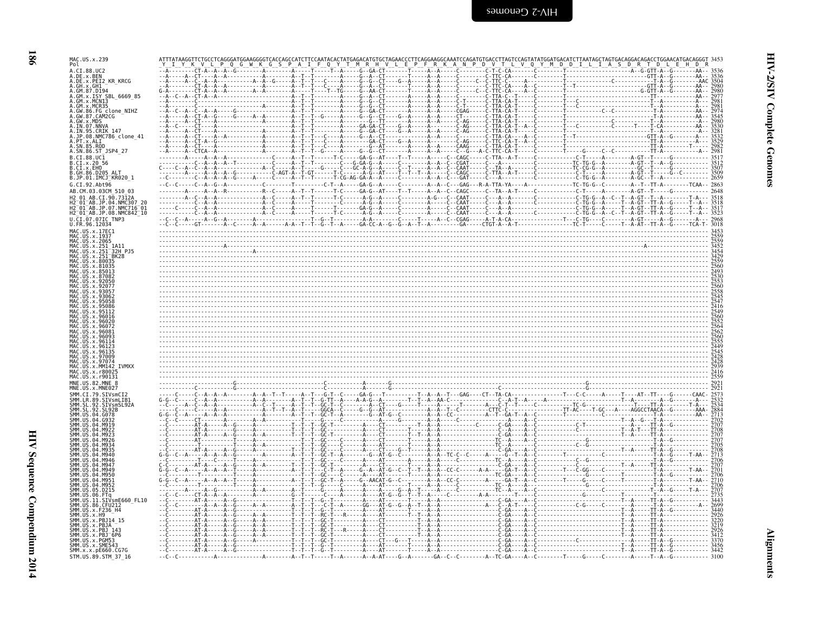| ×<br>I |
|--------|

|                                                                                                                                        | ATTTATAAGGTTCTGCCTCAGGGATGGAAGGGGTCACCAGCCATCTTCCAATACACTATGAGACATGTGCTAGAACCCTTCAGGAAGGCAAATCCAGATGTGACCTTAGTCCAGTATATGGATGACATCTTAATAGCTAGTGACAGGACAGGACAGACCTGGAACATGACAGGGT 3453                                                                                                                                                                                                                                             |                                                                                      |
|----------------------------------------------------------------------------------------------------------------------------------------|----------------------------------------------------------------------------------------------------------------------------------------------------------------------------------------------------------------------------------------------------------------------------------------------------------------------------------------------------------------------------------------------------------------------------------|--------------------------------------------------------------------------------------|
| MAC.US.x.239<br>Pol<br>A.CI.88.UC2                                                                                                     | Y K V L<br>P Q G W K G S P<br>N P D<br>V Q Y M D D I L I A S D R T D L                                                                                                                                                                                                                                                                                                                                                           |                                                                                      |
| A.DE.x.BEN<br>A.DE.x.PEI2 KR KRCG                                                                                                      |                                                                                                                                                                                                                                                                                                                                                                                                                                  |                                                                                      |
| A.GH.x.GH1<br>A.GM.87.D194                                                                                                             | - <u>TTA - C - - T - - - - - Č - - - - - - -</u>                                                                                                                                                                                                                                                                                                                                                                                 |                                                                                      |
| A.GM. X. ISY SBL 6669_85<br>A.GM. x. ISY SBL 6669_85<br>A.GM. x. MCN13<br>A.GW. 86. FG clone_NIHZ<br>A.GW. 87. CAM2CG<br>A.GW. X. MDS. | $TTA - CA - T - - -$                                                                                                                                                                                                                                                                                                                                                                                                             | 298                                                                                  |
|                                                                                                                                        |                                                                                                                                                                                                                                                                                                                                                                                                                                  |                                                                                      |
| A.IN.07.NNVA<br>A.IN.95.CRIK 147                                                                                                       |                                                                                                                                                                                                                                                                                                                                                                                                                                  |                                                                                      |
| A.JP.08.NMC786_clone_41<br>A.PT.x.ALI                                                                                                  |                                                                                                                                                                                                                                                                                                                                                                                                                                  |                                                                                      |
| A.SN.85.ROD<br>A.SN.86.ST_JSP4_27                                                                                                      |                                                                                                                                                                                                                                                                                                                                                                                                                                  |                                                                                      |
| B.CI.88.UC1<br>B.CI.x.20_56                                                                                                            |                                                                                                                                                                                                                                                                                                                                                                                                                                  |                                                                                      |
| B.CI.x.EHO<br>B.GH.86.D205 ALT<br>B.JP.01.IMCJ_KR020_1                                                                                 |                                                                                                                                                                                                                                                                                                                                                                                                                                  |                                                                                      |
| G.CI.92.Abt96                                                                                                                          |                                                                                                                                                                                                                                                                                                                                                                                                                                  |                                                                                      |
| AB.CM.03.03CM 510 03<br>2 01 AB.CI.90.7312A                                                                                            |                                                                                                                                                                                                                                                                                                                                                                                                                                  |                                                                                      |
| 04.NMC307<br>$01^-$ AB.JP<br>H2 <sup>-</sup> 01 <sup>-</sup> AB.JP.07<br>NMC716 <sup>-</sup> 01.<br>H2 01 AB.JP.08.NMC842 10           |                                                                                                                                                                                                                                                                                                                                                                                                                                  |                                                                                      |
| U.CI.07.07IC TNP3<br>U.FR.96.12034                                                                                                     |                                                                                                                                                                                                                                                                                                                                                                                                                                  |                                                                                      |
| MAC.US.x.17EC1<br>MAC. US. x. 1937                                                                                                     |                                                                                                                                                                                                                                                                                                                                                                                                                                  |                                                                                      |
| MAC. US. x. 2065<br>MAC.US.x.251<br>1A11                                                                                               |                                                                                                                                                                                                                                                                                                                                                                                                                                  |                                                                                      |
| US.x.251<br>32H PJ5<br>US.x.251<br>BK28<br>IS. x. 8007                                                                                 |                                                                                                                                                                                                                                                                                                                                                                                                                                  |                                                                                      |
|                                                                                                                                        |                                                                                                                                                                                                                                                                                                                                                                                                                                  | 2560                                                                                 |
|                                                                                                                                        |                                                                                                                                                                                                                                                                                                                                                                                                                                  | 2493<br>2530<br>2553<br>2558<br>2558<br>2545<br>2547<br>2416                         |
|                                                                                                                                        |                                                                                                                                                                                                                                                                                                                                                                                                                                  |                                                                                      |
|                                                                                                                                        |                                                                                                                                                                                                                                                                                                                                                                                                                                  |                                                                                      |
|                                                                                                                                        |                                                                                                                                                                                                                                                                                                                                                                                                                                  |                                                                                      |
|                                                                                                                                        |                                                                                                                                                                                                                                                                                                                                                                                                                                  |                                                                                      |
|                                                                                                                                        |                                                                                                                                                                                                                                                                                                                                                                                                                                  |                                                                                      |
| x 96123<br>. x 96135                                                                                                                   |                                                                                                                                                                                                                                                                                                                                                                                                                                  | 2549<br>2560<br>2552<br>2564<br>2562<br>2565<br>2555<br>2449<br>2545<br>2428<br>2428 |
| MAC.US.x.MM142 IVMXX                                                                                                                   |                                                                                                                                                                                                                                                                                                                                                                                                                                  | 2939                                                                                 |
| MAC US x r8002<br>MAC.US.x.r90131                                                                                                      |                                                                                                                                                                                                                                                                                                                                                                                                                                  | 2416<br>2559                                                                         |
| MNE.US.82.MNE                                                                                                                          |                                                                                                                                                                                                                                                                                                                                                                                                                                  | 2921<br>2921                                                                         |
| SIVsmCI                                                                                                                                | $- - - GA - G - - T - - - - - - - - T - - A - - A - T - -$                                                                                                                                                                                                                                                                                                                                                                       | 2573                                                                                 |
| SMM.SL<br>. 92<br>SIVsmSL92A<br>92<br>SL92B                                                                                            | $\begin{bmatrix} \mathbf{1} & \mathbf{2} & \mathbf{3} & \mathbf{4} & \mathbf{4} & \mathbf{5} & \mathbf{5} & \mathbf{6} & \mathbf{6} & \mathbf{6} & \mathbf{6} & \mathbf{6} & \mathbf{6} & \mathbf{6} & \mathbf{6} & \mathbf{6} & \mathbf{6} & \mathbf{6} & \mathbf{6} & \mathbf{6} & \mathbf{6} & \mathbf{6} & \mathbf{6} & \mathbf{6} & \mathbf{6} & \mathbf{6} & \mathbf{6} & \mathbf{6} & \mathbf{6} & \mathbf{6} & \mathbf{$ |                                                                                      |
| SMM.US<br>.04.6078                                                                                                                     |                                                                                                                                                                                                                                                                                                                                                                                                                                  |                                                                                      |
|                                                                                                                                        |                                                                                                                                                                                                                                                                                                                                                                                                                                  |                                                                                      |
|                                                                                                                                        |                                                                                                                                                                                                                                                                                                                                                                                                                                  |                                                                                      |
|                                                                                                                                        | G.                                                                                                                                                                                                                                                                                                                                                                                                                               |                                                                                      |
| <b>SMM IIS</b>                                                                                                                         |                                                                                                                                                                                                                                                                                                                                                                                                                                  |                                                                                      |
| <b>SMM IIS</b><br>SMM IIS<br><b>MQ51</b>                                                                                               |                                                                                                                                                                                                                                                                                                                                                                                                                                  |                                                                                      |
| SMM IIS<br>M95.<br>SMM.US<br>05.D215<br>SMM.US<br>06                                                                                   |                                                                                                                                                                                                                                                                                                                                                                                                                                  |                                                                                      |
| .11.SIVsmE660 FL10<br>SMM. US. 86. CFU212                                                                                              |                                                                                                                                                                                                                                                                                                                                                                                                                                  |                                                                                      |
| SMM. US. x. F236_H4<br>SMM. US. x. H9                                                                                                  |                                                                                                                                                                                                                                                                                                                                                                                                                                  |                                                                                      |
| SMM.US.x.PBJ14 15<br><b>SMM 11S</b><br>.x.PBJA<br>SMM.US.x.PBJ                                                                         |                                                                                                                                                                                                                                                                                                                                                                                                                                  |                                                                                      |
| SMM.US.x.PBJ 6P6<br>SMM.US.x.PGM53                                                                                                     | - - - - - - - - - - - - - - - - - C - GA - - -                                                                                                                                                                                                                                                                                                                                                                                   | 3370                                                                                 |
| SMM. US. x. SME543<br>SMM. x. x. pE660. CG7G                                                                                           | - T - - A - - - - - T T - A - - G - - - - - - - - - - - - - 3456<br>- T - - A - - - - - T T - A - - G - - - - - - - - - - - - - 3442<br>-----AT-A-----A--G----------------                                                                                                                                                                                                                                                       |                                                                                      |
| STM.US.89.STM 37 16                                                                                                                    |                                                                                                                                                                                                                                                                                                                                                                                                                                  | $-3100$                                                                              |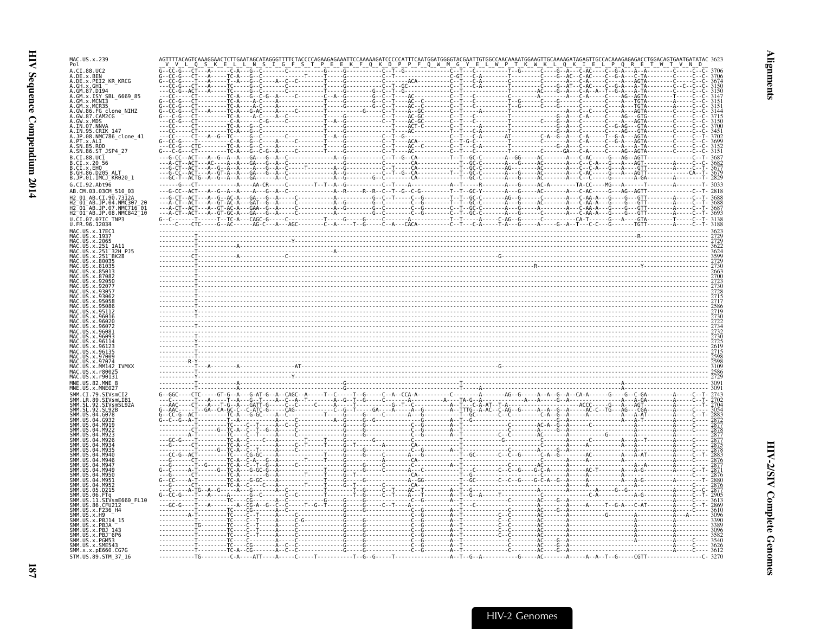| MAC.US.x.239                                                                                                       |  |  |  |  |                                                                                                                                                                                                                                                                                                                                                                   |  |  |  |  |
|--------------------------------------------------------------------------------------------------------------------|--|--|--|--|-------------------------------------------------------------------------------------------------------------------------------------------------------------------------------------------------------------------------------------------------------------------------------------------------------------------------------------------------------------------|--|--|--|--|
|                                                                                                                    |  |  |  |  |                                                                                                                                                                                                                                                                                                                                                                   |  |  |  |  |
| A.DE.x.PEI2 KR KRCG<br>A.GM.87.D194                                                                                |  |  |  |  |                                                                                                                                                                                                                                                                                                                                                                   |  |  |  |  |
| A.GM.x.ISY SBL 6669 85<br>A.GM.x.MCNI3                                                                             |  |  |  |  |                                                                                                                                                                                                                                                                                                                                                                   |  |  |  |  |
| A.GM.x.MCR35<br>A.GW.86.FG clone_NIHZ<br>A.GW.87.CAM2CG                                                            |  |  |  |  |                                                                                                                                                                                                                                                                                                                                                                   |  |  |  |  |
| A.GW.x.MDS                                                                                                         |  |  |  |  |                                                                                                                                                                                                                                                                                                                                                                   |  |  |  |  |
| A.IN.07.NNVA<br>A.IN.95.CRIK_147<br>.JP.08.NMC786 clone 41                                                         |  |  |  |  |                                                                                                                                                                                                                                                                                                                                                                   |  |  |  |  |
| .PT.x.ALI                                                                                                          |  |  |  |  |                                                                                                                                                                                                                                                                                                                                                                   |  |  |  |  |
| A.SN.86.ST_JSP4 27<br>B.CI.88.UC1                                                                                  |  |  |  |  |                                                                                                                                                                                                                                                                                                                                                                   |  |  |  |  |
| 3.CI.x.20 56<br>B.CI.x.EHO<br>B.GH.86.D205 ALT                                                                     |  |  |  |  |                                                                                                                                                                                                                                                                                                                                                                   |  |  |  |  |
| B.JP.01.IMCJ_KR020 1                                                                                               |  |  |  |  |                                                                                                                                                                                                                                                                                                                                                                   |  |  |  |  |
| G.CI.92.Abt96<br>AB.CM.03.03CM 510 03                                                                              |  |  |  |  |                                                                                                                                                                                                                                                                                                                                                                   |  |  |  |  |
| H2 <sup>-</sup> 01 <sup>-</sup> AB.JP.04.NMC307 2                                                                  |  |  |  |  |                                                                                                                                                                                                                                                                                                                                                                   |  |  |  |  |
| H2 <sup>-</sup> 01 <sup>-</sup> AB.JP.07.NMC716 <sup>-</sup> 01<br>H2 <sup>-01-AB.JP.08.NMC842<sup>-10</sup></sup> |  |  |  |  |                                                                                                                                                                                                                                                                                                                                                                   |  |  |  |  |
| U.CI.07.07IC TNP3<br>U.FR.96.12034                                                                                 |  |  |  |  |                                                                                                                                                                                                                                                                                                                                                                   |  |  |  |  |
| MAC.US.x.17EC1                                                                                                     |  |  |  |  |                                                                                                                                                                                                                                                                                                                                                                   |  |  |  |  |
|                                                                                                                    |  |  |  |  |                                                                                                                                                                                                                                                                                                                                                                   |  |  |  |  |
|                                                                                                                    |  |  |  |  |                                                                                                                                                                                                                                                                                                                                                                   |  |  |  |  |
|                                                                                                                    |  |  |  |  |                                                                                                                                                                                                                                                                                                                                                                   |  |  |  |  |
|                                                                                                                    |  |  |  |  |                                                                                                                                                                                                                                                                                                                                                                   |  |  |  |  |
|                                                                                                                    |  |  |  |  |                                                                                                                                                                                                                                                                                                                                                                   |  |  |  |  |
|                                                                                                                    |  |  |  |  |                                                                                                                                                                                                                                                                                                                                                                   |  |  |  |  |
|                                                                                                                    |  |  |  |  |                                                                                                                                                                                                                                                                                                                                                                   |  |  |  |  |
|                                                                                                                    |  |  |  |  |                                                                                                                                                                                                                                                                                                                                                                   |  |  |  |  |
|                                                                                                                    |  |  |  |  |                                                                                                                                                                                                                                                                                                                                                                   |  |  |  |  |
|                                                                                                                    |  |  |  |  |                                                                                                                                                                                                                                                                                                                                                                   |  |  |  |  |
| 97009                                                                                                              |  |  |  |  | $\begin{picture}(100,100)(0,0) \put(0,0){\vector(1,0){100}} \put(10,0){\vector(1,0){100}} \put(10,0){\vector(1,0){100}} \put(10,0){\vector(1,0){100}} \put(10,0){\vector(1,0){100}} \put(10,0){\vector(1,0){100}} \put(10,0){\vector(1,0){100}} \put(10,0){\vector(1,0){100}} \put(10,0){\vector(1,0){100}} \put(10,0){\vector(1,0){100}} \put(10,0){\vector(1,0$ |  |  |  |  |
| MAC.US.x.r90131                                                                                                    |  |  |  |  |                                                                                                                                                                                                                                                                                                                                                                   |  |  |  |  |
| MNF. US. 82. MNF. 8                                                                                                |  |  |  |  |                                                                                                                                                                                                                                                                                                                                                                   |  |  |  |  |
| SIVsmLIB1                                                                                                          |  |  |  |  |                                                                                                                                                                                                                                                                                                                                                                   |  |  |  |  |
|                                                                                                                    |  |  |  |  |                                                                                                                                                                                                                                                                                                                                                                   |  |  |  |  |
|                                                                                                                    |  |  |  |  |                                                                                                                                                                                                                                                                                                                                                                   |  |  |  |  |
|                                                                                                                    |  |  |  |  |                                                                                                                                                                                                                                                                                                                                                                   |  |  |  |  |
|                                                                                                                    |  |  |  |  |                                                                                                                                                                                                                                                                                                                                                                   |  |  |  |  |
|                                                                                                                    |  |  |  |  |                                                                                                                                                                                                                                                                                                                                                                   |  |  |  |  |
|                                                                                                                    |  |  |  |  |                                                                                                                                                                                                                                                                                                                                                                   |  |  |  |  |
|                                                                                                                    |  |  |  |  |                                                                                                                                                                                                                                                                                                                                                                   |  |  |  |  |
|                                                                                                                    |  |  |  |  |                                                                                                                                                                                                                                                                                                                                                                   |  |  |  |  |
| SIVsmE660 FL10                                                                                                     |  |  |  |  |                                                                                                                                                                                                                                                                                                                                                                   |  |  |  |  |
| SMM.US.86.CFU212<br>SMM.US.x.F236 H4                                                                               |  |  |  |  |                                                                                                                                                                                                                                                                                                                                                                   |  |  |  |  |
| SMM.US.x.H9                                                                                                        |  |  |  |  |                                                                                                                                                                                                                                                                                                                                                                   |  |  |  |  |
| US.x.PBJ <sup>-6P6</sup>                                                                                           |  |  |  |  |                                                                                                                                                                                                                                                                                                                                                                   |  |  |  |  |
| MM.US.x.PGM53<br>SMM.US.x.SME543                                                                                   |  |  |  |  |                                                                                                                                                                                                                                                                                                                                                                   |  |  |  |  |
| SMM. x. x. pE660. CG7G<br>STM.US.89.STM 37 16                                                                      |  |  |  |  | -A --T --G --A ------------G ------AC -------A ------A --A --T --G ------CGTT ---------------                                                                                                                                                                                                                                                                     |  |  |  |  |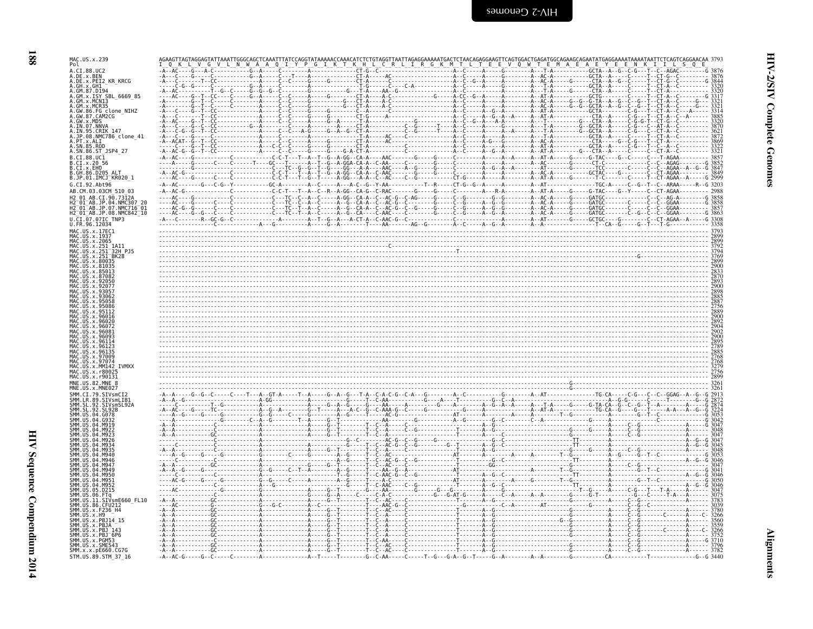| I<br>۰. |
|---------|

| MAC.US.x.239<br>Pol<br>A.CI.88.UC2<br>A.DE.X.BEN<br>A.DE.x.PEI2 KR KRCG<br>A.GH.x.GH1<br>A.GM.87.D19<br>A.GM.x.ISY SBL 6669 85<br>A.GM.x.MCNI3<br>A.GM.x.MCR35<br>A.GW.86.FG_clone_NIHZ<br>A.GW.87.CAM2CG<br>A.GW.x.MDS<br>A.IN.07.NNVA<br>A.IN.95.CRIK 147<br>A.JP.08.NMC786_clone_41<br>A.PT.x.ALI<br>A.SN.85.ROD<br>A.SN.86.ST_JSP4_27 |           |  |  |
|-------------------------------------------------------------------------------------------------------------------------------------------------------------------------------------------------------------------------------------------------------------------------------------------------------------------------------------------|-----------|--|--|
| B.CI.88.UC1<br>B.CI.x.20 56<br>B.CI.x.EHO<br>B.GH.86.D205_ALT<br>B.JP.01.IMCJ KR020 1<br>G.CI.92.Abt96<br>AB.CM.03.03CM 510 03<br>AR CT 90.73124<br>2 <sup>-</sup> 01 <sup>-</sup> AB.JP<br>$01^-$ AB.JP<br>H2 <sup>-01-AB.JP.08.NMC842<sup>-10</sup></sup><br>U.CI.07.07IC TNP3<br>U.FR.96.12034                                         | $-A - AC$ |  |  |
| MAC.US.x.17EC1<br>MAC.US.x.1937<br>MAČ. ŪŠ. x. 2065<br>US.x.251<br>-1A11<br>-32H PJ5<br>US.x.251<br>US.x.251<br>BK28<br>US.x.80035<br>IS.x.810<br><b>TVMXX</b><br>MAC.US.x.MM142<br>MAC US x r8002"<br>MAC.US.x.r90131<br>MNE.US.82.MNE                                                                                                   |           |  |  |
| SMM.SL<br>SIVsmSL92A<br>.04.6078<br>.D215<br>SMM.US.11.SIVsmE660 FL10<br>SMM.US.86.CFU212<br>US.x.F236 H4<br>SMM.US.x.H9<br>SMM.US.x.PBJ14 15<br>SMM.US.x.PBJA<br>SMM.US.x.PBJ 143<br>SMM.US.x.PBJ <sup>-</sup> 6P6<br>SMM.US.x.PGM53<br>SMM.US.x.SME543<br>SMM. x. x. pE660. CG7G<br>STM.US.89.STM 37 16                                 |           |  |  |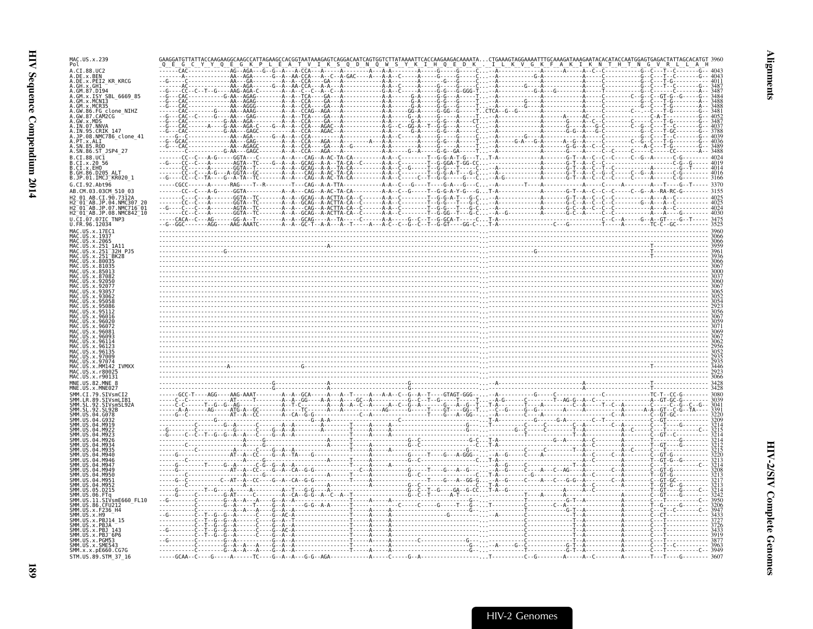| MAC.US.x.239                              |                          |                                                                 |  |  |
|-------------------------------------------|--------------------------|-----------------------------------------------------------------|--|--|
| $CT$ 88 $H$                               |                          |                                                                 |  |  |
| .DE.x.BEN<br>.DE.x.PEI2 KR KRCG           |                          |                                                                 |  |  |
| . GH . x . GH 1<br>GM.87.D194             |                          |                                                                 |  |  |
| .GM.x.ISY SBL 6669 85                     |                          |                                                                 |  |  |
| . GW<br>86.FG clone NIHZ                  |                          |                                                                 |  |  |
|                                           |                          |                                                                 |  |  |
|                                           |                          |                                                                 |  |  |
| 08.NMC786 clone 41                        |                          |                                                                 |  |  |
|                                           |                          |                                                                 |  |  |
| SN.86.ST_JSP4 27<br>$.CI.88.UC\bar{1}$    |                          |                                                                 |  |  |
| .CI.x.20 56                               |                          |                                                                 |  |  |
| .CI.x.EHO<br>.GH.86.D205 ALT              |                          |                                                                 |  |  |
| JP.01.IMCJ <sup>-</sup> KR020 1           |                          |                                                                 |  |  |
| .CI.92.Abt96<br>AB.CM.03.03CM 510 03      |                          |                                                                 |  |  |
|                                           |                          |                                                                 |  |  |
| $01$ $AB$ .JP.07.NMC716 $01$              |                          |                                                                 |  |  |
| 2-01-AB.JP.08.NMC842-10                   |                          |                                                                 |  |  |
|                                           |                          |                                                                 |  |  |
|                                           |                          |                                                                 |  |  |
|                                           |                          |                                                                 |  |  |
| 32H PJ5                                   |                          |                                                                 |  |  |
|                                           |                          |                                                                 |  |  |
|                                           |                          |                                                                 |  |  |
|                                           |                          |                                                                 |  |  |
|                                           |                          |                                                                 |  |  |
|                                           |                          |                                                                 |  |  |
|                                           |                          |                                                                 |  |  |
|                                           |                          |                                                                 |  |  |
|                                           |                          |                                                                 |  |  |
|                                           |                          |                                                                 |  |  |
|                                           |                          |                                                                 |  |  |
|                                           |                          |                                                                 |  |  |
|                                           |                          |                                                                 |  |  |
|                                           |                          |                                                                 |  |  |
| <b>TVMXX</b>                              |                          |                                                                 |  |  |
|                                           |                          |                                                                 |  |  |
|                                           |                          |                                                                 |  |  |
|                                           |                          |                                                                 |  |  |
|                                           |                          |                                                                 |  |  |
|                                           |                          |                                                                 |  |  |
|                                           |                          |                                                                 |  |  |
|                                           |                          |                                                                 |  |  |
|                                           |                          |                                                                 |  |  |
|                                           |                          |                                                                 |  |  |
|                                           |                          |                                                                 |  |  |
|                                           |                          |                                                                 |  |  |
|                                           |                          |                                                                 |  |  |
|                                           |                          |                                                                 |  |  |
|                                           |                          |                                                                 |  |  |
| mE660 FL10                                |                          |                                                                 |  |  |
|                                           |                          |                                                                 |  |  |
|                                           |                          |                                                                 |  |  |
|                                           |                          |                                                                 |  |  |
| $IIS \times SMF54$                        |                          |                                                                 |  |  |
| 5MM.x.x.pE660.CG7G<br>STM.US.89.STM 37 16 | $---GCAA--C---G---A---A$ | $-TC - - - G - - A - - A - - - G - G - - AGA - - - - - - - - -$ |  |  |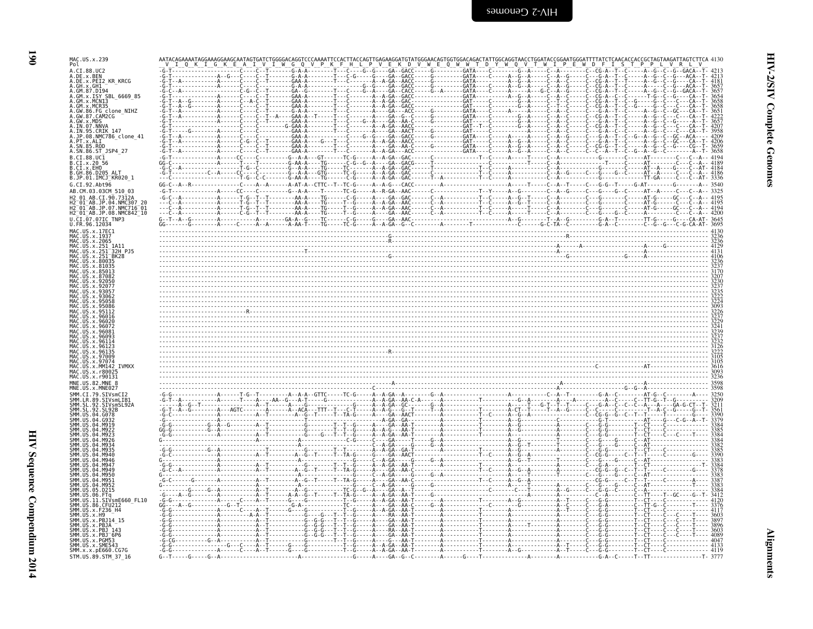| ۰, |   |
|----|---|
|    |   |
|    | ٦ |
|    |   |

| MAC.US.x.239<br>Pol                                                                                                                      |                               |                   | $G$ $Q$                         | E Q W W                                                                                                                  |                                                           | E.                                                                                                                        | V R L                                                                                |
|------------------------------------------------------------------------------------------------------------------------------------------|-------------------------------|-------------------|---------------------------------|--------------------------------------------------------------------------------------------------------------------------|-----------------------------------------------------------|---------------------------------------------------------------------------------------------------------------------------|--------------------------------------------------------------------------------------|
| A.CI.88.UC2<br>A.DE.x.BEN<br>A.DE.x.PEI2_KR_KRCG                                                                                         |                               | - - - - - - GAA - |                                 | . H_ L__ P__V__E__K__D__V__W_<br>_H__L__P__V__E__K__D__V__W__<br>C----G--G----GA--GACC-----G-                            | $-$ G----------GATA----C--------G--A-                     |                                                                                                                           | $-GATA$                                                                              |
| A.GH.x.GH1                                                                                                                               |                               | - - - - - G - A - |                                 | - GACC - - - - - - - - - - - - - - - - GATA -                                                                            | - - - - C - - A - - G                                     | -A--T--T-----A--G--C--G---CA--T- 4181<br>-A--T--C-----A-----C--G---ACA--T- 3657<br>-A--T--C-----A--G--C--G--GACA--T- 3657 |                                                                                      |
| A.GM.87.D194<br>A.GM.x.ISY SBL_6669_85<br>A.GM.x.ISY SBL_6669_85<br>A.GM.x.MCN13<br>A.GW.86.FG_clone_NIHZ<br>A.GW.87.CAM2CG              |                               |                   |                                 | ----A--A-GA--GAC------<br>- - - - A - - A - GA - - GACC - - - - - - - - - - - - - - - - - GAT - - - - -                  | . - - - - - - GAT - - - -                                 |                                                                                                                           |                                                                                      |
| A.GW.X.MDS<br>A.IN.07.NNVA                                                                                                               |                               |                   |                                 |                                                                                                                          | - G - - - - - - - - - GATA - - -<br>- - - - - - - - GAT - |                                                                                                                           |                                                                                      |
| A.IN.95.CRIK 147<br>A.JP.08.NMC786_clone_41<br>A.PT.x.ALI<br>A.SN.85.ROD                                                                 |                               |                   |                                 | - GA - -AACT - - - - - G - - - - - - - - - - - GAT - - - -<br>- GA - - GACC - - - - - G - - - - - - - - - - - GATA - - - |                                                           |                                                                                                                           |                                                                                      |
| A.SN.86.ST_JSP4_27<br>B.CI.88.UC1                                                                                                        |                               |                   |                                 |                                                                                                                          |                                                           |                                                                                                                           | 3658<br>$-4194$                                                                      |
| B.CI.x.20 56<br>B.CI.x.EHO<br>B.GH.86.D205_ALT<br>B.JP.01.IMCJ_KR020_1                                                                   |                               |                   |                                 |                                                                                                                          |                                                           | ----A-----------C--A--G------C---G----G--C-----AT--A-----C--                                                              | 4189<br>4184                                                                         |
| G.CI.92.Abt96                                                                                                                            | $GG - C -$                    |                   |                                 |                                                                                                                          |                                                           |                                                                                                                           | 3336<br>3540                                                                         |
| AB.CM.03.03CM 510 03<br>H2 01 AB.CI.90.7312A                                                                                             |                               |                   |                                 |                                                                                                                          |                                                           |                                                                                                                           | 3325<br>4195                                                                         |
| H2 <sup>-</sup> 01 <sup>-</sup> AB.JP.07.NMC716 <sup>-</sup> 01<br>H2 01 AB.JP.08.NMC842 10<br>$U.\overline{C}I.\overline{0}7.07IC$ TNP3 |                               |                   |                                 |                                                                                                                          |                                                           |                                                                                                                           |                                                                                      |
| U.FR.96.12034<br>MAC.US.x.17EC1                                                                                                          |                               |                   |                                 |                                                                                                                          |                                                           |                                                                                                                           | 4130                                                                                 |
| MAC.US.x.1937<br>MAC.US.x.2065<br>MAC.US.x.251_1A11<br>MAC.US.x.251_1A11<br>MAC.US.x.251_BK28<br>MAC.US.x.251_BK28                       |                               |                   |                                 |                                                                                                                          |                                                           |                                                                                                                           | 3236<br>3236<br>4129                                                                 |
| MAC. US. x.80035<br>.US.x.81035                                                                                                          |                               |                   |                                 |                                                                                                                          |                                                           |                                                                                                                           | $\begin{array}{c}\n 4131 \\  4106 \\  3236 \\  3237 \\  3170 \\  3107\n \end{array}$ |
| US x 85013<br>MAC.US.x.87082<br>$115 \times 92056$                                                                                       |                               |                   |                                 |                                                                                                                          |                                                           |                                                                                                                           |                                                                                      |
|                                                                                                                                          |                               |                   |                                 |                                                                                                                          |                                                           |                                                                                                                           |                                                                                      |
|                                                                                                                                          |                               |                   |                                 |                                                                                                                          |                                                           |                                                                                                                           |                                                                                      |
| MAC<br>MAC<br>US.x.96016<br>US.x.96020<br>US.x.96072                                                                                     |                               |                   |                                 |                                                                                                                          |                                                           |                                                                                                                           |                                                                                      |
| . x 9608                                                                                                                                 |                               |                   |                                 |                                                                                                                          |                                                           |                                                                                                                           |                                                                                      |
| MAC.US.x.97009                                                                                                                           |                               |                   |                                 |                                                                                                                          |                                                           |                                                                                                                           |                                                                                      |
| MAC.US.x.<br>MAC.US.x.MM142 IVMXX<br>MAC.US.x.r8002                                                                                      |                               |                   |                                 |                                                                                                                          |                                                           |                                                                                                                           | 3616<br>3093                                                                         |
| MAC.US.x.r90131<br>MNE.US.82.MNE 8<br>MNE.US.x.MNE027                                                                                    |                               |                   |                                 |                                                                                                                          |                                                           |                                                                                                                           | 3236<br>3598                                                                         |
| SIVsmCI2<br>.SIVsmLIB1                                                                                                                   |                               |                   |                                 |                                                                                                                          |                                                           |                                                                                                                           | 3250<br>3209                                                                         |
| SMM. LR. 89.<br>SMM. SL. 92.<br>SMM. SL. 92.<br>.SIVsmSL92A<br>. SL . 92.<br>. SL92B<br>SMM. US.04.G078<br>SMM.US                        | - - - - - - A -               |                   |                                 | - - - - А - - А - G - - - G - - Т - - - - - Т - - А -<br>- - - - А - - - - GA - -ААСТ - - - - - - - - - А -              |                                                           |                                                                                                                           | 3211<br>3561<br>3390<br>3379                                                         |
| SMM.US.04.<br>.M919<br>M922                                                                                                              |                               |                   |                                 |                                                                                                                          |                                                           |                                                                                                                           | 3384<br>3385                                                                         |
|                                                                                                                                          |                               |                   |                                 |                                                                                                                          |                                                           |                                                                                                                           |                                                                                      |
| ŚMM.<br><b>SMM</b>                                                                                                                       |                               | . <b>A</b>        | - - - - - - - - - - - - - - - G |                                                                                                                          |                                                           |                                                                                                                           |                                                                                      |
| <b>SMM 11S</b><br>04 M949<br>SMM.US<br><b>MQ50</b><br>SMM.US<br><b>A4 MQ51</b>                                                           |                               |                   |                                 | - - - A - - - - GA - - AA - C<br>- - - - A - - - - GA - - AA -                                                           |                                                           |                                                                                                                           |                                                                                      |
| SMM.US<br>.04.M952<br>SMM. US<br>.05.D215<br>SMM. US. 06.<br>. FTa                                                                       |                               |                   |                                 |                                                                                                                          |                                                           |                                                                                                                           |                                                                                      |
| SMM.US.II.SIVsmE660 FL10<br>SMM. US. 86. CFU212<br>SMM. US. x. F236_H4                                                                   |                               |                   |                                 | - - - A - - A - GA - - AA - T - - - - - - -                                                                              |                                                           |                                                                                                                           | $-120$                                                                               |
| SMM.US.x.H9<br>SMM. US. x. PBJ14_15<br>SMM.US.x.PBJA                                                                                     |                               |                   |                                 |                                                                                                                          |                                                           |                                                                                                                           | 3896                                                                                 |
| SMM.US.x.PBJ<br>SMM. US. x. PBJ <sup>-6P6</sup><br>SMM.US.x.PGM53                                                                        |                               |                   |                                 |                                                                                                                          |                                                           |                                                                                                                           | 3603<br>4089<br>4047                                                                 |
| SMM.US.x.SME543<br>SMM.x.x.pE660.CG7G<br>STM.US.89.STM 37 16                                                                             | $G - T - - - G - - - G - - A$ |                   |                                 | - GA - - AA<br>$- - - A - - - GA - - G - - C - - - - - - A - - - - - G - - - - T$                                        |                                                           | . C G - G - T - - CT - C - 4119<br>. G - A - - C - - - - - T - - TT - - - - - - -                                         | - - - - - - - 4133<br>$- - - - - - - - - - - - - - - - - - - - - - - - - -$          |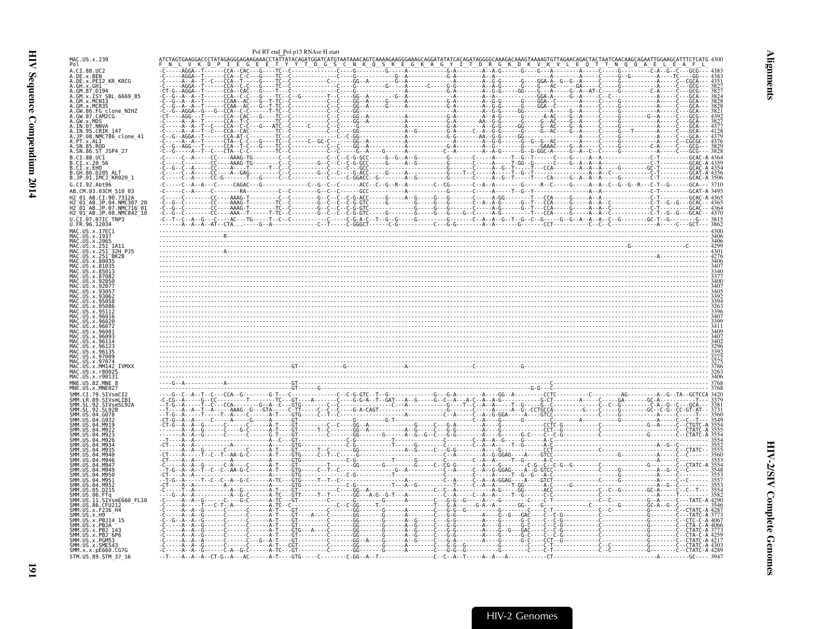<span id="page-32-0"></span>

| MAC.US.x.239<br>A.CI.88.UC2<br>.DE.x.BEN<br>.DE.x.PEI2_KR_KRCG<br>GH.x.GH1<br>GM.87.D194<br>GM.x.ISY SBL 6669 85 |                                                         | Pol RT end_Pol p15 RNAse H start |                                                                         |  |                 |
|------------------------------------------------------------------------------------------------------------------|---------------------------------------------------------|----------------------------------|-------------------------------------------------------------------------|--|-----------------|
|                                                                                                                  |                                                         |                                  |                                                                         |  |                 |
|                                                                                                                  |                                                         |                                  |                                                                         |  |                 |
|                                                                                                                  |                                                         |                                  |                                                                         |  |                 |
|                                                                                                                  |                                                         |                                  |                                                                         |  |                 |
|                                                                                                                  |                                                         |                                  |                                                                         |  |                 |
|                                                                                                                  |                                                         |                                  |                                                                         |  |                 |
| G clone NIHZ<br>:AM2CG                                                                                           |                                                         |                                  |                                                                         |  |                 |
|                                                                                                                  |                                                         |                                  | -GG - - A - - - - - - - - - - - - A - - - - - - - - - - - - - - G - A - |  |                 |
| IN.95.CRIK 147                                                                                                   |                                                         |                                  |                                                                         |  |                 |
| .JP.08.NMC786_clone_41<br>PT.x.ALI                                                                               |                                                         |                                  |                                                                         |  |                 |
| SN.86.ST_JSP4_27                                                                                                 |                                                         |                                  |                                                                         |  |                 |
| $.CI.88.UC\overline{1}$                                                                                          |                                                         |                                  |                                                                         |  |                 |
| CT.x.20.56<br>CI.x.EHO                                                                                           |                                                         |                                  |                                                                         |  |                 |
| GH.86.D205 ALT<br>.JP.01.IMCJ <sup>-</sup> KR020 1                                                               |                                                         |                                  |                                                                         |  |                 |
| G.CI.92.Abt96                                                                                                    |                                                         |                                  |                                                                         |  |                 |
| AB.CM.03.03CM_510_03                                                                                             | $C$ ---------RA----------C--C--------G--C--C------GCC-- |                                  |                                                                         |  | - GCAT - A 3495 |
| 01 AB CT 90 7312A<br>.04.NMC307                                                                                  |                                                         |                                  |                                                                         |  |                 |
| .07.NMC716-01<br>2_01_AB.JP.08.NMC842_l0                                                                         |                                                         |                                  |                                                                         |  |                 |
| CI.07.07IC TNP3                                                                                                  |                                                         |                                  |                                                                         |  |                 |
| MAC.US.x.17EC                                                                                                    |                                                         |                                  |                                                                         |  |                 |
|                                                                                                                  |                                                         |                                  |                                                                         |  |                 |
|                                                                                                                  |                                                         |                                  |                                                                         |  |                 |
| 32H PJ5                                                                                                          |                                                         |                                  |                                                                         |  |                 |
|                                                                                                                  |                                                         |                                  |                                                                         |  |                 |
|                                                                                                                  |                                                         |                                  |                                                                         |  |                 |
|                                                                                                                  |                                                         |                                  |                                                                         |  |                 |
|                                                                                                                  |                                                         |                                  |                                                                         |  |                 |
|                                                                                                                  |                                                         |                                  |                                                                         |  |                 |
|                                                                                                                  |                                                         |                                  |                                                                         |  |                 |
|                                                                                                                  |                                                         |                                  |                                                                         |  |                 |
|                                                                                                                  |                                                         |                                  |                                                                         |  |                 |
|                                                                                                                  |                                                         |                                  |                                                                         |  |                 |
|                                                                                                                  |                                                         |                                  |                                                                         |  |                 |
|                                                                                                                  |                                                         |                                  |                                                                         |  |                 |
|                                                                                                                  |                                                         |                                  |                                                                         |  |                 |
| <b>TVMXX</b>                                                                                                     |                                                         |                                  |                                                                         |  |                 |
|                                                                                                                  |                                                         |                                  |                                                                         |  |                 |
|                                                                                                                  |                                                         |                                  |                                                                         |  |                 |
| MNF IIS 82 MNF                                                                                                   |                                                         |                                  |                                                                         |  |                 |
|                                                                                                                  |                                                         |                                  |                                                                         |  |                 |
|                                                                                                                  |                                                         |                                  |                                                                         |  |                 |
|                                                                                                                  |                                                         |                                  |                                                                         |  |                 |
|                                                                                                                  |                                                         |                                  |                                                                         |  |                 |
|                                                                                                                  |                                                         |                                  |                                                                         |  |                 |
|                                                                                                                  |                                                         |                                  |                                                                         |  |                 |
|                                                                                                                  |                                                         |                                  |                                                                         |  |                 |
|                                                                                                                  |                                                         |                                  |                                                                         |  |                 |
|                                                                                                                  |                                                         |                                  |                                                                         |  |                 |
|                                                                                                                  |                                                         |                                  |                                                                         |  |                 |
|                                                                                                                  |                                                         |                                  |                                                                         |  |                 |
|                                                                                                                  |                                                         |                                  |                                                                         |  |                 |
|                                                                                                                  |                                                         |                                  |                                                                         |  |                 |
| IVsmE660 FL10                                                                                                    |                                                         |                                  |                                                                         |  |                 |
|                                                                                                                  |                                                         |                                  |                                                                         |  |                 |
|                                                                                                                  |                                                         |                                  |                                                                         |  |                 |
|                                                                                                                  |                                                         |                                  |                                                                         |  |                 |
|                                                                                                                  |                                                         |                                  |                                                                         |  |                 |
| SMM.x.x.pE660.CG7G                                                                                               |                                                         |                                  |                                                                         |  |                 |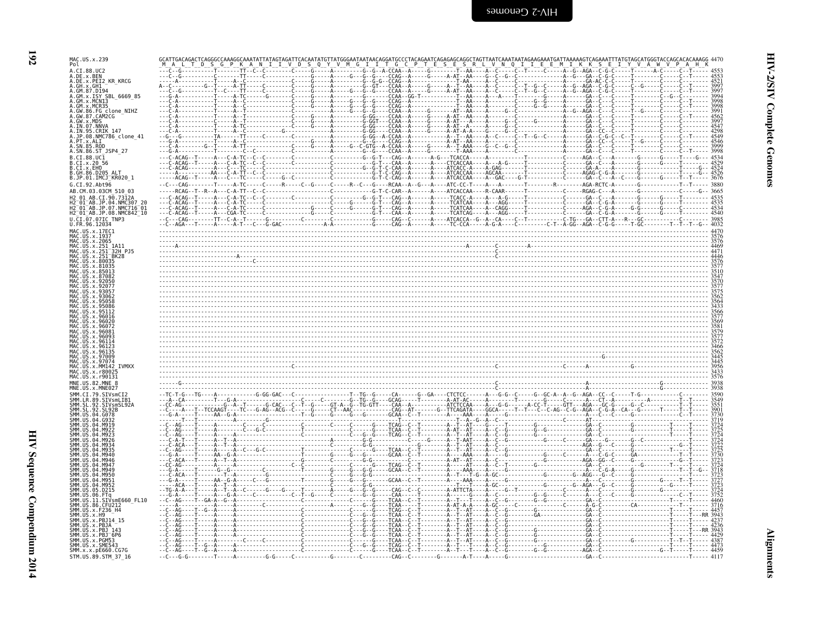| ×            |
|--------------|
| ۰.<br>٧<br>٦ |

| MAC.US.x.239<br>Pol                                                                             | IKKS<br>G I<br>GC.                   |      |
|-------------------------------------------------------------------------------------------------|--------------------------------------|------|
| A.CI.88.UC2<br>A.DE.x.BEN                                                                       |                                      |      |
| A.DE.x.PEI2 KR KRCG<br>A.GH.x.GH1                                                               | $C - G - - - C - - -$                |      |
| A.GM.87.D194<br>A.GM.x.ISY SBL 6669 85                                                          |                                      |      |
| A.GM.x.MCNI3                                                                                    |                                      |      |
| A.GM.x.MCR35<br>A.GW.86.FG clone_NIHZ<br>A.GW.87.CAM2CG<br>A.GW.x.MDS                           |                                      |      |
| A.IN.07.NNVA<br>A.IN.95.CRIK 147                                                                | . - - - - - GA - - C -               |      |
| A.JP.08.NMC786 clone 41                                                                         |                                      |      |
| A.PT.x.ALI<br>\.SN.85.ROD                                                                       |                                      |      |
| A.SN.86.ST JSP4 27                                                                              |                                      | 3998 |
| B.CI.88.UC1<br>B.CI.x.20 56                                                                     |                                      |      |
| B.CI.X.EHO                                                                                      |                                      |      |
| B.JP.01.IMCJ KR020 1<br>G.CI.92.Abt96                                                           |                                      |      |
| AB.CM.03.03CM 510 03                                                                            |                                      |      |
| AB.CI.90.7312A<br>04.NMC307<br>AB.JP                                                            |                                      |      |
| H2 <sup>-</sup> 01 <sup>-</sup> AB.JP.07<br>.NMC716 <sup>-</sup> 01<br>H2 01 AB.JP.08.NMC842 10 |                                      |      |
| U.CI.07.07IC TNP3<br>U.FR.96.12034                                                              |                                      |      |
| MAC.US.x.17EC1<br>MAC. US. x. 1937                                                              |                                      |      |
| MAC.US.x.2065                                                                                   |                                      |      |
| MAC.US.x.251<br>1A11<br>US.x.251<br>32H P.15                                                    |                                      |      |
| US.x.251<br>BK28                                                                                |                                      |      |
|                                                                                                 |                                      |      |
|                                                                                                 |                                      |      |
|                                                                                                 |                                      |      |
|                                                                                                 |                                      |      |
|                                                                                                 |                                      |      |
|                                                                                                 |                                      |      |
|                                                                                                 |                                      |      |
| arna:                                                                                           |                                      |      |
|                                                                                                 |                                      |      |
|                                                                                                 |                                      |      |
| <b>TVMXX</b><br>MAC.US.x.r800                                                                   |                                      |      |
| MAC.US.x.r90131                                                                                 |                                      |      |
| MNE.US.82.MNE 8<br>MNE.US.x.MNE027                                                              |                                      |      |
| SIVsmCI<br>SMM.LR.89<br><b>STVsmlTR</b>                                                         |                                      |      |
| -92<br>SIVsmSL92A                                                                               |                                      |      |
|                                                                                                 |                                      |      |
|                                                                                                 |                                      |      |
|                                                                                                 |                                      |      |
|                                                                                                 |                                      |      |
|                                                                                                 |                                      |      |
|                                                                                                 |                                      |      |
|                                                                                                 |                                      |      |
| D215                                                                                            |                                      |      |
|                                                                                                 |                                      |      |
| SIVsmE660 FL10<br>SMM.US.86.CFU212                                                              |                                      |      |
| SMM.US.x.F236 H4<br>SMM.US.x.H9                                                                 |                                      |      |
| SMM.US.x.PBJ14<br>x.PB14                                                                        | - - - TCAA -<br>- - - TCAA-          |      |
| $x$ PR1<br>SMM.US.x.PBJ <sup>-</sup> 6P6                                                        | <b>TCAA</b>                          |      |
| SMM.US.x.PGM53<br>SMM.US.x.SME543                                                               | 3.<br>$C - - - - - G - - - - TCAA -$ |      |
| SMM. x. x. pE660. CG7G<br>STM.US.89.STM 37 16                                                   | - - - T - -G - -A - - - -<br>$--CAG$ | 4117 |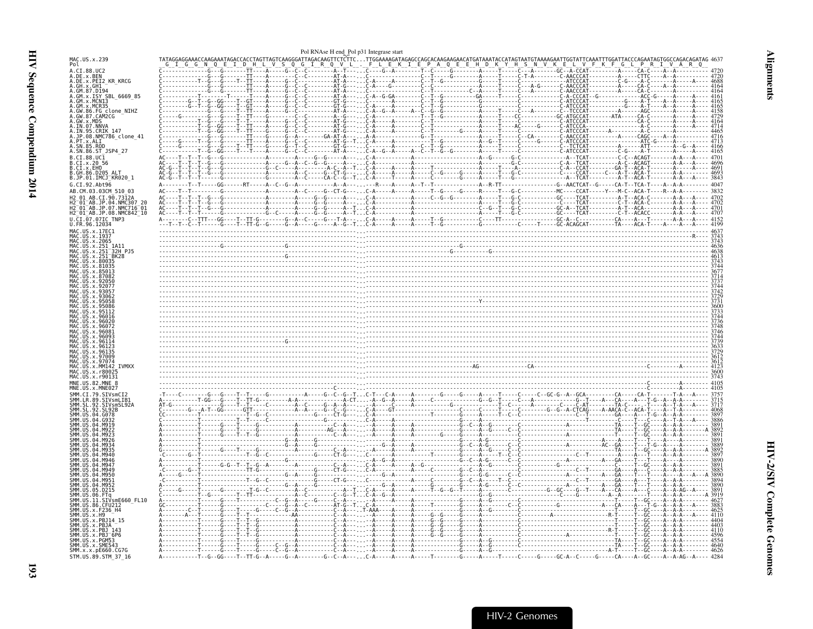<span id="page-34-0"></span>

|                                                                                | Pol RNAse H end Pol p31 Integrase start                                                                                         |  |
|--------------------------------------------------------------------------------|---------------------------------------------------------------------------------------------------------------------------------|--|
| MAC.US.x.239<br>Pol                                                            | TTAGTCAAGGGATTAGACAAGTTCTCTTCTTGGAAAAGATAGAGCCAGCAACAAGAACATGATAAATACCA<br>L V S 0 G I R 0 V L . F L E K I CE P A 0 E E H D K Y |  |
| A.CI.88.UC2<br>A.DE.X.BEN<br>A.DE.X.PEI2_KR_KRCG<br>A.GH.x.GH1                 |                                                                                                                                 |  |
| A.GM.87.D194<br>A.GM.x.ISY SBL 6669 85<br>GM.x.MCNI3                           |                                                                                                                                 |  |
| GM.x.MCR35<br>A.GW.86.FG clone_NIHZ<br>A.GW.87.CAM2CG                          |                                                                                                                                 |  |
| .JP.08.NMC786_clone_41                                                         |                                                                                                                                 |  |
| .PT.x.ALI<br>. SN . 85 . ROD<br>4.SN.86.ST JSP4 27                             |                                                                                                                                 |  |
| 3.CI.88.UC1<br>.CI.x.20.56<br>.CI.x.EHO<br>.GH.86.D205<br>B.JP.01.IMCJ KR020 1 |                                                                                                                                 |  |
| G.CI.92.Abt96<br>AB.CM.03.03CM 510 03                                          | $--- 4047$                                                                                                                      |  |
| CI.90.7312<br>$-01$ AB.JP.07.NMC716 $-01$<br>H2_01_AB.JP.08.NMC842_10          |                                                                                                                                 |  |
| J.CI.07.07IC TNP3<br>U.FR.96.12034<br>MAC.US.x.17EC1                           |                                                                                                                                 |  |
| MAC.US.x.1937<br>US.x.251 <sup>-</sup> 32H PJ5                                 |                                                                                                                                 |  |
| $251$ <sup>-BK28</sup>                                                         |                                                                                                                                 |  |
|                                                                                |                                                                                                                                 |  |
|                                                                                |                                                                                                                                 |  |
|                                                                                |                                                                                                                                 |  |
|                                                                                |                                                                                                                                 |  |
| IVMXX<br>r800                                                                  |                                                                                                                                 |  |
| MAC.US.x.r90131<br>. MNE                                                       |                                                                                                                                 |  |
|                                                                                |                                                                                                                                 |  |
|                                                                                |                                                                                                                                 |  |
|                                                                                |                                                                                                                                 |  |
|                                                                                |                                                                                                                                 |  |
|                                                                                |                                                                                                                                 |  |
|                                                                                |                                                                                                                                 |  |
| SIVsmE660 FL10                                                                 |                                                                                                                                 |  |
| SMM LIIS<br>. x . PB.J                                                         |                                                                                                                                 |  |
| M. US. x. PBJ 6P6<br>MM.US.x.PGM53<br>SMM.US.x.SME543                          |                                                                                                                                 |  |
| SMM.x.x.pE660.CG7G<br>STM.US.89.STM 37 16                                      | ---T-----C-----G-----GC-A--C-----G-----CA----A--GC----A--A-AG--A---- 4284<br>$-G - A - - - - - - G - - C - - A -$               |  |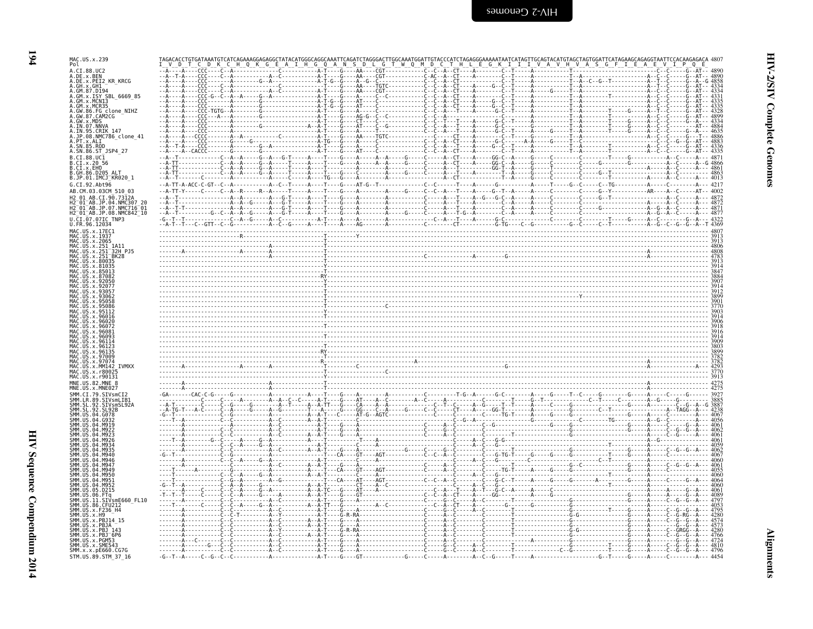$194$ 

| MAC.US.x.239                                                             |                                      |                                                                                                                            |  |
|--------------------------------------------------------------------------|--------------------------------------|----------------------------------------------------------------------------------------------------------------------------|--|
| Pol<br>A.CI.88.UC2                                                       |                                      |                                                                                                                            |  |
| A.DE.x.BEN<br>A.DE.x.PEI2_KR_KRCG                                        |                                      |                                                                                                                            |  |
| A.GH.X.GHI<br>A.GM.87.D194                                               |                                      |                                                                                                                            |  |
| A.GM.x.ISY SBL 6669 85<br>A.GM.x.MCNI3                                   |                                      |                                                                                                                            |  |
| A.GM.x.MCR35<br>A.GW.86.FG clone NIHZ                                    |                                      |                                                                                                                            |  |
| A.GW.87.CAM2CG                                                           |                                      |                                                                                                                            |  |
| A.GW.x.MDS<br>A.IN.07.NNVA                                               |                                      |                                                                                                                            |  |
| .JP.08.NMC786 clone 41<br>A.PT.x.ALI                                     |                                      |                                                                                                                            |  |
| A.SN.85.ROD<br>A.SN.86.ST_JSP4_27                                        |                                      |                                                                                                                            |  |
| B.CI.88.UC1                                                              |                                      |                                                                                                                            |  |
| B.CI.X.20 56<br>B.CI.X.EHO                                               |                                      |                                                                                                                            |  |
| B. GH. 86. D205 ALT<br>B.JP.01.IMCJ_KR020_1                              |                                      |                                                                                                                            |  |
| G.CI.92.Ah <sub>t</sub> 96                                               |                                      |                                                                                                                            |  |
|                                                                          |                                      |                                                                                                                            |  |
| $\mathsf{\scriptstyle{-AB. JP.07.}}$ MMC716 $\mathsf{\scriptstyle{-01}}$ |                                      |                                                                                                                            |  |
| H2_01_AB.JP.08.NMC842_10<br>U.CI.07.07IC TNP3                            |                                      |                                                                                                                            |  |
| U.FR.96.12034                                                            |                                      |                                                                                                                            |  |
| MAC.US.x.17EC1<br>MAC.US.x.1937                                          |                                      |                                                                                                                            |  |
| LUS x 2065                                                               |                                      |                                                                                                                            |  |
| 32H PJ5                                                                  |                                      |                                                                                                                            |  |
|                                                                          |                                      |                                                                                                                            |  |
|                                                                          |                                      |                                                                                                                            |  |
|                                                                          |                                      |                                                                                                                            |  |
|                                                                          |                                      |                                                                                                                            |  |
|                                                                          |                                      |                                                                                                                            |  |
|                                                                          |                                      |                                                                                                                            |  |
|                                                                          |                                      |                                                                                                                            |  |
|                                                                          |                                      |                                                                                                                            |  |
|                                                                          |                                      | <u> 1999 - Andrej Standard Standard Standard Standard Standard Standard Standard Standard Standard Standard Standard S</u> |  |
|                                                                          |                                      |                                                                                                                            |  |
|                                                                          |                                      |                                                                                                                            |  |
| r8002<br>r90131                                                          |                                      |                                                                                                                            |  |
| MNF IIS 82 MNF                                                           |                                      |                                                                                                                            |  |
| MNF IIS x MNF027                                                         |                                      |                                                                                                                            |  |
| <b>STVsmlTR</b>                                                          |                                      |                                                                                                                            |  |
|                                                                          |                                      |                                                                                                                            |  |
|                                                                          |                                      |                                                                                                                            |  |
|                                                                          |                                      |                                                                                                                            |  |
|                                                                          |                                      |                                                                                                                            |  |
|                                                                          |                                      |                                                                                                                            |  |
|                                                                          |                                      |                                                                                                                            |  |
|                                                                          |                                      |                                                                                                                            |  |
|                                                                          |                                      |                                                                                                                            |  |
|                                                                          |                                      |                                                                                                                            |  |
| SIVsmE660 FL10                                                           |                                      |                                                                                                                            |  |
|                                                                          |                                      |                                                                                                                            |  |
|                                                                          |                                      |                                                                                                                            |  |
|                                                                          |                                      |                                                                                                                            |  |
| SMM.US.x.PBJT6P6                                                         |                                      |                                                                                                                            |  |
| SMM. US. x. SME543<br>SMM. x. x. pE660. CG7G                             |                                      |                                                                                                                            |  |
| STM.US.89.STM 37 16                                                      | $-G - T - A - - - C - G - C - C - C$ |                                                                                                                            |  |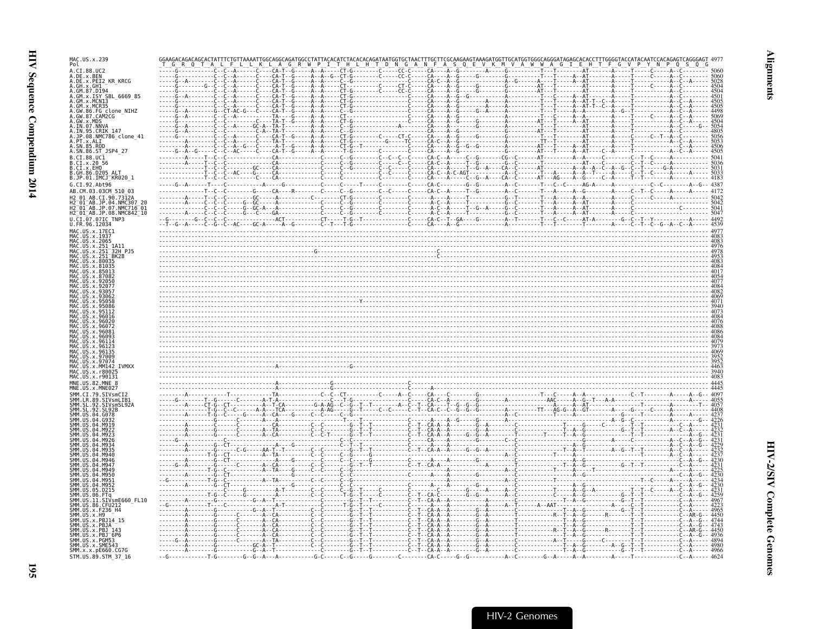| MAC.US.x.239<br>Pol                                                              |                                                                             |                                                                                                                                                                                                                                                                                                                                                                                                                                                                                       |  |                                                               |                                       |                                                  |
|----------------------------------------------------------------------------------|-----------------------------------------------------------------------------|---------------------------------------------------------------------------------------------------------------------------------------------------------------------------------------------------------------------------------------------------------------------------------------------------------------------------------------------------------------------------------------------------------------------------------------------------------------------------------------|--|---------------------------------------------------------------|---------------------------------------|--------------------------------------------------|
| A.CI.88.UC2                                                                      |                                                                             |                                                                                                                                                                                                                                                                                                                                                                                                                                                                                       |  |                                                               |                                       |                                                  |
| DE.x.BEN<br>DE.x.PEI2 KR KRCG                                                    |                                                                             |                                                                                                                                                                                                                                                                                                                                                                                                                                                                                       |  |                                                               |                                       |                                                  |
| .x.GH1                                                                           | ---С----СА-Т<br>---С----СА- <u>Т</u><br>---G--C--C--A-<br>. č - - - - c̀A - |                                                                                                                                                                                                                                                                                                                                                                                                                                                                                       |  |                                                               |                                       |                                                  |
| GM.x.ISY SBL 6669 85                                                             | $C - - - CA$                                                                |                                                                                                                                                                                                                                                                                                                                                                                                                                                                                       |  |                                                               |                                       |                                                  |
| GM.x.MCR35                                                                       |                                                                             |                                                                                                                                                                                                                                                                                                                                                                                                                                                                                       |  |                                                               |                                       |                                                  |
| GW.86.FG_clone_NIHZ<br>GW.87.CAM2CG                                              |                                                                             |                                                                                                                                                                                                                                                                                                                                                                                                                                                                                       |  |                                                               |                                       |                                                  |
| GW.x.MDS<br>IN.07.NNVA                                                           |                                                                             |                                                                                                                                                                                                                                                                                                                                                                                                                                                                                       |  |                                                               |                                       |                                                  |
| IN.95.CRIK 147                                                                   |                                                                             |                                                                                                                                                                                                                                                                                                                                                                                                                                                                                       |  |                                                               |                                       |                                                  |
| JP.08.NMC786_clone_41<br>PT.x.ALI                                                |                                                                             |                                                                                                                                                                                                                                                                                                                                                                                                                                                                                       |  |                                                               |                                       |                                                  |
| A.SN.86.ST JSP4 27                                                               |                                                                             |                                                                                                                                                                                                                                                                                                                                                                                                                                                                                       |  |                                                               |                                       |                                                  |
| $.CI.88.UC\bar{1}$                                                               |                                                                             |                                                                                                                                                                                                                                                                                                                                                                                                                                                                                       |  |                                                               |                                       |                                                  |
| CI.x.2056<br>CI.x.EHO                                                            |                                                                             |                                                                                                                                                                                                                                                                                                                                                                                                                                                                                       |  |                                                               |                                       |                                                  |
| .JP.01.IMCJ <sup>-</sup> KR020 1                                                 |                                                                             |                                                                                                                                                                                                                                                                                                                                                                                                                                                                                       |  |                                                               |                                       |                                                  |
| G.CI.92.Abt96                                                                    |                                                                             |                                                                                                                                                                                                                                                                                                                                                                                                                                                                                       |  |                                                               |                                       | $- - -$ C - -C - - - - - - - - - A - -G - - 4387 |
| AB.CM.03.03CM 510 03                                                             |                                                                             |                                                                                                                                                                                                                                                                                                                                                                                                                                                                                       |  |                                                               |                                       |                                                  |
| AB.CI.90.7312<br>$01$ AB.JP.04.                                                  |                                                                             |                                                                                                                                                                                                                                                                                                                                                                                                                                                                                       |  |                                                               |                                       |                                                  |
| H2-01-AB.JP.07.NMC716-01<br>H2-01-AB.JP.07.NMC716-01<br>H2-01-AB.JP.08.NMC842-10 |                                                                             |                                                                                                                                                                                                                                                                                                                                                                                                                                                                                       |  |                                                               |                                       |                                                  |
| U.CI.07.07IC TNP3                                                                |                                                                             |                                                                                                                                                                                                                                                                                                                                                                                                                                                                                       |  |                                                               |                                       |                                                  |
| U.FR.96.12034<br>MAC.US.x.17EC1                                                  |                                                                             |                                                                                                                                                                                                                                                                                                                                                                                                                                                                                       |  |                                                               |                                       |                                                  |
| MAC.US.x.1937                                                                    |                                                                             |                                                                                                                                                                                                                                                                                                                                                                                                                                                                                       |  |                                                               |                                       |                                                  |
| US.x.2065                                                                        |                                                                             |                                                                                                                                                                                                                                                                                                                                                                                                                                                                                       |  |                                                               |                                       |                                                  |
| 32H PJ5                                                                          |                                                                             |                                                                                                                                                                                                                                                                                                                                                                                                                                                                                       |  |                                                               |                                       |                                                  |
|                                                                                  |                                                                             |                                                                                                                                                                                                                                                                                                                                                                                                                                                                                       |  |                                                               |                                       |                                                  |
|                                                                                  |                                                                             |                                                                                                                                                                                                                                                                                                                                                                                                                                                                                       |  |                                                               |                                       |                                                  |
|                                                                                  |                                                                             |                                                                                                                                                                                                                                                                                                                                                                                                                                                                                       |  |                                                               |                                       |                                                  |
|                                                                                  |                                                                             |                                                                                                                                                                                                                                                                                                                                                                                                                                                                                       |  |                                                               |                                       |                                                  |
|                                                                                  |                                                                             |                                                                                                                                                                                                                                                                                                                                                                                                                                                                                       |  |                                                               |                                       |                                                  |
|                                                                                  |                                                                             |                                                                                                                                                                                                                                                                                                                                                                                                                                                                                       |  |                                                               |                                       |                                                  |
|                                                                                  |                                                                             |                                                                                                                                                                                                                                                                                                                                                                                                                                                                                       |  |                                                               |                                       |                                                  |
|                                                                                  |                                                                             |                                                                                                                                                                                                                                                                                                                                                                                                                                                                                       |  |                                                               |                                       |                                                  |
|                                                                                  |                                                                             |                                                                                                                                                                                                                                                                                                                                                                                                                                                                                       |  |                                                               |                                       |                                                  |
|                                                                                  |                                                                             |                                                                                                                                                                                                                                                                                                                                                                                                                                                                                       |  |                                                               |                                       |                                                  |
|                                                                                  |                                                                             |                                                                                                                                                                                                                                                                                                                                                                                                                                                                                       |  |                                                               |                                       |                                                  |
| <b>x 9700</b>                                                                    |                                                                             |                                                                                                                                                                                                                                                                                                                                                                                                                                                                                       |  |                                                               |                                       |                                                  |
| <b>TVMXX</b>                                                                     |                                                                             |                                                                                                                                                                                                                                                                                                                                                                                                                                                                                       |  |                                                               |                                       |                                                  |
| MAC US x r90131                                                                  |                                                                             |                                                                                                                                                                                                                                                                                                                                                                                                                                                                                       |  |                                                               |                                       |                                                  |
| MNF.IIS.82.MNF.8                                                                 |                                                                             |                                                                                                                                                                                                                                                                                                                                                                                                                                                                                       |  |                                                               |                                       |                                                  |
|                                                                                  |                                                                             |                                                                                                                                                                                                                                                                                                                                                                                                                                                                                       |  |                                                               |                                       |                                                  |
| /smLIB1                                                                          |                                                                             |                                                                                                                                                                                                                                                                                                                                                                                                                                                                                       |  |                                                               |                                       |                                                  |
|                                                                                  |                                                                             | $\begin{minipage}[t]{.000\textwidth} {\begin{minipage}[t]{0.000\textwidth} {\begin{minipage}[t]{0.000\textwidth} {\begin{minipage}[t]{0.000\textwidth} {\begin{minipage}[t]{0.000\textwidth} {\begin{minipage}[t]{0.000\textwidth} {\begin{minipage}[t]{0.000\textwidth} {\begin{minipage}[t]{0.000\textwidth} {\begin{minipage}[t]{0.000\textwidth} {\begin{minipage}[t]{0.000\textwidth} {\begin{minipage}[t]{0.000\textwidth} {\begin{minipage}[t]{0.000\textwidth} {\begin{minip$ |  |                                                               |                                       |                                                  |
|                                                                                  |                                                                             |                                                                                                                                                                                                                                                                                                                                                                                                                                                                                       |  |                                                               |                                       |                                                  |
|                                                                                  |                                                                             |                                                                                                                                                                                                                                                                                                                                                                                                                                                                                       |  |                                                               |                                       |                                                  |
|                                                                                  |                                                                             |                                                                                                                                                                                                                                                                                                                                                                                                                                                                                       |  |                                                               |                                       |                                                  |
|                                                                                  |                                                                             |                                                                                                                                                                                                                                                                                                                                                                                                                                                                                       |  |                                                               |                                       |                                                  |
|                                                                                  |                                                                             |                                                                                                                                                                                                                                                                                                                                                                                                                                                                                       |  |                                                               |                                       |                                                  |
|                                                                                  |                                                                             |                                                                                                                                                                                                                                                                                                                                                                                                                                                                                       |  |                                                               |                                       |                                                  |
| <b>MQ51</b>                                                                      |                                                                             |                                                                                                                                                                                                                                                                                                                                                                                                                                                                                       |  |                                                               |                                       |                                                  |
| M952                                                                             |                                                                             |                                                                                                                                                                                                                                                                                                                                                                                                                                                                                       |  |                                                               |                                       |                                                  |
| D215                                                                             |                                                                             |                                                                                                                                                                                                                                                                                                                                                                                                                                                                                       |  |                                                               |                                       |                                                  |
| LVsmE660_FL10                                                                    |                                                                             |                                                                                                                                                                                                                                                                                                                                                                                                                                                                                       |  |                                                               |                                       |                                                  |
|                                                                                  |                                                                             |                                                                                                                                                                                                                                                                                                                                                                                                                                                                                       |  |                                                               |                                       |                                                  |
|                                                                                  |                                                                             |                                                                                                                                                                                                                                                                                                                                                                                                                                                                                       |  |                                                               |                                       |                                                  |
|                                                                                  |                                                                             |                                                                                                                                                                                                                                                                                                                                                                                                                                                                                       |  |                                                               |                                       |                                                  |
|                                                                                  |                                                                             |                                                                                                                                                                                                                                                                                                                                                                                                                                                                                       |  |                                                               |                                       |                                                  |
| SMM.US.x.SME543                                                                  |                                                                             | $- - G C - A - T - - - - - - - - - - C -$                                                                                                                                                                                                                                                                                                                                                                                                                                             |  |                                                               |                                       |                                                  |
| SMM.x.x.pE660.CG7G                                                               | . G - - - - - - - - - - - G - - A -                                         |                                                                                                                                                                                                                                                                                                                                                                                                                                                                                       |  |                                                               | ----G--T--T------------C--A----- 4966 |                                                  |
| STM.US.89.STM 37 16                                                              | - - - - T - G - - - - - - - - G - - G - - A -                               |                                                                                                                                                                                                                                                                                                                                                                                                                                                                                       |  | - - - - - A - - C - - - - - - - - G - - A - - - - - A - - A - |                                       |                                                  |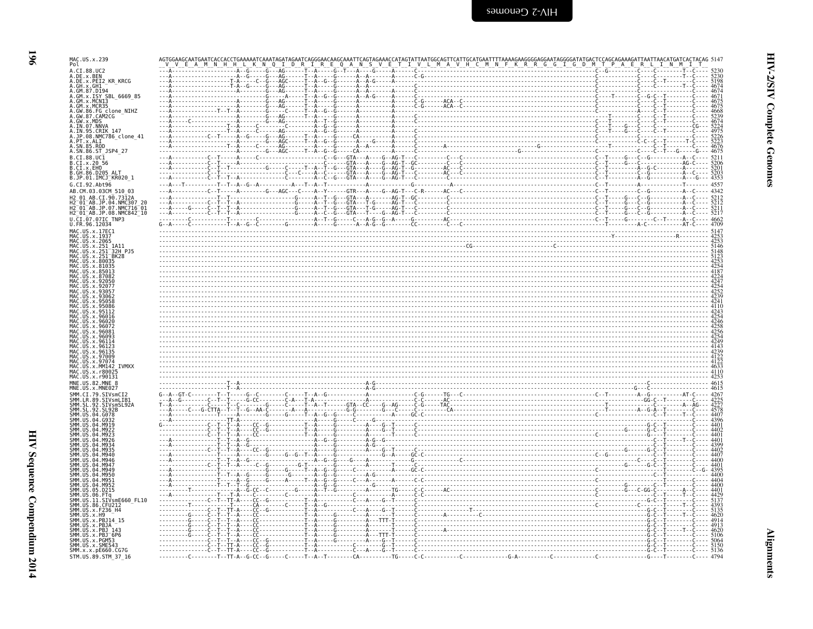| ×<br>I |  |
|--------|--|

| MAC.US.x.239<br>Pol                                                                     |      |
|-----------------------------------------------------------------------------------------|------|
| A.CI.88.UC2<br>A.DE.x.BEN                                                               |      |
| A.DE.x.PEI2 KR KRCG<br>A.GH.x.GH1                                                       |      |
| A.GM.87.D194<br>A.GM.x.ISY SBL 6669 85                                                  |      |
| A.GM.x.MCN13<br>A.GM.x.MCR35<br>A.GM.x.MCR35<br>A.GW.86.FG clone_NIHZ<br>A.GW.87.CAM2CG |      |
| A.GW.x.MDS<br>A.IN.07.NNVA<br>A.IN.07.NNVA<br>A.IN.95.CRIK 147                          |      |
| A.JP.08.NMC786_clone_41<br>A.JP.08.NMC786_clone_41                                      |      |
| A.SN.86.ST JSP4 27                                                                      |      |
| B.CI.88.UC1<br>B.CI.x.20 56<br>B.CI.x.EHO                                               |      |
| B.GH.86.D205 ALT<br>B.JP.01.IMCJ_KR020_1                                                | 4353 |
| G.CI.92.Abt96<br>AB.CM.03.03CM 510 03                                                   | 4557 |
| CI.90.7312A                                                                             |      |
| H2 <sup>-</sup> 01 <sup>-</sup> AB.JP.08.NMC842 <sup>-</sup> 10<br>U.CI.07.07IC TNP3    |      |
| U.FR.96.12034<br>MAC.US.x.17EC1                                                         |      |
| MAC.US.x.1937<br>. US . x . 2065<br>1A11                                                |      |
| 32H P15 <sup>-</sup><br>x.251                                                           |      |
|                                                                                         |      |
|                                                                                         |      |
|                                                                                         |      |
|                                                                                         |      |
|                                                                                         |      |
|                                                                                         |      |
|                                                                                         |      |
| <b>TVMXX</b>                                                                            |      |
| x r800<br>MAC.US.x.r90131                                                               |      |
| MNE.US.82.MNE                                                                           |      |
|                                                                                         |      |
| 04.G078                                                                                 |      |
|                                                                                         |      |
|                                                                                         |      |
|                                                                                         |      |
|                                                                                         |      |
|                                                                                         |      |
| D215                                                                                    |      |
| 11.SIVsmE660 FL10<br>SMM.US.x.F236 H4                                                   |      |
| SMM.US.x.H9                                                                             |      |
| SMM.US.x.PBJ <sup>-</sup> 6P6                                                           |      |
| SMM.US.x.PGM53<br>SMM. US. x. SME543<br>SMM. x. x. pE660. CG7G                          |      |
| STM.US.89.STM 37 16                                                                     |      |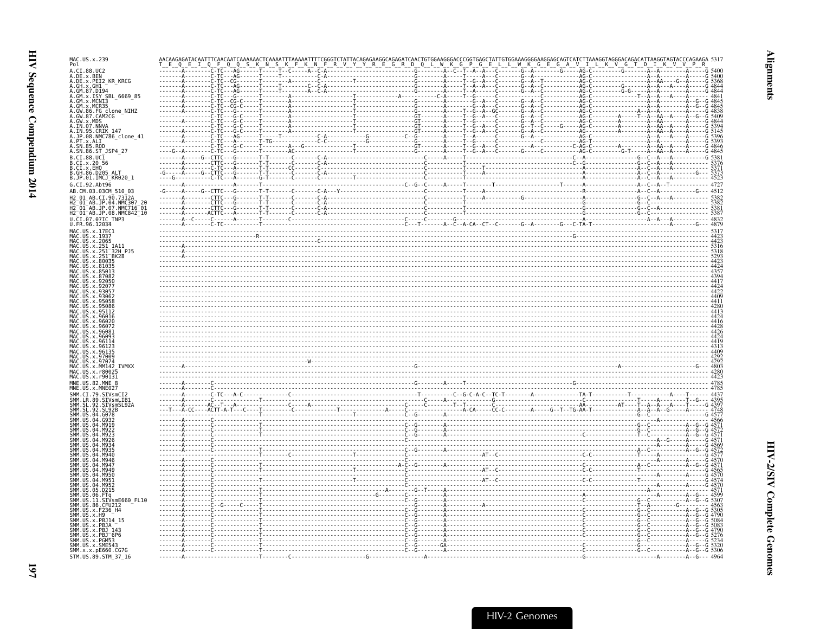| MAC.US.x.239<br>Pol                                                                                 |  |                                                         |  |  |  |  |
|-----------------------------------------------------------------------------------------------------|--|---------------------------------------------------------|--|--|--|--|
| A.CI.88.UC2                                                                                         |  |                                                         |  |  |  |  |
| A.DE.X.BEN<br>A.DE.X.PEI2_KR_KRCG                                                                   |  |                                                         |  |  |  |  |
|                                                                                                     |  |                                                         |  |  |  |  |
|                                                                                                     |  |                                                         |  |  |  |  |
| A. GH. x. GH1<br>A. GM. 87. D194<br>A. GM. x. ISY SBL_6669_85<br>A. GM. x. MCN13<br>A. GM. x. MCR35 |  |                                                         |  |  |  |  |
| A.GW.86.FG_clone_NIHZ<br>A.GW.87.CAM2CG                                                             |  |                                                         |  |  |  |  |
| A.GW.X.MDS<br>A.IN.07.NNVA                                                                          |  |                                                         |  |  |  |  |
| A.IN.95.CRIK 147                                                                                    |  |                                                         |  |  |  |  |
| A.JP.08.NMC786 clone 41<br>A.PT.X.ALI<br>A.SN.85.ROD                                                |  |                                                         |  |  |  |  |
| A.SN.86.ST JSP4 27                                                                                  |  |                                                         |  |  |  |  |
| B.CI.88.UC1                                                                                         |  |                                                         |  |  |  |  |
| B.CI.x.20 56<br>B.CI.x.EHO                                                                          |  |                                                         |  |  |  |  |
| B.GH.86.D205 ALT<br>B.JP.01.IMCJ KR020 1                                                            |  |                                                         |  |  |  |  |
| G.CI.92.Abt96                                                                                       |  |                                                         |  |  |  |  |
| AB.CM.03.03CM 510 03                                                                                |  |                                                         |  |  |  |  |
| H2 01 AB.CI.90.7312A                                                                                |  |                                                         |  |  |  |  |
| H2-01-AB.JP.04.NMC307-20<br>H2-01-AB.JP.07.NMC716-01<br>H2 01 AB.JP.08.NMC842 10                    |  |                                                         |  |  |  |  |
| U.CI.07.07IC TNP3                                                                                   |  |                                                         |  |  |  |  |
| U.FR.96.12034<br>MAC.US.x.17EC1                                                                     |  |                                                         |  |  |  |  |
| MAC.US.x.1937                                                                                       |  |                                                         |  |  |  |  |
| MAC<br>MAC<br>MAC<br>MAC<br>US.x.2065<br>US.x.251<br>1A11                                           |  |                                                         |  |  |  |  |
| 32H PJ5<br>$US \cdot x$<br>US.x.                                                                    |  |                                                         |  |  |  |  |
|                                                                                                     |  |                                                         |  |  |  |  |
| <b>IIS x 85013</b>                                                                                  |  |                                                         |  |  |  |  |
|                                                                                                     |  |                                                         |  |  |  |  |
|                                                                                                     |  |                                                         |  |  |  |  |
|                                                                                                     |  | $\frac{447}{440}$                                       |  |  |  |  |
|                                                                                                     |  |                                                         |  |  |  |  |
|                                                                                                     |  |                                                         |  |  |  |  |
|                                                                                                     |  |                                                         |  |  |  |  |
|                                                                                                     |  |                                                         |  |  |  |  |
|                                                                                                     |  |                                                         |  |  |  |  |
|                                                                                                     |  |                                                         |  |  |  |  |
|                                                                                                     |  |                                                         |  |  |  |  |
| <b>TVMXX</b>                                                                                        |  | $\begin{smallmatrix} 202 \ 420 \ 420 \end{smallmatrix}$ |  |  |  |  |
| MAC.US.x.r90131                                                                                     |  |                                                         |  |  |  |  |
| MNE.US.82.MNE                                                                                       |  |                                                         |  |  |  |  |
| MNE.US.x.MNE027<br>SMM.CI.79.SIVsmCI2                                                               |  |                                                         |  |  |  |  |
| .LR.89.SIVsmLIB1<br>.SL.92.SIVsmSL92A                                                               |  |                                                         |  |  |  |  |
| $\overline{92}$                                                                                     |  |                                                         |  |  |  |  |
|                                                                                                     |  |                                                         |  |  |  |  |
|                                                                                                     |  |                                                         |  |  |  |  |
|                                                                                                     |  |                                                         |  |  |  |  |
|                                                                                                     |  |                                                         |  |  |  |  |
|                                                                                                     |  |                                                         |  |  |  |  |
|                                                                                                     |  |                                                         |  |  |  |  |
|                                                                                                     |  |                                                         |  |  |  |  |
| SMM IIS<br>SMM IIS                                                                                  |  |                                                         |  |  |  |  |
| SMM IIS<br>M952<br>SMM.US<br>05<br>.D215                                                            |  |                                                         |  |  |  |  |
| SMM.US.06<br>SMM.US<br>SIVsmE660 FL10                                                               |  |                                                         |  |  |  |  |
| 11<br>SMM. US.86. CFU212                                                                            |  |                                                         |  |  |  |  |
| SMM. US. x. F236 H4<br>SMM.US.x.H9                                                                  |  |                                                         |  |  |  |  |
| SMM.US.x.PBJ14<br>SMM.US.x.PBJA                                                                     |  |                                                         |  |  |  |  |
| SMM.US.x.PBJ 143                                                                                    |  |                                                         |  |  |  |  |
| SMM.US.x.PBJ <sup>-</sup> 6P6<br>SMM.US.x.PGM53                                                     |  |                                                         |  |  |  |  |
| SMM.US.x.SME543<br>SMM.x.x.pE660.CG7G                                                               |  |                                                         |  |  |  |  |
| STM.US.89.STM 37 16                                                                                 |  |                                                         |  |  |  |  |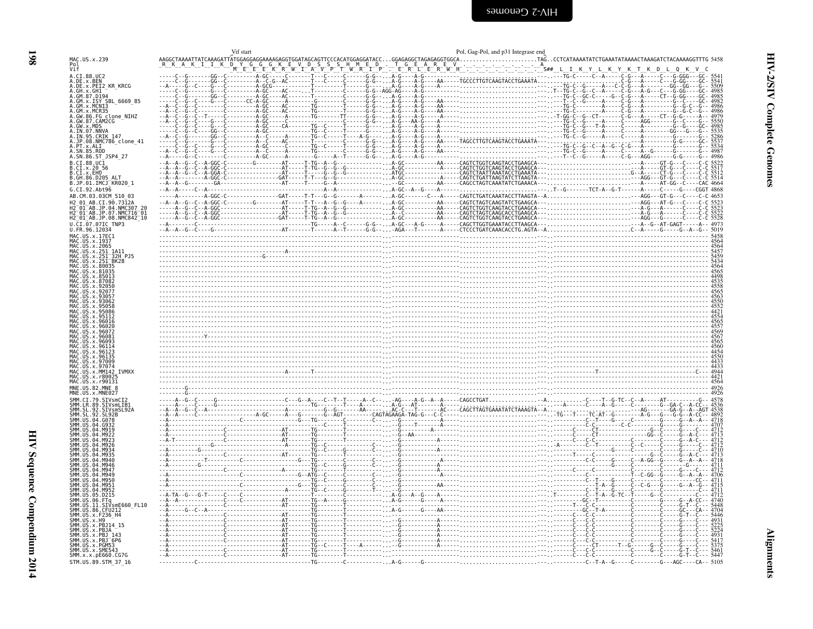<span id="page-39-0"></span>

|                                                                                                      | Pol, Gag-Pol, and p31 Integrase end<br>Vif start |                                             |
|------------------------------------------------------------------------------------------------------|--------------------------------------------------|---------------------------------------------|
| MAC.US.x.239                                                                                         |                                                  |                                             |
| /i f<br>A.CI.88.UC2                                                                                  |                                                  |                                             |
| .DE.x.BEN<br>.DE.x.PEI2 KR KRCG                                                                      |                                                  |                                             |
| GM.87.D194<br>GM.x.ISY SBL 6669_85                                                                   |                                                  |                                             |
| GM.x.MCN13<br>MCR35.<br>GW                                                                           |                                                  |                                             |
| 86.FG clone_NIHZ<br>87.CAM2CG                                                                        |                                                  |                                             |
| IN.07.NNVA<br><b>CRIK 147</b>                                                                        |                                                  |                                             |
| JP.08.NMC786_clone_41<br>SN.85.ROD                                                                   |                                                  |                                             |
| .SN.86.ST JSP4 27<br>.CI.88.UC1                                                                      |                                                  |                                             |
| CI.x.2056<br>.CI.x.EHO                                                                               |                                                  |                                             |
| .GH.86.D205 ALT<br>.JP.01.IMCJ_KR020_1                                                               |                                                  |                                             |
| .CI.92.Abt96<br>AB.CM.03.03CM 510 03                                                                 |                                                  |                                             |
| AB.CI.90.7312A                                                                                       |                                                  |                                             |
| H2-01-AB.JP.04.NMC307 20<br>H2-01-AB.JP.07.NMC716-01<br>H2_01_AB.JP.08.NMC842_10<br>.CI.07.07IC TNP3 |                                                  |                                             |
| FR.96.12034<br>MAC.US.x.17EC1                                                                        |                                                  |                                             |
| US.x.2065                                                                                            |                                                  |                                             |
| 251 32H PJ5                                                                                          |                                                  |                                             |
|                                                                                                      |                                                  |                                             |
|                                                                                                      |                                                  |                                             |
|                                                                                                      |                                                  |                                             |
|                                                                                                      |                                                  |                                             |
|                                                                                                      |                                                  |                                             |
|                                                                                                      |                                                  |                                             |
|                                                                                                      |                                                  |                                             |
|                                                                                                      |                                                  |                                             |
|                                                                                                      |                                                  |                                             |
| <b>TVMXX</b><br>MM142                                                                                |                                                  |                                             |
| MAC.US.x.r90131<br>MNF US 82 MNF 8                                                                   |                                                  |                                             |
|                                                                                                      |                                                  |                                             |
|                                                                                                      |                                                  |                                             |
|                                                                                                      |                                                  |                                             |
|                                                                                                      |                                                  |                                             |
|                                                                                                      |                                                  |                                             |
| <b>MOSE</b>                                                                                          |                                                  |                                             |
|                                                                                                      |                                                  |                                             |
|                                                                                                      |                                                  |                                             |
| M952<br>. D215                                                                                       |                                                  |                                             |
| .FTq<br>.SIVsmE660_FL10<br>US.86.CFU212                                                              |                                                  |                                             |
| US.x.F236 H4                                                                                         |                                                  |                                             |
| US.x.PBJ 143<br>US.x.PBJ 6P6                                                                         |                                                  |                                             |
| US.x.PGM53<br>MM.US.x.SME543                                                                         |                                                  |                                             |
| SMM.x.x.pE660.CG7G<br>STM.US.89.STM 37 16                                                            |                                                  | . C G . T C .<br>$-T-A-6-C-S-G-ABC-CA-5105$ |
|                                                                                                      |                                                  |                                             |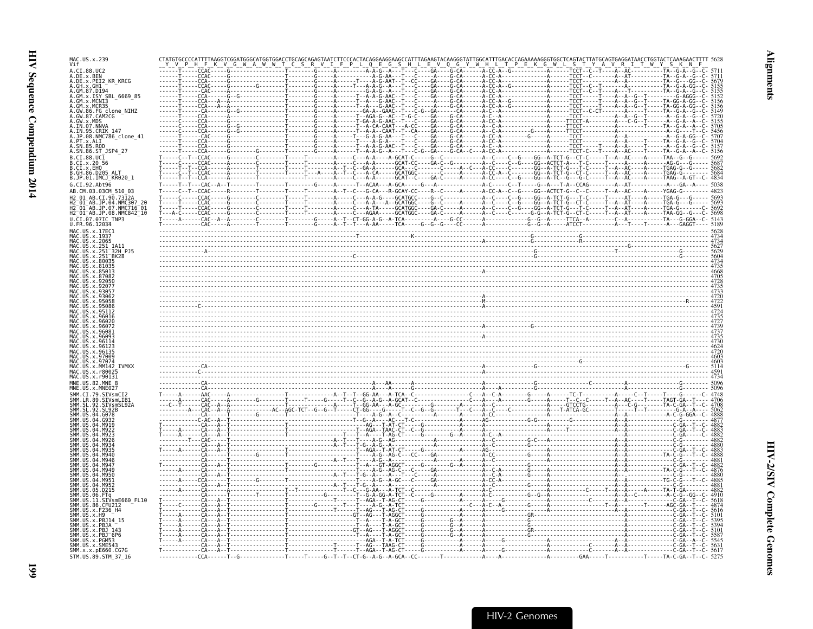| MAC.US.x.239<br>Vif                               |                                                                                                                                                                                                                                                                                                                                                                                                                                                                                                        |                                      |  |
|---------------------------------------------------|--------------------------------------------------------------------------------------------------------------------------------------------------------------------------------------------------------------------------------------------------------------------------------------------------------------------------------------------------------------------------------------------------------------------------------------------------------------------------------------------------------|--------------------------------------|--|
|                                                   |                                                                                                                                                                                                                                                                                                                                                                                                                                                                                                        |                                      |  |
| .DE.x.PEI2 KR KRCG                                |                                                                                                                                                                                                                                                                                                                                                                                                                                                                                                        |                                      |  |
|                                                   |                                                                                                                                                                                                                                                                                                                                                                                                                                                                                                        |                                      |  |
| ISY SBL 6669 85                                   |                                                                                                                                                                                                                                                                                                                                                                                                                                                                                                        |                                      |  |
| x.MCR35<br>.FG_clone_NIHZ                         |                                                                                                                                                                                                                                                                                                                                                                                                                                                                                                        |                                      |  |
| GW.87.CAM2CG<br>MDS                               |                                                                                                                                                                                                                                                                                                                                                                                                                                                                                                        |                                      |  |
| IN.07.NNVA<br>.IN.95.CRIK_147                     |                                                                                                                                                                                                                                                                                                                                                                                                                                                                                                        |                                      |  |
| JP.08.NMC786_clone_41                             |                                                                                                                                                                                                                                                                                                                                                                                                                                                                                                        |                                      |  |
|                                                   |                                                                                                                                                                                                                                                                                                                                                                                                                                                                                                        | -A- - - - - - TCCT - - - - - T - - - |  |
| SN.86.ST_JSP4_27                                  |                                                                                                                                                                                                                                                                                                                                                                                                                                                                                                        |                                      |  |
|                                                   |                                                                                                                                                                                                                                                                                                                                                                                                                                                                                                        |                                      |  |
| IMCJ <sup>-</sup> KR020 1                         |                                                                                                                                                                                                                                                                                                                                                                                                                                                                                                        |                                      |  |
|                                                   |                                                                                                                                                                                                                                                                                                                                                                                                                                                                                                        |                                      |  |
|                                                   |                                                                                                                                                                                                                                                                                                                                                                                                                                                                                                        |                                      |  |
|                                                   |                                                                                                                                                                                                                                                                                                                                                                                                                                                                                                        |                                      |  |
| JP.07.NMC716-01<br>$01^-$ AB.JP.08.NMC842 $^-$ 10 |                                                                                                                                                                                                                                                                                                                                                                                                                                                                                                        |                                      |  |
| FR.96.12034.                                      |                                                                                                                                                                                                                                                                                                                                                                                                                                                                                                        |                                      |  |
|                                                   |                                                                                                                                                                                                                                                                                                                                                                                                                                                                                                        |                                      |  |
|                                                   | $\frac{1}{1} \cdot \ldots \cdot \frac{1}{1} \cdot \ldots \cdot \frac{1}{1} \cdot \ldots \cdot \frac{1}{1} \cdot \ldots \cdot \frac{1}{1} \cdot \ldots \cdot \frac{1}{1} \cdot \ldots \cdot \frac{1}{1} \cdot \ldots \cdot \frac{1}{1} \cdot \ldots \cdot \frac{1}{1} \cdot \ldots \cdot \frac{1}{1} \cdot \ldots \cdot \frac{1}{1} \cdot \ldots \cdot \frac{1}{1} \cdot \ldots \cdot \frac{1}{1} \cdot \ldots \cdot \frac{1}{1} \cdot \ldots \cdot \frac{1}{1} \cdot \ldots \cdot \frac{1}{1} \cdot \$ |                                      |  |
| 32H P.15                                          |                                                                                                                                                                                                                                                                                                                                                                                                                                                                                                        |                                      |  |
|                                                   |                                                                                                                                                                                                                                                                                                                                                                                                                                                                                                        |                                      |  |
|                                                   |                                                                                                                                                                                                                                                                                                                                                                                                                                                                                                        |                                      |  |
|                                                   |                                                                                                                                                                                                                                                                                                                                                                                                                                                                                                        |                                      |  |
|                                                   |                                                                                                                                                                                                                                                                                                                                                                                                                                                                                                        |                                      |  |
|                                                   |                                                                                                                                                                                                                                                                                                                                                                                                                                                                                                        |                                      |  |
|                                                   |                                                                                                                                                                                                                                                                                                                                                                                                                                                                                                        |                                      |  |
|                                                   |                                                                                                                                                                                                                                                                                                                                                                                                                                                                                                        |                                      |  |
|                                                   |                                                                                                                                                                                                                                                                                                                                                                                                                                                                                                        |                                      |  |
|                                                   |                                                                                                                                                                                                                                                                                                                                                                                                                                                                                                        |                                      |  |
|                                                   |                                                                                                                                                                                                                                                                                                                                                                                                                                                                                                        |                                      |  |
|                                                   |                                                                                                                                                                                                                                                                                                                                                                                                                                                                                                        |                                      |  |
|                                                   |                                                                                                                                                                                                                                                                                                                                                                                                                                                                                                        |                                      |  |
|                                                   |                                                                                                                                                                                                                                                                                                                                                                                                                                                                                                        |                                      |  |
|                                                   |                                                                                                                                                                                                                                                                                                                                                                                                                                                                                                        |                                      |  |
|                                                   |                                                                                                                                                                                                                                                                                                                                                                                                                                                                                                        |                                      |  |
|                                                   |                                                                                                                                                                                                                                                                                                                                                                                                                                                                                                        |                                      |  |
|                                                   |                                                                                                                                                                                                                                                                                                                                                                                                                                                                                                        |                                      |  |
|                                                   |                                                                                                                                                                                                                                                                                                                                                                                                                                                                                                        |                                      |  |
|                                                   |                                                                                                                                                                                                                                                                                                                                                                                                                                                                                                        |                                      |  |
|                                                   |                                                                                                                                                                                                                                                                                                                                                                                                                                                                                                        |                                      |  |
|                                                   |                                                                                                                                                                                                                                                                                                                                                                                                                                                                                                        |                                      |  |
|                                                   |                                                                                                                                                                                                                                                                                                                                                                                                                                                                                                        |                                      |  |
|                                                   |                                                                                                                                                                                                                                                                                                                                                                                                                                                                                                        |                                      |  |
|                                                   |                                                                                                                                                                                                                                                                                                                                                                                                                                                                                                        |                                      |  |
|                                                   | $\begin{pmatrix} \mathbf{0} & \mathbf{0} & \mathbf{0} & \mathbf{0} & \mathbf{0} & \mathbf{0} & \mathbf{0} & \mathbf{0} & \mathbf{0} & \mathbf{0} & \mathbf{0} & \mathbf{0} & \mathbf{0} & \mathbf{0} & \mathbf{0} & \mathbf{0} & \mathbf{0} & \mathbf{0} & \mathbf{0} & \mathbf{0} & \mathbf{0} & \mathbf{0} & \mathbf{0} & \mathbf{0} & \mathbf{0} & \mathbf{0} & \mathbf{0} & \mathbf{0} & \mathbf{0} & \mathbf{0} & \mathbf{$                                                                       |                                      |  |
| mE660 FL10                                        |                                                                                                                                                                                                                                                                                                                                                                                                                                                                                                        |                                      |  |
|                                                   |                                                                                                                                                                                                                                                                                                                                                                                                                                                                                                        |                                      |  |
|                                                   |                                                                                                                                                                                                                                                                                                                                                                                                                                                                                                        |                                      |  |
|                                                   |                                                                                                                                                                                                                                                                                                                                                                                                                                                                                                        |                                      |  |
|                                                   |                                                                                                                                                                                                                                                                                                                                                                                                                                                                                                        |                                      |  |
|                                                   |                                                                                                                                                                                                                                                                                                                                                                                                                                                                                                        |                                      |  |
| SMM. x.x. pE660. CG7G<br>STM.US.89.STM 37 16      |                                                                                                                                                                                                                                                                                                                                                                                                                                                                                                        |                                      |  |

**Alignments** 

**661**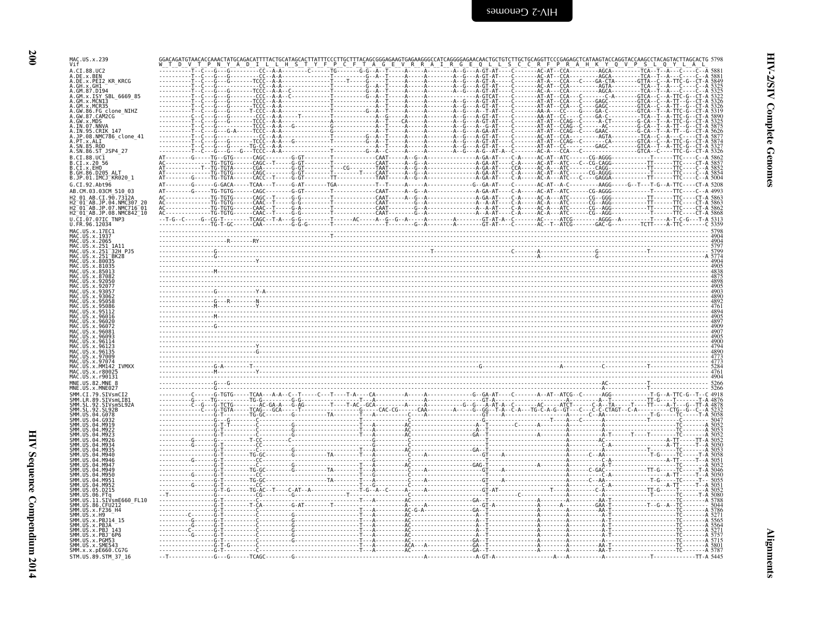| I            |
|--------------|
| ۰.<br>×<br>v |

| MAC.US.x.239<br>Vif                                                                                                                                                                                                                                     |                                                            |  |                                                                                                         |                                                                                                                                                                                                                                         |
|---------------------------------------------------------------------------------------------------------------------------------------------------------------------------------------------------------------------------------------------------------|------------------------------------------------------------|--|---------------------------------------------------------------------------------------------------------|-----------------------------------------------------------------------------------------------------------------------------------------------------------------------------------------------------------------------------------------|
| A.CI.88.UC2<br>A.DE.X.BEN<br>A.DE.X.PEI2_KR_KRCG<br>A.GH.X.GHI                                                                                                                                                                                          |                                                            |  | - C - - - - - - - AT - A - - - CCA - - - C - - -                                                        | $-GA - \overline{CT}A - \cdots - \overline{GTTA} - \overline{C}$                                                                                                                                                                        |
| A.GM.X.ISY SBL 6669 85<br>A.GM.X.HSY SBL_6069_85<br>A.GM.X.MCR35<br>A.GM.X.MCR35<br>A.GW.86.FG clone_NIHZ<br>A.GW.87.CAM2CG<br>A.JW.37.MDS<br>A.IN.95.CRIK 147<br>A.JP.98.NNC786_clone_41<br>A.JP.98.NNC786_clone_41<br>A. PT. x. ALI<br>A. SN. 85. ROD |                                                            |  | $---AT-AT--CCAG--C--$<br>- AT - AT - - CCAG - - C - - - - -<br>- - - - - - AT - AT - - CCAG - - C - - - | - - - - - - - - GTCA<br>- GA - C - - - - - - - - - GTCA<br>$-A$ - $CT$ - - - - - - - - G - $CA$ -<br>GAAC - - - - - - - - - G - CA -<br>.CCA----------AGTA---------TCA                                                                  |
| A.SN.86.ST_JSP4_27<br>B.CI.88.UC1<br>B.CI.x.20 56<br>B.CI.x.EHO<br>B.GH.86.D205 ALT<br>B.JP.01.IMCJ_KR020_1<br>G.CI.92.Abt96                                                                                                                            | $- - - - - - -$ TG-TGTG<br>- - - - - - - - - - TG - TGTG · |  |                                                                                                         |                                                                                                                                                                                                                                         |
| AB.CM.03.03CM 510 03<br>12 01 AB.CI.90.7312A<br>AB.JP.04.NMC307 20<br>$-01$ AB.JP.07.NMC716 $01$<br>H2 <sup>-01-AB.JP.08.NMC842<sup>-10</sup></sup><br>U.CI.07.07IC TNP3<br>U.FR.96.12034                                                               |                                                            |  |                                                                                                         |                                                                                                                                                                                                                                         |
| MAC.US.x.17EC1<br>MAC.US.x.1937<br>MAC.US.x.2065<br>MAC.US.x.251<br>US.x.251<br>_1A11<br>-32H_PJ5<br>-BK28<br>.US.x.251<br>US.x.251<br>US.x.80035<br>US X 81035                                                                                         |                                                            |  |                                                                                                         | $\frac{4904}{4004}$<br>- Exercise of the contract of the contract of the contract of the contract of the contract of the contract of<br>- Exercise of the contract of the contract of the contract of the contract of the contract of t |
| 93063<br>. x 950                                                                                                                                                                                                                                        |                                                            |  |                                                                                                         | $-4890$<br>$-4892$<br>4761<br>4894                                                                                                                                                                                                      |
| US.x.960                                                                                                                                                                                                                                                |                                                            |  |                                                                                                         | 4905<br>4897<br>4890                                                                                                                                                                                                                    |
| 97074<br>US.x.MM142 IVMXX<br>.US.x.r8002<br>MAC.US.x.r90131                                                                                                                                                                                             |                                                            |  |                                                                                                         | . 4773<br>. 5284                                                                                                                                                                                                                        |
| MNE.US.82.MNE 8<br>MNE.US.x.MNE027<br>SIVsmCI2<br>89.SIVsmLIB1<br>SL 92<br>SIVsmSL92A                                                                                                                                                                   |                                                            |  |                                                                                                         | 5266                                                                                                                                                                                                                                    |
|                                                                                                                                                                                                                                                         |                                                            |  |                                                                                                         |                                                                                                                                                                                                                                         |
| <b>SMM IIS</b><br>.D215<br>SMM, US<br>. 06<br>FTa<br>SMM. US<br>SIVsmE660_FL10<br>. 11.                                                                                                                                                                 |                                                            |  |                                                                                                         |                                                                                                                                                                                                                                         |
| SMM. US. 86. CEU212<br>ŠMM. UŠ. x. F236_H4<br>SMM.US.x.H9<br>SMM.US.x.PBJ14<br>SMM.US.x.PBJA<br>SMM.US.x.PBJ 143<br>SMM.US.x.PBJ <sup>-</sup> 6P6<br>SMM.US.x.PGM53                                                                                     |                                                            |  |                                                                                                         |                                                                                                                                                                                                                                         |
| SMM.US.x.SME543<br>SMM.x.x.pE660.CG7G<br>STM.US.89.STM 37 16                                                                                                                                                                                            |                                                            |  |                                                                                                         | TTT-A 5445                                                                                                                                                                                                                              |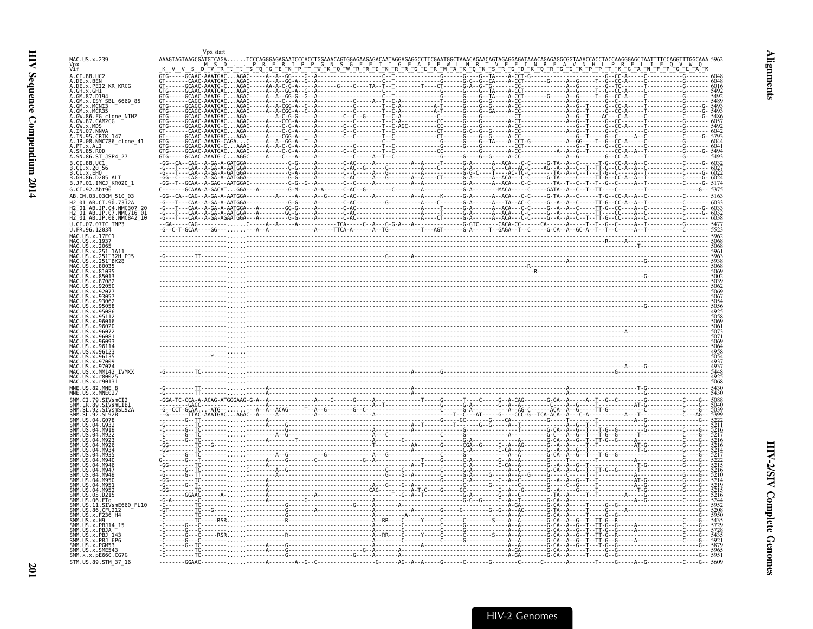|                                                                                                                                                        | Vpx start                                                                                                                                                                 |  |  |      |
|--------------------------------------------------------------------------------------------------------------------------------------------------------|---------------------------------------------------------------------------------------------------------------------------------------------------------------------------|--|--|------|
| MAC.US.x.239<br>Vpx<br>Vif                                                                                                                             | AAAGTAGTAAGCGATGTCAGA                                                                                                                                                     |  |  |      |
| A.CI.88.UC2<br>A.DE.x.BEN<br>A.DE.x.PEI2 KR KRCG<br>A.GH.X.GHI<br>A.GM.87.D194<br>A.GM.x.ISY SBL 6669 85                                               | D<br>$---GCAAC-AAATGAC$<br>- GCAAC - AAATG - C AGAC -<br>- GCAAC - AAATG - C AGAC - - - - - GCAAC - AAATGAC AGAC -<br>--- GCAAC - AAATG - C AGAC<br>- CAGC - AAATGAC AAAC |  |  | 6016 |
| A.GM.x.MCNI3<br>A.GM.x.MCR35<br>A.GW.86.FG clone_NIHZ<br>A.GW.87.CAM2CG<br>A.GW.87.CAM2CG<br>A.IN.07.NNVA<br>A.IN.95.CRIK_147                          |                                                                                                                                                                           |  |  |      |
| A.JP.08.NMC786 clone 41<br>A.PT.x.ALI<br>A.SN.86.ST JSP4 27                                                                                            |                                                                                                                                                                           |  |  |      |
| B.CI.88.UC1<br>B.CI.x.20 56<br>B.CI.X.EHO<br>B.GH.86.D205 ALT<br>B.JP.01.IMCJ KR020 1                                                                  |                                                                                                                                                                           |  |  |      |
| G.CI.92.Abt96<br>AB.CM.03.03CM 510 03<br>H2 01 AB.CI.90.7312A<br>H2 01 AB.JP.04.NMC307 20<br>H2 01 AB.JP.07.NMC716 01<br>H2 01 AB.JP.08.NMC842 10      |                                                                                                                                                                           |  |  |      |
| $U.\overline{C1}.\overline{07}.\overline{071C}$ TNP3<br>U.FR.96.12034                                                                                  |                                                                                                                                                                           |  |  |      |
| MAC US x 17FC1<br>MAC.US.x.1937<br>MAC.US.x.2065<br>.US.x.251<br>MAC.US.x.251-32H-PJ5<br>MAC.US.x.251-BK28<br>US.x.251 <sup>-</sup> BK28<br>US.x.80035 |                                                                                                                                                                           |  |  |      |
|                                                                                                                                                        |                                                                                                                                                                           |  |  |      |
| 9613                                                                                                                                                   |                                                                                                                                                                           |  |  |      |
| MM142<br>4AC.US.x.r8002<br>MNF US 82 MNF 8                                                                                                             |                                                                                                                                                                           |  |  |      |
| SMM.CI.79.SIVsmCI2                                                                                                                                     |                                                                                                                                                                           |  |  |      |
| SMM.LR.89.<br>SIVsmLIB1<br>SMM. SL. 92<br>SIVsmSL92A<br>-92<br>SI 92R                                                                                  |                                                                                                                                                                           |  |  |      |
|                                                                                                                                                        |                                                                                                                                                                           |  |  |      |
|                                                                                                                                                        |                                                                                                                                                                           |  |  |      |
| D215.<br>SMM.US.<br>SMM.US.11.SIVsmE660 FL10<br>SMM.US.86.CFU212                                                                                       |                                                                                                                                                                           |  |  |      |
| MM.US.x.F236 H4<br>SMM.US.x.H9<br>SMM.US.x.PBJ14 15<br>SMM.US.x.PBJA<br>SMM.US.x.PBJ <sup>-</sup> 6P6                                                  |                                                                                                                                                                           |  |  |      |
| SMM.US.x.PGM53<br>SMM.US.x.SME543<br>SMM. x. x. pE660. CG7G<br>STM.US.89.STM 37 16                                                                     |                                                                                                                                                                           |  |  |      |

<span id="page-42-0"></span>**Alignments**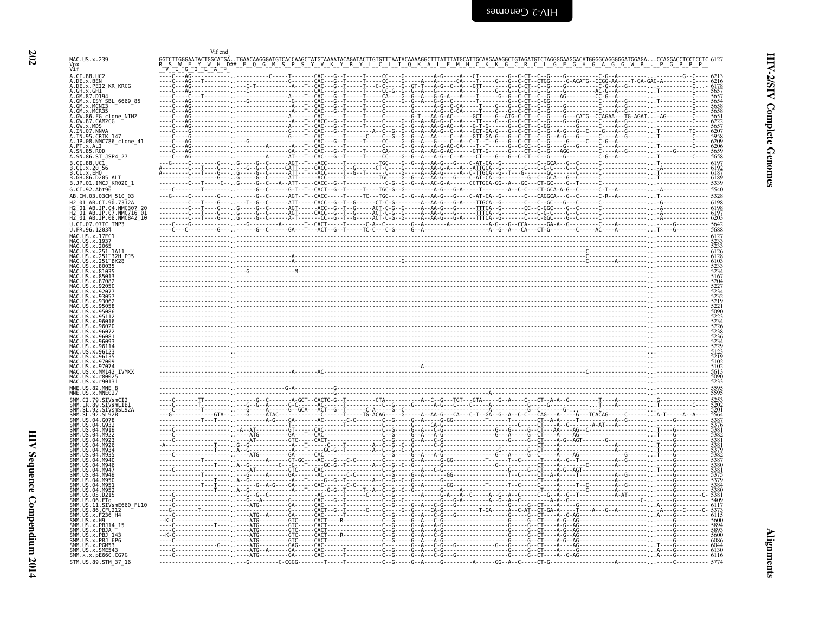<span id="page-43-0"></span>

| $H$ D##<br>A.CI.88.UC2<br>A.DE.x.BEN<br>A.DE.x.PEI2_KR_KRCG<br>5657<br>5657<br>A.GM.87.D194<br>A.GM.x.ISY_SBL_6669_85<br>$CA - - - G - - G -$<br>- CAC - -<br>A.GM.X.MCN13<br>A.GM.x.MCR35<br>----------- <sub>--</sub> ---------------------A<br>A.GW.86.FG clone_NIHZ<br>A.GW.x.MDS<br>A.IN.07.NNVA<br>A.IN.95.CRIK.147<br>5657<br>6207<br>---------- <sub>--</sub> -----------------G----†--CAC--<br>- CAC - -<br>$- - 6206$<br>5659<br>5658<br>.<br>$\frac{1}{2}$ 6197<br>B.CI.88.UC1<br>B.CI.x.EHO<br>B.GH.86.D205 ALT<br>B.JP.01.IMCJ_KR020_1<br>G.CI.92.Abt96<br>$-C - - - - - - - - - - - - - - - - - - - - - - - - - -$<br>$-CACC - G - T - G -$<br>H2-01-AB.JP.04.NMC307_20<br>H2-01-AB.JP.07.NMC716-01<br>H2 01 AB.JP.08.NMC842 10<br>6127<br>MAC.US.x.17EC1<br>MAC.US.x.2065<br>MAC.US.x.251<br>$6126$<br>$6128$<br>$6103$<br>.US.x.251_1A11<br>.US.x.251 <sup>-</sup> 32H PJ5<br>MAC. US. x. 251<br>US.x.251 BK28<br>US.x.80035<br>IIS x 9608'<br>;229<br>;123<br>;123<br>;102<br>;102<br>;613<br>x.97009<br><b>TVMXX</b><br>MAC.US.x.MM142<br>MAC.US.x.r90131<br>5595<br>x.MNE027<br>5253<br>5202<br>5201<br>SMM.CI.79.SIVsmCI2<br>.LR.89.SIVsmLIB1<br>SMM.SL<br>.92.SIVsmSL92A<br>.92 <sub>1</sub><br>SL92B<br>04<br>. G - - - - - - - - - - - - - A - -<br>-----T<br>04.M956<br>. A - - - - - - - - -<br>.05.0215<br>SMM.US.06.FTq<br>5409<br>6117<br>-------GA------CAC-------------------C-<br>SIVsmE660 FL10<br>SMM. US.86. CFU212<br>-----G-------CACT--G--T------C----C<br>-----GA------CAC------T------------C<br>SMM. US. x. F236_H4<br>SMM. US. x. H9<br>SMM. US. x. PBJ 143<br>-----GTC-----CACT----R------------<br>.<br>. G G G<br>SMM.US.x.PGM53<br>--------GAG-----CAC------------------<br>6044<br>. - - - - - - - - - - - - - - - ATG - - A - - - - - - GA - - - - - - CAC - - - - - - T - - - - - - - - - - C<br>SMM. x. x. pE660. CG7G<br>--- 6116 |                               | Vif end |         |
|-------------------------------------------------------------------------------------------------------------------------------------------------------------------------------------------------------------------------------------------------------------------------------------------------------------------------------------------------------------------------------------------------------------------------------------------------------------------------------------------------------------------------------------------------------------------------------------------------------------------------------------------------------------------------------------------------------------------------------------------------------------------------------------------------------------------------------------------------------------------------------------------------------------------------------------------------------------------------------------------------------------------------------------------------------------------------------------------------------------------------------------------------------------------------------------------------------------------------------------------------------------------------------------------------------------------------------------------------------------------------------------------------------------------------------------------------------------------------------------------------------------------------------------------------------------------------------------------------------------------------------------------------------------------------------------------------------------------------------------------------------------------------------------------------------------------------------------------------------------------------------------|-------------------------------|---------|---------|
|                                                                                                                                                                                                                                                                                                                                                                                                                                                                                                                                                                                                                                                                                                                                                                                                                                                                                                                                                                                                                                                                                                                                                                                                                                                                                                                                                                                                                                                                                                                                                                                                                                                                                                                                                                                                                                                                                     | MAC.US.x.239<br>Vpx<br>Vif    |         |         |
|                                                                                                                                                                                                                                                                                                                                                                                                                                                                                                                                                                                                                                                                                                                                                                                                                                                                                                                                                                                                                                                                                                                                                                                                                                                                                                                                                                                                                                                                                                                                                                                                                                                                                                                                                                                                                                                                                     |                               |         |         |
|                                                                                                                                                                                                                                                                                                                                                                                                                                                                                                                                                                                                                                                                                                                                                                                                                                                                                                                                                                                                                                                                                                                                                                                                                                                                                                                                                                                                                                                                                                                                                                                                                                                                                                                                                                                                                                                                                     |                               |         |         |
|                                                                                                                                                                                                                                                                                                                                                                                                                                                                                                                                                                                                                                                                                                                                                                                                                                                                                                                                                                                                                                                                                                                                                                                                                                                                                                                                                                                                                                                                                                                                                                                                                                                                                                                                                                                                                                                                                     | A.GH.x.GH1                    |         |         |
|                                                                                                                                                                                                                                                                                                                                                                                                                                                                                                                                                                                                                                                                                                                                                                                                                                                                                                                                                                                                                                                                                                                                                                                                                                                                                                                                                                                                                                                                                                                                                                                                                                                                                                                                                                                                                                                                                     |                               |         |         |
|                                                                                                                                                                                                                                                                                                                                                                                                                                                                                                                                                                                                                                                                                                                                                                                                                                                                                                                                                                                                                                                                                                                                                                                                                                                                                                                                                                                                                                                                                                                                                                                                                                                                                                                                                                                                                                                                                     |                               |         |         |
|                                                                                                                                                                                                                                                                                                                                                                                                                                                                                                                                                                                                                                                                                                                                                                                                                                                                                                                                                                                                                                                                                                                                                                                                                                                                                                                                                                                                                                                                                                                                                                                                                                                                                                                                                                                                                                                                                     | A.GW.87.CAM2CG                |         |         |
|                                                                                                                                                                                                                                                                                                                                                                                                                                                                                                                                                                                                                                                                                                                                                                                                                                                                                                                                                                                                                                                                                                                                                                                                                                                                                                                                                                                                                                                                                                                                                                                                                                                                                                                                                                                                                                                                                     |                               |         |         |
|                                                                                                                                                                                                                                                                                                                                                                                                                                                                                                                                                                                                                                                                                                                                                                                                                                                                                                                                                                                                                                                                                                                                                                                                                                                                                                                                                                                                                                                                                                                                                                                                                                                                                                                                                                                                                                                                                     |                               |         | 6209    |
|                                                                                                                                                                                                                                                                                                                                                                                                                                                                                                                                                                                                                                                                                                                                                                                                                                                                                                                                                                                                                                                                                                                                                                                                                                                                                                                                                                                                                                                                                                                                                                                                                                                                                                                                                                                                                                                                                     | A.SN.85.ROD                   |         |         |
|                                                                                                                                                                                                                                                                                                                                                                                                                                                                                                                                                                                                                                                                                                                                                                                                                                                                                                                                                                                                                                                                                                                                                                                                                                                                                                                                                                                                                                                                                                                                                                                                                                                                                                                                                                                                                                                                                     | A.SN.86.ST JSP4 27            |         |         |
|                                                                                                                                                                                                                                                                                                                                                                                                                                                                                                                                                                                                                                                                                                                                                                                                                                                                                                                                                                                                                                                                                                                                                                                                                                                                                                                                                                                                                                                                                                                                                                                                                                                                                                                                                                                                                                                                                     | B.CI.x.20 56                  |         |         |
|                                                                                                                                                                                                                                                                                                                                                                                                                                                                                                                                                                                                                                                                                                                                                                                                                                                                                                                                                                                                                                                                                                                                                                                                                                                                                                                                                                                                                                                                                                                                                                                                                                                                                                                                                                                                                                                                                     |                               |         |         |
|                                                                                                                                                                                                                                                                                                                                                                                                                                                                                                                                                                                                                                                                                                                                                                                                                                                                                                                                                                                                                                                                                                                                                                                                                                                                                                                                                                                                                                                                                                                                                                                                                                                                                                                                                                                                                                                                                     |                               |         |         |
|                                                                                                                                                                                                                                                                                                                                                                                                                                                                                                                                                                                                                                                                                                                                                                                                                                                                                                                                                                                                                                                                                                                                                                                                                                                                                                                                                                                                                                                                                                                                                                                                                                                                                                                                                                                                                                                                                     | AB.CM.03.03CM 510 03          |         | $-5328$ |
|                                                                                                                                                                                                                                                                                                                                                                                                                                                                                                                                                                                                                                                                                                                                                                                                                                                                                                                                                                                                                                                                                                                                                                                                                                                                                                                                                                                                                                                                                                                                                                                                                                                                                                                                                                                                                                                                                     | H2 01 AB.CI.90.7312A          |         | 6198    |
|                                                                                                                                                                                                                                                                                                                                                                                                                                                                                                                                                                                                                                                                                                                                                                                                                                                                                                                                                                                                                                                                                                                                                                                                                                                                                                                                                                                                                                                                                                                                                                                                                                                                                                                                                                                                                                                                                     |                               |         |         |
|                                                                                                                                                                                                                                                                                                                                                                                                                                                                                                                                                                                                                                                                                                                                                                                                                                                                                                                                                                                                                                                                                                                                                                                                                                                                                                                                                                                                                                                                                                                                                                                                                                                                                                                                                                                                                                                                                     | U.CI.07.07IC TNP3             |         |         |
|                                                                                                                                                                                                                                                                                                                                                                                                                                                                                                                                                                                                                                                                                                                                                                                                                                                                                                                                                                                                                                                                                                                                                                                                                                                                                                                                                                                                                                                                                                                                                                                                                                                                                                                                                                                                                                                                                     | U.FR.96.12034                 |         |         |
|                                                                                                                                                                                                                                                                                                                                                                                                                                                                                                                                                                                                                                                                                                                                                                                                                                                                                                                                                                                                                                                                                                                                                                                                                                                                                                                                                                                                                                                                                                                                                                                                                                                                                                                                                                                                                                                                                     | MAC.US.x.1937                 |         |         |
|                                                                                                                                                                                                                                                                                                                                                                                                                                                                                                                                                                                                                                                                                                                                                                                                                                                                                                                                                                                                                                                                                                                                                                                                                                                                                                                                                                                                                                                                                                                                                                                                                                                                                                                                                                                                                                                                                     |                               |         |         |
|                                                                                                                                                                                                                                                                                                                                                                                                                                                                                                                                                                                                                                                                                                                                                                                                                                                                                                                                                                                                                                                                                                                                                                                                                                                                                                                                                                                                                                                                                                                                                                                                                                                                                                                                                                                                                                                                                     |                               |         |         |
|                                                                                                                                                                                                                                                                                                                                                                                                                                                                                                                                                                                                                                                                                                                                                                                                                                                                                                                                                                                                                                                                                                                                                                                                                                                                                                                                                                                                                                                                                                                                                                                                                                                                                                                                                                                                                                                                                     |                               |         |         |
|                                                                                                                                                                                                                                                                                                                                                                                                                                                                                                                                                                                                                                                                                                                                                                                                                                                                                                                                                                                                                                                                                                                                                                                                                                                                                                                                                                                                                                                                                                                                                                                                                                                                                                                                                                                                                                                                                     |                               |         |         |
|                                                                                                                                                                                                                                                                                                                                                                                                                                                                                                                                                                                                                                                                                                                                                                                                                                                                                                                                                                                                                                                                                                                                                                                                                                                                                                                                                                                                                                                                                                                                                                                                                                                                                                                                                                                                                                                                                     |                               |         |         |
|                                                                                                                                                                                                                                                                                                                                                                                                                                                                                                                                                                                                                                                                                                                                                                                                                                                                                                                                                                                                                                                                                                                                                                                                                                                                                                                                                                                                                                                                                                                                                                                                                                                                                                                                                                                                                                                                                     |                               |         |         |
|                                                                                                                                                                                                                                                                                                                                                                                                                                                                                                                                                                                                                                                                                                                                                                                                                                                                                                                                                                                                                                                                                                                                                                                                                                                                                                                                                                                                                                                                                                                                                                                                                                                                                                                                                                                                                                                                                     |                               |         |         |
|                                                                                                                                                                                                                                                                                                                                                                                                                                                                                                                                                                                                                                                                                                                                                                                                                                                                                                                                                                                                                                                                                                                                                                                                                                                                                                                                                                                                                                                                                                                                                                                                                                                                                                                                                                                                                                                                                     |                               |         |         |
|                                                                                                                                                                                                                                                                                                                                                                                                                                                                                                                                                                                                                                                                                                                                                                                                                                                                                                                                                                                                                                                                                                                                                                                                                                                                                                                                                                                                                                                                                                                                                                                                                                                                                                                                                                                                                                                                                     |                               |         |         |
|                                                                                                                                                                                                                                                                                                                                                                                                                                                                                                                                                                                                                                                                                                                                                                                                                                                                                                                                                                                                                                                                                                                                                                                                                                                                                                                                                                                                                                                                                                                                                                                                                                                                                                                                                                                                                                                                                     |                               |         |         |
|                                                                                                                                                                                                                                                                                                                                                                                                                                                                                                                                                                                                                                                                                                                                                                                                                                                                                                                                                                                                                                                                                                                                                                                                                                                                                                                                                                                                                                                                                                                                                                                                                                                                                                                                                                                                                                                                                     |                               |         |         |
|                                                                                                                                                                                                                                                                                                                                                                                                                                                                                                                                                                                                                                                                                                                                                                                                                                                                                                                                                                                                                                                                                                                                                                                                                                                                                                                                                                                                                                                                                                                                                                                                                                                                                                                                                                                                                                                                                     |                               |         |         |
|                                                                                                                                                                                                                                                                                                                                                                                                                                                                                                                                                                                                                                                                                                                                                                                                                                                                                                                                                                                                                                                                                                                                                                                                                                                                                                                                                                                                                                                                                                                                                                                                                                                                                                                                                                                                                                                                                     |                               |         |         |
|                                                                                                                                                                                                                                                                                                                                                                                                                                                                                                                                                                                                                                                                                                                                                                                                                                                                                                                                                                                                                                                                                                                                                                                                                                                                                                                                                                                                                                                                                                                                                                                                                                                                                                                                                                                                                                                                                     |                               |         |         |
|                                                                                                                                                                                                                                                                                                                                                                                                                                                                                                                                                                                                                                                                                                                                                                                                                                                                                                                                                                                                                                                                                                                                                                                                                                                                                                                                                                                                                                                                                                                                                                                                                                                                                                                                                                                                                                                                                     | MAC US x r800                 |         |         |
|                                                                                                                                                                                                                                                                                                                                                                                                                                                                                                                                                                                                                                                                                                                                                                                                                                                                                                                                                                                                                                                                                                                                                                                                                                                                                                                                                                                                                                                                                                                                                                                                                                                                                                                                                                                                                                                                                     | $MNF$ . $115.82.$ $MNF$ $S$   |         |         |
|                                                                                                                                                                                                                                                                                                                                                                                                                                                                                                                                                                                                                                                                                                                                                                                                                                                                                                                                                                                                                                                                                                                                                                                                                                                                                                                                                                                                                                                                                                                                                                                                                                                                                                                                                                                                                                                                                     | MNE.US                        |         |         |
|                                                                                                                                                                                                                                                                                                                                                                                                                                                                                                                                                                                                                                                                                                                                                                                                                                                                                                                                                                                                                                                                                                                                                                                                                                                                                                                                                                                                                                                                                                                                                                                                                                                                                                                                                                                                                                                                                     |                               |         |         |
|                                                                                                                                                                                                                                                                                                                                                                                                                                                                                                                                                                                                                                                                                                                                                                                                                                                                                                                                                                                                                                                                                                                                                                                                                                                                                                                                                                                                                                                                                                                                                                                                                                                                                                                                                                                                                                                                                     | SMM. SL                       |         |         |
|                                                                                                                                                                                                                                                                                                                                                                                                                                                                                                                                                                                                                                                                                                                                                                                                                                                                                                                                                                                                                                                                                                                                                                                                                                                                                                                                                                                                                                                                                                                                                                                                                                                                                                                                                                                                                                                                                     |                               |         |         |
|                                                                                                                                                                                                                                                                                                                                                                                                                                                                                                                                                                                                                                                                                                                                                                                                                                                                                                                                                                                                                                                                                                                                                                                                                                                                                                                                                                                                                                                                                                                                                                                                                                                                                                                                                                                                                                                                                     | <b>SMM II</b>                 |         |         |
|                                                                                                                                                                                                                                                                                                                                                                                                                                                                                                                                                                                                                                                                                                                                                                                                                                                                                                                                                                                                                                                                                                                                                                                                                                                                                                                                                                                                                                                                                                                                                                                                                                                                                                                                                                                                                                                                                     |                               |         |         |
|                                                                                                                                                                                                                                                                                                                                                                                                                                                                                                                                                                                                                                                                                                                                                                                                                                                                                                                                                                                                                                                                                                                                                                                                                                                                                                                                                                                                                                                                                                                                                                                                                                                                                                                                                                                                                                                                                     |                               |         |         |
|                                                                                                                                                                                                                                                                                                                                                                                                                                                                                                                                                                                                                                                                                                                                                                                                                                                                                                                                                                                                                                                                                                                                                                                                                                                                                                                                                                                                                                                                                                                                                                                                                                                                                                                                                                                                                                                                                     |                               |         |         |
|                                                                                                                                                                                                                                                                                                                                                                                                                                                                                                                                                                                                                                                                                                                                                                                                                                                                                                                                                                                                                                                                                                                                                                                                                                                                                                                                                                                                                                                                                                                                                                                                                                                                                                                                                                                                                                                                                     | SMM IIS                       |         |         |
|                                                                                                                                                                                                                                                                                                                                                                                                                                                                                                                                                                                                                                                                                                                                                                                                                                                                                                                                                                                                                                                                                                                                                                                                                                                                                                                                                                                                                                                                                                                                                                                                                                                                                                                                                                                                                                                                                     | <b>SMM IIS</b>                |         |         |
|                                                                                                                                                                                                                                                                                                                                                                                                                                                                                                                                                                                                                                                                                                                                                                                                                                                                                                                                                                                                                                                                                                                                                                                                                                                                                                                                                                                                                                                                                                                                                                                                                                                                                                                                                                                                                                                                                     |                               |         |         |
|                                                                                                                                                                                                                                                                                                                                                                                                                                                                                                                                                                                                                                                                                                                                                                                                                                                                                                                                                                                                                                                                                                                                                                                                                                                                                                                                                                                                                                                                                                                                                                                                                                                                                                                                                                                                                                                                                     |                               |         |         |
|                                                                                                                                                                                                                                                                                                                                                                                                                                                                                                                                                                                                                                                                                                                                                                                                                                                                                                                                                                                                                                                                                                                                                                                                                                                                                                                                                                                                                                                                                                                                                                                                                                                                                                                                                                                                                                                                                     | SMM.US                        |         |         |
|                                                                                                                                                                                                                                                                                                                                                                                                                                                                                                                                                                                                                                                                                                                                                                                                                                                                                                                                                                                                                                                                                                                                                                                                                                                                                                                                                                                                                                                                                                                                                                                                                                                                                                                                                                                                                                                                                     |                               |         | 6115    |
|                                                                                                                                                                                                                                                                                                                                                                                                                                                                                                                                                                                                                                                                                                                                                                                                                                                                                                                                                                                                                                                                                                                                                                                                                                                                                                                                                                                                                                                                                                                                                                                                                                                                                                                                                                                                                                                                                     | SMM.US.x.PBJ14 15             |         |         |
|                                                                                                                                                                                                                                                                                                                                                                                                                                                                                                                                                                                                                                                                                                                                                                                                                                                                                                                                                                                                                                                                                                                                                                                                                                                                                                                                                                                                                                                                                                                                                                                                                                                                                                                                                                                                                                                                                     | SMM.US.x.PBJA                 |         |         |
|                                                                                                                                                                                                                                                                                                                                                                                                                                                                                                                                                                                                                                                                                                                                                                                                                                                                                                                                                                                                                                                                                                                                                                                                                                                                                                                                                                                                                                                                                                                                                                                                                                                                                                                                                                                                                                                                                     | SMM.US.x.PBJ <sup>-</sup> 6P6 |         |         |
|                                                                                                                                                                                                                                                                                                                                                                                                                                                                                                                                                                                                                                                                                                                                                                                                                                                                                                                                                                                                                                                                                                                                                                                                                                                                                                                                                                                                                                                                                                                                                                                                                                                                                                                                                                                                                                                                                     | SMM.US.x.SME543               |         | 6130    |
|                                                                                                                                                                                                                                                                                                                                                                                                                                                                                                                                                                                                                                                                                                                                                                                                                                                                                                                                                                                                                                                                                                                                                                                                                                                                                                                                                                                                                                                                                                                                                                                                                                                                                                                                                                                                                                                                                     | STM.US.89.STM 37 16           |         | 5774    |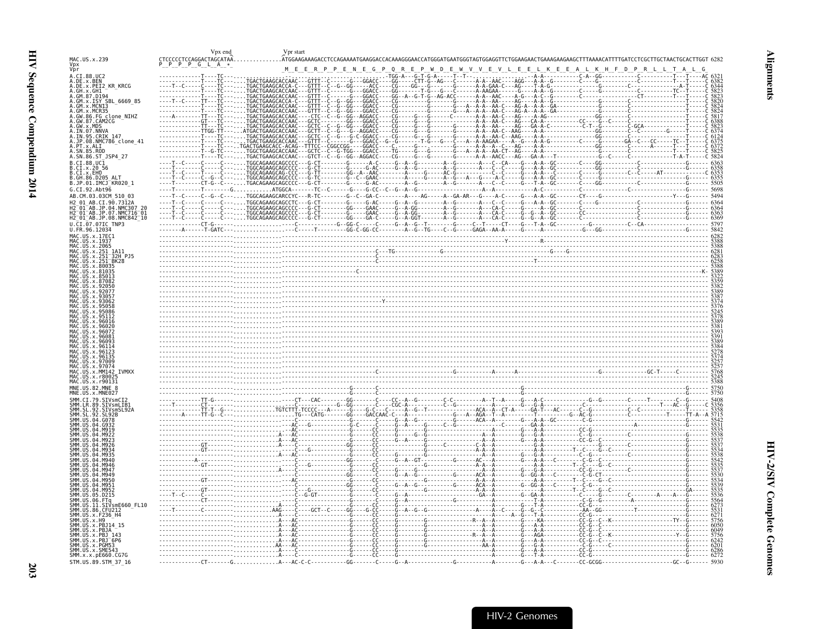<span id="page-44-0"></span>

|                                                                                                                                    | Vpx end                                | Vpr start                                                                                                                                |                                                               |                                                                                                                                         |                                                        |                     |  |
|------------------------------------------------------------------------------------------------------------------------------------|----------------------------------------|------------------------------------------------------------------------------------------------------------------------------------------|---------------------------------------------------------------|-----------------------------------------------------------------------------------------------------------------------------------------|--------------------------------------------------------|---------------------|--|
| MAC.US.x.239<br>Vpx<br>Vpr                                                                                                         | CTCCCCCTCCAGGACTAGCATAA.<br>-p<br>GL A |                                                                                                                                          |                                                               | .ATGGAAGAAAGACCTCCAGAAAATGAAGGACCACAAAGGGAACCATGGGATGAATGGGTAGTGGAGGTTCTGGAAGAACTGAAAGAAGCATTAAAACATTTTGATCCTCGCTTGCTAACTGCACTTGGT 6282 |                                                        |                     |  |
| A.CI.88.UC2                                                                                                                        |                                        | M E E R P P E N E G P Q R E P W D E                                                                                                      |                                                               | W V V                                                                                                                                   | E V<br>E E L                                           | K E E A L K H F D P |  |
| A.DE.x.BEN                                                                                                                         |                                        | TGACTGAAGCACCAAC - - - GTTT - - C-<br>. TGACTGAAGCACCA - C - - - GTTT -<br>. TGACTGAAGCACCAAC - - - GTTT - ·                             |                                                               |                                                                                                                                         |                                                        |                     |  |
| A.DE.X.PEI2_KR_KRCG<br>A.GH.x.GH1<br>A.GM.87.D194                                                                                  |                                        | TGACTGAAGCACCAAC - - - GTTT -                                                                                                            |                                                               |                                                                                                                                         |                                                        |                     |  |
| A.GM.x.ISY SBL 6669 85<br>A.GM.x.MCN13                                                                                             |                                        | TGACTGAAGCACCA-C---<br>- GTTT -                                                                                                          |                                                               |                                                                                                                                         |                                                        |                     |  |
| A.GM.x.MCR35<br>A.GM.x.MCR35<br>A.GW.86.FG_clone_NIHZ                                                                              |                                        | TGACTGAAGCACCAAC - - - GTTT -<br>TGACTGAAGCACCAAC----CTC--                                                                               |                                                               |                                                                                                                                         |                                                        |                     |  |
| A.GW.87.CAM2CG<br>A.GW.x.MDS<br>A.GW.x.MDS<br>A.IN.95.NNVA<br>A.JN.95.CRIK 147<br>A.JP.98.NMC786_clone_41<br>DT.98.NMC786_clone_41 | <b>TTGG-TT</b>                         | ATGACTGAAGCACCAAC - - - GCTT -                                                                                                           |                                                               |                                                                                                                                         |                                                        |                     |  |
|                                                                                                                                    |                                        | TGACTGAAGCACCAAC - - - GCTC -<br>TGACTGAAGCACCAAC - - - GTTT ·                                                                           |                                                               |                                                                                                                                         |                                                        |                     |  |
| A. PT. x. ALI<br>A. SN. 85. ROD                                                                                                    |                                        | TGACTGAAGCACC-ACAG--TTTCC--CGGCCGG----<br>TGGCTGAAGCACCAAC - - - GCTC - -                                                                |                                                               |                                                                                                                                         |                                                        |                     |  |
| A.SN.86.ST JSP4 27                                                                                                                 |                                        | TGACTGAAGCACCAAC - - - GTCT -                                                                                                            |                                                               |                                                                                                                                         |                                                        |                     |  |
| B.CI.88.UC1                                                                                                                        |                                        |                                                                                                                                          |                                                               |                                                                                                                                         |                                                        |                     |  |
| B.CI.x.20 56<br>B.CI.x.EHO<br>B.GH.86.D205_ALT<br>B.JP.01.IMCJ_KR020_1                                                             |                                        | - C - - - TGACAGAAGCAGCCCC - - -G - CT                                                                                                   | - - - - - - - - G - - - - - G - AC - - - - - - - - A - - G -  | . - - - - - - - A - - G -                                                                                                               | -------A---C--C------G---T-A--GC--------C---           |                     |  |
| G.CI.92.Abt96                                                                                                                      |                                        | $-$ G $\ldots \ldots \ldots$ ATGGCA - - -                                                                                                | $-TC - -C - - - - - G - - - G - CC - - C - - G - - A - - G -$ |                                                                                                                                         |                                                        |                     |  |
| AB.CM.03.03CM 510 03<br>H2 01<br>AB.CI.90.7312A                                                                                    |                                        | -C---TGGCAGAAGCARCCYC---R-TC-------G--C--GA-C--------A----AG-----A--GA-AR---G----A-C-----G---A-A--GC-------CY---<br>TGGCAGAAGCAGCCTC---G |                                                               |                                                                                                                                         |                                                        |                     |  |
| H2-01-AB.JP.04.NMC307_20<br>H2-01-AB.JP.07.NMC716-01                                                                               |                                        |                                                                                                                                          |                                                               |                                                                                                                                         |                                                        |                     |  |
| H2 01 AB.JP.08.NMC842 10<br>$U.\overline{C}I.\overline{0}7.07I$ C TNP3                                                             |                                        |                                                                                                                                          |                                                               |                                                                                                                                         |                                                        |                     |  |
| U.FR.96.12034                                                                                                                      |                                        |                                                                                                                                          |                                                               |                                                                                                                                         |                                                        |                     |  |
| MAC.US.x.17EC1<br>MAC.US.x.1937                                                                                                    |                                        |                                                                                                                                          |                                                               |                                                                                                                                         |                                                        |                     |  |
| .US.x.2065<br>MAC<br>MAC<br>.US.x.251_1A11                                                                                         |                                        |                                                                                                                                          |                                                               |                                                                                                                                         |                                                        |                     |  |
| . US.X.251-32H PJ5<br>.US.x.251-BK28<br>LUS X 80035                                                                                |                                        |                                                                                                                                          |                                                               |                                                                                                                                         |                                                        |                     |  |
| MAC.US.x.81035<br>US x 85013                                                                                                       |                                        |                                                                                                                                          |                                                               |                                                                                                                                         |                                                        |                     |  |
|                                                                                                                                    |                                        |                                                                                                                                          |                                                               |                                                                                                                                         |                                                        |                     |  |
| 9305                                                                                                                               |                                        |                                                                                                                                          |                                                               |                                                                                                                                         |                                                        |                     |  |
| 9306<br>US x 95058                                                                                                                 |                                        |                                                                                                                                          |                                                               |                                                                                                                                         |                                                        |                     |  |
| . IIS x 95112                                                                                                                      |                                        |                                                                                                                                          |                                                               |                                                                                                                                         |                                                        |                     |  |
|                                                                                                                                    |                                        |                                                                                                                                          |                                                               |                                                                                                                                         |                                                        |                     |  |
|                                                                                                                                    |                                        |                                                                                                                                          |                                                               |                                                                                                                                         |                                                        |                     |  |
| $US \times 96093$<br>. IIS x 96114                                                                                                 |                                        |                                                                                                                                          |                                                               |                                                                                                                                         |                                                        |                     |  |
| $115 \times 9612$<br>MAC US x 96135                                                                                                |                                        |                                                                                                                                          |                                                               |                                                                                                                                         |                                                        |                     |  |
| MAC.US.x.97009<br>MAC.US.x.<br>97074<br>MAC.US.x.MM14<br><b>TVMXX</b>                                                              |                                        |                                                                                                                                          |                                                               |                                                                                                                                         |                                                        |                     |  |
| MAC.US.x.r8002!<br>MAC.US.x.r90131                                                                                                 |                                        |                                                                                                                                          |                                                               |                                                                                                                                         |                                                        |                     |  |
| MNE.US.82.MNE 8                                                                                                                    |                                        |                                                                                                                                          |                                                               |                                                                                                                                         |                                                        |                     |  |
| MNE.US.x.MNE027<br>SMM.CI.79.<br>SIVsmCI2                                                                                          |                                        |                                                                                                                                          |                                                               |                                                                                                                                         |                                                        |                     |  |
| SMM IR 89<br>SIVsmLIB1<br>. SL. 92<br>SIVsmSL92A                                                                                   |                                        |                                                                                                                                          |                                                               |                                                                                                                                         |                                                        |                     |  |
| ŚMM<br>ŚL<br>92.<br>SL92B<br><b>SMM</b>                                                                                            |                                        |                                                                                                                                          |                                                               |                                                                                                                                         |                                                        |                     |  |
| SMM IIS<br>04<br>SMM.US                                                                                                            |                                        |                                                                                                                                          |                                                               |                                                                                                                                         |                                                        |                     |  |
|                                                                                                                                    |                                        |                                                                                                                                          |                                                               |                                                                                                                                         |                                                        |                     |  |
|                                                                                                                                    |                                        |                                                                                                                                          |                                                               |                                                                                                                                         |                                                        |                     |  |
| SMM                                                                                                                                |                                        |                                                                                                                                          |                                                               |                                                                                                                                         |                                                        |                     |  |
| SMM.US<br>SMM.US<br>M947<br>04<br>MQ49<br>- 64                                                                                     |                                        |                                                                                                                                          |                                                               |                                                                                                                                         |                                                        |                     |  |
| SMM.US.04.<br>M950<br>SMM.US<br>M951<br>AA                                                                                         |                                        |                                                                                                                                          |                                                               |                                                                                                                                         |                                                        |                     |  |
| SMM. US. 04.M952                                                                                                                   |                                        |                                                                                                                                          |                                                               |                                                                                                                                         |                                                        |                     |  |
| SMM.US.05.D215<br>SMM.US.06.FTq<br>SMM.US.06.FTq<br>SMM.US.11.SIVSmE660_FL10                                                       |                                        |                                                                                                                                          |                                                               | . G - - A - - - - - - - - - - - - - - - G - - - - - - - - - - - - A                                                                     |                                                        |                     |  |
| SMM.US.11.SIVsmE<br>SMM.US.86.CFU212<br>SMM.US.X.F236_H4<br>SMM.US.x.H9                                                            |                                        |                                                                                                                                          |                                                               |                                                                                                                                         |                                                        |                     |  |
| SMM.US.x.PBJ14_15                                                                                                                  |                                        |                                                                                                                                          |                                                               |                                                                                                                                         |                                                        |                     |  |
| SMM.US.x.PBJA<br>SMM.US.x.PBJ 143                                                                                                  |                                        |                                                                                                                                          |                                                               | --------------R--A--A--------G---AGA-                                                                                                   |                                                        | - հ-                |  |
| SMM.US.x.PBJ <sup>-6P6</sup><br>SMM.US.x.PGM53                                                                                     |                                        |                                                                                                                                          |                                                               |                                                                                                                                         |                                                        |                     |  |
| SMM.US.x.SME543<br>SMM.x.x.pE660.CG7G                                                                                              |                                        |                                                                                                                                          |                                                               |                                                                                                                                         | . - - - G - - - T - A - - - - - - - - - - - - CC - G - |                     |  |
| STM.US.89.STM 37 16                                                                                                                |                                        |                                                                                                                                          |                                                               |                                                                                                                                         |                                                        |                     |  |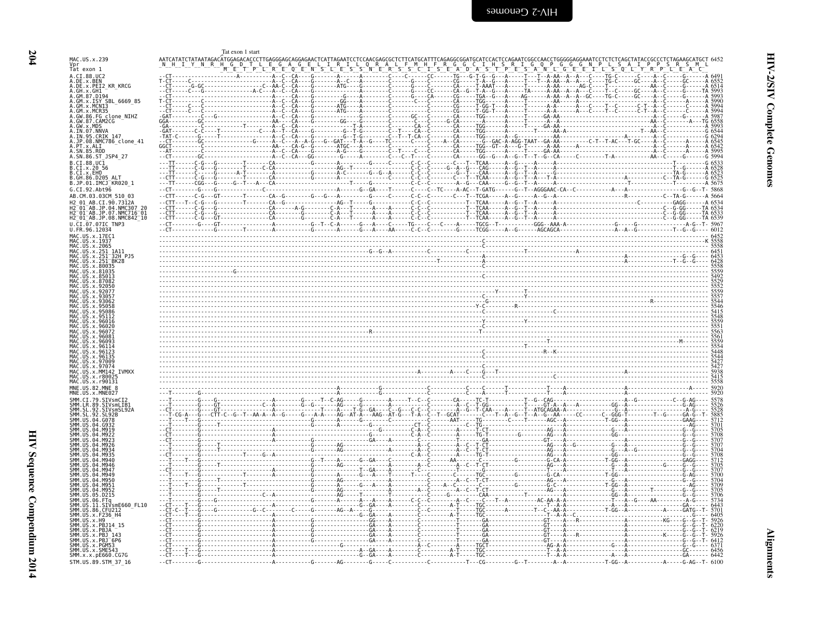<span id="page-45-0"></span>

|                                                                                            | Tat exon 1 start                                                                     |       |  |                                  |                                                |
|--------------------------------------------------------------------------------------------|--------------------------------------------------------------------------------------|-------|--|----------------------------------|------------------------------------------------|
| MAC.US.x.239                                                                               | AATCATATCTATAATAGACATGGAGACACCCTTGAGGGAGCAGGAGAACTCATTAGAATCCTCCAACGAGCGCTCTTCATGCAT |       |  |                                  |                                                |
| Vpr<br>Tat exon 1                                                                          |                                                                                      |       |  |                                  |                                                |
| A.CI.88.UC2<br>A.DE.x.BEN<br>A.DE.x.PEI2_KR_KRCG                                           | GC - - - - - - - - - - - - - - - - - -                                               |       |  |                                  |                                                |
| A.GH.X.GH1                                                                                 |                                                                                      |       |  | - - - - - T - - - - - - A - AA - |                                                |
| A.GM.x.ISY SBL 6669 85                                                                     |                                                                                      |       |  |                                  |                                                |
| A.GM.X.MCN13<br>A.GM.x.MCR35                                                               |                                                                                      |       |  |                                  |                                                |
| A.GW.86.FG_clone_NIHZ<br>A.GW.87.CAM2CG                                                    |                                                                                      |       |  |                                  |                                                |
| A.GW.x.MDS<br>A.IN.07.NNVA                                                                 |                                                                                      |       |  |                                  |                                                |
| A.IN.95.CRIK 147<br>A.JP.08.NMC786_clone_41                                                |                                                                                      |       |  |                                  |                                                |
| A.PT.x.ALI<br>A.SN.85.ROD                                                                  |                                                                                      |       |  |                                  |                                                |
| A.SN.86.ST JSP4 27<br>B.CI.88.UC1                                                          |                                                                                      |       |  |                                  |                                                |
| B.CI.x.20<br>B.CI.x.EHO                                                                    |                                                                                      |       |  |                                  |                                                |
| B.GH.86.D205<br>B.JP.01.IMCJ <sup>-</sup> KR020 1                                          |                                                                                      |       |  |                                  |                                                |
| G.CI.92.Abt96                                                                              |                                                                                      |       |  |                                  |                                                |
| AB.CM.03.03CM 510 03<br>2 01 AB.CI.90.7312A                                                |                                                                                      |       |  |                                  |                                                |
| H2 <sup>-</sup> 01 <sup>-</sup> AB.JP.04.NMC307                                            |                                                                                      |       |  |                                  |                                                |
| H2-01-AB.JP.07.NMC716-01<br>H2-01-AB.JP.08.NMC842-10                                       |                                                                                      |       |  |                                  |                                                |
| U.CI.07.07IC TNP3<br>U.FR.96.12034                                                         |                                                                                      |       |  |                                  |                                                |
| MAC.US.x.17EC1<br>MAC.US.x.1937                                                            |                                                                                      |       |  |                                  |                                                |
| MAC.US.x.2065                                                                              |                                                                                      |       |  |                                  |                                                |
| US.x.251_1A11.<br>. US. x. 251-32H PJ5<br>. US. x. 251-BK28                                |                                                                                      |       |  |                                  |                                                |
| MAC.US.x.80035                                                                             |                                                                                      |       |  |                                  |                                                |
| US.x.81035<br>US.x.8501                                                                    |                                                                                      |       |  |                                  |                                                |
|                                                                                            |                                                                                      |       |  |                                  |                                                |
| -9207                                                                                      |                                                                                      |       |  |                                  |                                                |
|                                                                                            |                                                                                      |       |  |                                  |                                                |
|                                                                                            |                                                                                      |       |  |                                  |                                                |
| 9602                                                                                       |                                                                                      |       |  |                                  |                                                |
| US x 9607<br>$IIS \times QGSP$                                                             |                                                                                      |       |  |                                  |                                                |
| US x 9609<br>$115 \times 96114$                                                            |                                                                                      |       |  |                                  |                                                |
|                                                                                            |                                                                                      |       |  |                                  | ,,,,,,<br>5554<br>5448<br>5544<br>5427<br>5427 |
| 97009                                                                                      |                                                                                      |       |  |                                  |                                                |
| <b>TVMXX</b><br>MAC IIS x MM142<br>.IIS.x.r800                                             |                                                                                      |       |  |                                  |                                                |
| MAC.US.x.r90131<br>MNE.US.82.MNE                                                           |                                                                                      |       |  |                                  | 5920                                           |
|                                                                                            |                                                                                      |       |  |                                  |                                                |
| SMM.CI.79.SIVsmCI2<br>SMM. LR. 89.                                                         |                                                                                      |       |  |                                  |                                                |
| .ŠĪVsmLĪB1<br>.SIVsmSL92A<br>SMM<br>SMM<br>SMM<br>$\frac{92}{92}$<br>. SL<br><b>SI 92R</b> |                                                                                      |       |  |                                  |                                                |
| SMM. US. 04. G078<br>SMM. US. 04.                                                          |                                                                                      |       |  |                                  |                                                |
| SMM IIS                                                                                    |                                                                                      |       |  |                                  |                                                |
| <b>SMM IIS</b>                                                                             |                                                                                      |       |  |                                  |                                                |
|                                                                                            |                                                                                      |       |  |                                  |                                                |
|                                                                                            |                                                                                      |       |  |                                  |                                                |
| <b>SMM IIS</b>                                                                             |                                                                                      |       |  |                                  |                                                |
| SMM US 04 M950<br>SMM IIS                                                                  |                                                                                      |       |  |                                  |                                                |
| <b>MQ51</b><br>MM IIS A4 MQ52                                                              |                                                                                      |       |  |                                  |                                                |
| SMM.US.05.D215<br>SMM. US. 06. FTq                                                         |                                                                                      |       |  |                                  |                                                |
| SMM.US.11<br>SIVsmE660 FL10<br>SMM. US.86. CFU212                                          |                                                                                      |       |  |                                  |                                                |
| SMM. US. x. F236 H4<br>SMM. US. x. H9                                                      |                                                                                      |       |  |                                  |                                                |
| SMM.US.x.PBJ14 15<br>SMM.US.x.PBJA                                                         |                                                                                      |       |  |                                  |                                                |
| SMM.US.x.PBJ 143<br>SMM.US.x.PBJ <sup>-</sup> 6P6                                          |                                                                                      |       |  |                                  |                                                |
| SMM.US.x.PGM53<br>SMM.US.x.SME543                                                          |                                                                                      |       |  |                                  |                                                |
| SMM. x. x. pE660. CG7G                                                                     |                                                                                      |       |  |                                  | 6442                                           |
| STM.US.89.STM 37 16                                                                        |                                                                                      | $-6-$ |  |                                  |                                                |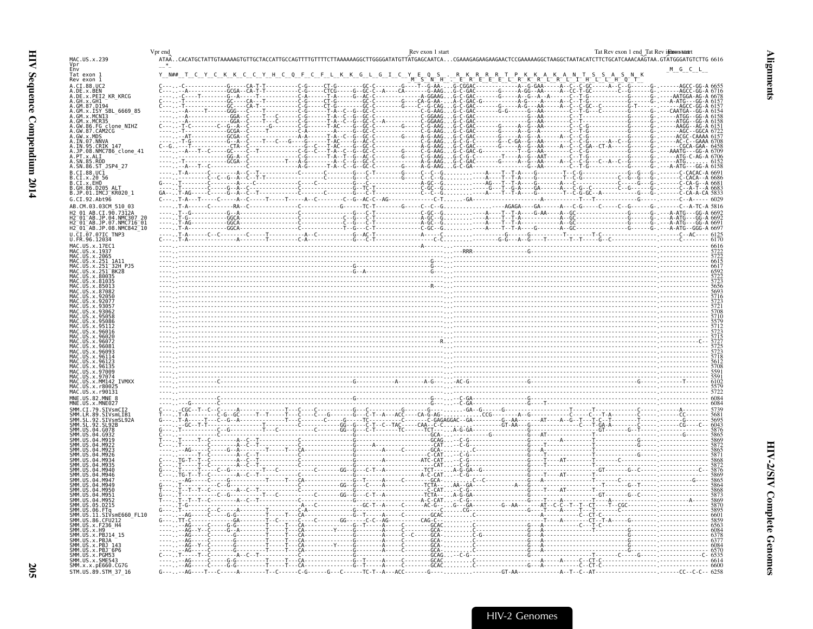|                                                                              | Vpr end   | Rev exon 1 start                                                                                                                                                                                                                                                                                                                                                                                                                      | Tat Revexon 1 end Tat Revindmonstant                       |
|------------------------------------------------------------------------------|-----------|---------------------------------------------------------------------------------------------------------------------------------------------------------------------------------------------------------------------------------------------------------------------------------------------------------------------------------------------------------------------------------------------------------------------------------------|------------------------------------------------------------|
| MAC.US.x.239<br>Vpr<br>Env                                                   |           | ATAACACATGCTATTGTAAAAAGTGTTGCTACCATTGCCAGTTTTGTTTTCTTAAAAAAGGCTTGGGGATATGTTATGAGCAATCACGAAAGAGAAGAAGAACACCTCGAAAAAGGCTAAGGCTAATACATCTTCTGCATCAAACAAGTAA.GTATGGGATGTCTTG 6616                                                                                                                                                                                                                                                          |                                                            |
|                                                                              |           |                                                                                                                                                                                                                                                                                                                                                                                                                                       | M G C L                                                    |
| Tat exon 1<br>Rev exon 1                                                     | Y N## T C | $S^-$                                                                                                                                                                                                                                                                                                                                                                                                                                 |                                                            |
| A.CI.88.UC2                                                                  |           | <u>L R L T H L<br/>A C C C GC </u>                                                                                                                                                                                                                                                                                                                                                                                                    |                                                            |
| A.DE.X.BEN<br>A.DE.X.PEI2 KR_KRCG                                            |           | G-C-GAC                                                                                                                                                                                                                                                                                                                                                                                                                               |                                                            |
|                                                                              |           | C-GAC<br>C-GAC<br>C-GAC<br>C-GAC                                                                                                                                                                                                                                                                                                                                                                                                      |                                                            |
| A.GM.87.D194<br>ISY SBL 6669 85                                              |           | . - - - - - - - - - - - - GC - - - - CA - T                                                                                                                                                                                                                                                                                                                                                                                           |                                                            |
| GM.x.MCN13                                                                   |           |                                                                                                                                                                                                                                                                                                                                                                                                                                       |                                                            |
| A.GM.X.MCR35                                                                 |           |                                                                                                                                                                                                                                                                                                                                                                                                                                       |                                                            |
| A.GW.86.FG_clone_NIHZ<br>GW.87.CAM2CG                                        |           |                                                                                                                                                                                                                                                                                                                                                                                                                                       |                                                            |
| A.GW.x.MDS<br>A.IN.07.NNVA<br>A.IN.95.CRIK 147                               |           |                                                                                                                                                                                                                                                                                                                                                                                                                                       |                                                            |
|                                                                              |           |                                                                                                                                                                                                                                                                                                                                                                                                                                       |                                                            |
| A.JP.08.NMC786 clone 41<br>. PT.x.ALI                                        |           |                                                                                                                                                                                                                                                                                                                                                                                                                                       |                                                            |
|                                                                              |           |                                                                                                                                                                                                                                                                                                                                                                                                                                       |                                                            |
| 4.SN.86.ST JSP4 27                                                           |           | $-G - C - T - T - T - T - G - G - G - G - G - G$                                                                                                                                                                                                                                                                                                                                                                                      |                                                            |
| B.CI.88.UC1<br>B.CI.x.20 56                                                  |           |                                                                                                                                                                                                                                                                                                                                                                                                                                       |                                                            |
| B.CI.X.EHO                                                                   |           |                                                                                                                                                                                                                                                                                                                                                                                                                                       |                                                            |
| B.GH.86.D205<br>B.JP.01.IMCJ <sup>-</sup> KR020 1                            |           |                                                                                                                                                                                                                                                                                                                                                                                                                                       |                                                            |
| G.CI.92.Abt96                                                                |           |                                                                                                                                                                                                                                                                                                                                                                                                                                       |                                                            |
| AB.CM.03.03CM 510 03                                                         |           |                                                                                                                                                                                                                                                                                                                                                                                                                                       |                                                            |
| AB.CI.90.7312A<br>42 A1<br>2 <sup>-</sup> 01 <sup>-</sup> AB.JP.04.NMC307 20 |           |                                                                                                                                                                                                                                                                                                                                                                                                                                       |                                                            |
| ? 01 AB.JP.07.NMC716 01                                                      |           |                                                                                                                                                                                                                                                                                                                                                                                                                                       |                                                            |
| 2_01_AB.JP.08.NMC842_10                                                      |           |                                                                                                                                                                                                                                                                                                                                                                                                                                       |                                                            |
| U.CI.07.07IC TNP3<br>U.FR.96.12034                                           |           |                                                                                                                                                                                                                                                                                                                                                                                                                                       |                                                            |
| MAC US x 17FC1                                                               |           |                                                                                                                                                                                                                                                                                                                                                                                                                                       |                                                            |
| MAC.US.x.2065                                                                |           |                                                                                                                                                                                                                                                                                                                                                                                                                                       |                                                            |
|                                                                              |           |                                                                                                                                                                                                                                                                                                                                                                                                                                       |                                                            |
| x.251 BK28                                                                   |           |                                                                                                                                                                                                                                                                                                                                                                                                                                       |                                                            |
|                                                                              |           |                                                                                                                                                                                                                                                                                                                                                                                                                                       |                                                            |
|                                                                              |           |                                                                                                                                                                                                                                                                                                                                                                                                                                       |                                                            |
|                                                                              |           |                                                                                                                                                                                                                                                                                                                                                                                                                                       |                                                            |
|                                                                              |           |                                                                                                                                                                                                                                                                                                                                                                                                                                       |                                                            |
|                                                                              |           |                                                                                                                                                                                                                                                                                                                                                                                                                                       |                                                            |
|                                                                              |           |                                                                                                                                                                                                                                                                                                                                                                                                                                       |                                                            |
|                                                                              |           |                                                                                                                                                                                                                                                                                                                                                                                                                                       |                                                            |
|                                                                              |           |                                                                                                                                                                                                                                                                                                                                                                                                                                       |                                                            |
|                                                                              |           |                                                                                                                                                                                                                                                                                                                                                                                                                                       |                                                            |
|                                                                              |           |                                                                                                                                                                                                                                                                                                                                                                                                                                       |                                                            |
|                                                                              |           |                                                                                                                                                                                                                                                                                                                                                                                                                                       |                                                            |
|                                                                              |           |                                                                                                                                                                                                                                                                                                                                                                                                                                       |                                                            |
|                                                                              |           |                                                                                                                                                                                                                                                                                                                                                                                                                                       |                                                            |
| <b>IVMXX</b>                                                                 |           |                                                                                                                                                                                                                                                                                                                                                                                                                                       |                                                            |
| MAC.US.x.r8002<br>MAC.US.x.r90131                                            |           |                                                                                                                                                                                                                                                                                                                                                                                                                                       |                                                            |
| MNE.US.82.MNE 8                                                              |           |                                                                                                                                                                                                                                                                                                                                                                                                                                       | $\frac{6084}{6084}$                                        |
|                                                                              |           |                                                                                                                                                                                                                                                                                                                                                                                                                                       |                                                            |
| SIVsmLIB1                                                                    |           |                                                                                                                                                                                                                                                                                                                                                                                                                                       | 5681                                                       |
| STVsmSL924                                                                   |           |                                                                                                                                                                                                                                                                                                                                                                                                                                       |                                                            |
|                                                                              |           |                                                                                                                                                                                                                                                                                                                                                                                                                                       |                                                            |
|                                                                              |           |                                                                                                                                                                                                                                                                                                                                                                                                                                       |                                                            |
|                                                                              |           | $\begin{array}{cccccccccccc} \textbf{0.01} & \textbf{0.02} & \textbf{0.03} & \textbf{0.04} & \textbf{0.05} & \textbf{0.06} & \textbf{0.07} & \textbf{0.07} & \textbf{0.08} & \textbf{0.09} & \textbf{0.09} & \textbf{0.09} & \textbf{0.09} & \textbf{0.09} & \textbf{0.09} & \textbf{0.09} & \textbf{0.09} & \textbf{0.09} & \textbf{0.09} & \textbf{0.09} & \textbf{0.09} & \$                                                       |                                                            |
|                                                                              |           |                                                                                                                                                                                                                                                                                                                                                                                                                                       |                                                            |
|                                                                              |           |                                                                                                                                                                                                                                                                                                                                                                                                                                       |                                                            |
|                                                                              |           |                                                                                                                                                                                                                                                                                                                                                                                                                                       |                                                            |
|                                                                              |           |                                                                                                                                                                                                                                                                                                                                                                                                                                       |                                                            |
|                                                                              |           |                                                                                                                                                                                                                                                                                                                                                                                                                                       |                                                            |
|                                                                              |           |                                                                                                                                                                                                                                                                                                                                                                                                                                       |                                                            |
|                                                                              |           |                                                                                                                                                                                                                                                                                                                                                                                                                                       |                                                            |
| D <sub>215</sub>                                                             |           |                                                                                                                                                                                                                                                                                                                                                                                                                                       | 869<br>865<br>3864<br>3868<br>5873<br>5895<br>5895<br>6601 |
| 06.FTq<br>SIVsmE660 FL10                                                     |           |                                                                                                                                                                                                                                                                                                                                                                                                                                       |                                                            |
| SMM.US.86.CFU212<br>SMM. US. x. F236 H4                                      |           |                                                                                                                                                                                                                                                                                                                                                                                                                                       |                                                            |
|                                                                              |           | $\begin{array}{cccccccc} \text{CGA} & \text{CGA} & \text{CGA} & \text{CGA} & \text{CGA} & \text{CGA} & \text{CGA} & \text{CGA} & \text{CGA} & \text{CGA} & \text{CGA} & \text{CGA} & \text{CGA} & \text{CGA} & \text{CGA} & \text{CGA} & \text{CGA} & \text{CGA} & \text{CGA} & \text{CGA} & \text{CGA} & \text{CGA} & \text{CGA} & \text{CGA} & \text{CGA} & \text{CGA} & \text{CGA} & \text{CGA} & \text{CGA} & \text{CGA} & \text$ |                                                            |
| SMM.US<br>x.PBJ14 15                                                         |           | .<br>.G - - - - - - - - - - - - - - G - - - A                                                                                                                                                                                                                                                                                                                                                                                         |                                                            |
|                                                                              |           |                                                                                                                                                                                                                                                                                                                                                                                                                                       |                                                            |
| $x.$ PBJ $-6P6$<br>1M.US.x.PGM53                                             |           | .                                                                                                                                                                                                                                                                                                                                                                                                                                     |                                                            |
| SMM.US.x.SME543<br>SMM.x.x.pE660.CG7G                                        |           | $- - A - - - A - - - - C - - CT - C$<br>.                                                                                                                                                                                                                                                                                                                                                                                             |                                                            |
| STM.US.89.STM 37 16                                                          |           | GT-AA--------------A--T--C--AT----<br>$C-G$ ------G---C------TC-T--A---ACC------<br>- AG - - - - T - - - C - - - - - A - - - - - - - - - T - - C - - - - -                                                                                                                                                                                                                                                                            |                                                            |

<span id="page-46-0"></span>**Alignments**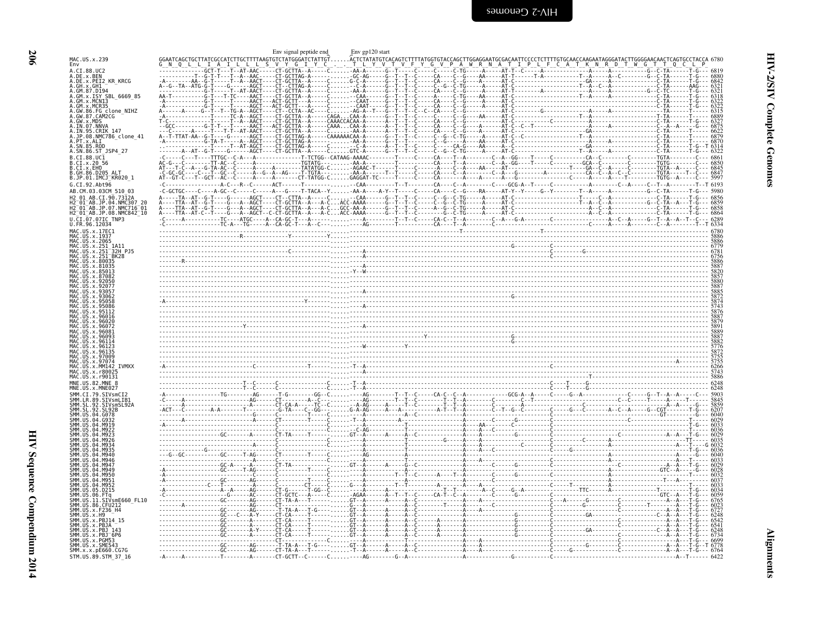|                                                                                  | Env signal peptide end | Env gp120 start |  |                                                                                                                                                                                                                                                                                                                                                                                                                                |
|----------------------------------------------------------------------------------|------------------------|-----------------|--|--------------------------------------------------------------------------------------------------------------------------------------------------------------------------------------------------------------------------------------------------------------------------------------------------------------------------------------------------------------------------------------------------------------------------------|
| MAC.US.x.239<br>Env<br>A.CI.88.UC2                                               |                        |                 |  | $\begin{bmatrix} \mathbf{G} \mathbf{M} & \mathbf{G} \mathbf{L} & \mathbf{L} & \mathbf{L} & \mathbf{L} & \mathbf{L} & \mathbf{L} & \mathbf{L} & \mathbf{L} & \mathbf{L} & \mathbf{L} & \mathbf{L} & \mathbf{L} & \mathbf{L} & \mathbf{L} & \mathbf{L} & \mathbf{L} & \mathbf{L} & \mathbf{L} & \mathbf{L} & \mathbf{L} & \mathbf{L} & \mathbf{L} & \mathbf{L} & \mathbf{L} & \mathbf{L} & \mathbf{L} & \mathbf{L} & \mathbf{L}$ |
| A.DE.x.BEN<br>A.DE.x.PEI2 KR KRCG                                                |                        |                 |  |                                                                                                                                                                                                                                                                                                                                                                                                                                |
| A.GH.x.GH1<br>A.GM.87.D194<br>A.GM.x.ISY SBL 6669 85                             |                        |                 |  |                                                                                                                                                                                                                                                                                                                                                                                                                                |
| A.GM.x.MCN13<br>A.GM.x.MCR35                                                     |                        |                 |  |                                                                                                                                                                                                                                                                                                                                                                                                                                |
| A.GW.86.FG clone NIHZ<br>A.GW.87.CAM2CG                                          |                        |                 |  |                                                                                                                                                                                                                                                                                                                                                                                                                                |
| IN.07.NNVA<br>4.IN.95.CRIK 147                                                   |                        |                 |  |                                                                                                                                                                                                                                                                                                                                                                                                                                |
| .JP.08.NMC786_clone_41<br>A.PT.x.ALI                                             |                        |                 |  |                                                                                                                                                                                                                                                                                                                                                                                                                                |
| . SN . 85 . ROD<br>A.SN.86.ST JSP4 27                                            |                        |                 |  |                                                                                                                                                                                                                                                                                                                                                                                                                                |
| R. CT. 88. HC1<br>B.CI.x.20 56<br>.CI.x.EHO                                      |                        |                 |  |                                                                                                                                                                                                                                                                                                                                                                                                                                |
| B.JP.01.IMCJ <sup>-</sup> KR020 1                                                |                        |                 |  |                                                                                                                                                                                                                                                                                                                                                                                                                                |
| G.CI.92.Abt96<br>AB.CM.03.03CM 510 03                                            |                        |                 |  |                                                                                                                                                                                                                                                                                                                                                                                                                                |
| AR CT 90.7312A                                                                   |                        |                 |  |                                                                                                                                                                                                                                                                                                                                                                                                                                |
| H2-01-AB.JP.04.NMC307-20<br>H2-01-AB.JP.07.NMC716-01<br>H2 01 AB.JP.08.NMC842 10 |                        |                 |  |                                                                                                                                                                                                                                                                                                                                                                                                                                |
| U.CI.07.07IC TNP3<br>U.FR.96.12034                                               |                        |                 |  |                                                                                                                                                                                                                                                                                                                                                                                                                                |
| MAC.US.x.17EC1<br>MAC.US.x.1937                                                  |                        |                 |  |                                                                                                                                                                                                                                                                                                                                                                                                                                |
| MAC.US.x.2065<br>MAC.US.x.251<br>32H P.15                                        |                        |                 |  |                                                                                                                                                                                                                                                                                                                                                                                                                                |
| .x.80035                                                                         |                        |                 |  |                                                                                                                                                                                                                                                                                                                                                                                                                                |
|                                                                                  |                        |                 |  |                                                                                                                                                                                                                                                                                                                                                                                                                                |
|                                                                                  |                        |                 |  |                                                                                                                                                                                                                                                                                                                                                                                                                                |
|                                                                                  |                        |                 |  |                                                                                                                                                                                                                                                                                                                                                                                                                                |
|                                                                                  |                        |                 |  |                                                                                                                                                                                                                                                                                                                                                                                                                                |
|                                                                                  |                        |                 |  |                                                                                                                                                                                                                                                                                                                                                                                                                                |
|                                                                                  |                        |                 |  |                                                                                                                                                                                                                                                                                                                                                                                                                                |
|                                                                                  |                        |                 |  |                                                                                                                                                                                                                                                                                                                                                                                                                                |
| 96135                                                                            |                        |                 |  |                                                                                                                                                                                                                                                                                                                                                                                                                                |
| 4AC US x r8002                                                                   |                        |                 |  |                                                                                                                                                                                                                                                                                                                                                                                                                                |
|                                                                                  |                        |                 |  |                                                                                                                                                                                                                                                                                                                                                                                                                                |
| STVsmCT:                                                                         |                        |                 |  |                                                                                                                                                                                                                                                                                                                                                                                                                                |
| SIVsmSL92A<br>92<br>SL 92B                                                       |                        |                 |  |                                                                                                                                                                                                                                                                                                                                                                                                                                |
|                                                                                  |                        |                 |  |                                                                                                                                                                                                                                                                                                                                                                                                                                |
|                                                                                  |                        |                 |  |                                                                                                                                                                                                                                                                                                                                                                                                                                |
|                                                                                  |                        |                 |  |                                                                                                                                                                                                                                                                                                                                                                                                                                |
|                                                                                  |                        |                 |  |                                                                                                                                                                                                                                                                                                                                                                                                                                |
|                                                                                  |                        |                 |  |                                                                                                                                                                                                                                                                                                                                                                                                                                |
|                                                                                  |                        |                 |  |                                                                                                                                                                                                                                                                                                                                                                                                                                |
| 05.D215                                                                          |                        |                 |  |                                                                                                                                                                                                                                                                                                                                                                                                                                |
|                                                                                  |                        |                 |  |                                                                                                                                                                                                                                                                                                                                                                                                                                |
| SMM.US.x.H9                                                                      |                        |                 |  |                                                                                                                                                                                                                                                                                                                                                                                                                                |
| MM.US.x.PBJ                                                                      |                        |                 |  |                                                                                                                                                                                                                                                                                                                                                                                                                                |
| SMM.US.x.PBJ <sup>-</sup> 6P6<br>SMM.US.x.PGM53                                  |                        |                 |  |                                                                                                                                                                                                                                                                                                                                                                                                                                |
| SMM.US.x.SME543                                                                  |                        |                 |  |                                                                                                                                                                                                                                                                                                                                                                                                                                |
| .FTq<br>.SIVsmE660 FL10<br>SMM.US.x.F236 H4<br>SMM IIS x PR114 15                |                        |                 |  |                                                                                                                                                                                                                                                                                                                                                                                                                                |

<span id="page-47-0"></span>**HIV-2/SIV Complete Genomes** 

206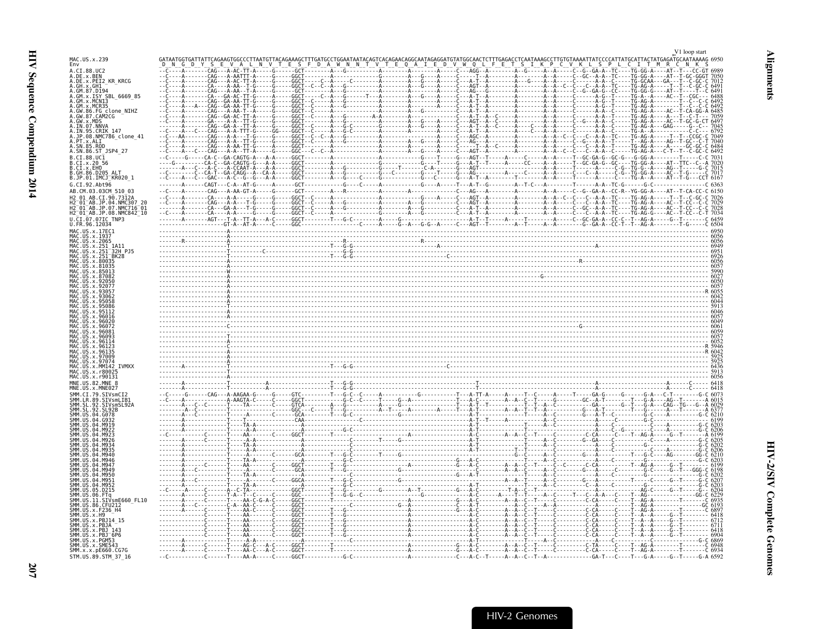<span id="page-48-0"></span>

|                                                                                   |  |  |                                                                                                                                                                                                                                                                                                                                                                                                                                     | V1 loop start |
|-----------------------------------------------------------------------------------|--|--|-------------------------------------------------------------------------------------------------------------------------------------------------------------------------------------------------------------------------------------------------------------------------------------------------------------------------------------------------------------------------------------------------------------------------------------|---------------|
| MAC.US.x.239<br>Env                                                               |  |  |                                                                                                                                                                                                                                                                                                                                                                                                                                     |               |
| A.CI.88.UC2<br>A.DE.x.BEN<br>A.DE.x.PEI2_KR_KRCG<br>A.GH.x.GH1 -                  |  |  | $\begin{bmatrix} \mathbf{a}_1 & \mathbf{a}_2 & \mathbf{a}_3 & \mathbf{a}_4 & \mathbf{a}_5 & \mathbf{a}_6 & \mathbf{a}_7 & \mathbf{a}_8 & \mathbf{a}_7 & \mathbf{a}_8 & \mathbf{a}_9 & \mathbf{a}_9 & \mathbf{a}_9 & \mathbf{a}_9 & \mathbf{a}_9 & \mathbf{a}_9 & \mathbf{a}_9 & \mathbf{a}_9 & \mathbf{a}_9 & \mathbf{a}_9 & \mathbf{a}_9 & \mathbf{a}_9 & \mathbf{a}_9 & \mathbf{a}_9 & \mathbf{a}_9 & \mathbf{a}_9 & \mathbf{a}_$ |               |
| A.GM.87.D194                                                                      |  |  |                                                                                                                                                                                                                                                                                                                                                                                                                                     |               |
| A.GM.x.ISY SBL 6669 85                                                            |  |  |                                                                                                                                                                                                                                                                                                                                                                                                                                     |               |
| GM.x.MCR35                                                                        |  |  |                                                                                                                                                                                                                                                                                                                                                                                                                                     |               |
| <br>A.GW.86.FG clone_NIHZ<br>A.GW.87.CAM2CG<br>A.GW.x.MDS                         |  |  |                                                                                                                                                                                                                                                                                                                                                                                                                                     |               |
| <br>A.IN.07.NNVA<br>A.IN.95.CRIK 147                                              |  |  |                                                                                                                                                                                                                                                                                                                                                                                                                                     |               |
| A.in.sp.cnin.a+<br>A.JP.08.NMC786_clone_41<br>A.PT.x.ALI                          |  |  |                                                                                                                                                                                                                                                                                                                                                                                                                                     |               |
| A.SN.86.ST JSP4 27                                                                |  |  |                                                                                                                                                                                                                                                                                                                                                                                                                                     |               |
| B.CI.88.UC1<br>B.CI.x.20 56                                                       |  |  |                                                                                                                                                                                                                                                                                                                                                                                                                                     |               |
| B.CI.x.EHO                                                                        |  |  |                                                                                                                                                                                                                                                                                                                                                                                                                                     |               |
| B.GH.86.D205 ALT<br>B.JP.01.IMCJ_KR020_1                                          |  |  |                                                                                                                                                                                                                                                                                                                                                                                                                                     |               |
| G.CI.92.Abt96<br>AB.CM.03.03CM 510 03                                             |  |  |                                                                                                                                                                                                                                                                                                                                                                                                                                     |               |
| CI.90.7312A<br>.04                                                                |  |  |                                                                                                                                                                                                                                                                                                                                                                                                                                     |               |
| . 07<br>NMC716<br>H2 <sup>-</sup> 01 <sup>-</sup> AB.JP.08.NMC842 <sup>-</sup> 10 |  |  |                                                                                                                                                                                                                                                                                                                                                                                                                                     |               |
| $0.CI.\overline{0}7.07IC$ TNP3<br>U.FR.96.12034                                   |  |  |                                                                                                                                                                                                                                                                                                                                                                                                                                     |               |
| MAC.US.x.17EC1                                                                    |  |  |                                                                                                                                                                                                                                                                                                                                                                                                                                     |               |
|                                                                                   |  |  |                                                                                                                                                                                                                                                                                                                                                                                                                                     |               |
|                                                                                   |  |  |                                                                                                                                                                                                                                                                                                                                                                                                                                     |               |
|                                                                                   |  |  |                                                                                                                                                                                                                                                                                                                                                                                                                                     |               |
|                                                                                   |  |  |                                                                                                                                                                                                                                                                                                                                                                                                                                     |               |
|                                                                                   |  |  |                                                                                                                                                                                                                                                                                                                                                                                                                                     |               |
|                                                                                   |  |  |                                                                                                                                                                                                                                                                                                                                                                                                                                     |               |
|                                                                                   |  |  |                                                                                                                                                                                                                                                                                                                                                                                                                                     |               |
|                                                                                   |  |  |                                                                                                                                                                                                                                                                                                                                                                                                                                     |               |
|                                                                                   |  |  |                                                                                                                                                                                                                                                                                                                                                                                                                                     |               |
|                                                                                   |  |  |                                                                                                                                                                                                                                                                                                                                                                                                                                     |               |
|                                                                                   |  |  |                                                                                                                                                                                                                                                                                                                                                                                                                                     |               |
|                                                                                   |  |  |                                                                                                                                                                                                                                                                                                                                                                                                                                     |               |
|                                                                                   |  |  |                                                                                                                                                                                                                                                                                                                                                                                                                                     |               |
|                                                                                   |  |  |                                                                                                                                                                                                                                                                                                                                                                                                                                     |               |
| MNE.US.82.MNE                                                                     |  |  |                                                                                                                                                                                                                                                                                                                                                                                                                                     |               |
| <b>STVsmlTR</b>                                                                   |  |  |                                                                                                                                                                                                                                                                                                                                                                                                                                     |               |
|                                                                                   |  |  |                                                                                                                                                                                                                                                                                                                                                                                                                                     |               |
|                                                                                   |  |  |                                                                                                                                                                                                                                                                                                                                                                                                                                     |               |
|                                                                                   |  |  |                                                                                                                                                                                                                                                                                                                                                                                                                                     |               |
|                                                                                   |  |  |                                                                                                                                                                                                                                                                                                                                                                                                                                     |               |
|                                                                                   |  |  |                                                                                                                                                                                                                                                                                                                                                                                                                                     |               |
|                                                                                   |  |  |                                                                                                                                                                                                                                                                                                                                                                                                                                     |               |
|                                                                                   |  |  |                                                                                                                                                                                                                                                                                                                                                                                                                                     |               |
|                                                                                   |  |  |                                                                                                                                                                                                                                                                                                                                                                                                                                     |               |
|                                                                                   |  |  |                                                                                                                                                                                                                                                                                                                                                                                                                                     |               |
| SIVsmE660 FL10<br>86.CFU212                                                       |  |  |                                                                                                                                                                                                                                                                                                                                                                                                                                     |               |
|                                                                                   |  |  |                                                                                                                                                                                                                                                                                                                                                                                                                                     |               |
|                                                                                   |  |  |                                                                                                                                                                                                                                                                                                                                                                                                                                     |               |
|                                                                                   |  |  |                                                                                                                                                                                                                                                                                                                                                                                                                                     |               |
| SMM.US.x.SME543                                                                   |  |  |                                                                                                                                                                                                                                                                                                                                                                                                                                     |               |
| SMM.x.x.pE660.CG7G<br>STM.US.89.STM 37 16                                         |  |  |                                                                                                                                                                                                                                                                                                                                                                                                                                     |               |
|                                                                                   |  |  |                                                                                                                                                                                                                                                                                                                                                                                                                                     |               |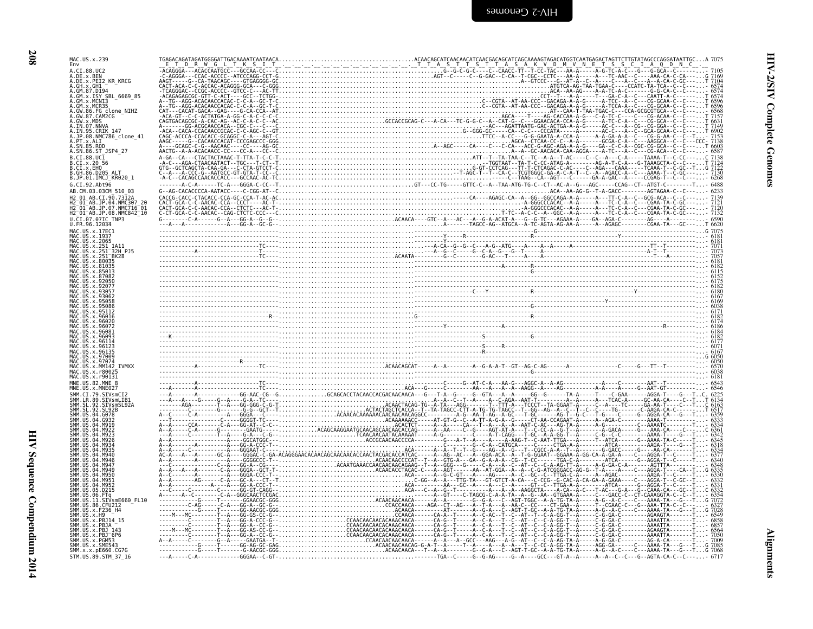| MAC.US.x.239<br>Env                                                              |  |
|----------------------------------------------------------------------------------|--|
| A.CI.88.UC2                                                                      |  |
| A.DE.x.BEN<br>A.DE.x.PEI2_KR_KRCG                                                |  |
| A.GH.X.GH1                                                                       |  |
| A.GM.87.D194<br>A.GM.x.ISY_SBL_6669_85                                           |  |
| A.GM.x.MCN13                                                                     |  |
| FG clone NIHZ.<br>87.CAM2CG                                                      |  |
|                                                                                  |  |
| 07.NNVA<br>A.IN<br>95.CRIK 147                                                   |  |
| A.JP.08.NMC786_clone_41<br>A.PT.x.ALI                                            |  |
| A.SN.85.ROD<br>A.SN.86.ST_JSP4_27                                                |  |
| B.CI.88.UC1                                                                      |  |
| B.CI.x.20 56<br>B.CI.x.EHO                                                       |  |
| B.GH.86.D205_ALI<br>B.JP.01.IMCJ_KR020_1                                         |  |
| G.CI.92.Abt96                                                                    |  |
| AB.CM.03.03CM 510 03                                                             |  |
| AB.CI.90.7312A                                                                   |  |
| H2-01-AB.JP.04.NMC307 20<br>H2-01-AB.JP.07.NMC716-01<br>H2-01-AB.JP.08.NMC842_10 |  |
| U.CI.07.07IC TNP3                                                                |  |
| U.FR.96.12034<br>MAC.US.x.17EC1                                                  |  |
| MAC.US.x.1937                                                                    |  |
|                                                                                  |  |
| IS.x.251                                                                         |  |
|                                                                                  |  |
|                                                                                  |  |
|                                                                                  |  |
|                                                                                  |  |
|                                                                                  |  |
|                                                                                  |  |
|                                                                                  |  |
|                                                                                  |  |
| 96081                                                                            |  |
|                                                                                  |  |
|                                                                                  |  |
| $x$ 97009<br>IS x 97074                                                          |  |
| IS x MM142 TVMXX                                                                 |  |
|                                                                                  |  |
| MNE.US.82.MNE 8                                                                  |  |
| SMM.CI.79.SIVsmCI2                                                               |  |
| 89 STVsmLTR1                                                                     |  |
|                                                                                  |  |
|                                                                                  |  |
|                                                                                  |  |
|                                                                                  |  |
|                                                                                  |  |
|                                                                                  |  |
| M947<br>MQ 4                                                                     |  |
| M956                                                                             |  |
|                                                                                  |  |
|                                                                                  |  |
| 11.SIVsmE660 FL10                                                                |  |
|                                                                                  |  |
| PBJ14 15                                                                         |  |
| x.PBJ_143                                                                        |  |
| x.PBJ <sup>-6P6</sup><br>x PGM53                                                 |  |
| x SMF543                                                                         |  |
| SMM.x.x.pE660.CG7G                                                               |  |

Alignments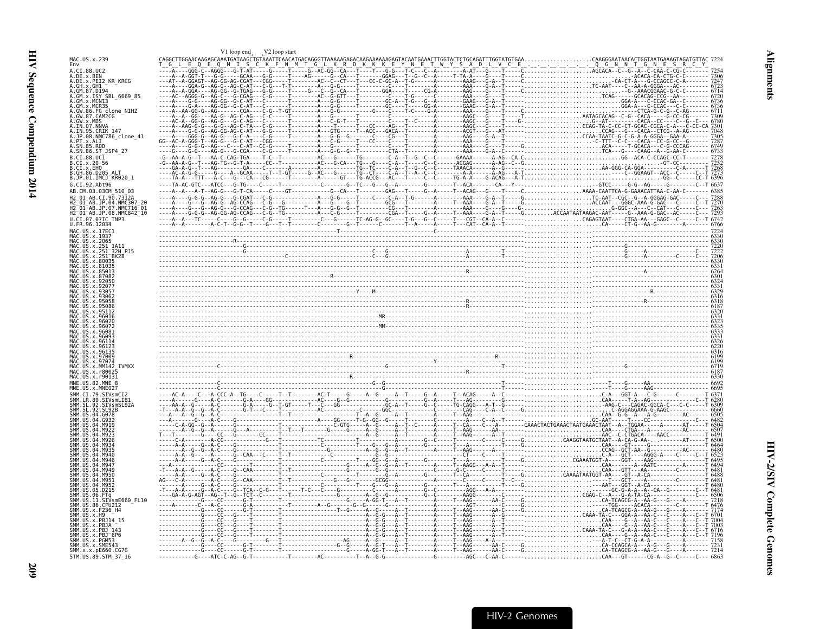<span id="page-50-0"></span>

|                                                                               | V1 loop end V2 loop start |  |
|-------------------------------------------------------------------------------|---------------------------|--|
| MAC.US.x.239<br>Env                                                           |                           |  |
| A. CT. 88. HC2<br>A.DE.x.BEN                                                  |                           |  |
| A.DE.X.PEI2 KR KRCG                                                           |                           |  |
| A.GM.x.ISY SBL 6669 85                                                        |                           |  |
| A.GM.x.MCNI3                                                                  |                           |  |
| MCR35<br>86.FG clone_NIHZ                                                     |                           |  |
| .GW.87.CAM2CG                                                                 |                           |  |
|                                                                               |                           |  |
| JP.08.NMC786 clone 41                                                         |                           |  |
| .SN.86.ST_JSP4 27                                                             |                           |  |
| B.CT.88.UC1<br>.CT x 20 56                                                    |                           |  |
| $CT \times FHD$<br>B.GH.86.D205 ALT                                           |                           |  |
| B.JP.01.IMCJ <sup>-</sup> KR020 1                                             |                           |  |
| G.CI.92.Abt96<br>03.03CM 510 03                                               |                           |  |
| CT.90.7312A                                                                   |                           |  |
| 04 NMC307 2<br>? <sup>−</sup> 01 <sup>−</sup> AB.JP.07.NMC716 <sup>−</sup> 01 |                           |  |
| 2_01_AB.JP.08.NMC842_10                                                       |                           |  |
|                                                                               |                           |  |
|                                                                               |                           |  |
|                                                                               |                           |  |
|                                                                               |                           |  |
|                                                                               |                           |  |
|                                                                               |                           |  |
|                                                                               |                           |  |
|                                                                               |                           |  |
|                                                                               |                           |  |
|                                                                               |                           |  |
|                                                                               |                           |  |
|                                                                               |                           |  |
|                                                                               |                           |  |
|                                                                               |                           |  |
| <b>TVMXX</b>                                                                  |                           |  |
|                                                                               |                           |  |
|                                                                               |                           |  |
|                                                                               |                           |  |
|                                                                               |                           |  |
|                                                                               |                           |  |
|                                                                               |                           |  |
|                                                                               |                           |  |
|                                                                               |                           |  |
|                                                                               |                           |  |
|                                                                               |                           |  |
|                                                                               |                           |  |
|                                                                               |                           |  |
|                                                                               |                           |  |
| SIVsmE660 FL10                                                                |                           |  |
|                                                                               |                           |  |
|                                                                               |                           |  |
|                                                                               |                           |  |
|                                                                               |                           |  |
|                                                                               |                           |  |
| SMM.x.x.pE660.CG7G<br>STM.US.89.STM_37_16                                     |                           |  |
|                                                                               |                           |  |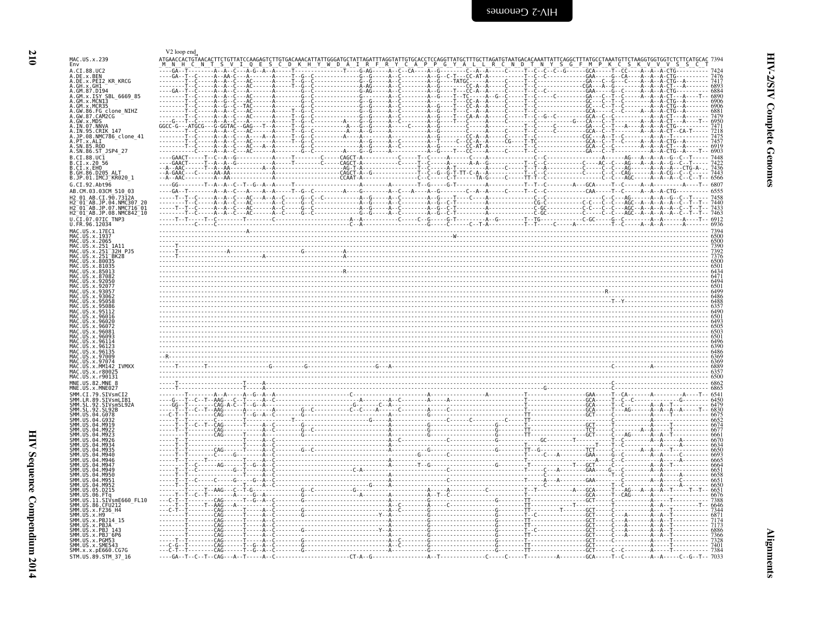<span id="page-51-0"></span>

|                                                                                                         | V2 loop end           |                                                                                                                                                                                                                                     |                                                         |                                                                    |       |
|---------------------------------------------------------------------------------------------------------|-----------------------|-------------------------------------------------------------------------------------------------------------------------------------------------------------------------------------------------------------------------------------|---------------------------------------------------------|--------------------------------------------------------------------|-------|
| MAC.US.x.239<br>Env                                                                                     | ATGAACCACTGTAACACTTCT |                                                                                                                                                                                                                                     |                                                         | Y S G F M                                                          |       |
| A.CI.88.UC2<br>A.DE.X.BEN<br>A.DE.X.PEI2 KR KRCG                                                        |                       |                                                                                                                                                                                                                                     | ------------G--G------A--C---------A--G--C-T---CC-AT-A- |                                                                    |       |
| A.GH.x.GH1                                                                                              |                       | . A - AG - A - . C - A - . G -                                                                                                                                                                                                      | - G - - G - - - - - A - - C - - - - - - -               | . T - - C - - - - - - - - - - - - - - - GA - - - C - - G - - - C - |       |
| A.GM.87.D194<br>A.GM.X.ISY SBL 6669 85                                                                  |                       |                                                                                                                                                                                                                                     |                                                         |                                                                    |       |
| A.GM.x.MCNI3                                                                                            |                       |                                                                                                                                                                                                                                     |                                                         |                                                                    |       |
| A.GM.x.MCR35<br>A.GW.86.FG clone_NIHZ<br>A.GW.86.FG clone_NIHZ<br>A.GW.x.MDS<br>A.IN.07.NNVA            |                       |                                                                                                                                                                                                                                     |                                                         |                                                                    |       |
|                                                                                                         |                       |                                                                                                                                                                                                                                     |                                                         |                                                                    |       |
| A.IN.95.CRIK 147<br>A.JP.08.NMC786_clone_41                                                             |                       |                                                                                                                                                                                                                                     |                                                         |                                                                    |       |
| A.PT.x.ALI<br>.SN.85.ROD                                                                                |                       |                                                                                                                                                                                                                                     |                                                         |                                                                    |       |
| A.SN.86.ST JSP4 27<br>B.CI.88.UC1                                                                       |                       |                                                                                                                                                                                                                                     |                                                         |                                                                    | -6903 |
| B.CI.x.20 56<br>B.CI.X.EHO                                                                              |                       |                                                                                                                                                                                                                                     |                                                         |                                                                    |       |
| B. GH. 86. D205 ALT<br>B.JP.01.IMCJ KR020 1                                                             |                       |                                                                                                                                                                                                                                     |                                                         |                                                                    |       |
| G.CI.92.Abt96<br>AB.CM.03.03CM 510 03                                                                   |                       |                                                                                                                                                                                                                                     |                                                         |                                                                    |       |
| H2 01 AB.CI.90.7312A                                                                                    |                       |                                                                                                                                                                                                                                     |                                                         |                                                                    |       |
| H2 <sup>-</sup> 01 <sup>-</sup> AB.JP.04.NMC307<br>H2-01-AB.JP.07.NMC716-01<br>H2-01-AB.JP.08.NMC842-10 |                       |                                                                                                                                                                                                                                     |                                                         |                                                                    |       |
| U.CI.07.07IC TNP3                                                                                       |                       |                                                                                                                                                                                                                                     |                                                         |                                                                    |       |
| U.FR.96.12034<br>MAC.US.x.17EC1                                                                         |                       |                                                                                                                                                                                                                                     |                                                         |                                                                    |       |
| MAC.US.x.1937<br>MAC.US.x.2065                                                                          |                       |                                                                                                                                                                                                                                     |                                                         |                                                                    |       |
| US.x.251 1A11.<br>US.x.251                                                                              |                       |                                                                                                                                                                                                                                     |                                                         |                                                                    |       |
| .US.x.251 <sup>-</sup> BK28<br>US.x.80035                                                               |                       |                                                                                                                                                                                                                                     |                                                         |                                                                    |       |
| <b>IIS x 81035</b>                                                                                      |                       |                                                                                                                                                                                                                                     |                                                         |                                                                    |       |
| IIS x 87082                                                                                             |                       |                                                                                                                                                                                                                                     |                                                         |                                                                    |       |
|                                                                                                         |                       | 030)<br>0300 - Canada Barat (1980) - Canada Barat (1980) - Canada Barat (1980) - Canada Barat (1980) - Canada Barat (1<br>0488 - Canada Barat (1980) - Canada Barat (1980) - Canada Barat (1980) - Canada Barat (1980) - Canada Bar |                                                         |                                                                    |       |
|                                                                                                         |                       |                                                                                                                                                                                                                                     |                                                         |                                                                    |       |
|                                                                                                         |                       |                                                                                                                                                                                                                                     |                                                         |                                                                    |       |
|                                                                                                         |                       |                                                                                                                                                                                                                                     |                                                         |                                                                    |       |
|                                                                                                         |                       |                                                                                                                                                                                                                                     |                                                         |                                                                    |       |
|                                                                                                         |                       |                                                                                                                                                                                                                                     |                                                         |                                                                    |       |
| .US.x.97009                                                                                             |                       |                                                                                                                                                                                                                                     |                                                         |                                                                    |       |
| US x 97074<br><b>TVMXX</b>                                                                              |                       |                                                                                                                                                                                                                                     |                                                         |                                                                    |       |
| MAC US Y r8003<br>MAC.US.x.r90131                                                                       |                       |                                                                                                                                                                                                                                     |                                                         |                                                                    |       |
| MNE.US.82.MNE                                                                                           |                       |                                                                                                                                                                                                                                     |                                                         |                                                                    |       |
|                                                                                                         |                       |                                                                                                                                                                                                                                     |                                                         |                                                                    |       |
| SMM SI                                                                                                  |                       |                                                                                                                                                                                                                                     |                                                         |                                                                    |       |
| .04.6078                                                                                                |                       |                                                                                                                                                                                                                                     |                                                         |                                                                    |       |
|                                                                                                         |                       |                                                                                                                                                                                                                                     |                                                         |                                                                    |       |
|                                                                                                         |                       |                                                                                                                                                                                                                                     |                                                         |                                                                    |       |
|                                                                                                         |                       |                                                                                                                                                                                                                                     |                                                         |                                                                    |       |
|                                                                                                         |                       |                                                                                                                                                                                                                                     |                                                         |                                                                    |       |
|                                                                                                         |                       |                                                                                                                                                                                                                                     |                                                         |                                                                    |       |
|                                                                                                         |                       |                                                                                                                                                                                                                                     |                                                         |                                                                    |       |
| 05.D215                                                                                                 |                       |                                                                                                                                                                                                                                     |                                                         |                                                                    |       |
| SIVsmE660 FL10                                                                                          |                       |                                                                                                                                                                                                                                     |                                                         |                                                                    |       |
| SMM.US.86.CFU212<br>SMM. US. x. F236_H4                                                                 |                       |                                                                                                                                                                                                                                     |                                                         |                                                                    |       |
| SMM.US.x.H9<br>.x.PB.114                                                                                |                       |                                                                                                                                                                                                                                     |                                                         |                                                                    |       |
| . <b>x</b> PR14<br>SMM.US.x.PBJ 143                                                                     |                       |                                                                                                                                                                                                                                     |                                                         |                                                                    |       |
| SMM.US.x.PBJ <sup>-</sup> 6P6<br>SMM.US.x.PGM53                                                         |                       |                                                                                                                                                                                                                                     |                                                         |                                                                    |       |
| SMM.US.x.SME543<br>SMM.x.x.pE660.CG7G                                                                   |                       |                                                                                                                                                                                                                                     |                                                         |                                                                    |       |
| STM.US.89.STM 37 16                                                                                     |                       |                                                                                                                                                                                                                                     |                                                         |                                                                    |       |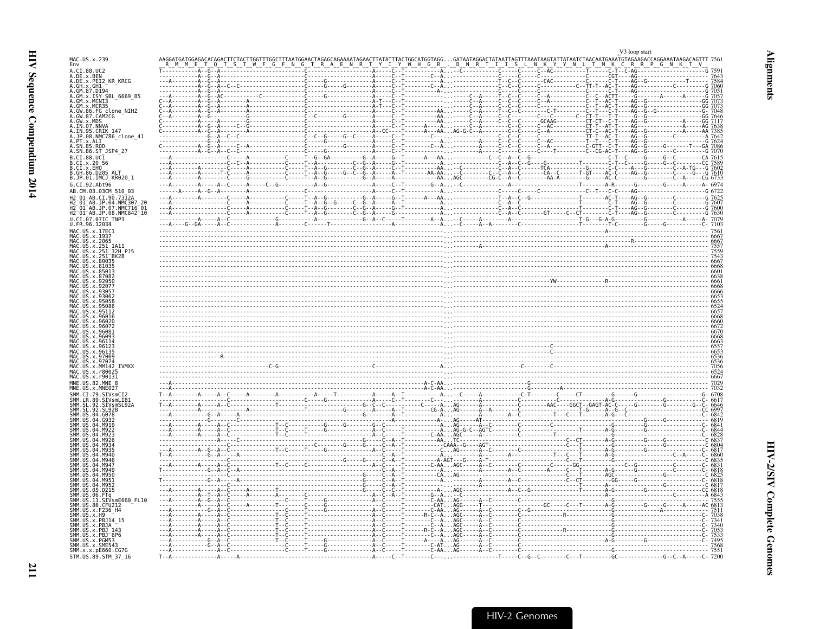<span id="page-52-0"></span>

|                                                                                |              |                                     |                                                                 |                                                | V <sub>3</sub> loop start                                                                         |
|--------------------------------------------------------------------------------|--------------|-------------------------------------|-----------------------------------------------------------------|------------------------------------------------|---------------------------------------------------------------------------------------------------|
| MAC.US.x.239<br>Env                                                            |              |                                     |                                                                 |                                                | TATAATCTAACAATGAAA <sup>T</sup> GTAGAAGACCAGGAAATAAGACAGTTT 7561<br>Y N L T M K C R R P G N K T V |
| A.CI.88.UC2<br>A.DE.x.BEN<br>A.DE.x.PEI2_KR_KRCG<br>A.GH.x.GH1_                |              |                                     |                                                                 |                                                |                                                                                                   |
|                                                                                |              |                                     |                                                                 |                                                | . ČGT - - - - AG - - - -<br>- С - <u>Т</u> - - - - AG - - G -                                     |
| GM.87.D194                                                                     |              |                                     |                                                                 |                                                |                                                                                                   |
| GM.x.ISY SBL 6669 85<br>GM.x.MCN13                                             |              |                                     |                                                                 |                                                |                                                                                                   |
| x.MCR35<br>86.FG_clone_NIHZ<br>GW                                              |              |                                     |                                                                 |                                                |                                                                                                   |
| 87.CAM2CG                                                                      |              |                                     |                                                                 |                                                |                                                                                                   |
| .GW.X.MDS<br>.IN.07.NNVA<br>.IN.07.NNVA<br>.JP.08.NMC786_clone_41<br>.PT.X.ALI |              |                                     |                                                                 |                                                |                                                                                                   |
|                                                                                |              |                                     |                                                                 |                                                |                                                                                                   |
| SN.85.ROD                                                                      |              |                                     |                                                                 |                                                |                                                                                                   |
| SN.86.ST_JSP4_27                                                               |              |                                     |                                                                 |                                                |                                                                                                   |
| CI.88.UC1<br>CI.x.2056                                                         |              |                                     |                                                                 |                                                |                                                                                                   |
| CI.x.EHO                                                                       |              | - - A - - G - - - - - G - - C - - G |                                                                 |                                                |                                                                                                   |
| .GH.86.D205 ALT<br>.JP.01.IMCJ_KR020_1                                         |              |                                     |                                                                 | ------CA--C------T-GT<br>-------AA-A--------G- |                                                                                                   |
| G.CI.92.Abt96                                                                  |              |                                     | . G - - A - - C - - - - - - - - - -                             |                                                | $-A - 6974$                                                                                       |
| AB.CM.03.03CM 510 03<br>AB.CI.90.7312A                                         |              |                                     |                                                                 |                                                |                                                                                                   |
| $01^{-}$ AB.JP.04.<br>NMC307 20                                                |              |                                     |                                                                 |                                                |                                                                                                   |
| H2_01_AB.JP.07.NMC716_01<br>H2_01_AB.JP.08.NMC842_10                           |              |                                     |                                                                 |                                                |                                                                                                   |
| $.07$ IC TNP3                                                                  |              |                                     |                                                                 |                                                |                                                                                                   |
| MAC.US.x.17EC1                                                                 |              |                                     |                                                                 |                                                |                                                                                                   |
| 1937                                                                           |              |                                     |                                                                 |                                                |                                                                                                   |
| 251_1A11<br>251 <sup>-</sup> 32H_PJ5                                           |              |                                     |                                                                 |                                                |                                                                                                   |
| BK28                                                                           |              |                                     |                                                                 |                                                |                                                                                                   |
|                                                                                |              |                                     |                                                                 |                                                |                                                                                                   |
|                                                                                |              |                                     |                                                                 |                                                |                                                                                                   |
|                                                                                |              |                                     |                                                                 |                                                |                                                                                                   |
|                                                                                |              |                                     |                                                                 |                                                |                                                                                                   |
|                                                                                |              |                                     |                                                                 |                                                |                                                                                                   |
|                                                                                |              |                                     |                                                                 |                                                |                                                                                                   |
|                                                                                |              |                                     |                                                                 |                                                |                                                                                                   |
|                                                                                |              |                                     |                                                                 |                                                |                                                                                                   |
|                                                                                |              |                                     |                                                                 |                                                |                                                                                                   |
|                                                                                |              |                                     |                                                                 |                                                |                                                                                                   |
|                                                                                |              |                                     |                                                                 |                                                |                                                                                                   |
|                                                                                |              |                                     |                                                                 |                                                |                                                                                                   |
| <b>IVMXX</b>                                                                   |              |                                     |                                                                 |                                                |                                                                                                   |
| 1AC.US.x.r90131<br>INF. US. 82. MNF                                            |              |                                     |                                                                 |                                                |                                                                                                   |
|                                                                                |              |                                     |                                                                 |                                                |                                                                                                   |
|                                                                                |              |                                     |                                                                 |                                                |                                                                                                   |
|                                                                                |              |                                     |                                                                 |                                                |                                                                                                   |
|                                                                                |              |                                     |                                                                 |                                                |                                                                                                   |
|                                                                                |              |                                     |                                                                 |                                                |                                                                                                   |
|                                                                                |              |                                     |                                                                 |                                                |                                                                                                   |
|                                                                                |              |                                     |                                                                 |                                                |                                                                                                   |
|                                                                                |              |                                     |                                                                 |                                                |                                                                                                   |
|                                                                                |              |                                     | C--A--T------------A--------<br>C--A--T-----------A-AGT---G---- |                                                |                                                                                                   |
|                                                                                |              |                                     | --------C-AAAGC------A<br>A-------------A                       |                                                |                                                                                                   |
| MQ5 <sup>-</sup>                                                               |              |                                     | $AG - - - - -$                                                  |                                                |                                                                                                   |
| M95                                                                            |              |                                     |                                                                 |                                                |                                                                                                   |
| .D215                                                                          |              |                                     |                                                                 |                                                |                                                                                                   |
| .<br>SIVsmE660 FL10<br>86. CFU212                                              |              |                                     | $AAAG--$                                                        |                                                |                                                                                                   |
| x.F236 H4                                                                      |              |                                     | - AA AG - .<br>- - A AGC .                                      |                                                |                                                                                                   |
|                                                                                |              |                                     |                                                                 |                                                |                                                                                                   |
|                                                                                |              |                                     |                                                                 |                                                |                                                                                                   |
| MM.<br>PBJ <sup>6P6</sup>                                                      |              |                                     |                                                                 |                                                |                                                                                                   |
| SMM.US.x.SME543<br>SMM.x.x.pE660.CG7G                                          |              |                                     |                                                                 |                                                |                                                                                                   |
| STM.US.89.STM 37 16                                                            | $T - - \ell$ |                                     |                                                                 |                                                |                                                                                                   |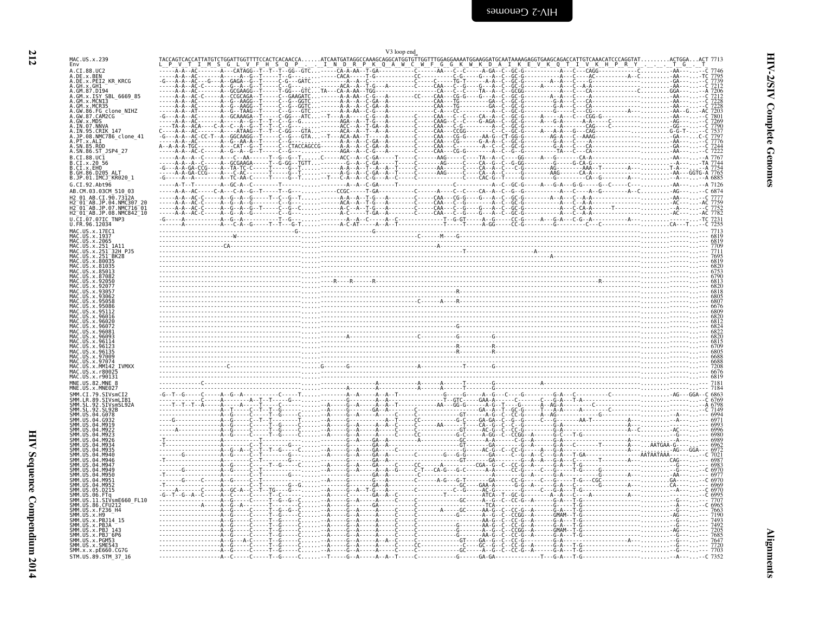| ٧  |
|----|
| ., |

<span id="page-53-0"></span>

|                                                                                                                                                                                                                                                                                                                                                                                                                                                                                               | V3 loop end                                                                                                                                                                                                                                                                                                                                                                            |  |
|-----------------------------------------------------------------------------------------------------------------------------------------------------------------------------------------------------------------------------------------------------------------------------------------------------------------------------------------------------------------------------------------------------------------------------------------------------------------------------------------------|----------------------------------------------------------------------------------------------------------------------------------------------------------------------------------------------------------------------------------------------------------------------------------------------------------------------------------------------------------------------------------------|--|
| Env                                                                                                                                                                                                                                                                                                                                                                                                                                                                                           |                                                                                                                                                                                                                                                                                                                                                                                        |  |
| MAC.US.x.239<br>A.CI.88.UC2<br>A.DE.x.BEN<br>A.DE.x.PEI2_KR_KRCG<br>A.GH.x.GH1<br>A.GM.87.D194<br>A.GM.x.ISY SBL 6669 85<br>A.GM.x.MCNI3<br>MCR35<br>A.GW.86.FG clone NIHZ<br>A.GW.87.CAM2CG<br>A.GW.x.MDS<br>A.IN.07.NNVA<br>A.IN.95.CRIK_147<br>A.JP.08.NMC786_clone_41<br>A.PT.x.ALI<br>. SN . 85 . ROD<br>A.SN.86.ST JSP4 27<br>B.CI.88.UC1<br>B.CI.x.20 56<br>B.CI.x.EHO<br>B. GH. 86, D205<br>B.JP.01.IMCJ KR020 1<br>G.CI.92.Aht96<br>AB.CM.03.03CM 510 03<br>CI.90.7312A<br>04.NMC307 | ATCAATGATAGGCCAAAGCAGGCATGGTGTTGGTTTGGAGGAAATGCAAGAGGATGCAATAAAAGAGGTGAACAGCAT<br>. . I N D R P K Q A W C W F G G K W K D A I K E V K Q T I<br>The Contract Contract Contract Contract Contract Contract Contract Contract Contract Contract Contract Contract Contract Contract Contract Contract Contract Contract Contract Contract Contract Contract Contract Contract C           |  |
| H2 <sup>-</sup> 01 <sup>-</sup> AB.JP.07.NMC716 <sup>-</sup> 01<br>H2 <sup>-</sup> 01 <sup>-</sup> AB.JP.08.NMC842 <sup>-</sup> 10<br>U.CI.07.07IC TNP3                                                                                                                                                                                                                                                                                                                                       |                                                                                                                                                                                                                                                                                                                                                                                        |  |
| U.FR.96.12034<br>MAC.US.x.17EC1<br>MAC.US.x.1937<br>MAC.US.x.2065<br>US.x.251 1A11<br>US.x.251 <sup>-</sup> BK28<br>.x.80035                                                                                                                                                                                                                                                                                                                                                                  |                                                                                                                                                                                                                                                                                                                                                                                        |  |
|                                                                                                                                                                                                                                                                                                                                                                                                                                                                                               | $R_1 = R_2 = \ldots R_{n-1} = \ldots R_{n-1} = \ldots R_{n-1} = \ldots R_{n-1} = \ldots R_{n-1} = \ldots R_{n-1} = \ldots R_{n-1} = \ldots R_{n-1} = \ldots R_{n-1} = \ldots R_{n-1} = \ldots R_{n-1} = \ldots R_{n-1} = \ldots R_{n-1} = \ldots R_{n-1} = \ldots R_{n-1} = \ldots R_{n-1} = \ldots R_{n-1} = \ldots R_{n-1} = \ldots R_{n-1} = \ldots R_{n-1} = \ldots R_{n-1} = \ld$ |  |
|                                                                                                                                                                                                                                                                                                                                                                                                                                                                                               | $\frac{1}{2000}$                                                                                                                                                                                                                                                                                                                                                                       |  |
| <b>TVMXX</b><br>MAC.US.x.r90131<br>MNE.US.82.MNE                                                                                                                                                                                                                                                                                                                                                                                                                                              |                                                                                                                                                                                                                                                                                                                                                                                        |  |
|                                                                                                                                                                                                                                                                                                                                                                                                                                                                                               |                                                                                                                                                                                                                                                                                                                                                                                        |  |
| SIVsmE660 FL10<br>. 86<br>SMM.US.x.SME54<br>SMM.x.x.pE660.CG7G<br>STM.US.89.STM_37_16                                                                                                                                                                                                                                                                                                                                                                                                         |                                                                                                                                                                                                                                                                                                                                                                                        |  |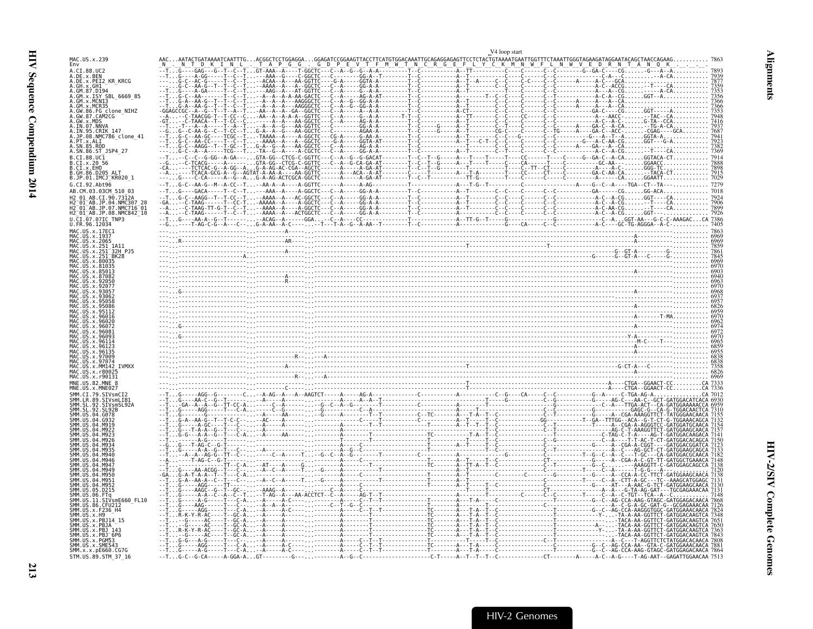|                                                                 |                                                                                                                                                             | V4 loop start                                                                                                                                                                                                                                                                                                                                                                                            |  |
|-----------------------------------------------------------------|-------------------------------------------------------------------------------------------------------------------------------------------------------------|----------------------------------------------------------------------------------------------------------------------------------------------------------------------------------------------------------------------------------------------------------------------------------------------------------------------------------------------------------------------------------------------------------|--|
| MAC.US.x.239<br>Env                                             |                                                                                                                                                             | CATGTGGACAAATTGCAGAGGAGAGTTCCTCTACTGTAAAATGAATTGGTTTCTAAATTGGGTAGAAGATAGGAATACAGCTAACCAGAA                                                                                                                                                                                                                                                                                                               |  |
| A.CI.88.UC2                                                     |                                                                                                                                                             |                                                                                                                                                                                                                                                                                                                                                                                                          |  |
| A.DE.x.BEN<br>A.DE.x.PEI2 KR KRCG<br>GH. x. GH1                 |                                                                                                                                                             |                                                                                                                                                                                                                                                                                                                                                                                                          |  |
| GM.87.D19<br>$GM.x.$ TSY<br>SBL 6669 85                         |                                                                                                                                                             |                                                                                                                                                                                                                                                                                                                                                                                                          |  |
| GM.x.MCN13<br>GM.x.MCR35                                        |                                                                                                                                                             |                                                                                                                                                                                                                                                                                                                                                                                                          |  |
| GW.86.FG_clone_NIHZ<br>GW.87.CAM2CG                             |                                                                                                                                                             |                                                                                                                                                                                                                                                                                                                                                                                                          |  |
| TN 07 NNVA                                                      |                                                                                                                                                             |                                                                                                                                                                                                                                                                                                                                                                                                          |  |
| IN.95.CRIK 147<br>JP.08.NMC786_clone_41                         |                                                                                                                                                             |                                                                                                                                                                                                                                                                                                                                                                                                          |  |
| PT.x.ALI                                                        |                                                                                                                                                             |                                                                                                                                                                                                                                                                                                                                                                                                          |  |
| SN.86.ST JSP4 27<br>B.CI.88.UC1                                 |                                                                                                                                                             |                                                                                                                                                                                                                                                                                                                                                                                                          |  |
| .CI.x.2056<br>B.CI.x.EHO                                        |                                                                                                                                                             |                                                                                                                                                                                                                                                                                                                                                                                                          |  |
| B.GH.86.D205<br>B.JP.01.IMCJ_KR020_1                            |                                                                                                                                                             |                                                                                                                                                                                                                                                                                                                                                                                                          |  |
| $G$ $CT$ $92$ $A$ ht $96$                                       |                                                                                                                                                             |                                                                                                                                                                                                                                                                                                                                                                                                          |  |
| AB.CM.03.03CM 510 03                                            |                                                                                                                                                             |                                                                                                                                                                                                                                                                                                                                                                                                          |  |
| H2 <sup>-</sup> 01 <sup>-</sup> AB.JP.07.NMC716 <sup>-</sup> 01 |                                                                                                                                                             |                                                                                                                                                                                                                                                                                                                                                                                                          |  |
| H2_01_AB.JP.08.NMC842_10<br>U.CI.07.07IC TNP3                   |                                                                                                                                                             |                                                                                                                                                                                                                                                                                                                                                                                                          |  |
| U.FR.96.12034<br>MAC.US.x.17EC1                                 |                                                                                                                                                             |                                                                                                                                                                                                                                                                                                                                                                                                          |  |
| MAC.US.x.1937<br>US.x.2065                                      |                                                                                                                                                             | $\begin{bmatrix} \frac{1}{2} & \frac{1}{2} & \frac{1}{2} & \frac{1}{2} & \frac{1}{2} & \frac{1}{2} & \frac{1}{2} & \frac{1}{2} & \frac{1}{2} & \frac{1}{2} & \frac{1}{2} & \frac{1}{2} & \frac{1}{2} & \frac{1}{2} & \frac{1}{2} & \frac{1}{2} & \frac{1}{2} & \frac{1}{2} & \frac{1}{2} & \frac{1}{2} & \frac{1}{2} & \frac{1}{2} & \frac{1}{2} & \frac{1}{2} & \frac{1}{2} & \frac{1}{2} & \frac{1}{2$ |  |
| US.x.251                                                        |                                                                                                                                                             |                                                                                                                                                                                                                                                                                                                                                                                                          |  |
|                                                                 |                                                                                                                                                             |                                                                                                                                                                                                                                                                                                                                                                                                          |  |
|                                                                 |                                                                                                                                                             |                                                                                                                                                                                                                                                                                                                                                                                                          |  |
|                                                                 |                                                                                                                                                             |                                                                                                                                                                                                                                                                                                                                                                                                          |  |
|                                                                 |                                                                                                                                                             |                                                                                                                                                                                                                                                                                                                                                                                                          |  |
|                                                                 |                                                                                                                                                             |                                                                                                                                                                                                                                                                                                                                                                                                          |  |
|                                                                 |                                                                                                                                                             |                                                                                                                                                                                                                                                                                                                                                                                                          |  |
|                                                                 |                                                                                                                                                             |                                                                                                                                                                                                                                                                                                                                                                                                          |  |
|                                                                 |                                                                                                                                                             |                                                                                                                                                                                                                                                                                                                                                                                                          |  |
|                                                                 |                                                                                                                                                             |                                                                                                                                                                                                                                                                                                                                                                                                          |  |
|                                                                 |                                                                                                                                                             |                                                                                                                                                                                                                                                                                                                                                                                                          |  |
|                                                                 |                                                                                                                                                             |                                                                                                                                                                                                                                                                                                                                                                                                          |  |
|                                                                 |                                                                                                                                                             |                                                                                                                                                                                                                                                                                                                                                                                                          |  |
| MAC.US.x.r90131<br>MNF. US. 82. MNF                             |                                                                                                                                                             |                                                                                                                                                                                                                                                                                                                                                                                                          |  |
| MM.CT.79.STVsmCT                                                |                                                                                                                                                             |                                                                                                                                                                                                                                                                                                                                                                                                          |  |
|                                                                 |                                                                                                                                                             |                                                                                                                                                                                                                                                                                                                                                                                                          |  |
|                                                                 |                                                                                                                                                             |                                                                                                                                                                                                                                                                                                                                                                                                          |  |
|                                                                 |                                                                                                                                                             |                                                                                                                                                                                                                                                                                                                                                                                                          |  |
|                                                                 |                                                                                                                                                             |                                                                                                                                                                                                                                                                                                                                                                                                          |  |
|                                                                 |                                                                                                                                                             |                                                                                                                                                                                                                                                                                                                                                                                                          |  |
|                                                                 |                                                                                                                                                             |                                                                                                                                                                                                                                                                                                                                                                                                          |  |
|                                                                 |                                                                                                                                                             |                                                                                                                                                                                                                                                                                                                                                                                                          |  |
|                                                                 |                                                                                                                                                             |                                                                                                                                                                                                                                                                                                                                                                                                          |  |
|                                                                 |                                                                                                                                                             |                                                                                                                                                                                                                                                                                                                                                                                                          |  |
| 05.D215                                                         |                                                                                                                                                             |                                                                                                                                                                                                                                                                                                                                                                                                          |  |
| 11.SIVsmE660 FL10                                               |                                                                                                                                                             |                                                                                                                                                                                                                                                                                                                                                                                                          |  |
| US.x.F236 H4                                                    |                                                                                                                                                             |                                                                                                                                                                                                                                                                                                                                                                                                          |  |
|                                                                 |                                                                                                                                                             |                                                                                                                                                                                                                                                                                                                                                                                                          |  |
| $x.PBJ-6P6$                                                     |                                                                                                                                                             |                                                                                                                                                                                                                                                                                                                                                                                                          |  |
| $x$ . PGM53<br>SMM.US.x.SME543                                  |                                                                                                                                                             |                                                                                                                                                                                                                                                                                                                                                                                                          |  |
| SMM.x.x.pE660.CG7G<br>STM.US.89.STM 37 16                       | $-1.1.6 - C - G - C$ A - $-1 - A - G$ GA - A $-1.6$ T - $-1.1 - C - C$ - $-1.1 - C - C$ - $-1.1 - C - C$ - $-1.1 - C - C$ - $-1.1 - C - C$ - $-1.1 - C - C$ |                                                                                                                                                                                                                                                                                                                                                                                                          |  |

<span id="page-54-0"></span>**Alignments**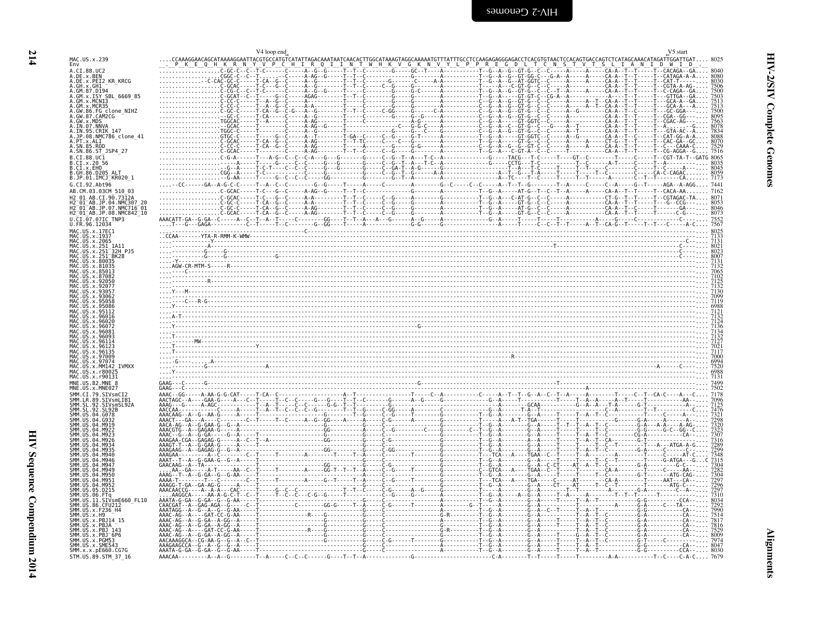<span id="page-55-0"></span>

|                                                                                                                     | V <sub>4</sub> loop end                                     |  | V5 start                |
|---------------------------------------------------------------------------------------------------------------------|-------------------------------------------------------------|--|-------------------------|
| MAC.US.x.239<br>Env                                                                                                 | CAAAGGAACAGCATAAAAGGAATTACGTGCCATGTCATATTAGACAAATAATCAACACT |  | TAGCAAACATAGATTGGATTGAT |
| A.CI.88.UC2                                                                                                         |                                                             |  |                         |
| A.DE.x.BEN<br>A.DE.x.PEI2_KR_KRCG<br>A.GH.x.GH1                                                                     |                                                             |  |                         |
| A.GM.87.D194<br>A.GM.x.ISY SBL 6669 85                                                                              |                                                             |  |                         |
| A.GM.x.MCN13<br>A.GM.x.MCR35                                                                                        |                                                             |  |                         |
| A.GW.86.FG clone NIHZ<br>A.GW.87.CAM2CG                                                                             |                                                             |  |                         |
| A.GW.x.MDS<br>A.IN.07.NNVA                                                                                          |                                                             |  |                         |
| A.IN.95.CRIK 147<br>4.JP.08.NMC786_clone_41                                                                         |                                                             |  |                         |
| .SN.85.ROD                                                                                                          |                                                             |  |                         |
| A.SN.86.ST_JSP4_27<br>B.CI.88.UC1                                                                                   |                                                             |  |                         |
| B.CI.x.20 56<br>B.CT.x.EHO                                                                                          |                                                             |  |                         |
| B.GH.86.D205 ALT<br>B.JP.01.IMCJ KR020 1                                                                            |                                                             |  |                         |
| G.CI.92.Abt96                                                                                                       |                                                             |  |                         |
| AB.CM.03.03CM 510 03<br>12 01 AB.CI.90.7312A                                                                        |                                                             |  |                         |
| 2 <sup>-</sup> 01 <sup>-</sup> AB.JP.04.NMC307 20<br>2 <sup>-</sup> 01 <sup>-</sup> AB.JP.07.NMC716 <sup>-</sup> 01 |                                                             |  |                         |
| H2 <sup>-</sup> 01 <sup>-</sup> AB.JP.08.NMC842 <sup>-</sup> 10<br>J.CI.07.07IC TNP3                                |                                                             |  |                         |
| U.FR.96.12034<br>MAC.US.x.17EC1                                                                                     |                                                             |  |                         |
| MAC.US.x.1937<br>MAC.US.x.2065                                                                                      |                                                             |  |                         |
| US.x.251<br>US.x.251                                                                                                |                                                             |  |                         |
|                                                                                                                     |                                                             |  |                         |
|                                                                                                                     |                                                             |  |                         |
|                                                                                                                     |                                                             |  |                         |
|                                                                                                                     |                                                             |  |                         |
|                                                                                                                     |                                                             |  |                         |
|                                                                                                                     |                                                             |  |                         |
|                                                                                                                     |                                                             |  |                         |
|                                                                                                                     |                                                             |  |                         |
|                                                                                                                     |                                                             |  |                         |
|                                                                                                                     |                                                             |  |                         |
|                                                                                                                     |                                                             |  |                         |
|                                                                                                                     |                                                             |  |                         |
| MNE.US.82.MNE 8                                                                                                     |                                                             |  |                         |
| SMM.CI.79.SIVsmCI2                                                                                                  |                                                             |  |                         |
| .LR.89.SIVsmLIB<br>SIVsmSL92A                                                                                       |                                                             |  |                         |
|                                                                                                                     |                                                             |  |                         |
|                                                                                                                     |                                                             |  |                         |
|                                                                                                                     |                                                             |  |                         |
|                                                                                                                     |                                                             |  |                         |
|                                                                                                                     |                                                             |  |                         |
|                                                                                                                     |                                                             |  |                         |
|                                                                                                                     |                                                             |  |                         |
|                                                                                                                     |                                                             |  |                         |
| SIVsmE660 FL10.                                                                                                     |                                                             |  |                         |
| SMM.US.x.F236 H4                                                                                                    |                                                             |  |                         |
| SMM.US.x.H9<br>MM IIS x PR114 15                                                                                    |                                                             |  |                         |
| SMM.US.x.PBJ 143<br>SMM.US.x.PBJ <sup>-</sup> 6P6                                                                   |                                                             |  |                         |
| MM.US.x.PGM53<br>SMM.US.x.SME543                                                                                    |                                                             |  |                         |
| SMM.x.x.pE660.CG7G                                                                                                  |                                                             |  |                         |
| STM.US.89.STM 37 16                                                                                                 |                                                             |  |                         |

**214**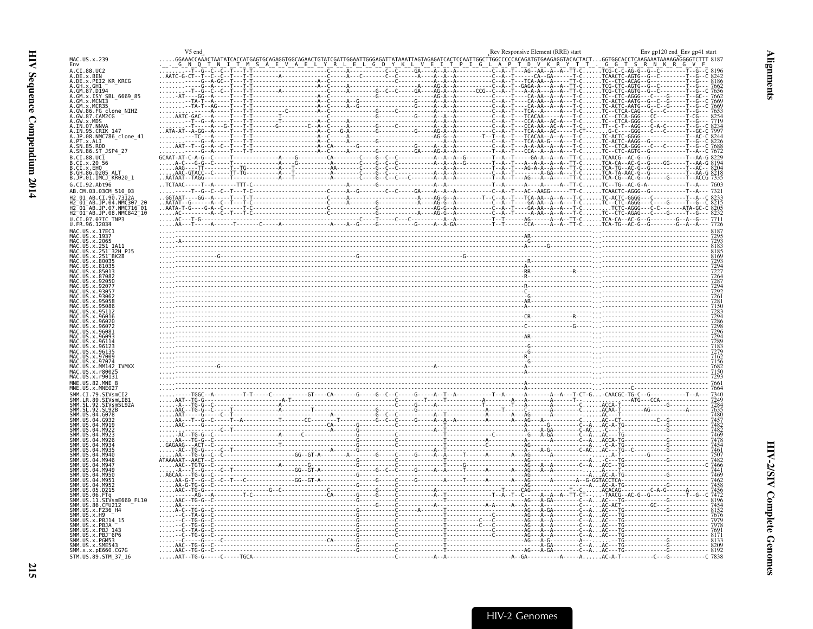<span id="page-56-0"></span>

|                                                                               | V5 end |  | Rev Responsive Element (RRE) start | Env gp120 end_Env gp41 start                                                                                                                                                                                                                                                                                                                                                                                                        |
|-------------------------------------------------------------------------------|--------|--|------------------------------------|-------------------------------------------------------------------------------------------------------------------------------------------------------------------------------------------------------------------------------------------------------------------------------------------------------------------------------------------------------------------------------------------------------------------------------------|
| MAC.US.x.239<br>Env                                                           |        |  |                                    | GGAAACCAAACTAATATCACCATGCAGAAGTGCAGAACTGTATCGATTGGAATTGGGAGATTATAAATTAGTAGAGATCACTCCAATTGGCTTGGCCCCCACAGATGTGAAGAGGTACACTACTGGTGGCACCTCAAQAAATAAAAGAGGGGTCTTT 818                                                                                                                                                                                                                                                                   |
| A.CI.88.UC2                                                                   |        |  | A P T D V K R Y T T                | $\ldots$ G<br>G T S R N K R G V                                                                                                                                                                                                                                                                                                                                                                                                     |
| A.DE.x.BEN                                                                    |        |  |                                    |                                                                                                                                                                                                                                                                                                                                                                                                                                     |
| A.DE.x.PEI2 KR KRCG<br>A.GH.x.GH1                                             |        |  |                                    |                                                                                                                                                                                                                                                                                                                                                                                                                                     |
| A.GM.87.D194<br>A.GM.x.ISY SBL 6669 85                                        |        |  |                                    |                                                                                                                                                                                                                                                                                                                                                                                                                                     |
| A.GM.x.MCN13                                                                  |        |  |                                    |                                                                                                                                                                                                                                                                                                                                                                                                                                     |
| A.GM.x.MCR35<br>A.GM.x.MCR35<br>A.GW.86.FG_clone_NIHZ                         |        |  |                                    |                                                                                                                                                                                                                                                                                                                                                                                                                                     |
| A.GW.87.CAM2CG                                                                |        |  |                                    |                                                                                                                                                                                                                                                                                                                                                                                                                                     |
| A.IN.07.NNVA                                                                  |        |  |                                    |                                                                                                                                                                                                                                                                                                                                                                                                                                     |
| A.IN.95.CRIK 147                                                              |        |  |                                    |                                                                                                                                                                                                                                                                                                                                                                                                                                     |
| A.JP.08.NMC786 clone 41<br>A.PT.x.ALI                                         |        |  |                                    |                                                                                                                                                                                                                                                                                                                                                                                                                                     |
| A.SN.85.ROD<br>A.SN.86.ST_JSP4_27                                             |        |  |                                    |                                                                                                                                                                                                                                                                                                                                                                                                                                     |
| B.CI.88.UC <sub>1</sub>                                                       |        |  |                                    |                                                                                                                                                                                                                                                                                                                                                                                                                                     |
| B.CI.x.20 56                                                                  |        |  |                                    |                                                                                                                                                                                                                                                                                                                                                                                                                                     |
| B.CI.x.EHO<br>B.GH.86.D205 ALT                                                |        |  |                                    |                                                                                                                                                                                                                                                                                                                                                                                                                                     |
| B.JP.01.IMCJ_KR020 1                                                          |        |  |                                    |                                                                                                                                                                                                                                                                                                                                                                                                                                     |
| G.CI.92.Abt96<br>AB.CM.03.03CM 510 03                                         |        |  |                                    | $\frac{1}{\frac{1}{2}\sqrt{1-\frac{1}{2}\sqrt{1-\frac{1}{2}\sqrt{1-\frac{1}{2}\sqrt{1-\frac{1}{2}\sqrt{1-\frac{1}{2}\sqrt{1-\frac{1}{2}\sqrt{1-\frac{1}{2}\sqrt{1-\frac{1}{2}\sqrt{1-\frac{1}{2}\sqrt{1-\frac{1}{2}\sqrt{1-\frac{1}{2}\sqrt{1-\frac{1}{2}\sqrt{1-\frac{1}{2}\sqrt{1-\frac{1}{2}\sqrt{1-\frac{1}{2}\sqrt{1-\frac{1}{2}\sqrt{1-\frac{1}{2}\sqrt{1-\frac{1}{2}\sqrt{1-\frac{1}{2}\sqrt{1-\frac{1}{2}\sqrt{1-\frac{1}{$ |
| H2 01 AB.CI.90.7312A                                                          |        |  |                                    |                                                                                                                                                                                                                                                                                                                                                                                                                                     |
| 2 <sup>-</sup> 01 <sup>-</sup> AB.JP.04.NMC307<br>$-01$ <sup>-</sup> AB.JP.07 |        |  |                                    |                                                                                                                                                                                                                                                                                                                                                                                                                                     |
| NMC716 01<br>H2 01 AB.JP.08.NMC842 10                                         |        |  |                                    |                                                                                                                                                                                                                                                                                                                                                                                                                                     |
| U.CI.07.07IC TNP3                                                             |        |  |                                    |                                                                                                                                                                                                                                                                                                                                                                                                                                     |
| U.FR.96.12034<br>MAC.US.x.17EC1                                               |        |  |                                    |                                                                                                                                                                                                                                                                                                                                                                                                                                     |
| MAC.US.x.1937                                                                 |        |  |                                    |                                                                                                                                                                                                                                                                                                                                                                                                                                     |
| MAC.US.x.2065<br>US.x.251                                                     |        |  |                                    |                                                                                                                                                                                                                                                                                                                                                                                                                                     |
| 32H PJ5<br>BK28                                                               |        |  |                                    |                                                                                                                                                                                                                                                                                                                                                                                                                                     |
| US.x.80035                                                                    |        |  |                                    |                                                                                                                                                                                                                                                                                                                                                                                                                                     |
|                                                                               |        |  |                                    |                                                                                                                                                                                                                                                                                                                                                                                                                                     |
|                                                                               |        |  |                                    |                                                                                                                                                                                                                                                                                                                                                                                                                                     |
|                                                                               |        |  |                                    |                                                                                                                                                                                                                                                                                                                                                                                                                                     |
|                                                                               |        |  |                                    |                                                                                                                                                                                                                                                                                                                                                                                                                                     |
|                                                                               |        |  |                                    |                                                                                                                                                                                                                                                                                                                                                                                                                                     |
|                                                                               |        |  |                                    |                                                                                                                                                                                                                                                                                                                                                                                                                                     |
|                                                                               |        |  |                                    |                                                                                                                                                                                                                                                                                                                                                                                                                                     |
| . x 960                                                                       |        |  |                                    |                                                                                                                                                                                                                                                                                                                                                                                                                                     |
|                                                                               |        |  |                                    |                                                                                                                                                                                                                                                                                                                                                                                                                                     |
|                                                                               |        |  |                                    |                                                                                                                                                                                                                                                                                                                                                                                                                                     |
|                                                                               |        |  |                                    |                                                                                                                                                                                                                                                                                                                                                                                                                                     |
|                                                                               |        |  |                                    | 7183<br>7279<br>7162<br>7156                                                                                                                                                                                                                                                                                                                                                                                                        |
| <b>TVMXX</b>                                                                  |        |  |                                    | $\frac{1}{160}$<br>$\frac{1}{212}$<br>$\frac{1}{160}$<br>$\frac{1}{160}$<br>$\frac{1}{160}$<br>$\frac{1}{160}$<br>$\frac{1}{160}$<br>$\frac{1}{160}$<br>$\frac{1}{160}$<br>$\frac{1}{160}$<br>$\frac{1}{160}$<br>$\frac{1}{160}$<br>$\frac{1}{160}$<br>$\frac{1}{160}$<br>$\frac{1}{160}$<br>$\frac{1}{160}$<br>$\frac{1}{160}$<br>                                                                                                 |
| $x.$ r800.<br>MAC.US.x.r90131                                                 |        |  |                                    |                                                                                                                                                                                                                                                                                                                                                                                                                                     |
| MNE.US.82.MNE                                                                 |        |  |                                    | 7661<br>7664                                                                                                                                                                                                                                                                                                                                                                                                                        |
| MNE.US.x.MNE027                                                               |        |  |                                    |                                                                                                                                                                                                                                                                                                                                                                                                                                     |
| STVsmCT2<br><b>STVsml TR'</b>                                                 |        |  |                                    |                                                                                                                                                                                                                                                                                                                                                                                                                                     |
| SIVsmSL92/                                                                    |        |  |                                    |                                                                                                                                                                                                                                                                                                                                                                                                                                     |
|                                                                               |        |  |                                    |                                                                                                                                                                                                                                                                                                                                                                                                                                     |
|                                                                               |        |  |                                    |                                                                                                                                                                                                                                                                                                                                                                                                                                     |
|                                                                               |        |  |                                    |                                                                                                                                                                                                                                                                                                                                                                                                                                     |
|                                                                               |        |  |                                    |                                                                                                                                                                                                                                                                                                                                                                                                                                     |
|                                                                               |        |  |                                    |                                                                                                                                                                                                                                                                                                                                                                                                                                     |
|                                                                               |        |  |                                    |                                                                                                                                                                                                                                                                                                                                                                                                                                     |
|                                                                               |        |  |                                    |                                                                                                                                                                                                                                                                                                                                                                                                                                     |
|                                                                               |        |  |                                    |                                                                                                                                                                                                                                                                                                                                                                                                                                     |
|                                                                               |        |  |                                    |                                                                                                                                                                                                                                                                                                                                                                                                                                     |
|                                                                               |        |  |                                    |                                                                                                                                                                                                                                                                                                                                                                                                                                     |
| SMM.US.<br>SMM.US                                                             |        |  |                                    |                                                                                                                                                                                                                                                                                                                                                                                                                                     |
| SIVsmE660_FL10<br>SMM.US.86.CFU212                                            |        |  |                                    |                                                                                                                                                                                                                                                                                                                                                                                                                                     |
| ŠMM. ŪŠ. x. F236_H4<br>SMM IIS x H9                                           |        |  |                                    |                                                                                                                                                                                                                                                                                                                                                                                                                                     |
|                                                                               |        |  |                                    |                                                                                                                                                                                                                                                                                                                                                                                                                                     |
| 1M. IIS. x. PR 1/<br>SMM IIS x PR1 14                                         |        |  |                                    |                                                                                                                                                                                                                                                                                                                                                                                                                                     |
| SMM.US.x.PBJ <sup>-</sup> 6P6                                                 |        |  |                                    |                                                                                                                                                                                                                                                                                                                                                                                                                                     |
| SMM.US.x.SME54                                                                |        |  |                                    |                                                                                                                                                                                                                                                                                                                                                                                                                                     |
| SMM.x.x.pE660.CG7G                                                            |        |  |                                    |                                                                                                                                                                                                                                                                                                                                                                                                                                     |
| STM.US.89.STM 37 16                                                           |        |  |                                    |                                                                                                                                                                                                                                                                                                                                                                                                                                     |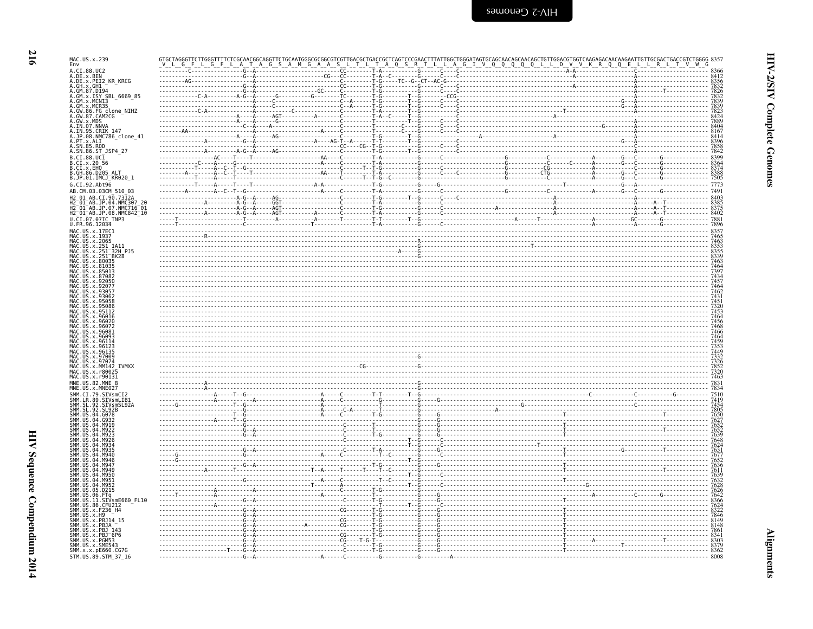HIV-2 Genomes

| MAC.US.x.239<br>Env                                                                                                                                                                                                                                                                                                                                                                                                       | L A<br>G                                                        | G<br><sub>S</sub> | S | TAGTGCAGCAACAGCAACAGCTGTTGGACGTGGTCAAGAGACAACAAGAATTGTTGCGACTGACCGTCTGGGG 835′<br>I__V__Q__Q__Q__Q__L__L__D__V__V__K__R__Q__Q__E__L__L__R__L__T__V__W__G |                                                                                                                                                                                                                                                                                                                                                                               |
|---------------------------------------------------------------------------------------------------------------------------------------------------------------------------------------------------------------------------------------------------------------------------------------------------------------------------------------------------------------------------------------------------------------------------|-----------------------------------------------------------------|-------------------|---|----------------------------------------------------------------------------------------------------------------------------------------------------------|-------------------------------------------------------------------------------------------------------------------------------------------------------------------------------------------------------------------------------------------------------------------------------------------------------------------------------------------------------------------------------|
| A.CI.88.UC2<br>A.DE.x.BEN<br>A.DE.x.PEI2_KR_KRCG                                                                                                                                                                                                                                                                                                                                                                          |                                                                 |                   |   |                                                                                                                                                          |                                                                                                                                                                                                                                                                                                                                                                               |
| A.GH.x.GH1<br>A.GM.87.D194                                                                                                                                                                                                                                                                                                                                                                                                |                                                                 |                   |   |                                                                                                                                                          |                                                                                                                                                                                                                                                                                                                                                                               |
| A .GM.87.D194<br>A.GM.x.ISY SBL 6669 85<br>A.GM.x.MCN13<br>A.GM.x.MCR35<br>A.GM.x.MCR35<br>A.GM.87.CAM2CG<br>A.GW.87.CAM2CG<br>A.GW.87.CAM2CG<br>A.IN.97.NNVA<br>A.JP.98.NMC786 clone 41<br>A.P.XALI<br>A.D.98.NMC786 clone 41<br>A.P.XALI                                                                                                                                                                                |                                                                 |                   |   |                                                                                                                                                          |                                                                                                                                                                                                                                                                                                                                                                               |
|                                                                                                                                                                                                                                                                                                                                                                                                                           |                                                                 |                   |   |                                                                                                                                                          |                                                                                                                                                                                                                                                                                                                                                                               |
|                                                                                                                                                                                                                                                                                                                                                                                                                           |                                                                 |                   |   |                                                                                                                                                          |                                                                                                                                                                                                                                                                                                                                                                               |
|                                                                                                                                                                                                                                                                                                                                                                                                                           |                                                                 |                   |   |                                                                                                                                                          |                                                                                                                                                                                                                                                                                                                                                                               |
| A. SN. 85. ROD<br>A.SN.86.ST_JSP4_27                                                                                                                                                                                                                                                                                                                                                                                      | - - - - - A - G - - A - - - - - AG -                            |                   |   |                                                                                                                                                          |                                                                                                                                                                                                                                                                                                                                                                               |
| B.CI.88.UC1<br>B.CI.X.20 56<br>B.CI.X.EHO<br>B.GH.86.D205                                                                                                                                                                                                                                                                                                                                                                 |                                                                 |                   |   |                                                                                                                                                          | $\cdots$ 8399                                                                                                                                                                                                                                                                                                                                                                 |
| B.JP.01.IMCJ KR020 1                                                                                                                                                                                                                                                                                                                                                                                                      |                                                                 |                   |   |                                                                                                                                                          |                                                                                                                                                                                                                                                                                                                                                                               |
| G.CI.92.Abt96<br>AB.CM.03.03CM 510 03                                                                                                                                                                                                                                                                                                                                                                                     |                                                                 |                   |   |                                                                                                                                                          |                                                                                                                                                                                                                                                                                                                                                                               |
| H2 01 AB.CI.90.7312A                                                                                                                                                                                                                                                                                                                                                                                                      | --------A-G--A-----GGT-                                         |                   |   |                                                                                                                                                          |                                                                                                                                                                                                                                                                                                                                                                               |
| H2-01-AB.JP.04.NMC307 20<br>H2-01-AB.JP.07.NMC716-01<br>H2-01-AB.JP.08.NMC842_10                                                                                                                                                                                                                                                                                                                                          | - - - - - - A - G - - A - - - - - AGT - - - - - - - - - - - A - |                   |   |                                                                                                                                                          |                                                                                                                                                                                                                                                                                                                                                                               |
| U.CI.07.07IC TNP3<br>U.FR.96.12034                                                                                                                                                                                                                                                                                                                                                                                        |                                                                 |                   |   |                                                                                                                                                          |                                                                                                                                                                                                                                                                                                                                                                               |
| MAC.US.x.17EC1                                                                                                                                                                                                                                                                                                                                                                                                            |                                                                 |                   |   |                                                                                                                                                          |                                                                                                                                                                                                                                                                                                                                                                               |
| MAC. US. x . 1937<br>MAC. US. x . 2065<br>MAC. US. x . 251 - 1411<br>MAC. US. x . 251 - 32H PJ5<br>MAC. US. x . 251 - BK28<br>MAC. US. x . 251 - BK28                                                                                                                                                                                                                                                                     |                                                                 |                   |   |                                                                                                                                                          |                                                                                                                                                                                                                                                                                                                                                                               |
| US.x.80035<br>MAC.US.x.81035                                                                                                                                                                                                                                                                                                                                                                                              |                                                                 |                   |   |                                                                                                                                                          |                                                                                                                                                                                                                                                                                                                                                                               |
| x.85013<br>MAC. US. x.87082                                                                                                                                                                                                                                                                                                                                                                                               |                                                                 |                   |   |                                                                                                                                                          |                                                                                                                                                                                                                                                                                                                                                                               |
| x.92050<br>x.92077                                                                                                                                                                                                                                                                                                                                                                                                        |                                                                 |                   |   |                                                                                                                                                          |                                                                                                                                                                                                                                                                                                                                                                               |
| 93057<br>93062<br>95058                                                                                                                                                                                                                                                                                                                                                                                                   |                                                                 |                   |   |                                                                                                                                                          |                                                                                                                                                                                                                                                                                                                                                                               |
| x.95086<br>95112                                                                                                                                                                                                                                                                                                                                                                                                          |                                                                 |                   |   |                                                                                                                                                          |                                                                                                                                                                                                                                                                                                                                                                               |
| x.96016<br>x.96020                                                                                                                                                                                                                                                                                                                                                                                                        |                                                                 |                   |   |                                                                                                                                                          |                                                                                                                                                                                                                                                                                                                                                                               |
| x.96072<br>x.96081<br>x.96093                                                                                                                                                                                                                                                                                                                                                                                             |                                                                 |                   |   |                                                                                                                                                          | $\begin{array}{r} \text{11.14}\ \text{12.2}\ \text{13.3}\ \text{14.4}\ \text{15.4}\ \text{16.4}\ \text{17.4}\ \text{18.4}\ \text{19.4}\ \text{19.4}\ \text{19.4}\ \text{19.4}\ \text{19.4}\ \text{19.4}\ \text{19.4}\ \text{19.4}\ \text{19.4}\ \text{19.4}\ \text{19.4}\ \text{19.4}\ \text{19.4}\ \text{19.4}\ \text{19.4}\ \text{19.4}\ \text{19.4}\ \text{19.4}\ \text{1$ |
| x.96114<br>x.96123                                                                                                                                                                                                                                                                                                                                                                                                        |                                                                 |                   |   |                                                                                                                                                          |                                                                                                                                                                                                                                                                                                                                                                               |
| US . x . 96135<br>US . x . 97009                                                                                                                                                                                                                                                                                                                                                                                          |                                                                 |                   |   |                                                                                                                                                          |                                                                                                                                                                                                                                                                                                                                                                               |
| MAC.US.x.97074<br>MAC.US.x.MM142_IVMXX<br>MAC.US.x.r80025                                                                                                                                                                                                                                                                                                                                                                 |                                                                 |                   |   |                                                                                                                                                          |                                                                                                                                                                                                                                                                                                                                                                               |
| MAC. US. x. r90131<br>MNE.US.82.MNE 8                                                                                                                                                                                                                                                                                                                                                                                     |                                                                 |                   |   |                                                                                                                                                          |                                                                                                                                                                                                                                                                                                                                                                               |
| MNE.US.x.MNE027                                                                                                                                                                                                                                                                                                                                                                                                           |                                                                 |                   |   |                                                                                                                                                          |                                                                                                                                                                                                                                                                                                                                                                               |
|                                                                                                                                                                                                                                                                                                                                                                                                                           |                                                                 |                   |   |                                                                                                                                                          |                                                                                                                                                                                                                                                                                                                                                                               |
|                                                                                                                                                                                                                                                                                                                                                                                                                           |                                                                 |                   |   |                                                                                                                                                          |                                                                                                                                                                                                                                                                                                                                                                               |
| G932                                                                                                                                                                                                                                                                                                                                                                                                                      |                                                                 |                   |   |                                                                                                                                                          |                                                                                                                                                                                                                                                                                                                                                                               |
| M919                                                                                                                                                                                                                                                                                                                                                                                                                      |                                                                 |                   |   |                                                                                                                                                          |                                                                                                                                                                                                                                                                                                                                                                               |
| M923.                                                                                                                                                                                                                                                                                                                                                                                                                     |                                                                 |                   |   |                                                                                                                                                          |                                                                                                                                                                                                                                                                                                                                                                               |
|                                                                                                                                                                                                                                                                                                                                                                                                                           |                                                                 |                   |   |                                                                                                                                                          |                                                                                                                                                                                                                                                                                                                                                                               |
|                                                                                                                                                                                                                                                                                                                                                                                                                           |                                                                 |                   |   |                                                                                                                                                          |                                                                                                                                                                                                                                                                                                                                                                               |
|                                                                                                                                                                                                                                                                                                                                                                                                                           |                                                                 |                   |   |                                                                                                                                                          |                                                                                                                                                                                                                                                                                                                                                                               |
|                                                                                                                                                                                                                                                                                                                                                                                                                           |                                                                 |                   |   |                                                                                                                                                          |                                                                                                                                                                                                                                                                                                                                                                               |
|                                                                                                                                                                                                                                                                                                                                                                                                                           |                                                                 |                   |   |                                                                                                                                                          |                                                                                                                                                                                                                                                                                                                                                                               |
| 04<br>04<br>04.M922<br>04.M926<br>04.M934<br>04.M935<br>04.M940<br>04 M947<br>04.M950                                                                                                                                                                                                                                                                                                                                     |                                                                 |                   |   |                                                                                                                                                          |                                                                                                                                                                                                                                                                                                                                                                               |
| 04.M946<br>04.M949<br>$.04.$ M951<br>.04.M952<br>.05.D215                                                                                                                                                                                                                                                                                                                                                                 |                                                                 |                   |   |                                                                                                                                                          |                                                                                                                                                                                                                                                                                                                                                                               |
| SMM.CI.79.SIVsmCI2<br>SMM.CR.89.SIVSMC12<br>SMM.ER.89.SIVSMLIB1<br>SMM.SL.92.SIVSMSL92A<br>SMM.SL.92.SL92B<br>US.04.G078<br>ÚŚ.<br>US.<br>IIS.<br><b>US</b><br><b>IIS</b><br><b>IIS</b><br>SMM.US<br>SMM.US.06.FTq<br>SMM.US.11.SIVsmE660_FL10<br>SMM.US.86.CTU212<br>SMM. US. x. F236_H4<br>SMM. US. x. F236_H4<br>US.x.PBJ14 15<br>US.x.PBJA<br>US.x.PBJ 143<br>SMM.US.x.PGM53<br>SMM.US.x.SME543<br>SMM.x.x.pE660.CG7G |                                                                 |                   |   |                                                                                                                                                          | $\begin{array}{r} -2.7677 \\ -2.7652 \\ -2.7636 \\ -2.7611 \\ -2.7630 \end{array}$                                                                                                                                                                                                                                                                                            |

HIV Sequence Compendium 2014

216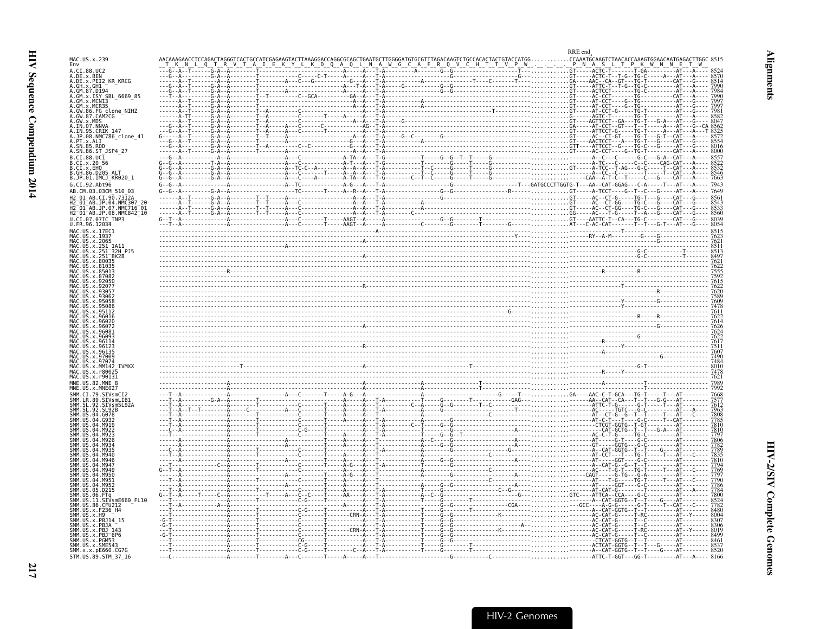<span id="page-58-0"></span>

|                                                                                    |              |  | RRE end     |
|------------------------------------------------------------------------------------|--------------|--|-------------|
| MAC.US.x.239<br>Env                                                                |              |  |             |
| .CI.88.UC2                                                                         |              |  | . GT- - - . |
| A.DE.x.BEN<br>A.DE.x.PEI2_KR_KRCG<br>. GH . x . GH1                                |              |  |             |
| GM.87.D194<br>.GM.x.ISY SBL 6669 85                                                |              |  |             |
|                                                                                    |              |  |             |
| FG_clone_NIHZ<br>GW.87.CAM2CG                                                      |              |  |             |
| GW.x.MDS<br>IN.07.NNVA                                                             |              |  |             |
| IN.95.CRIK 147<br>.JP.08.NMC786_clone_41<br>.PT.x.ALI                              |              |  |             |
|                                                                                    |              |  |             |
| A.SN.86.ST JSP4 27<br>CI.88.UC1                                                    |              |  |             |
| CI. x. 20<br>CI.x.EHO                                                              |              |  |             |
| GH.86.D205.<br>.JP.01.IMCJ <sup>-</sup> KR020 1                                    |              |  |             |
| G.CI.92.Abt96                                                                      |              |  |             |
| AB.CM.03.03CM 510 03<br>90.73124                                                   |              |  |             |
| $01^-$ AB.JP                                                                       |              |  |             |
| H2 <sup>-</sup> 01 <sup>-</sup> AB.JP.08.NMC842 <sup>-</sup> 10<br>CI.07.07IC TNP3 |              |  |             |
|                                                                                    |              |  |             |
| MAC.US.x.17EC1                                                                     |              |  |             |
|                                                                                    |              |  |             |
|                                                                                    |              |  |             |
|                                                                                    |              |  |             |
|                                                                                    |              |  |             |
|                                                                                    |              |  |             |
|                                                                                    |              |  |             |
|                                                                                    |              |  |             |
|                                                                                    |              |  |             |
|                                                                                    |              |  |             |
|                                                                                    |              |  |             |
|                                                                                    |              |  |             |
|                                                                                    |              |  |             |
|                                                                                    |              |  |             |
|                                                                                    |              |  |             |
|                                                                                    |              |  |             |
|                                                                                    |              |  |             |
|                                                                                    |              |  |             |
|                                                                                    |              |  |             |
|                                                                                    |              |  |             |
|                                                                                    |              |  |             |
|                                                                                    |              |  |             |
|                                                                                    |              |  |             |
|                                                                                    |              |  |             |
|                                                                                    |              |  |             |
|                                                                                    |              |  |             |
| smE660 FL10                                                                        |              |  |             |
|                                                                                    |              |  |             |
|                                                                                    |              |  |             |
|                                                                                    |              |  |             |
|                                                                                    | . <b>A T</b> |  |             |
| SMM.x.x.pE660.CG7G                                                                 | . <b>A T</b> |  |             |
| STM.US.89.STM 37 16                                                                |              |  |             |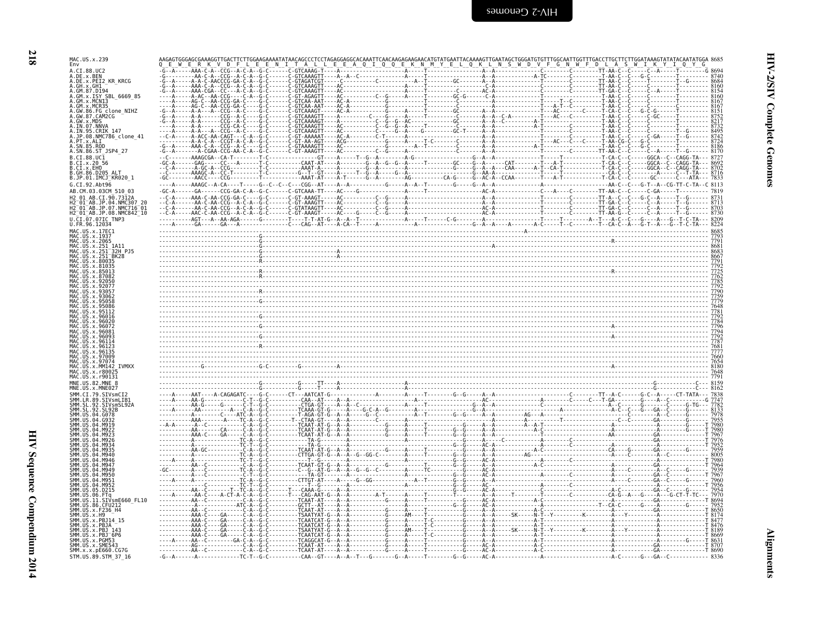HIV Sequence Compendium 2014

STM.US.89.STM\_37\_16

| MAC.US.x.239<br>Env                                  |                                                                     |                                                                                         |                                                                                                                                                                                                                                                                                                                                                                                                                                  |        |
|------------------------------------------------------|---------------------------------------------------------------------|-----------------------------------------------------------------------------------------|----------------------------------------------------------------------------------------------------------------------------------------------------------------------------------------------------------------------------------------------------------------------------------------------------------------------------------------------------------------------------------------------------------------------------------|--------|
|                                                      |                                                                     |                                                                                         |                                                                                                                                                                                                                                                                                                                                                                                                                                  |        |
| A.DE.x.BEN<br>A.DE.x.PEI2_KR_KRCG                    |                                                                     |                                                                                         |                                                                                                                                                                                                                                                                                                                                                                                                                                  |        |
| GM.87.D194<br>SY SBL 6669 85                         |                                                                     |                                                                                         |                                                                                                                                                                                                                                                                                                                                                                                                                                  |        |
| GM.x.MCN13                                           |                                                                     |                                                                                         |                                                                                                                                                                                                                                                                                                                                                                                                                                  |        |
| FG clone NIHZ<br>.CAM2CG<br>GW.x.MDS                 |                                                                     |                                                                                         |                                                                                                                                                                                                                                                                                                                                                                                                                                  |        |
| .IN.07.NNVA<br>IN.95.CRIK 147                        |                                                                     |                                                                                         |                                                                                                                                                                                                                                                                                                                                                                                                                                  |        |
| .JP.08.NMC786 clone 41<br>PT.x.ALI                   |                                                                     |                                                                                         |                                                                                                                                                                                                                                                                                                                                                                                                                                  |        |
| A.SN.86.ST_JSP4_27                                   |                                                                     |                                                                                         |                                                                                                                                                                                                                                                                                                                                                                                                                                  |        |
| $.CI.88.UC\bar{1}$<br>B.CI.x.20 56                   |                                                                     |                                                                                         |                                                                                                                                                                                                                                                                                                                                                                                                                                  |        |
| B.CI.x.EHO<br>B.GH.<br>86.D205 ALT                   |                                                                     |                                                                                         |                                                                                                                                                                                                                                                                                                                                                                                                                                  |        |
| B.JP.01.IMCJ_KR020_1<br>G.CI.92.Abt96                |                                                                     |                                                                                         |                                                                                                                                                                                                                                                                                                                                                                                                                                  |        |
| AB.CM.03.03CM 510 03<br>01 AB CT 90 73124            |                                                                     |                                                                                         |                                                                                                                                                                                                                                                                                                                                                                                                                                  |        |
| H2_01_AB.JP.04.NMC307_20<br>H2_01_AB.JP.07.NMC716_01 |                                                                     |                                                                                         |                                                                                                                                                                                                                                                                                                                                                                                                                                  |        |
| H2_01_AB.JP.08.NMC842_10<br>U.CI.07.07IC TNP3        |                                                                     |                                                                                         |                                                                                                                                                                                                                                                                                                                                                                                                                                  |        |
| U.FR.96.12034                                        |                                                                     |                                                                                         |                                                                                                                                                                                                                                                                                                                                                                                                                                  |        |
| MAC.US.x.17EC1<br>MAC.US.x.1937                      |                                                                     |                                                                                         |                                                                                                                                                                                                                                                                                                                                                                                                                                  |        |
| MAC.US.x.2065<br>32H P.15                            |                                                                     |                                                                                         |                                                                                                                                                                                                                                                                                                                                                                                                                                  |        |
| <b>BK28</b><br>US x 80035                            |                                                                     |                                                                                         |                                                                                                                                                                                                                                                                                                                                                                                                                                  |        |
| 85013                                                |                                                                     |                                                                                         |                                                                                                                                                                                                                                                                                                                                                                                                                                  |        |
|                                                      |                                                                     |                                                                                         |                                                                                                                                                                                                                                                                                                                                                                                                                                  |        |
|                                                      |                                                                     |                                                                                         |                                                                                                                                                                                                                                                                                                                                                                                                                                  |        |
|                                                      |                                                                     |                                                                                         |                                                                                                                                                                                                                                                                                                                                                                                                                                  |        |
|                                                      |                                                                     |                                                                                         |                                                                                                                                                                                                                                                                                                                                                                                                                                  |        |
|                                                      |                                                                     |                                                                                         |                                                                                                                                                                                                                                                                                                                                                                                                                                  |        |
|                                                      |                                                                     |                                                                                         |                                                                                                                                                                                                                                                                                                                                                                                                                                  |        |
|                                                      |                                                                     |                                                                                         |                                                                                                                                                                                                                                                                                                                                                                                                                                  |        |
| 9707                                                 |                                                                     |                                                                                         |                                                                                                                                                                                                                                                                                                                                                                                                                                  |        |
| <b>TVMXX</b>                                         |                                                                     |                                                                                         |                                                                                                                                                                                                                                                                                                                                                                                                                                  |        |
|                                                      |                                                                     |                                                                                         |                                                                                                                                                                                                                                                                                                                                                                                                                                  |        |
|                                                      |                                                                     |                                                                                         |                                                                                                                                                                                                                                                                                                                                                                                                                                  |        |
| SIVsmLIB1<br>-92                                     |                                                                     |                                                                                         |                                                                                                                                                                                                                                                                                                                                                                                                                                  |        |
| . SL<br>.SIVsmSL92A<br><b>Q</b><br>.G078             |                                                                     |                                                                                         |                                                                                                                                                                                                                                                                                                                                                                                                                                  |        |
| <b>MQ10</b>                                          |                                                                     |                                                                                         |                                                                                                                                                                                                                                                                                                                                                                                                                                  |        |
|                                                      |                                                                     |                                                                                         |                                                                                                                                                                                                                                                                                                                                                                                                                                  |        |
|                                                      |                                                                     |                                                                                         |                                                                                                                                                                                                                                                                                                                                                                                                                                  |        |
|                                                      |                                                                     |                                                                                         |                                                                                                                                                                                                                                                                                                                                                                                                                                  |        |
|                                                      |                                                                     |                                                                                         |                                                                                                                                                                                                                                                                                                                                                                                                                                  |        |
|                                                      |                                                                     |                                                                                         |                                                                                                                                                                                                                                                                                                                                                                                                                                  |        |
| .D215                                                | - - - - AA - - Č -<br>- - - - - AA - Č -                            | - CTTGT - AT - - - - A -<br>- - - - T - - G - - - - - - -<br>- - CAAA - G - - - - - A - |                                                                                                                                                                                                                                                                                                                                                                                                                                  |        |
| SIVsmE660 FL10                                       |                                                                     |                                                                                         | $\begin{bmatrix} \textbf{1} & \textbf{1} & \textbf{1} & \textbf{1} & \textbf{1} & \textbf{1} & \textbf{1} & \textbf{1} & \textbf{1} & \textbf{1} & \textbf{1} & \textbf{1} & \textbf{1} & \textbf{1} & \textbf{1} & \textbf{1} & \textbf{1} & \textbf{1} & \textbf{1} & \textbf{1} & \textbf{1} & \textbf{1} & \textbf{1} & \textbf{1} & \textbf{1} & \textbf{1} & \textbf{1} & \textbf{1} & \textbf{1} & \textbf{1} & \textbf{$ |        |
|                                                      |                                                                     |                                                                                         |                                                                                                                                                                                                                                                                                                                                                                                                                                  |        |
|                                                      |                                                                     |                                                                                         |                                                                                                                                                                                                                                                                                                                                                                                                                                  |        |
| $x.PBJ^-6P6$                                         |                                                                     |                                                                                         |                                                                                                                                                                                                                                                                                                                                                                                                                                  | т 8669 |
| SMM.US.x.RMB53<br>SMM.US.x.SME543<br>SMM.x.x.pE660.C | $-AA - C - - - - - - GA - C - A - G$<br>- - - - - - - - - - AG- - - |                                                                                         |                                                                                                                                                                                                                                                                                                                                                                                                                                  |        |
| .x.x.pE660.CG70                                      |                                                                     |                                                                                         |                                                                                                                                                                                                                                                                                                                                                                                                                                  |        |

 $\texttt{-G--A--...} \texttt{-G--...} \texttt{-G--C--...} \texttt{-G--A--C--...} \texttt{C.A--C--...} \texttt{-G--...} \texttt{-G--...} \texttt{-G--...} \texttt{-G--...} \texttt{-G--...} \texttt{-G--...} \texttt{-G--...} \texttt{-G--...} \texttt{-G--...} \texttt{-G--...} \texttt{-G--...} \texttt{-G--...} \texttt{-G--...} \texttt{-G--...} \texttt{-G--...} \texttt{-G--...} \texttt{-G--...} \texttt{-G--...} \texttt{-G--...} \texttt{-G--...} \texttt{-G--...} \$ 

218

**HIV-2/SIV Complete Genomes**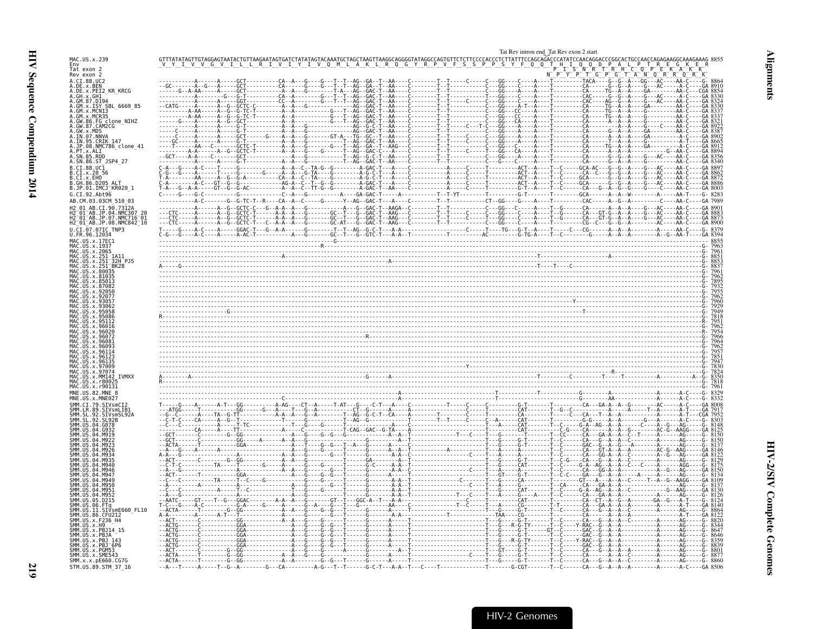<span id="page-60-0"></span>

|                                                                  | Tat Rev intron end Tat Rev exon 2 start            |
|------------------------------------------------------------------|----------------------------------------------------|
| MAC.US.x.239                                                     |                                                    |
| Env<br>Tat exon 2<br>Rev exon 2                                  | $P^ G^ T^ A^ N^ Q^ R^-$                            |
| A.CI.88.UC2                                                      | $-$ A - - - GG - - - AC - - - - AA - C - - - - G - |
| A.DE.x.BEN<br>A.DE.x.PEI2_KR_KRCG                                |                                                    |
| A.GH.x.GH1<br>A.GM.87.D194                                       |                                                    |
| A.GM.x.ISY SBL 6669 85<br>A.GM.x.MCN13                           |                                                    |
| A.GM.x.MCR35                                                     |                                                    |
| 86.FG clone NIHZ                                                 |                                                    |
| A.GW.87.CAM2CG<br>A.GW.x.MDS<br>A.IN.07.NNVA<br>A.IN.95.CRIK_147 |                                                    |
| A.JP.08.NMC786 clone 41                                          |                                                    |
| A.PT.x.ALI                                                       |                                                    |
| 4.SN.85.ROD<br>A.SN.86.ST JSP4 27                                |                                                    |
| B.CI.88.UC1                                                      |                                                    |
| B.CI.X.20 56<br>B.CI.X.EHO                                       |                                                    |
| B.GH.86.D205 ALT<br>B.JP.01.IMCJ_KR020_1                         |                                                    |
| G.CI.92.Abt96                                                    |                                                    |
| AB.CM.03.03CM 510 03<br>AB.CI.90.7312A                           |                                                    |
| I2 <sup>-</sup> 01 <sup>-</sup> AB.JP.04.NMC307 20               |                                                    |
| H2-01-AB.JP.07.NMC716-01<br>H2-01-AB.JP.08.NMC842_10             |                                                    |
| U.CI.07.07IC_TNP3<br>U.FR.96.12034                               |                                                    |
| MAC.US.x.17EC1                                                   |                                                    |
| MAC.US.x.2065                                                    |                                                    |
| AC.US.x.251                                                      |                                                    |
| US x 80035                                                       |                                                    |
|                                                                  |                                                    |
|                                                                  |                                                    |
|                                                                  |                                                    |
|                                                                  |                                                    |
|                                                                  |                                                    |
|                                                                  |                                                    |
|                                                                  |                                                    |
|                                                                  |                                                    |
|                                                                  |                                                    |
|                                                                  |                                                    |
|                                                                  |                                                    |
|                                                                  |                                                    |
| MAC.US.x.r90131                                                  |                                                    |
|                                                                  |                                                    |
|                                                                  |                                                    |
| . 92<br>SIVsmSL92A                                               |                                                    |
| SMM. SL<br>SMM. SL<br>$-92$                                      |                                                    |
|                                                                  |                                                    |
|                                                                  |                                                    |
|                                                                  |                                                    |
|                                                                  |                                                    |
|                                                                  |                                                    |
|                                                                  |                                                    |
|                                                                  |                                                    |
|                                                                  |                                                    |
|                                                                  |                                                    |
| SMM.US.11.SIVsmE660 FL10                                         |                                                    |
| SMM.US.x.F236 H4                                                 |                                                    |
| SMM.US.x.H9<br>x PR114 15                                        |                                                    |
| SMM.US.x.PBJ                                                     |                                                    |
| MM.US.x.PGM53                                                    |                                                    |
| SMM.US.x.SME543                                                  |                                                    |
| SMM.x.x.pE660.CG7G<br>STM.US.89.STM 37 16                        |                                                    |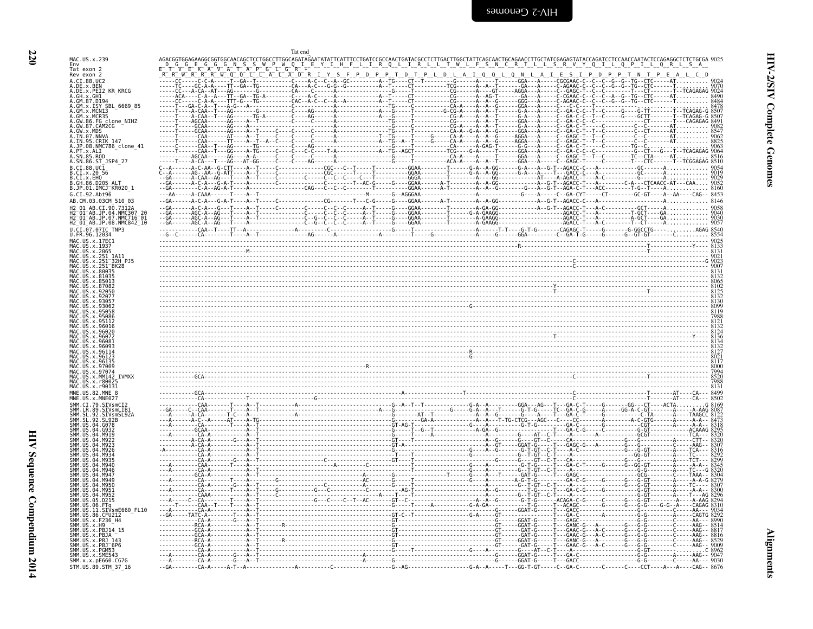**Alignments** 

<span id="page-61-0"></span>

| MAC.US.x.239<br>T W L F S N C R T L L S R V Y Q I L<br>Env<br>Tat exon 2<br>Rev exon 2<br>Q N L<br>S<br>N<br>A.CI.88.UC2<br>A.DE.x.BEN<br>A.DE.x.PEI2 KR KRCG<br>. T - - - - - - - GA - - - A - - - -<br>$C - GAGC$<br>A.GH.x.GH1<br>A.GM.x.ISY SBL 6669 85<br>.GM.x.MCNI3<br>.GM.x.MCR35<br>- A - - A - - T - - - - - - G - A - - - A - - - - - C - - GA - C - C - - T - - C<br>- A - - A - - T - - - - - - GGA - - - A - - - - - C - - GA - C - C - - C - - - -<br>.GW.86.FG_clone_NIHZ<br>.GW.87.CAM2CG<br>IN.07.NNVA<br><b>CRTK 147</b><br>.JP.08.NMC786_clone_41<br>.PT.x.ALI<br>- - - - - - - - - - - G - - CT - -<br>.SN.85.ROD<br>A.SN.86.ST JSP4 27<br>B.CI.88.UC1<br>B.CI.x.20 56<br>B.CI.x.EHO<br>B.GH.86.D205 ALT<br>B.JP.01.IMCJ_KR020 1<br>G.CI.92.Abt96<br>AB.CM.03.03CM 510 03<br>H2 01 AB.CI.90.7312A<br>AB.JP.04.NMC307<br>$2^-01^-$ AB.JP<br>$.07.$ NMC716 $^-$ 01<br>H2 <sup>-</sup> 01 <sup>-</sup> AB.JP.08.NMC842 <sup>-</sup> 10<br>U.CI.07.07IC TNP3<br>U.FR.96.12034<br>MAC.US.x.17EC1<br>1AC.US.x.1937<br>US.x.2065<br>US.x.251 1A1<br>US.x.251<br><sup>-</sup> 32H PJ5<br>$US. x. 251$ $BK28$<br>MAC.US.x.r90131<br>MNE.US.82.MNE 8<br>SIVsmSL92A<br>SIVsmE660 FL10<br>-11<br>SMM.US.86.CFU212 |                     |  |
|----------------------------------------------------------------------------------------------------------------------------------------------------------------------------------------------------------------------------------------------------------------------------------------------------------------------------------------------------------------------------------------------------------------------------------------------------------------------------------------------------------------------------------------------------------------------------------------------------------------------------------------------------------------------------------------------------------------------------------------------------------------------------------------------------------------------------------------------------------------------------------------------------------------------------------------------------------------------------------------------------------------------------------------------------------------------------------------------------------------------------------------------------------------------------------------------------------------------------|---------------------|--|
|                                                                                                                                                                                                                                                                                                                                                                                                                                                                                                                                                                                                                                                                                                                                                                                                                                                                                                                                                                                                                                                                                                                                                                                                                            |                     |  |
|                                                                                                                                                                                                                                                                                                                                                                                                                                                                                                                                                                                                                                                                                                                                                                                                                                                                                                                                                                                                                                                                                                                                                                                                                            |                     |  |
|                                                                                                                                                                                                                                                                                                                                                                                                                                                                                                                                                                                                                                                                                                                                                                                                                                                                                                                                                                                                                                                                                                                                                                                                                            |                     |  |
|                                                                                                                                                                                                                                                                                                                                                                                                                                                                                                                                                                                                                                                                                                                                                                                                                                                                                                                                                                                                                                                                                                                                                                                                                            |                     |  |
|                                                                                                                                                                                                                                                                                                                                                                                                                                                                                                                                                                                                                                                                                                                                                                                                                                                                                                                                                                                                                                                                                                                                                                                                                            |                     |  |
|                                                                                                                                                                                                                                                                                                                                                                                                                                                                                                                                                                                                                                                                                                                                                                                                                                                                                                                                                                                                                                                                                                                                                                                                                            |                     |  |
|                                                                                                                                                                                                                                                                                                                                                                                                                                                                                                                                                                                                                                                                                                                                                                                                                                                                                                                                                                                                                                                                                                                                                                                                                            |                     |  |
|                                                                                                                                                                                                                                                                                                                                                                                                                                                                                                                                                                                                                                                                                                                                                                                                                                                                                                                                                                                                                                                                                                                                                                                                                            |                     |  |
|                                                                                                                                                                                                                                                                                                                                                                                                                                                                                                                                                                                                                                                                                                                                                                                                                                                                                                                                                                                                                                                                                                                                                                                                                            |                     |  |
|                                                                                                                                                                                                                                                                                                                                                                                                                                                                                                                                                                                                                                                                                                                                                                                                                                                                                                                                                                                                                                                                                                                                                                                                                            |                     |  |
|                                                                                                                                                                                                                                                                                                                                                                                                                                                                                                                                                                                                                                                                                                                                                                                                                                                                                                                                                                                                                                                                                                                                                                                                                            |                     |  |
|                                                                                                                                                                                                                                                                                                                                                                                                                                                                                                                                                                                                                                                                                                                                                                                                                                                                                                                                                                                                                                                                                                                                                                                                                            |                     |  |
|                                                                                                                                                                                                                                                                                                                                                                                                                                                                                                                                                                                                                                                                                                                                                                                                                                                                                                                                                                                                                                                                                                                                                                                                                            |                     |  |
|                                                                                                                                                                                                                                                                                                                                                                                                                                                                                                                                                                                                                                                                                                                                                                                                                                                                                                                                                                                                                                                                                                                                                                                                                            |                     |  |
|                                                                                                                                                                                                                                                                                                                                                                                                                                                                                                                                                                                                                                                                                                                                                                                                                                                                                                                                                                                                                                                                                                                                                                                                                            |                     |  |
|                                                                                                                                                                                                                                                                                                                                                                                                                                                                                                                                                                                                                                                                                                                                                                                                                                                                                                                                                                                                                                                                                                                                                                                                                            |                     |  |
|                                                                                                                                                                                                                                                                                                                                                                                                                                                                                                                                                                                                                                                                                                                                                                                                                                                                                                                                                                                                                                                                                                                                                                                                                            |                     |  |
|                                                                                                                                                                                                                                                                                                                                                                                                                                                                                                                                                                                                                                                                                                                                                                                                                                                                                                                                                                                                                                                                                                                                                                                                                            |                     |  |
|                                                                                                                                                                                                                                                                                                                                                                                                                                                                                                                                                                                                                                                                                                                                                                                                                                                                                                                                                                                                                                                                                                                                                                                                                            |                     |  |
|                                                                                                                                                                                                                                                                                                                                                                                                                                                                                                                                                                                                                                                                                                                                                                                                                                                                                                                                                                                                                                                                                                                                                                                                                            |                     |  |
|                                                                                                                                                                                                                                                                                                                                                                                                                                                                                                                                                                                                                                                                                                                                                                                                                                                                                                                                                                                                                                                                                                                                                                                                                            |                     |  |
|                                                                                                                                                                                                                                                                                                                                                                                                                                                                                                                                                                                                                                                                                                                                                                                                                                                                                                                                                                                                                                                                                                                                                                                                                            |                     |  |
|                                                                                                                                                                                                                                                                                                                                                                                                                                                                                                                                                                                                                                                                                                                                                                                                                                                                                                                                                                                                                                                                                                                                                                                                                            |                     |  |
|                                                                                                                                                                                                                                                                                                                                                                                                                                                                                                                                                                                                                                                                                                                                                                                                                                                                                                                                                                                                                                                                                                                                                                                                                            |                     |  |
|                                                                                                                                                                                                                                                                                                                                                                                                                                                                                                                                                                                                                                                                                                                                                                                                                                                                                                                                                                                                                                                                                                                                                                                                                            |                     |  |
|                                                                                                                                                                                                                                                                                                                                                                                                                                                                                                                                                                                                                                                                                                                                                                                                                                                                                                                                                                                                                                                                                                                                                                                                                            |                     |  |
|                                                                                                                                                                                                                                                                                                                                                                                                                                                                                                                                                                                                                                                                                                                                                                                                                                                                                                                                                                                                                                                                                                                                                                                                                            |                     |  |
|                                                                                                                                                                                                                                                                                                                                                                                                                                                                                                                                                                                                                                                                                                                                                                                                                                                                                                                                                                                                                                                                                                                                                                                                                            |                     |  |
|                                                                                                                                                                                                                                                                                                                                                                                                                                                                                                                                                                                                                                                                                                                                                                                                                                                                                                                                                                                                                                                                                                                                                                                                                            |                     |  |
|                                                                                                                                                                                                                                                                                                                                                                                                                                                                                                                                                                                                                                                                                                                                                                                                                                                                                                                                                                                                                                                                                                                                                                                                                            |                     |  |
|                                                                                                                                                                                                                                                                                                                                                                                                                                                                                                                                                                                                                                                                                                                                                                                                                                                                                                                                                                                                                                                                                                                                                                                                                            |                     |  |
|                                                                                                                                                                                                                                                                                                                                                                                                                                                                                                                                                                                                                                                                                                                                                                                                                                                                                                                                                                                                                                                                                                                                                                                                                            |                     |  |
|                                                                                                                                                                                                                                                                                                                                                                                                                                                                                                                                                                                                                                                                                                                                                                                                                                                                                                                                                                                                                                                                                                                                                                                                                            |                     |  |
|                                                                                                                                                                                                                                                                                                                                                                                                                                                                                                                                                                                                                                                                                                                                                                                                                                                                                                                                                                                                                                                                                                                                                                                                                            |                     |  |
|                                                                                                                                                                                                                                                                                                                                                                                                                                                                                                                                                                                                                                                                                                                                                                                                                                                                                                                                                                                                                                                                                                                                                                                                                            |                     |  |
|                                                                                                                                                                                                                                                                                                                                                                                                                                                                                                                                                                                                                                                                                                                                                                                                                                                                                                                                                                                                                                                                                                                                                                                                                            |                     |  |
|                                                                                                                                                                                                                                                                                                                                                                                                                                                                                                                                                                                                                                                                                                                                                                                                                                                                                                                                                                                                                                                                                                                                                                                                                            |                     |  |
|                                                                                                                                                                                                                                                                                                                                                                                                                                                                                                                                                                                                                                                                                                                                                                                                                                                                                                                                                                                                                                                                                                                                                                                                                            |                     |  |
|                                                                                                                                                                                                                                                                                                                                                                                                                                                                                                                                                                                                                                                                                                                                                                                                                                                                                                                                                                                                                                                                                                                                                                                                                            |                     |  |
|                                                                                                                                                                                                                                                                                                                                                                                                                                                                                                                                                                                                                                                                                                                                                                                                                                                                                                                                                                                                                                                                                                                                                                                                                            |                     |  |
|                                                                                                                                                                                                                                                                                                                                                                                                                                                                                                                                                                                                                                                                                                                                                                                                                                                                                                                                                                                                                                                                                                                                                                                                                            |                     |  |
|                                                                                                                                                                                                                                                                                                                                                                                                                                                                                                                                                                                                                                                                                                                                                                                                                                                                                                                                                                                                                                                                                                                                                                                                                            |                     |  |
|                                                                                                                                                                                                                                                                                                                                                                                                                                                                                                                                                                                                                                                                                                                                                                                                                                                                                                                                                                                                                                                                                                                                                                                                                            |                     |  |
|                                                                                                                                                                                                                                                                                                                                                                                                                                                                                                                                                                                                                                                                                                                                                                                                                                                                                                                                                                                                                                                                                                                                                                                                                            |                     |  |
|                                                                                                                                                                                                                                                                                                                                                                                                                                                                                                                                                                                                                                                                                                                                                                                                                                                                                                                                                                                                                                                                                                                                                                                                                            |                     |  |
|                                                                                                                                                                                                                                                                                                                                                                                                                                                                                                                                                                                                                                                                                                                                                                                                                                                                                                                                                                                                                                                                                                                                                                                                                            |                     |  |
|                                                                                                                                                                                                                                                                                                                                                                                                                                                                                                                                                                                                                                                                                                                                                                                                                                                                                                                                                                                                                                                                                                                                                                                                                            |                     |  |
|                                                                                                                                                                                                                                                                                                                                                                                                                                                                                                                                                                                                                                                                                                                                                                                                                                                                                                                                                                                                                                                                                                                                                                                                                            |                     |  |
|                                                                                                                                                                                                                                                                                                                                                                                                                                                                                                                                                                                                                                                                                                                                                                                                                                                                                                                                                                                                                                                                                                                                                                                                                            | SMM.US.x.F236 H4    |  |
| JS.x.H9<br>US.x.PBJ14 15                                                                                                                                                                                                                                                                                                                                                                                                                                                                                                                                                                                                                                                                                                                                                                                                                                                                                                                                                                                                                                                                                                                                                                                                   |                     |  |
| SMM IIS<br>.x.PBJA<br>. x . PB.1                                                                                                                                                                                                                                                                                                                                                                                                                                                                                                                                                                                                                                                                                                                                                                                                                                                                                                                                                                                                                                                                                                                                                                                           |                     |  |
| MM.US.x.PBJ 6P6<br>SMM.US.x.PGM53                                                                                                                                                                                                                                                                                                                                                                                                                                                                                                                                                                                                                                                                                                                                                                                                                                                                                                                                                                                                                                                                                                                                                                                          |                     |  |
| SMM.US.x.SME543<br>SMM.x.x.pE660.CG7G                                                                                                                                                                                                                                                                                                                                                                                                                                                                                                                                                                                                                                                                                                                                                                                                                                                                                                                                                                                                                                                                                                                                                                                      |                     |  |
|                                                                                                                                                                                                                                                                                                                                                                                                                                                                                                                                                                                                                                                                                                                                                                                                                                                                                                                                                                                                                                                                                                                                                                                                                            | STM.US.89.STM_37_16 |  |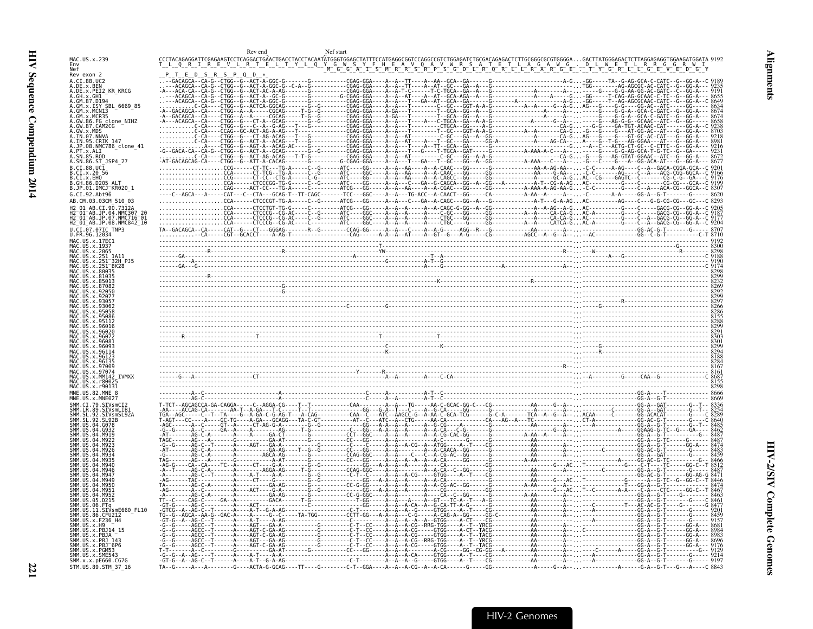<span id="page-62-0"></span>

| Env<br>Nef<br>Rev exon 2<br>$\varsigma$<br>A.CI.88.UC2<br>.x.PEI2 KR KRCG<br>.x.ISY SBL 6669 85<br>B6.FG clone NIHZ<br>x.MDS<br>95.CRIK 147<br>08.NMC786_clone_41<br>.86.ST_JSP4 27<br>.CT.88.UC1<br>IMCJ KR020 1<br>JP.08.NMC842_10<br>TVsmF660 FL10<br>SMM.x.x.pE660.CG7G<br>STM.US.89.STM 37 16 |              |  |
|----------------------------------------------------------------------------------------------------------------------------------------------------------------------------------------------------------------------------------------------------------------------------------------------------|--------------|--|
|                                                                                                                                                                                                                                                                                                    | MAC.US.x.239 |  |
|                                                                                                                                                                                                                                                                                                    |              |  |
|                                                                                                                                                                                                                                                                                                    |              |  |
|                                                                                                                                                                                                                                                                                                    |              |  |
|                                                                                                                                                                                                                                                                                                    |              |  |
|                                                                                                                                                                                                                                                                                                    |              |  |
|                                                                                                                                                                                                                                                                                                    |              |  |
|                                                                                                                                                                                                                                                                                                    |              |  |
|                                                                                                                                                                                                                                                                                                    |              |  |
|                                                                                                                                                                                                                                                                                                    |              |  |
|                                                                                                                                                                                                                                                                                                    |              |  |
|                                                                                                                                                                                                                                                                                                    |              |  |
|                                                                                                                                                                                                                                                                                                    |              |  |
|                                                                                                                                                                                                                                                                                                    |              |  |
|                                                                                                                                                                                                                                                                                                    |              |  |
|                                                                                                                                                                                                                                                                                                    |              |  |
|                                                                                                                                                                                                                                                                                                    |              |  |
|                                                                                                                                                                                                                                                                                                    |              |  |
|                                                                                                                                                                                                                                                                                                    |              |  |
|                                                                                                                                                                                                                                                                                                    |              |  |
|                                                                                                                                                                                                                                                                                                    |              |  |
|                                                                                                                                                                                                                                                                                                    |              |  |
|                                                                                                                                                                                                                                                                                                    |              |  |
|                                                                                                                                                                                                                                                                                                    |              |  |
|                                                                                                                                                                                                                                                                                                    |              |  |
|                                                                                                                                                                                                                                                                                                    |              |  |
|                                                                                                                                                                                                                                                                                                    |              |  |
|                                                                                                                                                                                                                                                                                                    |              |  |
|                                                                                                                                                                                                                                                                                                    |              |  |
|                                                                                                                                                                                                                                                                                                    |              |  |
|                                                                                                                                                                                                                                                                                                    |              |  |
|                                                                                                                                                                                                                                                                                                    |              |  |
|                                                                                                                                                                                                                                                                                                    |              |  |
|                                                                                                                                                                                                                                                                                                    |              |  |
|                                                                                                                                                                                                                                                                                                    |              |  |
|                                                                                                                                                                                                                                                                                                    |              |  |
|                                                                                                                                                                                                                                                                                                    |              |  |
|                                                                                                                                                                                                                                                                                                    |              |  |
|                                                                                                                                                                                                                                                                                                    |              |  |
|                                                                                                                                                                                                                                                                                                    |              |  |
|                                                                                                                                                                                                                                                                                                    |              |  |
|                                                                                                                                                                                                                                                                                                    |              |  |
|                                                                                                                                                                                                                                                                                                    |              |  |
|                                                                                                                                                                                                                                                                                                    |              |  |
|                                                                                                                                                                                                                                                                                                    |              |  |
|                                                                                                                                                                                                                                                                                                    |              |  |
|                                                                                                                                                                                                                                                                                                    |              |  |
|                                                                                                                                                                                                                                                                                                    |              |  |
|                                                                                                                                                                                                                                                                                                    |              |  |
|                                                                                                                                                                                                                                                                                                    |              |  |
|                                                                                                                                                                                                                                                                                                    |              |  |
|                                                                                                                                                                                                                                                                                                    |              |  |
|                                                                                                                                                                                                                                                                                                    |              |  |
|                                                                                                                                                                                                                                                                                                    |              |  |
|                                                                                                                                                                                                                                                                                                    |              |  |
|                                                                                                                                                                                                                                                                                                    |              |  |
|                                                                                                                                                                                                                                                                                                    |              |  |
|                                                                                                                                                                                                                                                                                                    |              |  |
|                                                                                                                                                                                                                                                                                                    |              |  |
|                                                                                                                                                                                                                                                                                                    |              |  |
|                                                                                                                                                                                                                                                                                                    |              |  |
|                                                                                                                                                                                                                                                                                                    |              |  |
|                                                                                                                                                                                                                                                                                                    |              |  |
|                                                                                                                                                                                                                                                                                                    |              |  |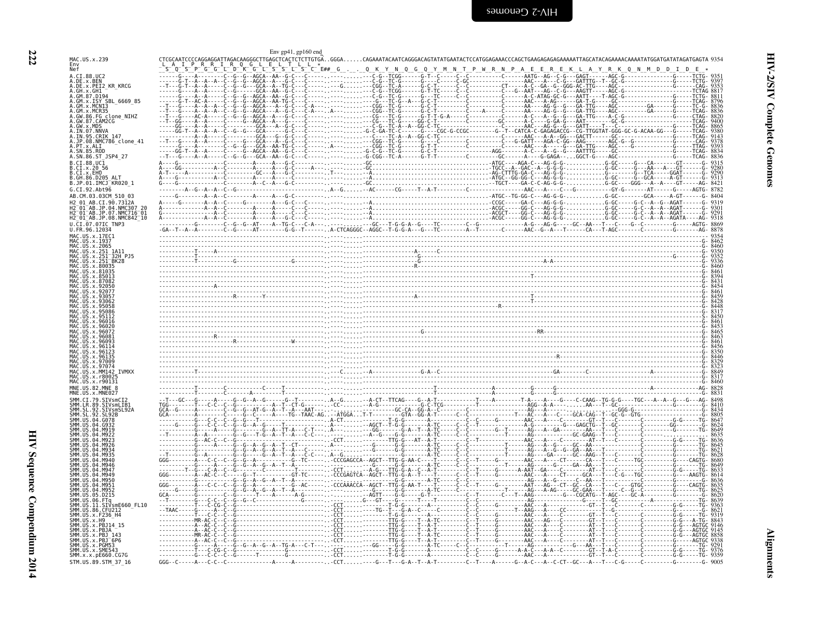<span id="page-63-0"></span>

|                                                                                                         | Env gp41, gp160 end     |                                 |                                                                                                                                                                                                                                     |  |
|---------------------------------------------------------------------------------------------------------|-------------------------|---------------------------------|-------------------------------------------------------------------------------------------------------------------------------------------------------------------------------------------------------------------------------------|--|
| MAC.US.x.239                                                                                            |                         |                                 |                                                                                                                                                                                                                                     |  |
| Nef                                                                                                     |                         | $E##$ <sub>-6</sub> ----0-K-Y-N |                                                                                                                                                                                                                                     |  |
| A.CI.88.UC2<br>A.DE.x.BEN                                                                               |                         |                                 |                                                                                                                                                                                                                                     |  |
| A.DE.X.PEI2 KR KRCG<br>A.GH.x.GH1                                                                       |                         |                                 |                                                                                                                                                                                                                                     |  |
| A.GM.87.D194<br>A.GM.x.ISY SBL 6669 85                                                                  |                         |                                 |                                                                                                                                                                                                                                     |  |
| MCN13                                                                                                   |                         |                                 |                                                                                                                                                                                                                                     |  |
| A.GM.x.MCR35<br>A.GW.86.FG clone_NIHZ<br>A.GW.87.CAM2CG                                                 |                         |                                 |                                                                                                                                                                                                                                     |  |
|                                                                                                         |                         |                                 |                                                                                                                                                                                                                                     |  |
| .IN.07.NNVA<br>A.IN.95.CRIK 147                                                                         |                         |                                 |                                                                                                                                                                                                                                     |  |
| A.JP.08.NMC786 clone 41                                                                                 |                         |                                 |                                                                                                                                                                                                                                     |  |
|                                                                                                         |                         |                                 |                                                                                                                                                                                                                                     |  |
| A.SN.86.ST JSP4 27<br>B.CI.88.UC1                                                                       |                         |                                 |                                                                                                                                                                                                                                     |  |
| B.CI.X.20 56                                                                                            |                         |                                 |                                                                                                                                                                                                                                     |  |
| B.CT.x.EHO<br>B.GH.86.D205 ALT                                                                          |                         |                                 |                                                                                                                                                                                                                                     |  |
| B.JP.01.IMCJ KR020 1<br>G.CI.92.Abt96                                                                   |                         |                                 |                                                                                                                                                                                                                                     |  |
| AB.CM.03.03CM 510 03                                                                                    |                         |                                 |                                                                                                                                                                                                                                     |  |
| 12 01 AB.CI.90.7312A                                                                                    |                         |                                 |                                                                                                                                                                                                                                     |  |
| 2 <sup>-</sup> 01 <sup>-</sup> AB.JP.04.NMC307-20<br>2-01-AB.JP.07.NMC716-01<br>2-01-AB.JP.07.NMC716-01 |                         |                                 |                                                                                                                                                                                                                                     |  |
| H2 <sup>-</sup> 01 <sup>-</sup> AB.JP.08.NMC842 <sup>-</sup> 10<br>J.CI.07.07IC TNP3                    |                         |                                 |                                                                                                                                                                                                                                     |  |
| U.FR.96.12034                                                                                           |                         |                                 | 198 - 198 - 198 - 198 - 198 - 198 - 198 - 198 - 198 - 198 - 198 - 198 - 198 - 198 - 198 - 198 - 198 - 198 - 19<br>198 - 198 - 198 - 198 - 198 - 198 - 198 - 198 - 198 - 198 - 198 - 198 - 198 - 198 - 198 - 198 - 198 - 198 - 1<br> |  |
|                                                                                                         |                         |                                 |                                                                                                                                                                                                                                     |  |
| US.x.2065                                                                                               |                         |                                 |                                                                                                                                                                                                                                     |  |
| .251 <sup>-</sup> 32H PJ5                                                                               |                         |                                 |                                                                                                                                                                                                                                     |  |
| "BK28<br>.x.251                                                                                         |                         |                                 |                                                                                                                                                                                                                                     |  |
|                                                                                                         |                         |                                 |                                                                                                                                                                                                                                     |  |
|                                                                                                         |                         |                                 |                                                                                                                                                                                                                                     |  |
|                                                                                                         |                         |                                 |                                                                                                                                                                                                                                     |  |
|                                                                                                         |                         |                                 |                                                                                                                                                                                                                                     |  |
|                                                                                                         |                         |                                 |                                                                                                                                                                                                                                     |  |
|                                                                                                         |                         |                                 |                                                                                                                                                                                                                                     |  |
|                                                                                                         |                         |                                 |                                                                                                                                                                                                                                     |  |
|                                                                                                         |                         |                                 |                                                                                                                                                                                                                                     |  |
|                                                                                                         |                         |                                 |                                                                                                                                                                                                                                     |  |
|                                                                                                         |                         |                                 |                                                                                                                                                                                                                                     |  |
| y Q700C                                                                                                 |                         |                                 |                                                                                                                                                                                                                                     |  |
| x MM142 TVMXX                                                                                           |                         |                                 |                                                                                                                                                                                                                                     |  |
|                                                                                                         |                         |                                 |                                                                                                                                                                                                                                     |  |
| MNF. US. 82. MNF. 8                                                                                     |                         |                                 |                                                                                                                                                                                                                                     |  |
| STVsmCT2                                                                                                |                         |                                 |                                                                                                                                                                                                                                     |  |
| SIVsmLIB1<br>IR 89.<br>SIVsmSL92A                                                                       |                         |                                 |                                                                                                                                                                                                                                     |  |
| -92.<br>SL 92B                                                                                          |                         |                                 |                                                                                                                                                                                                                                     |  |
|                                                                                                         |                         |                                 |                                                                                                                                                                                                                                     |  |
|                                                                                                         |                         |                                 |                                                                                                                                                                                                                                     |  |
|                                                                                                         |                         |                                 |                                                                                                                                                                                                                                     |  |
|                                                                                                         |                         |                                 |                                                                                                                                                                                                                                     |  |
|                                                                                                         |                         |                                 |                                                                                                                                                                                                                                     |  |
|                                                                                                         |                         |                                 |                                                                                                                                                                                                                                     |  |
|                                                                                                         |                         |                                 |                                                                                                                                                                                                                                     |  |
|                                                                                                         |                         |                                 |                                                                                                                                                                                                                                     |  |
| .05.D215<br>SMM LIIS                                                                                    |                         |                                 |                                                                                                                                                                                                                                     |  |
| SIVsmE660 FL10<br>11<br>86. CFU212                                                                      |                         |                                 |                                                                                                                                                                                                                                     |  |
| SMM.US.x.F236 H4                                                                                        |                         |                                 |                                                                                                                                                                                                                                     |  |
|                                                                                                         |                         |                                 |                                                                                                                                                                                                                                     |  |
| <b>SMM IIS</b><br>$x$ . PB.                                                                             |                         |                                 |                                                                                                                                                                                                                                     |  |
| $.x.PBJ-6P6$<br>.x.PGM53                                                                                |                         |                                 |                                                                                                                                                                                                                                     |  |
| MM.US.x.SME543<br>SMM.x.x.pE660.CG7G                                                                    |                         |                                 |                                                                                                                                                                                                                                     |  |
| STM.US.89.STM 37 16                                                                                     | $GGG - C - - - - A - -$ |                                 | --CCT----G---T---G-A--T--A-T--------C--T----A------G--A-C---A--C-CT--GC---A---T---C-G-----C---------G-                                                                                                                              |  |

**Alignments** 

222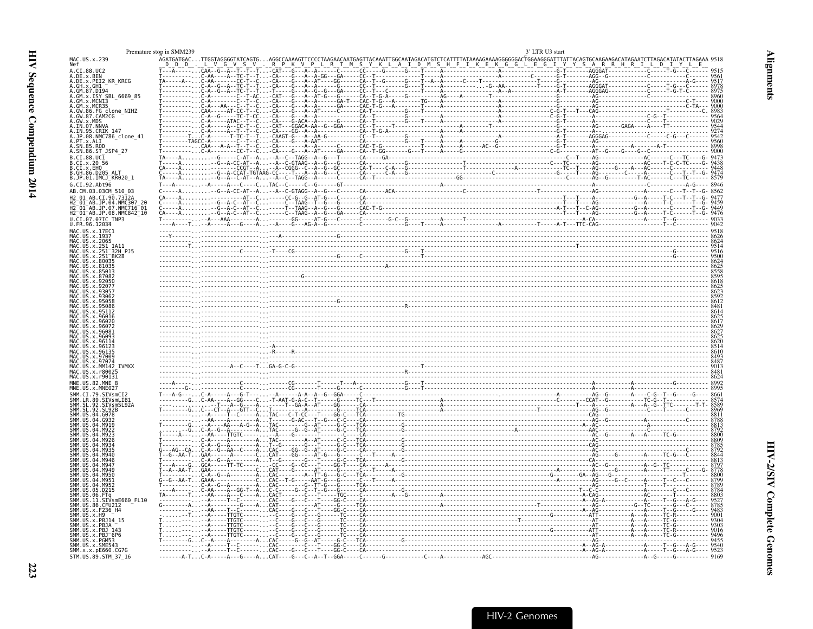<span id="page-64-0"></span>

|                                                                | Premature stop in SMM239                                                                            | 3' LTR U3 start |                                                                                   |
|----------------------------------------------------------------|-----------------------------------------------------------------------------------------------------|-----------------|-----------------------------------------------------------------------------------|
| MAC.US.x.239<br>Nef                                            | AGATGATGACTTGGTAGGGGTA                                                                              |                 | TATAAAAGAAAAGGGGGGACTGGAAGGGATTTATTACAGTGCAAGAAGACATAGAATCTTAGACATATACTTAGAAA 951 |
| A.CI.88.UC2<br>A.DE.x.BEN                                      |                                                                                                     |                 |                                                                                   |
| A.DE.x.PEI2_KR_KRCG                                            | .<br>ТА-----А-- С-АА----А--ТС-Т--Т<br>Т--------- С-А--G--А--ТС-Т--Т<br>Т-------- С-А--G--А--ТС-Т--Т |                 |                                                                                   |
|                                                                |                                                                                                     |                 |                                                                                   |
| GM.x.MCN13                                                     |                                                                                                     |                 |                                                                                   |
| FG clone NIHZ                                                  |                                                                                                     |                 |                                                                                   |
|                                                                |                                                                                                     |                 |                                                                                   |
| CRIK 147.<br>JP.08.NMC786_clone_41                             |                                                                                                     |                 |                                                                                   |
|                                                                |                                                                                                     |                 |                                                                                   |
| SN.86.ST_JSP4_27<br>CI.88.UC1                                  |                                                                                                     |                 |                                                                                   |
|                                                                |                                                                                                     |                 |                                                                                   |
| JP.01.IMCJ KR020 1                                             |                                                                                                     |                 |                                                                                   |
| AB.CM.03.03CM 510 03                                           |                                                                                                     |                 |                                                                                   |
| AR CT 90.73124                                                 |                                                                                                     |                 |                                                                                   |
| NMC307<br>i2-01-AB.JP.07.NMC716-01<br>i2-01-AB.JP.08.NMC842-10 |                                                                                                     |                 |                                                                                   |
|                                                                |                                                                                                     |                 |                                                                                   |
| U.FR.96.12034<br>MAC.US.x.17EC1                                |                                                                                                     |                 |                                                                                   |
|                                                                |                                                                                                     |                 |                                                                                   |
|                                                                |                                                                                                     |                 |                                                                                   |
|                                                                |                                                                                                     |                 |                                                                                   |
|                                                                |                                                                                                     |                 |                                                                                   |
|                                                                |                                                                                                     |                 |                                                                                   |
|                                                                |                                                                                                     |                 |                                                                                   |
|                                                                |                                                                                                     |                 |                                                                                   |
|                                                                |                                                                                                     |                 |                                                                                   |
|                                                                |                                                                                                     |                 |                                                                                   |
|                                                                |                                                                                                     |                 |                                                                                   |
|                                                                |                                                                                                     |                 |                                                                                   |
|                                                                |                                                                                                     |                 |                                                                                   |
|                                                                |                                                                                                     |                 |                                                                                   |
|                                                                |                                                                                                     |                 |                                                                                   |
|                                                                |                                                                                                     |                 |                                                                                   |
|                                                                |                                                                                                     |                 |                                                                                   |
|                                                                |                                                                                                     |                 |                                                                                   |
|                                                                |                                                                                                     |                 |                                                                                   |
|                                                                |                                                                                                     |                 |                                                                                   |
|                                                                |                                                                                                     |                 |                                                                                   |
|                                                                |                                                                                                     |                 |                                                                                   |
|                                                                |                                                                                                     |                 |                                                                                   |
|                                                                |                                                                                                     |                 |                                                                                   |
|                                                                |                                                                                                     |                 |                                                                                   |
|                                                                |                                                                                                     |                 |                                                                                   |
| SIVsmE660 FL10                                                 |                                                                                                     |                 |                                                                                   |
|                                                                |                                                                                                     |                 |                                                                                   |
|                                                                |                                                                                                     |                 |                                                                                   |
|                                                                |                                                                                                     |                 |                                                                                   |
|                                                                |                                                                                                     |                 |                                                                                   |
| SMM.x.x.pE660.CG7G<br>STM.US.89.STM 37 16                      |                                                                                                     |                 |                                                                                   |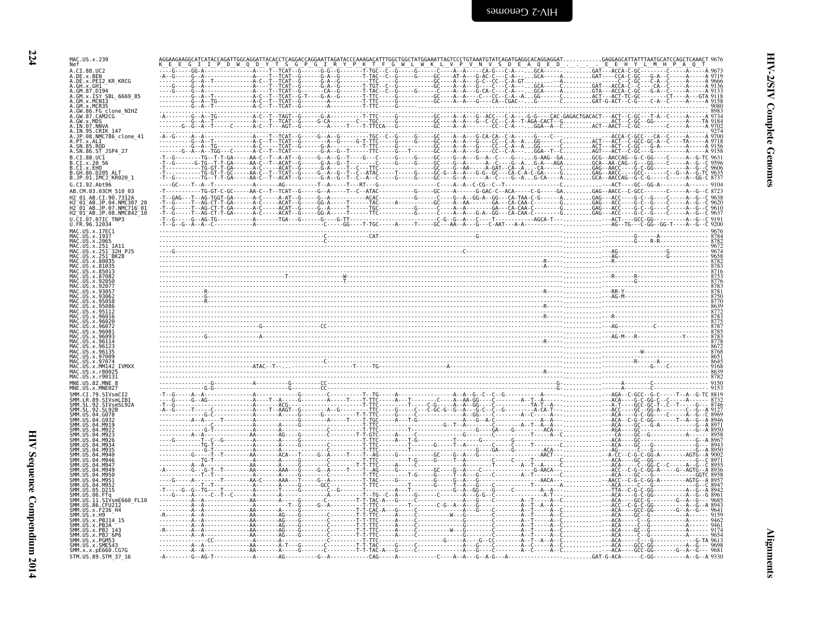**224** 

| MAC.US.x.239<br>Nef                                                                         |  |                                                                                                                                                                                                                                                                                                                                                                                                                                                           |  |
|---------------------------------------------------------------------------------------------|--|-----------------------------------------------------------------------------------------------------------------------------------------------------------------------------------------------------------------------------------------------------------------------------------------------------------------------------------------------------------------------------------------------------------------------------------------------------------|--|
| A.CI.88.UC2<br>A.DE.x.BEN                                                                   |  |                                                                                                                                                                                                                                                                                                                                                                                                                                                           |  |
| A.DE.x.PEI2 KR KRCG<br>A.GH.x.GH1                                                           |  |                                                                                                                                                                                                                                                                                                                                                                                                                                                           |  |
| A.GM.x.ISY SBL 6669 85                                                                      |  |                                                                                                                                                                                                                                                                                                                                                                                                                                                           |  |
| A.GM.x.MCNI3<br>A.GM.x.MCR35                                                                |  |                                                                                                                                                                                                                                                                                                                                                                                                                                                           |  |
| A.GW.86.FG_clone_NIHZ<br>A.GW.87.CAM2CG                                                     |  |                                                                                                                                                                                                                                                                                                                                                                                                                                                           |  |
| A.GW.x.MDS                                                                                  |  |                                                                                                                                                                                                                                                                                                                                                                                                                                                           |  |
| JP.08.NMC786 clone 41                                                                       |  |                                                                                                                                                                                                                                                                                                                                                                                                                                                           |  |
| A.PT.x.ALI<br>SN.85.ROD                                                                     |  |                                                                                                                                                                                                                                                                                                                                                                                                                                                           |  |
| A.SN.86.ST JSP4 27                                                                          |  |                                                                                                                                                                                                                                                                                                                                                                                                                                                           |  |
| B.CI.88.UC1<br>B.CI.x.20 56                                                                 |  |                                                                                                                                                                                                                                                                                                                                                                                                                                                           |  |
| B.CI.X.EHO<br>B.GH.86.D205                                                                  |  |                                                                                                                                                                                                                                                                                                                                                                                                                                                           |  |
| B.JP.01.IMCJ KR020 1<br>G.CI.92.Abt96                                                       |  |                                                                                                                                                                                                                                                                                                                                                                                                                                                           |  |
| AB.CM.03.03CM 510 03                                                                        |  |                                                                                                                                                                                                                                                                                                                                                                                                                                                           |  |
| 12 01 AB.CI.90.7312A<br>01 AB.JP.04.NMC307":                                                |  |                                                                                                                                                                                                                                                                                                                                                                                                                                                           |  |
| 12 01 AB.JP.07.NMC716 01<br>H2 <sup>-</sup> 01 <sup>-</sup> AB.JP.08.NMC842 <sup>-</sup> 10 |  |                                                                                                                                                                                                                                                                                                                                                                                                                                                           |  |
| U.CI.07.07IC TNP3<br>U.FR.96.12034                                                          |  |                                                                                                                                                                                                                                                                                                                                                                                                                                                           |  |
| MAC.US.x.17EC1                                                                              |  | $\frac{1}{1} \cdot \frac{1}{1} \cdot \frac{1}{1} \cdot \frac{1}{1} \cdot \frac{1}{1} \cdot \frac{1}{1} \cdot \frac{1}{1} \cdot \frac{1}{1} \cdot \frac{1}{1} \cdot \frac{1}{1} \cdot \frac{1}{1} \cdot \frac{1}{1} \cdot \frac{1}{1} \cdot \frac{1}{1} \cdot \frac{1}{1} \cdot \frac{1}{1} \cdot \frac{1}{1} \cdot \frac{1}{1} \cdot \frac{1}{1} \cdot \frac{1}{1} \cdot \frac{1}{1} \cdot \frac{1}{1} \cdot \frac{1}{1} \cdot \frac{1}{1} \cdot \frac{1$ |  |
| MAC.US.x.1937<br>MAC.US.x.2065                                                              |  |                                                                                                                                                                                                                                                                                                                                                                                                                                                           |  |
| MAC. US. x. 251<br>MAC.US.x.251 32H PJ5                                                     |  |                                                                                                                                                                                                                                                                                                                                                                                                                                                           |  |
|                                                                                             |  |                                                                                                                                                                                                                                                                                                                                                                                                                                                           |  |
|                                                                                             |  |                                                                                                                                                                                                                                                                                                                                                                                                                                                           |  |
|                                                                                             |  |                                                                                                                                                                                                                                                                                                                                                                                                                                                           |  |
|                                                                                             |  |                                                                                                                                                                                                                                                                                                                                                                                                                                                           |  |
|                                                                                             |  |                                                                                                                                                                                                                                                                                                                                                                                                                                                           |  |
|                                                                                             |  |                                                                                                                                                                                                                                                                                                                                                                                                                                                           |  |
|                                                                                             |  |                                                                                                                                                                                                                                                                                                                                                                                                                                                           |  |
|                                                                                             |  |                                                                                                                                                                                                                                                                                                                                                                                                                                                           |  |
|                                                                                             |  |                                                                                                                                                                                                                                                                                                                                                                                                                                                           |  |
|                                                                                             |  |                                                                                                                                                                                                                                                                                                                                                                                                                                                           |  |
|                                                                                             |  |                                                                                                                                                                                                                                                                                                                                                                                                                                                           |  |
|                                                                                             |  |                                                                                                                                                                                                                                                                                                                                                                                                                                                           |  |
| MNE.US.82.MNE 8                                                                             |  |                                                                                                                                                                                                                                                                                                                                                                                                                                                           |  |
|                                                                                             |  |                                                                                                                                                                                                                                                                                                                                                                                                                                                           |  |
| CT.79.STVsmCT2<br>SIVsmLIB.                                                                 |  |                                                                                                                                                                                                                                                                                                                                                                                                                                                           |  |
|                                                                                             |  |                                                                                                                                                                                                                                                                                                                                                                                                                                                           |  |
|                                                                                             |  |                                                                                                                                                                                                                                                                                                                                                                                                                                                           |  |
|                                                                                             |  |                                                                                                                                                                                                                                                                                                                                                                                                                                                           |  |
|                                                                                             |  |                                                                                                                                                                                                                                                                                                                                                                                                                                                           |  |
|                                                                                             |  |                                                                                                                                                                                                                                                                                                                                                                                                                                                           |  |
|                                                                                             |  |                                                                                                                                                                                                                                                                                                                                                                                                                                                           |  |
|                                                                                             |  |                                                                                                                                                                                                                                                                                                                                                                                                                                                           |  |
|                                                                                             |  |                                                                                                                                                                                                                                                                                                                                                                                                                                                           |  |
|                                                                                             |  |                                                                                                                                                                                                                                                                                                                                                                                                                                                           |  |
| SIVsmE660 FL10                                                                              |  |                                                                                                                                                                                                                                                                                                                                                                                                                                                           |  |
|                                                                                             |  |                                                                                                                                                                                                                                                                                                                                                                                                                                                           |  |
|                                                                                             |  |                                                                                                                                                                                                                                                                                                                                                                                                                                                           |  |
|                                                                                             |  |                                                                                                                                                                                                                                                                                                                                                                                                                                                           |  |
| $US \times P B J^-6 P6$<br>US. x. PGM53                                                     |  |                                                                                                                                                                                                                                                                                                                                                                                                                                                           |  |
| SMM. US. x. SME543<br>SMM. x. x. pE660. CG7G                                                |  | $A_1. A_2. A_3. A_4. A_5. A_7. A_8. A_9. A_9. A_1. A_2. A_1. A_2. A_3. A_4. A_1. A_2. A_3. A_4. A_1. A_2. A_2. A_3. A_4. A_5. A_6. A_7. A_8. A_9. A_1. A_2. A_3. A_4. A_5. A_7. A_8. A_9. A_1. A_2. A_2. A_3. A_4. A_5. A_1. A_2. A_3. A_4. A_5. A_1. A_2. A_2. A_3. A_4. A_5. A_1.$                                                                                                                                                                      |  |
| STM.US.89.STM 37 16                                                                         |  |                                                                                                                                                                                                                                                                                                                                                                                                                                                           |  |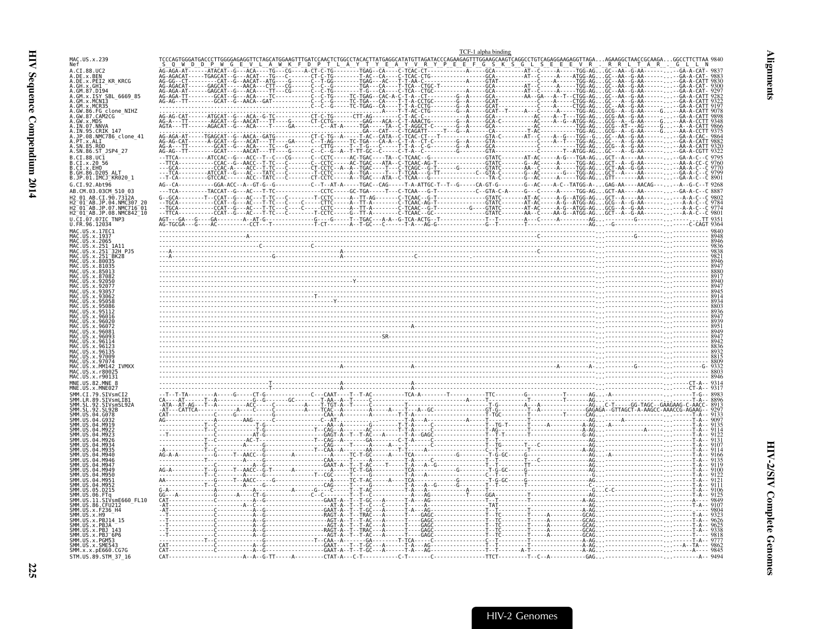<span id="page-66-0"></span>

|                                                                                                                                   | TCF-1 alpha binding |  |
|-----------------------------------------------------------------------------------------------------------------------------------|---------------------|--|
| MAC.US.x.239<br>Nef                                                                                                               |                     |  |
| A.CI.88.UC2                                                                                                                       |                     |  |
| A.DE.x.BEN<br>A.DE.x.PEI2 KR KRCG                                                                                                 |                     |  |
| A.GM.87.D194<br>A.GM.x.ISY SBL 6669 85                                                                                            |                     |  |
| A.GM.x.MCNI3<br>$.GM$ , $x$ , $MCR35$                                                                                             |                     |  |
| A.GW.86.FG clone NIHZ<br>A.GW.87.CAM2CG                                                                                           |                     |  |
| A.GW.x.MDS                                                                                                                        |                     |  |
| A.IN.95.CRIK 147<br>A.JP.08.NMC786_clone_41                                                                                       |                     |  |
| .PT.x.ALI<br>A.SN.85.ROD                                                                                                          |                     |  |
| A.SN.86.ST_JSP4_27                                                                                                                |                     |  |
| B.CI.88.UC <sub>1</sub><br>B.CI.x.20 56                                                                                           |                     |  |
| B.CI.X.EHO<br>B.GH.86.D205 ALT                                                                                                    |                     |  |
| B.JP.01.IMCJ_KR020_1<br>G.CI.92.Abt96                                                                                             |                     |  |
| AB.CM.03.03CM 510 03                                                                                                              |                     |  |
| H2 01 AB.CI.90.7312A<br>2 <sup>-</sup> 01 <sup>-</sup> AB.JP.04.NMC307 20                                                         |                     |  |
| H2 <sup>-</sup> 01 <sup>-</sup> AB.JP.07.NMC716 <sup>-</sup> 01<br>H2 <sup>-</sup> 01 <sup>-</sup> AB.JP.08.NMC842 <sup>-10</sup> |                     |  |
| U.CI.07.07IC TNP3<br>U.FR.96.12034                                                                                                |                     |  |
| MAC.US.x.17EC1<br>MAC.US.x.1937                                                                                                   |                     |  |
| MAC.US.x.2065<br>MAC.US.x.251 1A11                                                                                                |                     |  |
| US.x.251                                                                                                                          |                     |  |
|                                                                                                                                   |                     |  |
|                                                                                                                                   |                     |  |
|                                                                                                                                   |                     |  |
|                                                                                                                                   |                     |  |
|                                                                                                                                   |                     |  |
|                                                                                                                                   |                     |  |
|                                                                                                                                   |                     |  |
|                                                                                                                                   |                     |  |
|                                                                                                                                   |                     |  |
|                                                                                                                                   |                     |  |
|                                                                                                                                   |                     |  |
|                                                                                                                                   |                     |  |
| MNE.US.82.MNE 8                                                                                                                   |                     |  |
| SMM.CI.79.SIVsmCI                                                                                                                 |                     |  |
| .SIVsmLIB1<br>SIVsmSL92A                                                                                                          |                     |  |
|                                                                                                                                   |                     |  |
|                                                                                                                                   |                     |  |
|                                                                                                                                   |                     |  |
|                                                                                                                                   |                     |  |
|                                                                                                                                   |                     |  |
|                                                                                                                                   |                     |  |
|                                                                                                                                   |                     |  |
|                                                                                                                                   |                     |  |
| .SIVsmE660_FL10                                                                                                                   |                     |  |
| SMM. US.86.<br>SMM.US.x.F236 H4                                                                                                   |                     |  |
| SMM. US. x. H9<br>SMM IIS x PR114 15                                                                                              |                     |  |
| SMM.US.x.PBJ 143                                                                                                                  |                     |  |
| SMM.US.x.PBJ <sup>-</sup> 6P6<br>SMM.US.x.PGM53                                                                                   |                     |  |
| SMM.US.x.SME543<br>SMM. x. x. pE660. CG7G                                                                                         |                     |  |
| STM.US.89.STM 37 16                                                                                                               |                     |  |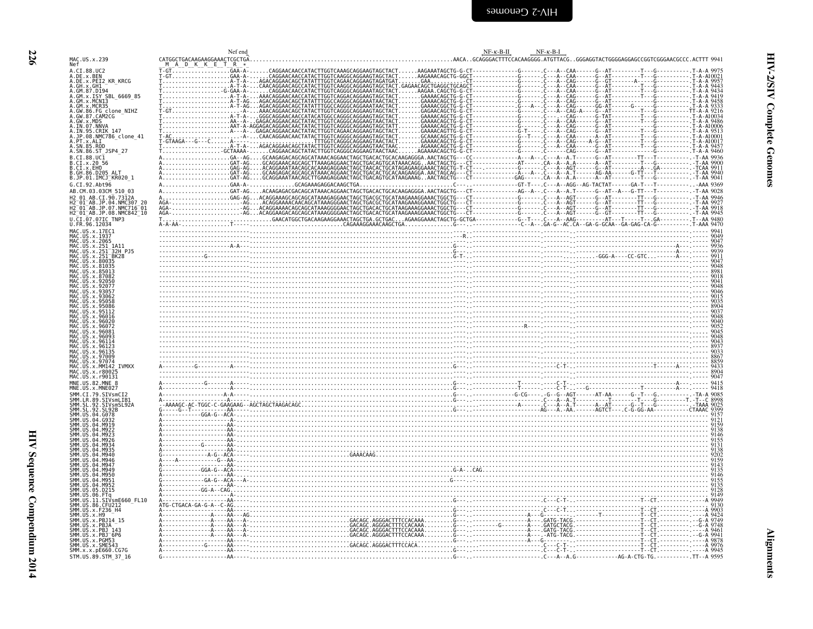| 7 |                                                                                                                                                                                                                                         |
|---|-----------------------------------------------------------------------------------------------------------------------------------------------------------------------------------------------------------------------------------------|
|   | M<br>N<br>A<br>A<br>A<br>A<br>A<br>A<br>Ä<br>A<br>Ä<br>A<br>A<br>Ä<br>A<br>A<br>A<br>A<br>A<br>B<br>B<br>B<br>B<br>B<br>G<br>Al<br>H.<br>H.<br>H.<br>U<br>Ú<br>M<br>M<br>M<br>M,<br>M<br>M<br>M<br>M<br>M<br>M<br>M<br>M<br>M<br>M<br>M |
|   | M                                                                                                                                                                                                                                       |

<span id="page-67-0"></span>

|                                                                                                                                                 | Nef end                                                              | $NF-K-B-H$<br>$NF-K-B-I$                                                                                                                                                                                                                                                                                                                                                                                                                                                                                                                                                                                    |
|-------------------------------------------------------------------------------------------------------------------------------------------------|----------------------------------------------------------------------|-------------------------------------------------------------------------------------------------------------------------------------------------------------------------------------------------------------------------------------------------------------------------------------------------------------------------------------------------------------------------------------------------------------------------------------------------------------------------------------------------------------------------------------------------------------------------------------------------------------|
| MAC.US.x.239<br><b>Nef</b>                                                                                                                      | CATGGCTGACAAGAAGGAAACTCGCTGA<br>A D K K E T R *                      | AACAGCAGGGACTTTCCACAAGGGG.ATGTTACGGGGAGGTACTGGGGAGGCAGCCGGTCGGGAACGCCC.ACTTT 9941.                                                                                                                                                                                                                                                                                                                                                                                                                                                                                                                          |
| A.CI.88.UC2<br>A.DE.x.BEN                                                                                                                       | $-$ GT $.\,\dots\,\dots\,\dots\,\dots\,\dots\,\dots\,\mathsf{GAA-A}$ | $\begin{bmatrix} \mathbf{r}_{11} & \mathbf{r}_{22} & \mathbf{r}_{33} & \mathbf{r}_{44} & \mathbf{r}_{45} & \mathbf{r}_{46} & \mathbf{r}_{47} & \mathbf{r}_{48} & \mathbf{r}_{49} & \mathbf{r}_{40} & \mathbf{r}_{41} & \mathbf{r}_{42} & \mathbf{r}_{43} & \mathbf{r}_{44} & \mathbf{r}_{45} & \mathbf{r}_{46} & \mathbf{r}_{47} & \mathbf{r}_{48} & \mathbf{r}_{49} & \mathbf{r}_{49} & \mathbf{r}_{40} & \mathbf{$                                                                                                                                                                                        |
| A.DE.x.PEI2 KR KRCG                                                                                                                             |                                                                      |                                                                                                                                                                                                                                                                                                                                                                                                                                                                                                                                                                                                             |
| A.GH.x.GH1 -<br>A.GM.87.D194<br>A.GM.x.ISY SBL 6669 85                                                                                          |                                                                      |                                                                                                                                                                                                                                                                                                                                                                                                                                                                                                                                                                                                             |
| A.GM.X.MCN13                                                                                                                                    |                                                                      |                                                                                                                                                                                                                                                                                                                                                                                                                                                                                                                                                                                                             |
| A.GM.x.MCR35<br>A.GW.86.FG clone_NIHZ<br>A.GW.87.CAM2CG                                                                                         |                                                                      |                                                                                                                                                                                                                                                                                                                                                                                                                                                                                                                                                                                                             |
|                                                                                                                                                 |                                                                      |                                                                                                                                                                                                                                                                                                                                                                                                                                                                                                                                                                                                             |
| A.GW.87.CAM2CG<br>A.GW.x.MDS<br>A.IN.07.NNVA<br>A.IN.95.CRIK 147<br>A.PT.x.ALI<br>A.SN.85.RQD<br>A.SN.85.RQD                                    |                                                                      |                                                                                                                                                                                                                                                                                                                                                                                                                                                                                                                                                                                                             |
|                                                                                                                                                 |                                                                      |                                                                                                                                                                                                                                                                                                                                                                                                                                                                                                                                                                                                             |
| A.SN.86.ST_JSP4_27                                                                                                                              |                                                                      |                                                                                                                                                                                                                                                                                                                                                                                                                                                                                                                                                                                                             |
| B.CI.88.UC1                                                                                                                                     |                                                                      |                                                                                                                                                                                                                                                                                                                                                                                                                                                                                                                                                                                                             |
| B.CI.x.20 56<br>B.CI.x.EHO                                                                                                                      |                                                                      |                                                                                                                                                                                                                                                                                                                                                                                                                                                                                                                                                                                                             |
| B.GH.86.D205 ALT<br>B.JP.01.IMCJ_KR020_1                                                                                                        |                                                                      |                                                                                                                                                                                                                                                                                                                                                                                                                                                                                                                                                                                                             |
| G.CI.92.Abt96                                                                                                                                   |                                                                      |                                                                                                                                                                                                                                                                                                                                                                                                                                                                                                                                                                                                             |
| AB.CM.03.03CM 510 03<br>AB.CI.90.7312A                                                                                                          |                                                                      |                                                                                                                                                                                                                                                                                                                                                                                                                                                                                                                                                                                                             |
| $2^-01^-$ AB.JP.04.NMC307<br>01 AB.JP.07.NMC716 01                                                                                              |                                                                      |                                                                                                                                                                                                                                                                                                                                                                                                                                                                                                                                                                                                             |
| H2 <sup>-</sup> 01 <sup>-</sup> AB.JP.08.NMC842 <sup>-</sup> 10                                                                                 |                                                                      |                                                                                                                                                                                                                                                                                                                                                                                                                                                                                                                                                                                                             |
| U.CI.07.07IC TNP3<br>U.FR.96.12034                                                                                                              |                                                                      | $\begin{bmatrix} \mathbf{a}_1 & \mathbf{a}_2 & \mathbf{a}_3 & \mathbf{a}_4 & \mathbf{a}_5 & \mathbf{a}_6 & \mathbf{a}_7 & \mathbf{a}_8 & \mathbf{a}_7 & \mathbf{a}_8 & \mathbf{a}_9 & \mathbf{a}_9 & \mathbf{a}_9 & \mathbf{a}_9 & \mathbf{a}_9 & \mathbf{a}_9 & \mathbf{a}_9 & \mathbf{a}_9 & \mathbf{a}_9 & \mathbf{a}_9 & \mathbf{a}_9 & \mathbf{a}_9 & \mathbf{a}_9 & \mathbf{a}_9 & \mathbf{a}_9 & \mathbf{a}_9 & \mathbf{a}_$                                                                                                                                                                         |
| MAC.US.x.17EC1                                                                                                                                  |                                                                      |                                                                                                                                                                                                                                                                                                                                                                                                                                                                                                                                                                                                             |
| MAC.US.x.1937<br>MAC.US.x.1937                                                                                                                  |                                                                      |                                                                                                                                                                                                                                                                                                                                                                                                                                                                                                                                                                                                             |
| MAC.US.x.251_1A11<br>MAC.US.x.251_1A11<br>MAC.US.x.251_32H<br>MAC.US.x.251_BK28<br>32H PJ5                                                      |                                                                      |                                                                                                                                                                                                                                                                                                                                                                                                                                                                                                                                                                                                             |
| .US.x.80035                                                                                                                                     |                                                                      |                                                                                                                                                                                                                                                                                                                                                                                                                                                                                                                                                                                                             |
| US.x.81035<br>US.x.85013                                                                                                                        |                                                                      |                                                                                                                                                                                                                                                                                                                                                                                                                                                                                                                                                                                                             |
|                                                                                                                                                 |                                                                      |                                                                                                                                                                                                                                                                                                                                                                                                                                                                                                                                                                                                             |
| US. x.930                                                                                                                                       |                                                                      |                                                                                                                                                                                                                                                                                                                                                                                                                                                                                                                                                                                                             |
|                                                                                                                                                 |                                                                      |                                                                                                                                                                                                                                                                                                                                                                                                                                                                                                                                                                                                             |
|                                                                                                                                                 |                                                                      |                                                                                                                                                                                                                                                                                                                                                                                                                                                                                                                                                                                                             |
| .US.x.96016                                                                                                                                     |                                                                      |                                                                                                                                                                                                                                                                                                                                                                                                                                                                                                                                                                                                             |
| . U.S. x . 96026<br>MAC.US.x.96072                                                                                                              |                                                                      |                                                                                                                                                                                                                                                                                                                                                                                                                                                                                                                                                                                                             |
| MAC. US. x. 96081                                                                                                                               |                                                                      |                                                                                                                                                                                                                                                                                                                                                                                                                                                                                                                                                                                                             |
|                                                                                                                                                 |                                                                      |                                                                                                                                                                                                                                                                                                                                                                                                                                                                                                                                                                                                             |
| US.x.97009                                                                                                                                      |                                                                      |                                                                                                                                                                                                                                                                                                                                                                                                                                                                                                                                                                                                             |
| MAC.US.x.97074<br>MAC.US.x.MM142<br><b>TVMXX</b>                                                                                                |                                                                      |                                                                                                                                                                                                                                                                                                                                                                                                                                                                                                                                                                                                             |
| MAC.US.x.r80025<br>MAC. US. x. r90131                                                                                                           |                                                                      |                                                                                                                                                                                                                                                                                                                                                                                                                                                                                                                                                                                                             |
| MNE.US.82.MNE 8                                                                                                                                 |                                                                      |                                                                                                                                                                                                                                                                                                                                                                                                                                                                                                                                                                                                             |
| MNE.US.x.MNE027<br>SMM.CI.79.SIVsmCI2                                                                                                           |                                                                      |                                                                                                                                                                                                                                                                                                                                                                                                                                                                                                                                                                                                             |
| SIVsmLIB                                                                                                                                        |                                                                      |                                                                                                                                                                                                                                                                                                                                                                                                                                                                                                                                                                                                             |
| SMM. LR. 89. STVsml<br>SMM. SL. 92. STVsml<br>SMM. SL. 92. SL92B<br>SMM. US. 04. G078<br>SIVsmSL92A                                             |                                                                      |                                                                                                                                                                                                                                                                                                                                                                                                                                                                                                                                                                                                             |
|                                                                                                                                                 |                                                                      | $A \cdot A \cdot B \cdot C \cdot C \cdot C \cdot C \cdot A \cdot C \cdot A \cdot C \cdot C \cdot A \cdot C \cdot A \cdot C \cdot A \cdot C \cdot A \cdot C \cdot A \cdot C \cdot A \cdot C \cdot A \cdot C \cdot A \cdot C \cdot A \cdot C \cdot A \cdot C \cdot A \cdot C \cdot A \cdot C \cdot A \cdot C \cdot A \cdot C \cdot A \cdot C \cdot A \cdot C \cdot A \cdot C \cdot A \cdot C \cdot A \cdot C \cdot A \cdot C \cdot A \cdot C \cdot A \cdot C \cdot A \cdot C \cdot A \cdot C \cdot A \cdot C \cdot A \cdot C \cdot A \cdot C \cdot A \cdot C \cdot A \cdot C \cdot A \cdot C \cdot A \cdot C$ |
|                                                                                                                                                 |                                                                      |                                                                                                                                                                                                                                                                                                                                                                                                                                                                                                                                                                                                             |
|                                                                                                                                                 |                                                                      |                                                                                                                                                                                                                                                                                                                                                                                                                                                                                                                                                                                                             |
|                                                                                                                                                 |                                                                      |                                                                                                                                                                                                                                                                                                                                                                                                                                                                                                                                                                                                             |
|                                                                                                                                                 |                                                                      |                                                                                                                                                                                                                                                                                                                                                                                                                                                                                                                                                                                                             |
|                                                                                                                                                 |                                                                      |                                                                                                                                                                                                                                                                                                                                                                                                                                                                                                                                                                                                             |
|                                                                                                                                                 |                                                                      |                                                                                                                                                                                                                                                                                                                                                                                                                                                                                                                                                                                                             |
|                                                                                                                                                 |                                                                      |                                                                                                                                                                                                                                                                                                                                                                                                                                                                                                                                                                                                             |
| 05.D215<br>SMM. US. 06. FTG<br>SMM. US. 06. FTG<br>SMM. US. 11. SIVsmE660_FL10<br>SMM. US. 86. CPU212<br>SMM. US. x. F236_H4<br>SMM. US. x. F43 |                                                                      |                                                                                                                                                                                                                                                                                                                                                                                                                                                                                                                                                                                                             |
|                                                                                                                                                 |                                                                      |                                                                                                                                                                                                                                                                                                                                                                                                                                                                                                                                                                                                             |
|                                                                                                                                                 |                                                                      |                                                                                                                                                                                                                                                                                                                                                                                                                                                                                                                                                                                                             |
| SMM.US.x.PBJ14 15<br>SMM.US.x.PBJA                                                                                                              |                                                                      |                                                                                                                                                                                                                                                                                                                                                                                                                                                                                                                                                                                                             |
| SMM.US.x.PBJ<br>SMM.US.x.PBJ <sup>-</sup> 6P6                                                                                                   |                                                                      |                                                                                                                                                                                                                                                                                                                                                                                                                                                                                                                                                                                                             |
| SMM.US.x.PGM53<br>SMM.US.x.SME543                                                                                                               |                                                                      |                                                                                                                                                                                                                                                                                                                                                                                                                                                                                                                                                                                                             |
| SMM. x. x. pE660. CG7G                                                                                                                          |                                                                      |                                                                                                                                                                                                                                                                                                                                                                                                                                                                                                                                                                                                             |
| STM.US.89.STM 37 16                                                                                                                             |                                                                      | --------AG-A-CTG-TG.----------.TT--A 9595                                                                                                                                                                                                                                                                                                                                                                                                                                                                                                                                                                   |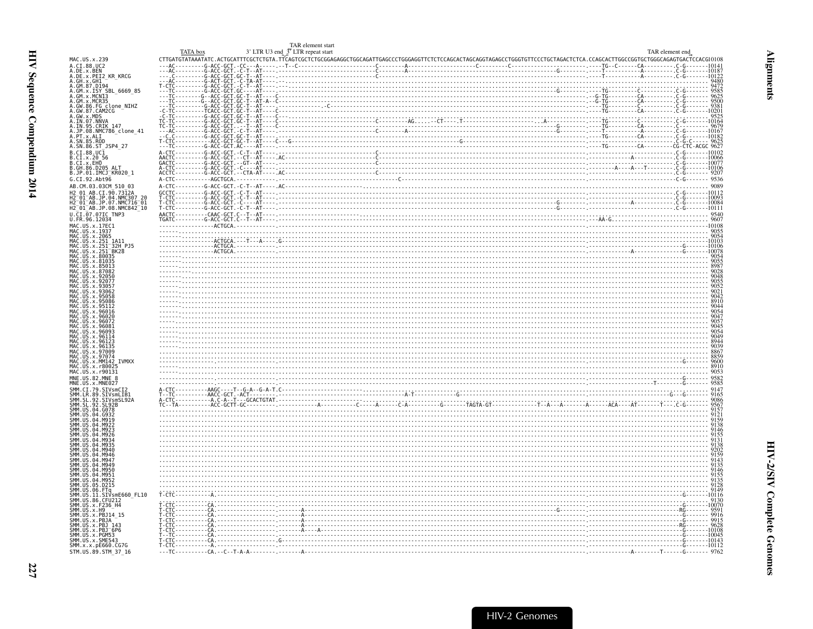<span id="page-68-0"></span>

|                                                                                              | TAR element start<br>3' LTR U3 end <sup>3</sup> LTR repeat start                                                                                                                                                                                                                                                                                             | TAR element end                                                                                                                                                                                                                |  |
|----------------------------------------------------------------------------------------------|--------------------------------------------------------------------------------------------------------------------------------------------------------------------------------------------------------------------------------------------------------------------------------------------------------------------------------------------------------------|--------------------------------------------------------------------------------------------------------------------------------------------------------------------------------------------------------------------------------|--|
| MAC.US.x.239                                                                                 |                                                                                                                                                                                                                                                                                                                                                              |                                                                                                                                                                                                                                |  |
| A.CI.88.UC2<br>DE.x.BEN                                                                      |                                                                                                                                                                                                                                                                                                                                                              |                                                                                                                                                                                                                                |  |
| .DE.x.PEI2 KR KRCG                                                                           |                                                                                                                                                                                                                                                                                                                                                              |                                                                                                                                                                                                                                |  |
| A. GH. X. GH1 - MA - MACO<br>A. GM. 87. D194<br>A. GM. X. ISY SBL 6669 85<br>A. GM. X. MCN13 |                                                                                                                                                                                                                                                                                                                                                              |                                                                                                                                                                                                                                |  |
|                                                                                              |                                                                                                                                                                                                                                                                                                                                                              |                                                                                                                                                                                                                                |  |
|                                                                                              |                                                                                                                                                                                                                                                                                                                                                              |                                                                                                                                                                                                                                |  |
| .GM.X.MCR35<br>.GM.X.MCR35<br>.GW.86.FG clone_NIHZ<br>.GW.87.CAM2CG                          |                                                                                                                                                                                                                                                                                                                                                              |                                                                                                                                                                                                                                |  |
| GW.x.MDS                                                                                     |                                                                                                                                                                                                                                                                                                                                                              |                                                                                                                                                                                                                                |  |
| .IN.07.NNVA<br>.IN.95.CRIK 147<br>.IN.95.CRIK 147<br>.PT.x.ALI<br>.PT.x.ALI<br>.SN.85.ROD    |                                                                                                                                                                                                                                                                                                                                                              |                                                                                                                                                                                                                                |  |
|                                                                                              |                                                                                                                                                                                                                                                                                                                                                              |                                                                                                                                                                                                                                |  |
|                                                                                              |                                                                                                                                                                                                                                                                                                                                                              |                                                                                                                                                                                                                                |  |
| A.SN.86.ST JSP4 27                                                                           |                                                                                                                                                                                                                                                                                                                                                              |                                                                                                                                                                                                                                |  |
| $B.CI.88.UC\bar{1}$                                                                          |                                                                                                                                                                                                                                                                                                                                                              |                                                                                                                                                                                                                                |  |
| .CI.x.20 56                                                                                  |                                                                                                                                                                                                                                                                                                                                                              |                                                                                                                                                                                                                                |  |
| B.CI.x.EHO<br>B.GH.86.D205 ALT<br>B.JP.01.IMCJ_KR020_1                                       |                                                                                                                                                                                                                                                                                                                                                              |                                                                                                                                                                                                                                |  |
|                                                                                              |                                                                                                                                                                                                                                                                                                                                                              |                                                                                                                                                                                                                                |  |
| G.CI.92.Abt96                                                                                |                                                                                                                                                                                                                                                                                                                                                              |                                                                                                                                                                                                                                |  |
| AB.CM.03.03CM 510 03                                                                         |                                                                                                                                                                                                                                                                                                                                                              |                                                                                                                                                                                                                                |  |
| CI.90.7312A                                                                                  |                                                                                                                                                                                                                                                                                                                                                              |                                                                                                                                                                                                                                |  |
| 01 AB.JP.04.NMC307 20<br>01 AB.JP.07.NMC716 01                                               |                                                                                                                                                                                                                                                                                                                                                              |                                                                                                                                                                                                                                |  |
| H2 <sup>-</sup> 01 <sup>-</sup> AB.JP.08.NMC842 <sup>-</sup> 10                              |                                                                                                                                                                                                                                                                                                                                                              |                                                                                                                                                                                                                                |  |
| U.CI.07.07IC TNP3<br>U.FR.96.12034                                                           |                                                                                                                                                                                                                                                                                                                                                              |                                                                                                                                                                                                                                |  |
| MAC.US.x.17EC1                                                                               |                                                                                                                                                                                                                                                                                                                                                              |                                                                                                                                                                                                                                |  |
| US.x.1937                                                                                    |                                                                                                                                                                                                                                                                                                                                                              |                                                                                                                                                                                                                                |  |
| US.x.2065                                                                                    | $\frac{\text{1000}}{\text{0000}}$                                                                                                                                                                                                                                                                                                                            |                                                                                                                                                                                                                                |  |
|                                                                                              |                                                                                                                                                                                                                                                                                                                                                              |                                                                                                                                                                                                                                |  |
| US.x.80035                                                                                   |                                                                                                                                                                                                                                                                                                                                                              |                                                                                                                                                                                                                                |  |
| $115 \times 81035$                                                                           |                                                                                                                                                                                                                                                                                                                                                              |                                                                                                                                                                                                                                |  |
|                                                                                              |                                                                                                                                                                                                                                                                                                                                                              |                                                                                                                                                                                                                                |  |
|                                                                                              |                                                                                                                                                                                                                                                                                                                                                              |                                                                                                                                                                                                                                |  |
|                                                                                              |                                                                                                                                                                                                                                                                                                                                                              |                                                                                                                                                                                                                                |  |
|                                                                                              |                                                                                                                                                                                                                                                                                                                                                              | $\frac{1}{2}$ . We consider the contract of $\frac{1}{2}$ . We consider the contract of $\frac{1}{2}$ . We consider the contract of $\frac{1}{2}$ .                                                                            |  |
|                                                                                              |                                                                                                                                                                                                                                                                                                                                                              | 600 - 1000 - 1000 - 1000 - 1000 - 1000 - 1000 - 1000 - 1000 - 1000 - 1000 - 1000 - 1000 - 1000 - 1000 - 1000 - 1000 - 1000 - 1000 - 1000 - 1000 - 1000 - 1000 - 1000 - 1000 - 1000 - 1000 - 1000 - 1000 - 1000 - 1000 - 1000 - |  |
|                                                                                              |                                                                                                                                                                                                                                                                                                                                                              |                                                                                                                                                                                                                                |  |
|                                                                                              |                                                                                                                                                                                                                                                                                                                                                              |                                                                                                                                                                                                                                |  |
|                                                                                              |                                                                                                                                                                                                                                                                                                                                                              |                                                                                                                                                                                                                                |  |
|                                                                                              |                                                                                                                                                                                                                                                                                                                                                              |                                                                                                                                                                                                                                |  |
|                                                                                              |                                                                                                                                                                                                                                                                                                                                                              |                                                                                                                                                                                                                                |  |
| x.96123                                                                                      |                                                                                                                                                                                                                                                                                                                                                              |                                                                                                                                                                                                                                |  |
| $115 \times 96135$<br><b>IIS x 97009</b>                                                     |                                                                                                                                                                                                                                                                                                                                                              |                                                                                                                                                                                                                                |  |
|                                                                                              |                                                                                                                                                                                                                                                                                                                                                              |                                                                                                                                                                                                                                |  |
| <b>TVMXX</b><br>US.x.MM142<br>MAC.US.x.r800                                                  |                                                                                                                                                                                                                                                                                                                                                              |                                                                                                                                                                                                                                |  |
| MAC.US.x.r90131                                                                              |                                                                                                                                                                                                                                                                                                                                                              | $\begin{minipage}{0.99\textwidth} \begin{tabular}{ c c c } \hline 0.9999 & 0.9999 & 0.9999 \\ 0.9999 & 0.9999 & 0.9999 \\ 0.9999 & 0.9999 & 0.9999 \\ 0.9999 & 0.9999 & 0.9999 \\ \hline \end{tabular} \end{minipage}$         |  |
| MNE.US.82.MNE 8                                                                              |                                                                                                                                                                                                                                                                                                                                                              |                                                                                                                                                                                                                                |  |
| MNE.US.x.MNE027                                                                              |                                                                                                                                                                                                                                                                                                                                                              |                                                                                                                                                                                                                                |  |
| STVsmLTB1                                                                                    |                                                                                                                                                                                                                                                                                                                                                              |                                                                                                                                                                                                                                |  |
| SIVsmSL92A                                                                                   |                                                                                                                                                                                                                                                                                                                                                              |                                                                                                                                                                                                                                |  |
| 04.G078                                                                                      |                                                                                                                                                                                                                                                                                                                                                              |                                                                                                                                                                                                                                |  |
|                                                                                              |                                                                                                                                                                                                                                                                                                                                                              |                                                                                                                                                                                                                                |  |
|                                                                                              |                                                                                                                                                                                                                                                                                                                                                              |                                                                                                                                                                                                                                |  |
|                                                                                              |                                                                                                                                                                                                                                                                                                                                                              |                                                                                                                                                                                                                                |  |
|                                                                                              |                                                                                                                                                                                                                                                                                                                                                              |                                                                                                                                                                                                                                |  |
|                                                                                              |                                                                                                                                                                                                                                                                                                                                                              |                                                                                                                                                                                                                                |  |
|                                                                                              |                                                                                                                                                                                                                                                                                                                                                              |                                                                                                                                                                                                                                |  |
|                                                                                              |                                                                                                                                                                                                                                                                                                                                                              |                                                                                                                                                                                                                                |  |
| M956                                                                                         |                                                                                                                                                                                                                                                                                                                                                              |                                                                                                                                                                                                                                |  |
|                                                                                              |                                                                                                                                                                                                                                                                                                                                                              |                                                                                                                                                                                                                                |  |
| M952<br>D215                                                                                 |                                                                                                                                                                                                                                                                                                                                                              | <u> 1990 - Paris Alexander al III de la contrada de la contrada de la contrada de la contrada de la contrada de l</u>                                                                                                          |  |
|                                                                                              |                                                                                                                                                                                                                                                                                                                                                              |                                                                                                                                                                                                                                |  |
| SIVsmE660 FL10                                                                               |                                                                                                                                                                                                                                                                                                                                                              |                                                                                                                                                                                                                                |  |
| US.86.CFU212                                                                                 |                                                                                                                                                                                                                                                                                                                                                              |                                                                                                                                                                                                                                |  |
|                                                                                              |                                                                                                                                                                                                                                                                                                                                                              |                                                                                                                                                                                                                                |  |
| SMM.US.x.PBJ14 15<br>ŠMM.                                                                    |                                                                                                                                                                                                                                                                                                                                                              |                                                                                                                                                                                                                                |  |
| ;MM.US.x.PBJA --<br>MM.US.x.PBJ 143<br>MM.US.x.PBJ 6P6                                       |                                                                                                                                                                                                                                                                                                                                                              |                                                                                                                                                                                                                                |  |
| MM.US.x.PGM53                                                                                |                                                                                                                                                                                                                                                                                                                                                              |                                                                                                                                                                                                                                |  |
| SMM.US.x.SME543                                                                              | $T - T$<br>$T - T$<br>$T - T$<br>$T - T$<br>$T - T$<br>$T - T$<br>$T - T$<br>$T - T$<br>$T - T$<br>$T - T$<br>$T - T$<br>$T - T$<br>$T - T$<br>$T - T$<br>$T - T$<br>$T - T$<br>$T - T$<br>$T - T$<br>$T - T$<br>$T - T$<br>$T - T$<br>$T - T$<br>$T - T$<br>$T - T$<br>$T - T$<br>$T - T$<br>$T - T$<br>$T - T$<br>$T - T$<br>$T - T$<br>$T - T$<br>$T - T$ |                                                                                                                                                                                                                                |  |
| SMM.x.x.pE660.CG7G                                                                           |                                                                                                                                                                                                                                                                                                                                                              |                                                                                                                                                                                                                                |  |
| STM.US.89.STM 37 16                                                                          |                                                                                                                                                                                                                                                                                                                                                              |                                                                                                                                                                                                                                |  |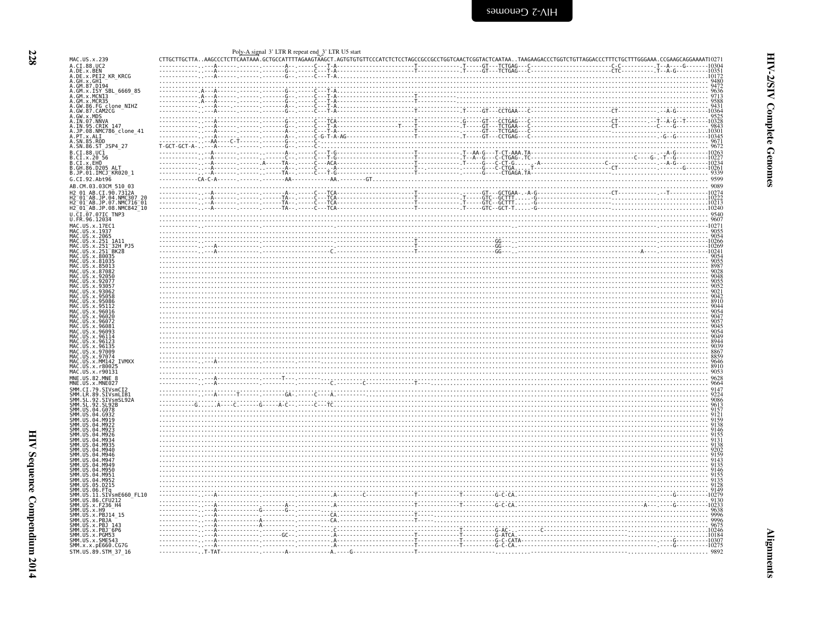<span id="page-69-0"></span>

| MAC.US.x.239<br>A.CI.88.UC2                                                                                                                                                                                                                          |  |  |                                                                                                                                                                                                                                                                                                                                                                  |
|------------------------------------------------------------------------------------------------------------------------------------------------------------------------------------------------------------------------------------------------------|--|--|------------------------------------------------------------------------------------------------------------------------------------------------------------------------------------------------------------------------------------------------------------------------------------------------------------------------------------------------------------------|
| A.DE.X.BEN<br>A.DE.X.PEI2_KR_KRCG                                                                                                                                                                                                                    |  |  |                                                                                                                                                                                                                                                                                                                                                                  |
| A.GH.x.GHI-<br>A.GM.87.D194                                                                                                                                                                                                                          |  |  |                                                                                                                                                                                                                                                                                                                                                                  |
| A.GM.x.ISY SBL 6669 85                                                                                                                                                                                                                               |  |  |                                                                                                                                                                                                                                                                                                                                                                  |
| A. GM. x. JISY SBL 6669 85<br>A. GM. x. JINCNI3<br>A. GM. x. MCR35<br>A. GM. 86, CADRES<br>A. GM. 86, CADRES<br>A. GM. 87, CAMDS<br>A. GM. 87, CANDS<br>A. IN. 97. NKN<br>A. IN. 98. NMC786 clone 41<br>A. FI. x. ALI<br>A. SN. 85. ROD<br>A. SN. 85 |  |  |                                                                                                                                                                                                                                                                                                                                                                  |
|                                                                                                                                                                                                                                                      |  |  |                                                                                                                                                                                                                                                                                                                                                                  |
|                                                                                                                                                                                                                                                      |  |  |                                                                                                                                                                                                                                                                                                                                                                  |
|                                                                                                                                                                                                                                                      |  |  |                                                                                                                                                                                                                                                                                                                                                                  |
|                                                                                                                                                                                                                                                      |  |  |                                                                                                                                                                                                                                                                                                                                                                  |
|                                                                                                                                                                                                                                                      |  |  |                                                                                                                                                                                                                                                                                                                                                                  |
|                                                                                                                                                                                                                                                      |  |  |                                                                                                                                                                                                                                                                                                                                                                  |
|                                                                                                                                                                                                                                                      |  |  |                                                                                                                                                                                                                                                                                                                                                                  |
| B.CI.88.UC1                                                                                                                                                                                                                                          |  |  |                                                                                                                                                                                                                                                                                                                                                                  |
| B.CI.x.20 56<br>B.CI.x.20 56<br>B.CI.x.EHO<br>B.GH.86.D205_ALT<br>B.JP.01.IMCJ_KR020_1                                                                                                                                                               |  |  |                                                                                                                                                                                                                                                                                                                                                                  |
|                                                                                                                                                                                                                                                      |  |  |                                                                                                                                                                                                                                                                                                                                                                  |
|                                                                                                                                                                                                                                                      |  |  |                                                                                                                                                                                                                                                                                                                                                                  |
| G.CI.92.Abt96                                                                                                                                                                                                                                        |  |  |                                                                                                                                                                                                                                                                                                                                                                  |
| AB.CM.03.03CM 510 03                                                                                                                                                                                                                                 |  |  |                                                                                                                                                                                                                                                                                                                                                                  |
| AB.CI.90.7312A                                                                                                                                                                                                                                       |  |  |                                                                                                                                                                                                                                                                                                                                                                  |
| -AB.JP.04.NMC307-20<br>-AB.JP.07.NMC716-01                                                                                                                                                                                                           |  |  |                                                                                                                                                                                                                                                                                                                                                                  |
| H2_01_AB.JP.08.NMC842_10                                                                                                                                                                                                                             |  |  |                                                                                                                                                                                                                                                                                                                                                                  |
| U.CI.07.07IC_TNP3<br>U.FR.96.12034                                                                                                                                                                                                                   |  |  |                                                                                                                                                                                                                                                                                                                                                                  |
|                                                                                                                                                                                                                                                      |  |  |                                                                                                                                                                                                                                                                                                                                                                  |
| MAC.US.x.17EC1<br>MAC.US.x.1937                                                                                                                                                                                                                      |  |  |                                                                                                                                                                                                                                                                                                                                                                  |
| MAC.US.x.2065<br>MAC.US.x.251<br>US.x.251<br>1A11                                                                                                                                                                                                    |  |  |                                                                                                                                                                                                                                                                                                                                                                  |
| MAC.US.x.251<br>MAC.US.x.251<br>32H PJ5                                                                                                                                                                                                              |  |  |                                                                                                                                                                                                                                                                                                                                                                  |
| $-BK28$                                                                                                                                                                                                                                              |  |  |                                                                                                                                                                                                                                                                                                                                                                  |
| .US.x.80035<br>US.x.810                                                                                                                                                                                                                              |  |  |                                                                                                                                                                                                                                                                                                                                                                  |
|                                                                                                                                                                                                                                                      |  |  |                                                                                                                                                                                                                                                                                                                                                                  |
|                                                                                                                                                                                                                                                      |  |  |                                                                                                                                                                                                                                                                                                                                                                  |
| 92077                                                                                                                                                                                                                                                |  |  |                                                                                                                                                                                                                                                                                                                                                                  |
| y QRAF                                                                                                                                                                                                                                               |  |  |                                                                                                                                                                                                                                                                                                                                                                  |
|                                                                                                                                                                                                                                                      |  |  |                                                                                                                                                                                                                                                                                                                                                                  |
|                                                                                                                                                                                                                                                      |  |  |                                                                                                                                                                                                                                                                                                                                                                  |
| MAC.US.x.96016                                                                                                                                                                                                                                       |  |  |                                                                                                                                                                                                                                                                                                                                                                  |
| 96020                                                                                                                                                                                                                                                |  |  |                                                                                                                                                                                                                                                                                                                                                                  |
| MAC.US.x.960                                                                                                                                                                                                                                         |  |  |                                                                                                                                                                                                                                                                                                                                                                  |
|                                                                                                                                                                                                                                                      |  |  |                                                                                                                                                                                                                                                                                                                                                                  |
| . U.S. x . 9611                                                                                                                                                                                                                                      |  |  |                                                                                                                                                                                                                                                                                                                                                                  |
| US.x.96123<br>. US . x . 96135                                                                                                                                                                                                                       |  |  |                                                                                                                                                                                                                                                                                                                                                                  |
| US.x.97009                                                                                                                                                                                                                                           |  |  |                                                                                                                                                                                                                                                                                                                                                                  |
| . U.S. x . 97074<br>MAC.US.x.MM142                                                                                                                                                                                                                   |  |  |                                                                                                                                                                                                                                                                                                                                                                  |
| IVMXX<br>MAC.US.x.r80025                                                                                                                                                                                                                             |  |  |                                                                                                                                                                                                                                                                                                                                                                  |
| MAC.US.x.r90131                                                                                                                                                                                                                                      |  |  |                                                                                                                                                                                                                                                                                                                                                                  |
| MNE.US.82.MNE                                                                                                                                                                                                                                        |  |  |                                                                                                                                                                                                                                                                                                                                                                  |
| MNE.US.x.MNE027                                                                                                                                                                                                                                      |  |  |                                                                                                                                                                                                                                                                                                                                                                  |
| SIVsmCI2<br>SIVsmLIB1                                                                                                                                                                                                                                |  |  |                                                                                                                                                                                                                                                                                                                                                                  |
|                                                                                                                                                                                                                                                      |  |  |                                                                                                                                                                                                                                                                                                                                                                  |
| SL92B                                                                                                                                                                                                                                                |  |  |                                                                                                                                                                                                                                                                                                                                                                  |
| .G078                                                                                                                                                                                                                                                |  |  |                                                                                                                                                                                                                                                                                                                                                                  |
|                                                                                                                                                                                                                                                      |  |  |                                                                                                                                                                                                                                                                                                                                                                  |
|                                                                                                                                                                                                                                                      |  |  |                                                                                                                                                                                                                                                                                                                                                                  |
|                                                                                                                                                                                                                                                      |  |  |                                                                                                                                                                                                                                                                                                                                                                  |
|                                                                                                                                                                                                                                                      |  |  |                                                                                                                                                                                                                                                                                                                                                                  |
|                                                                                                                                                                                                                                                      |  |  |                                                                                                                                                                                                                                                                                                                                                                  |
|                                                                                                                                                                                                                                                      |  |  |                                                                                                                                                                                                                                                                                                                                                                  |
| модо                                                                                                                                                                                                                                                 |  |  |                                                                                                                                                                                                                                                                                                                                                                  |
| <b>MQ56</b>                                                                                                                                                                                                                                          |  |  |                                                                                                                                                                                                                                                                                                                                                                  |
|                                                                                                                                                                                                                                                      |  |  |                                                                                                                                                                                                                                                                                                                                                                  |
| D215                                                                                                                                                                                                                                                 |  |  |                                                                                                                                                                                                                                                                                                                                                                  |
|                                                                                                                                                                                                                                                      |  |  |                                                                                                                                                                                                                                                                                                                                                                  |
| SMM. US. 09. D215<br>SMM. US. 06. FTq<br>SMM. US. 11. STVS<br>SMM. US. 36. CFU212<br>SMM. US. 36. CFU212<br>SMM. US. x. F236<br>MM. US. x. PB114<br>SMM. US. x. PB114<br>SMM. US. x. PB114                                                           |  |  | $\begin{bmatrix} 2128 & 2128 & 2128 & 2128 & 2128 & 2128 & 2128 & 2128 & 2128 & 2128 & 2128 & 2128 & 2128 & 2128 & 2128 & 2128 & 2128 & 2128 & 2128 & 2128 & 2128 & 2128 & 2128 & 2128 & 2128 & 2128 & 2128 & 2128 & 2128 & 2128 & 2128 & 2128 & 2128 & 2128 & 2128 & 212$                                                                                       |
|                                                                                                                                                                                                                                                      |  |  |                                                                                                                                                                                                                                                                                                                                                                  |
|                                                                                                                                                                                                                                                      |  |  |                                                                                                                                                                                                                                                                                                                                                                  |
|                                                                                                                                                                                                                                                      |  |  |                                                                                                                                                                                                                                                                                                                                                                  |
| SMM. US. x. PBJ 143<br>SMM. US. x. PBJ 6P6                                                                                                                                                                                                           |  |  | $\mathbf{A}$<br>$\mathbf{A}$<br>$\mathbf{A}$<br>$\mathbf{A}$<br>$\mathbf{A}$<br>$\mathbf{A}$<br>$\mathbf{A}$<br>$\mathbf{A}$<br>$\mathbf{A}$<br>$\mathbf{A}$<br>$\mathbf{A}$<br>$\mathbf{A}$<br>$\mathbf{A}$<br>$\mathbf{A}$<br>$\mathbf{A}$<br>$\mathbf{A}$<br>$\mathbf{A}$<br>$\mathbf{A}$<br>$\mathbf{A}$<br>$\mathbf{A}$<br>$\mathbf{A}$<br>$\mathbf{A}$<br> |
|                                                                                                                                                                                                                                                      |  |  |                                                                                                                                                                                                                                                                                                                                                                  |
| SPIN. US. x. PGM53<br>SMM. US. x. SME543<br>SMM. X. x. pE669. CG7G                                                                                                                                                                                   |  |  |                                                                                                                                                                                                                                                                                                                                                                  |
|                                                                                                                                                                                                                                                      |  |  |                                                                                                                                                                                                                                                                                                                                                                  |